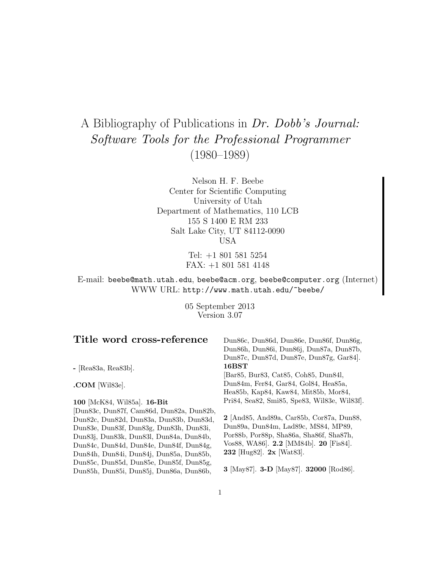# A Bibliography of Publications in Dr. Dobb's Journal: Software Tools for the Professional Programmer (1980–1989)

Nelson H. F. Beebe Center for Scientific Computing University of Utah Department of Mathematics, 110 LCB 155 S 1400 E RM 233 Salt Lake City, UT 84112-0090 USA

> Tel: +1 801 581 5254 FAX: +1 801 581 4148

E-mail: beebe@math.utah.edu, beebe@acm.org, beebe@computer.org (Internet) WWW URL: http://www.math.utah.edu/~beebe/

> 05 September 2013 Version 3.07

# **Title word cross-reference**

**-** [Rea83a, Rea83b].

**.COM** [Wil83e].

**100** [McK84, Wil85a]. **16-Bit**

[Dun83c, Dun87f, Cam86d, Dun82a, Dun82b, Dun82c, Dun82d, Dun83a, Dun83b, Dun83d, Dun83e, Dun83f, Dun83g, Dun83h, Dun83i, Dun83j, Dun83k, Dun83l, Dun84a, Dun84b, Dun84c, Dun84d, Dun84e, Dun84f, Dun84g, Dun84h, Dun84i, Dun84j, Dun85a, Dun85b, Dun85c, Dun85d, Dun85e, Dun85f, Dun85g, Dun85h, Dun85i, Dun85j, Dun86a, Dun86b,

Dun86c, Dun86d, Dun86e, Dun86f, Dun86g, Dun86h, Dun86i, Dun86j, Dun87a, Dun87b, Dun87c, Dun87d, Dun87e, Dun87g, Gar84]. **16BST** [Bar85, Bur83, Cat85, Coh85, Dun84l, Dun84m, Fer84, Gar84, Gol84, Hea85a, Hea85b, Kap84, Kaw84, Mit85b, Mor84,

Pri84, Sea82, Smi85, Spe83, Wil83e, Wil83f].

**2** [And85, And89a, Car85b, Cor87a, Dun88, Dun89a, Dun84m, Lad89c, MS84, MP89, Por88b, Por88p, Sha86a, Sha86f, Sha87h, Vos88, WA86]. **2.2** [MM84b]. **20** [Fis84]. **232** [Hug82]. **2x** [Wat83].

**3** [May87]. **3-D** [May87]. **32000** [Rod86].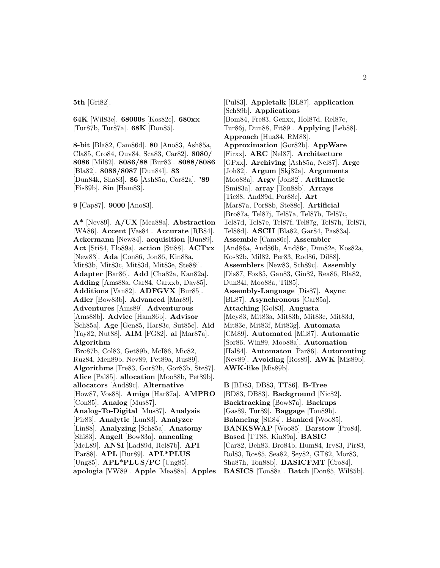**5th** [Gri82].

**64K** [Wil83e]. **68000s** [Kos82c]. **680xx** [Tur87b, Tur87a]. **68K** [Don85].

**8-bit** [Bla82, Cam86d]. **80** [Ano83, Ash85a, Cla85, Cro84, Ouv84, Sca83, Car82]. **8080/ 8086** [Mil82]. **8086/88** [Bur83]. **8088/8086** [Bla82]. **8088/8087** [Dun84l]. **83** [Dun84k, Sha83]. **86** [Ash85a, Cor82a]. **'89** [Fis89b]. **8in** [Ham83].

**9** [Cap87]. **9000** [Ano83].

**A\*** [Nev89]. **A/UX** [Mea88a]. **Abstraction** [WA86]. **Accent** [Vas84]. **Accurate** [RB84]. **Ackermann** [New84]. **acquisition** [Bun89]. **Act** [Sti84, Flo89a]. **action** [Sti88]. **ACTxx** [New83]. **Ada** [Con86, Jon86, Kin88a, Mit83b, Mit83c, Mit83d, Mit83e, Ste88i]. **Adapter** [Bar86]. **Add** [Cha82a, Kan82a]. **Adding** [Ams88a, Car84, Carxxb, Day85]. **Additions** [Van82]. **ADFGVX** [Bur85]. **Adler** [Bow83b]. **Advanced** [Mar89]. **Adventures** [Ams89]. **Adventurous** [Ams88b]. **Advice** [Ham86b]. **Advisor** [Sch85a]. **Age** [Gen85, Har83c, Sut85e]. **Aid** [Tay82, Nut88]. **AIM** [FG82]. **al** [Mar87a]. **Algorithm** [Bro87b, Col83, Get89b, McI86, Mic82, Ruz84, Men89b, Nev89, Pet89a, Rus89]. **Algorithms** [Fre83, Gor82b, Gor83b, Ste87]. **Alice** [Pal85]. **allocation** [Moo88b, Pet89b]. **allocators** [And89c]. **Alternative** [How87, Vos88]. **Amiga** [Har87a]. **AMPRO** [Con85]. **Analog** [Mus87]. **Analog-To-Digital** [Mus87]. **Analysis** [Pir83]. **Analytic** [Lun83]. **Analyzer** [Lin88]. **Analyzing** [Sch85a]. **Anatomy** [Shi83]. **Angell** [Bow83a]. **annealing** [McL89]. **ANSI** [Lad89d, Rel87b]. **API** [Par88]. **APL** [Bur89]. **APL\*PLUS** [Ung85]. **APL\*PLUS/PC** [Ung85]. **apologia** [VW89]. **Apple** [Mea88a]. **Apples**

[Pul83]. **Appletalk** [BL87]. **application** [Sch89b]. **Applications** [Bom84, Fre83, Genxx, Hol87d, Rel87c, Tur86j, Dun88, Fit89]. **Applying** [Leb88]. **Approach** [Hua84, RM88]. **Approximation** [Gor82b]. **AppWare** [Firxx]. **ARC** [Nel87]. **Architecture** [GPxx]. **Archiving** [Ash85a, Nel87]. **Argc** [Joh82]. **Argum** [Skj82a]. **Arguments** [Moo88a]. **Argv** [Joh82]. **Arithmetic** [Smi83a]. **array** [Ton88b]. **Arrays** [Tic88, And89d, Por88c]. **Art** [Mar87a, Por88b, Ste88c]. **Artificial** [Bro87a, Tel87j, Tel87a, Tel87b, Tel87c, Tel87d, Tel87e, Tel87f, Tel87g, Tel87h, Tel87i, Tel88d]. **ASCII** [Bla82, Gar84, Pas83a]. **Assemble** [Cam86c]. **Assembler** [And86a, And86b, And86c, Dun82e, Kos82a, Kos82b, Mil82, Per83, Rod86, Dil88]. **Assemblers** [New83, Sch89c]. **Assembly** [Dis87, Fox85, Gan83, Gin82, Rea86, Bla82, Dun84l, Moo88a, Til85]. **Assembly-Language** [Dis87]. **Async** [BL87]. **Asynchronous** [Car85a]. **Attaching** [Gol83]. **Augusta** [Mey83, Mit83a, Mit83b, Mit83c, Mit83d, Mit83e, Mit83f, Mit83g]. **Automata** [CM89]. **Automated** [Mil87]. **Automatic** [Sor86, Win89, Moo88a]. **Automation** [Hal84]. **Automaton** [Par86]. **Autorouting** [Nev89]. **Avoiding** [Ros89]. **AWK** [Mis89b]. **AWK-like** [Mis89b]. **B** [BD83, DB83, TT86]. **B-Tree**

[BD83, DB83]. **Background** [Nic82]. **Backtracking** [Bow87a]. **Backups** [Gas89, Tur89]. **Baggage** [Ton89b]. **Balancing** [Sti84]. **Banked** [Woo85]. **BANKSWAP** [Woo85]. **Barstow** [Pro84]. **Based** [TT88, Kin89a]. **BASIC** [Car82, Beh83, Bro84b, Hum84, Irv83, Pir83, Rol83, Ros85, Sea82, Sey82, GT82, Mor83, Sha87h, Ton88b]. **BASICFMT** [Cro84]. **BASICS** [Ton88a]. **Batch** [Don85, Wil85b].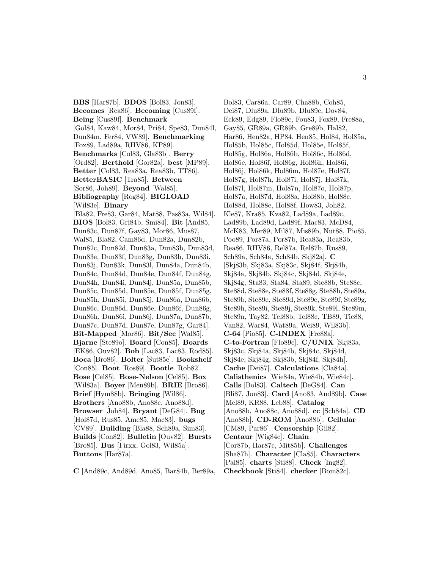**BBS** [Har87b]. **BDOS** [Bol83, Jon83]. **Becomes** [Rea86]. **Becoming** [Cus89f]. **Being** [Cus89f]. **Benchmark** [Gol84, Kaw84, Mor84, Pri84, Spe83, Dun84l, Dun84m, Fer84, VW89]. **Benchmarking** [Fox89, Lad89a, RHV86, KP89]. **Benchmarks** [Col83, Gla83b]. **Berry** [Ord82]. **Berthold** [Gor82a]. **best** [MP89]. **Better** [Col83, Rea83a, Rea83b, TT86]. **BetterBASIC** [Tra85]. **Between** [Sor86, Joh89]. **Beyond** [Wal85]. **Bibliography** [Rog84]. **BIGLOAD** [Wil83e]. **Binary** [Bla82, Fre83, Gar84, Mat88, Pas83a, Wil84]. **BIOS** [Bol83, Gri84b, Smi84]. **Bit** [And85, Dun83c, Dun87f, Gay83, Mor86, Mus87, Wal85, Bla82, Cam86d, Dun82a, Dun82b, Dun82c, Dun82d, Dun83a, Dun83b, Dun83d, Dun83e, Dun83f, Dun83g, Dun83h, Dun83i, Dun83j, Dun83k, Dun83l, Dun84a, Dun84b, Dun84c, Dun84d, Dun84e, Dun84f, Dun84g, Dun84h, Dun84i, Dun84j, Dun85a, Dun85b, Dun85c, Dun85d, Dun85e, Dun85f, Dun85g, Dun85h, Dun85i, Dun85j, Dun86a, Dun86b, Dun86c, Dun86d, Dun86e, Dun86f, Dun86g, Dun86h, Dun86i, Dun86j, Dun87a, Dun87b, Dun87c, Dun87d, Dun87e, Dun87g, Gar84]. **Bit-Mapped** [Mor86]. **Bit/Sec** [Wal85]. **Bjarne** [Ste89o]. **Board** [Con85]. **Boards** [EK86, Ouv82]. **Bob** [Lac83, Lac83, Rod85]. **Boca** [Bro86]. **Bolter** [Sut85e]. **Bookshelf** [Con85]. **Boot** [Ros89]. **Bootle** [Rob82]. **Bose** [Cel85]. **Bose-Nelson** [Cel85]. **Box** [Wil83a]. **Boyer** [Men89b]. **BRIE** [Bro86]. **Brief** [Hym88b]. **Bringing** [Wil86]. **Brothers** [Ano88b, Ano88c, Ano88d]. **Browser** [Joh84]. **Bryant** [DeG84]. **Bug** [Hol87d, Rus85, Ame85, Mac83]. **bugs** [CV89]. **Building** [Bla88, Sch89a, Sim83]. **Builds** [Con82]. **Bulletin** [Ouv82]. **Bursts** [Bro85]. **Bus** [Firxx, Gol83, Wil85a]. **Buttons** [Har87a].

**C** [And89c, And89d, Ano85, Bar84b, Ber89a,

Bol83, Car86a, Car89, Cha88b, Coh85, Dei87, Dlu89a, Dlu89b, Dlu89c, Dov84, Eck89, Edg89, Flo89c, Fou83, Fox89, Fre88a, Gay85, GR89a, GR89b, Gre89b, Hal82, Har86, Hen82a, HP84, Hen85, Hol84, Hol85a, Hol85b, Hol85c, Hol85d, Hol85e, Hol85f, Hol85g, Hol86a, Hol86b, Hol86c, Hol86d, Hol86e, Hol86f, Hol86g, Hol86h, Hol86i, Hol86j, Hol86k, Hol86m, Hol87e, Hol87f, Hol87g, Hol87h, Hol87i, Hol87j, Hol87k, Hol87l, Hol87m, Hol87n, Hol87o, Hol87p, Hol87a, Hol87d, Hol88a, Hol88b, Hol88c, Hol88d, Hol88e, Hol88f, How83, Joh82, Kle87, Kra85, Kva82, Lad89a, Lad89c, Lad89b, Lad89d, Lad89f, Mac83, McD84, McK83, Mer89, Mil87, Mis89b, Nut88, Pio85, Poo89, Por87a, Por87b, Rea83a, Rea83b, Rea86, RHV86, Rel87a, Rel87b, Rus89, Sch89a, Sch84a, Sch84b, Skj82a]. **C** [Skj83b, Skj83a, Skj83c, Skj84f, Skj84h, Skj84a, Skj84b, Skj84c, Skj84d, Skj84e, Skj84g, Sta83, Sta84, Sta89, Ste88b, Ste88c, Ste88d, Ste88e, Ste88f, Ste88g, Ste88h, Ste89a, Ste89b, Ste89c, Ste89d, Ste89e, Ste89f, Ste89g, Ste89h, Ste89i, Ste89j, Ste89k, Ste89l, Ste89m, Ste89n, Tay82, Tel88b, Tel88c, TB89, Tic88, Van82, War84, Wat89a, Wei89, Wil83b]. **C-64** [Pio85]. **C-INDEX** [Fre88a]. **C-to-Fortran** [Flo89c]. **C/UNIX** [Skj83a, Skj83c, Skj84a, Skj84b, Skj84c, Skj84d, Skj84e, Skj84g, Skj83b, Skj84f, Skj84h]. **Cache** [Dei87]. **Calculations** [Cla84a]. **Calisthenics** [Wie84a, Wie84b, Wie84c]. **Calls** [Bol83]. **Caltech** [DeG84]. **Can** [Bli87, Jon83]. **Card** [Ano83, And89b]. **Case** [Mel89, KR88, Leb88]. **Catalog** [Ano88b, Ano88c, Ano88d]. **cc** [Sch84a]. **CD** [Ano88b]. **CD-ROM** [Ano88b]. **Cellular** [CM89, Par86]. **Censorship** [Gil82]. **Centaur** [Wig84e]. **Chain** [Cor87b, Har87c, Mit85b]. **Challenges** [Sha87h]. **Character** [Cla85]. **Characters** [Pal85]. **charts** [Sti88]. **Check** [Ing82]. **Checkbook** [Sti84]. **checker** [Bom82c].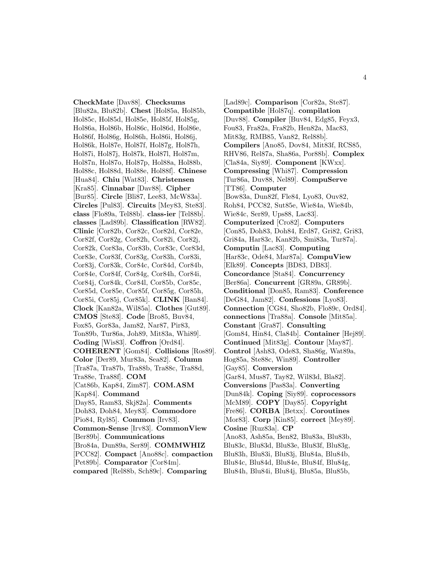**CheckMate** [Dav88]. **Checksums** [Blu82a, Blu82b]. **Chest** [Hol85a, Hol85b, Hol85c, Hol85d, Hol85e, Hol85f, Hol85g, Hol86a, Hol86b, Hol86c, Hol86d, Hol86e, Hol86f, Hol86g, Hol86h, Hol86i, Hol86j, Hol86k, Hol87e, Hol87f, Hol87g, Hol87h, Hol87i, Hol87j, Hol87k, Hol87l, Hol87m, Hol87n, Hol87o, Hol87p, Hol88a, Hol88b, Hol88c, Hol88d, Hol88e, Hol88f]. **Chinese** [Hua84]. **Chiu** [Wat83]. **Christensen** [Kra85]. **Cinnabar** [Dav88]. **Cipher** [Bur85]. **Circle** [Bli87, Lee83, McW83a]. **Circles** [Pul83]. **Circuits** [Mey83, Ste83]. **class** [Flo89a, Tel88b]. **class-ier** [Tel88b]. **classes** [Lad89b]. **Classification** [RW82]. **Clinic** [Cor82b, Cor82c, Cor82d, Cor82e, Cor82f, Cor82g, Cor82h, Cor82i, Cor82j, Cor82k, Cor83a, Cor83b, Cor83c, Cor83d, Cor83e, Cor83f, Cor83g, Cor83h, Cor83i, Cor83j, Cor83k, Cor84c, Cor84d, Cor84b, Cor84e, Cor84f, Cor84g, Cor84h, Cor84i, Cor84j, Cor84k, Cor84l, Cor85b, Cor85c, Cor85d, Cor85e, Cor85f, Cor85g, Cor85h, Cor85i, Cor85j, Cor85k]. **CLINK** [Ban84]. **Clock** [Kan82a, Wil85a]. **Clothes** [Gut89]. **CMOS** [Ste83]. **Code** [Bro85, Buv84, Fox85, Gor83a, Jam82, Nar87, Pir83, Ton89b, Tur86a, Joh89, Mit83a, Whi89]. **Coding** [Wis83]. **Coffron** [Ord84]. **COHERENT** [Gom84]. **Collisions** [Ros89]. **Color** [Der89, Mur83a, Sea82]. **Column** [Tra87a, Tra87b, Tra88b, Tra88c, Tra88d, Tra88e, Tra88f]. **COM** [Cat86b, Kap84, Zim87]. **COM.ASM** [Kap84]. **Command** [Day85, Ram83, Skj82a]. **Comments** [Doh83, Doh84, Mey83]. **Commodore** [Pio84, Ryl85]. **Common** [Irv83]. **Common-Sense** [Irv83]. **CommonView** [Ber89b]. **Communications** [Bro84a, Dun89a, Ser89]. **COMMWHIZ** [PCC82]. **Compact** [Ano88c]. **compaction** [Pet89b]. **Comparator** [Cor84m]. **compared** [Rel88b, Sch89c]. **Comparing**

[Lad89c]. **Comparison** [Cor82a, Ste87]. **Compatible** [Hol87q]. **compilation** [Duv88]. **Compiler** [Buv84, Edg85, Feyx3, Fou83, Fra82a, Fra82b, Hen82a, Mac83, Mit83g, RMB85, Van82, Rel88b]. **Compilers** [Ano85, Dov84, Mit83f, RCS85, RHV86, Rel87a, Sha86a, Por88b]. **Complex** [Cla84a, Siy89]. **Component** [KWxx]. **Compressing** [Whi87]. **Compression** [Tur86a, Duv88, Nel89]. **CompuServe** [TT86]. **Computer** [Bow83a, Dun82f, Fle84, Lyo83, Ouv82, Roh84, PCC82, Sut85e, Wie84a, Wie84b, Wie84c, Ser89, Ups88, Lac83]. **Computerized** [Cro82]. **Computers** [Con85, Doh83, Doh84, Erd87, Gri82, Gri83, Gri84a, Har83c, Kan82b, Smi83a, Tur87a]. **Computin** [Lac83]. **Computing** [Har83c, Ode84, Mar87a]. **CompuView** [Elk89]. **Concepts** [BD83, DB83]. **Concordance** [Sta84]. **Concurrency** [Ber86a]. **Concurrent** [GR89a, GR89b]. **Conditional** [Don85, Ram83]. **Conference** [DeG84, Jam82]. **Confessions** [Lyo83]. **Connection** [CG84, Sho82b, Flo89c, Ord84]. **connections** [Tra88a]. **Console** [Mit85a]. **Constant** [Gra87]. **Consulting** [Gom84, Hin84, Cla84b]. **Container** [Hej89]. **Continued** [Mit83g]. **Contour** [May87]. **Control** [Ash83, Ode83, Sha86g, Wat89a, Hog85a, Ste88c, Win89]. **Controller** [Gay85]. **Conversion** [Gar84, Mus87, Tay82, Wil83d, Bla82]. **Conversions** [Pas83a]. **Converting** [Dun84k]. **Coping** [Siy89]. **coprocessors** [McM89]. **COPY** [Day85]. **Copyright** [Fre86]. **CORBA** [Betxx]. **Coroutines** [Mor83]. **Corp** [Kin85]. **correct** [Mey89]. **Cosine** [Ruz83a]. **CP** [Ano83, Ash85a, Ben82, Blu83a, Blu83b, Blu83c, Blu83d, Blu83e, Blu83f, Blu83g, Blu83h, Blu83i, Blu83j, Blu84a, Blu84b, Blu84c, Blu84d, Blu84e, Blu84f, Blu84g, Blu84h, Blu84i, Blu84j, Blu85a, Blu85b,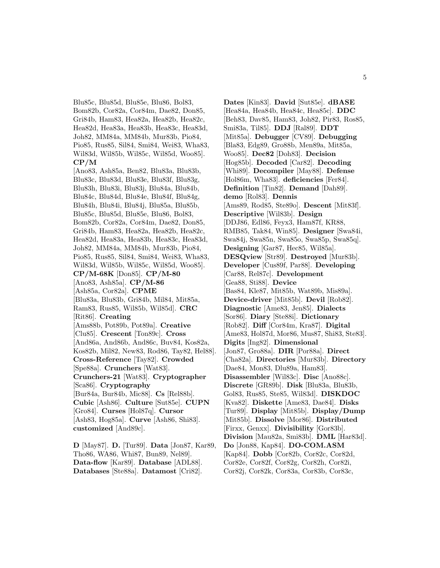Blu85c, Blu85d, Blu85e, Blu86, Bol83, Bom82b, Cor82a, Cor84m, Dae82, Don85, Gri84b, Ham83, Hea82a, Hea82b, Hea82c, Hea82d, Hea83a, Hea83b, Hea83c, Hea83d, Joh82, MM84a, MM84b, Mur83b, Pio84, Pio85, Rus85, Sil84, Smi84, Wei83, Wha83, Wil83d, Wil85b, Wil85c, Wil85d, Woo85]. **CP/M** [Ano83, Ash85a, Ben82, Blu83a, Blu83b, Blu83c, Blu83d, Blu83e, Blu83f, Blu83g, Blu83h, Blu83i, Blu83j, Blu84a, Blu84b, Blu84c, Blu84d, Blu84e, Blu84f, Blu84g, Blu84h, Blu84i, Blu84j, Blu85a, Blu85b, Blu85c, Blu85d, Blu85e, Blu86, Bol83, Bom82b, Cor82a, Cor84m, Dae82, Don85, Gri84b, Ham83, Hea82a, Hea82b, Hea82c, Hea82d, Hea83a, Hea83b, Hea83c, Hea83d, Joh82, MM84a, MM84b, Mur83b, Pio84, Pio85, Rus85, Sil84, Smi84, Wei83, Wha83, Wil83d, Wil85b, Wil85c, Wil85d, Woo85]. **CP/M-68K** [Don85]. **CP/M-80** [Ano83, Ash85a]. **CP/M-86** [Ash85a, Cor82a]. **CPME** [Blu83a, Blu83b, Gri84b, Mil84, Mit85a, Ram83, Rus85, Wil85b, Wil85d]. **CRC** [Rit86]. **Creating** [Ams88b, Pot89b, Pot89a]. **Creative** [Clu85]. **Crescent** [Ton89c]. **Cross** [And86a, And86b, And86c, Buv84, Kos82a, Kos82b, Mil82, New83, Rod86, Tay82, Hel88]. **Cross-Reference** [Tay82]. **Crowded** [Spe88a]. **Crunchers** [Wat83]. **Crunchers-21** [Wat83]. **Cryptographer** [Sca86]. **Cryptography** [Bur84a, Bur84b, Mic88]. **Cs** [Rel88b]. **Cubic** [Ash86]. **Culture** [Sut85e]. **CUPN** [Gro84]. **Curses** [Hol87q]. **Cursor** [Ash83, Hog85a]. **Curve** [Ash86, Shi83]. **customized** [And89c].

**D** [May87]. **D.** [Tur89]. **Data** [Jon87, Kar89, Tho86, WA86, Whi87, Bun89, Nel89]. **Data-flow** [Kar89]. **Database** [ADL88]. **Databases** [Ste88a]. **Datamost** [Cri82].

**Dates** [Kin83]. **David** [Sut85e]. **dBASE** [Hea84a, Hea84b, Hea84c, Hea85c]. **DDC** [Beh83, Dav85, Ham83, Joh82, Pir83, Ros85, Smi83a, Til85]. **DDJ** [Ral89]. **DDT** [Mit85a]. **Debugger** [CV89]. **Debugging** [Bla83, Edg89, Gro88b, Men89a, Mit85a, Woo85]. **Dec82** [Doh83]. **Decision** [Hog85b]. **Decoded** [Car82]. **Decoding** [Whi89]. **Decompiler** [May88]. **Defense** [Hol86m, Wha83]. **deficiencies** [Fer84]. **Definition** [Tin82]. **Demand** [Dah89]. **demo** [Rol83]. **Dennis** [Ams89, Rod85, Ste89o]. **Descent** [Mit83f]. **Descriptive** [Wil83b]. **Design** [DDJ86, Edl86, Feyx3, Ham87f, KR88, RMB85, Tak84, Win85]. **Designer** [Swa84i, Swa84j, Swa85n, Swa85o, Swa85p, Swa85q]. **Designing** [Gar87, Hec85, Wil85a]. **DESQview** [Str89]. **Destroyed** [Mur83b]. **Developer** [Cus89f, Par88]. **Developing** [Car88, Rel87c]. **Development** [Gea88, Sti88]. **Device** [Bas84, Kle87, Mit85b, Wat89b, Mis89a]. **Device-driver** [Mit85b]. **Devil** [Rob82]. **Diagnostic** [Ame83, Jen85]. **Dialects** [Sor86]. **Diary** [Ste88i]. **Dictionary** [Rob82]. **Diff** [Cor84m, Kra87]. **Digital** [Ame83, Hol87d, Mor86, Mus87, Shi83, Ste83]. **Digits** [Ing82]. **Dimensional** [Jon87, Gro88a]. **DIR** [Por88a]. **Direct** [Cha82a]. **Directories** [Mur83b]. **Directory** [Dae84, Mon83, Dlu89a, Ham83]. **Disassembler** [Wil83c]. **Disc** [Ano88c]. **Discrete** [GR89b]. **Disk** [Blu83a, Blu83b, Gol83, Rus85, Ste85, Wil83d]. **DISKDOC** [Kva82]. **Diskette** [Ame83, Dae84]. **Disks** [Tur89]. **Display** [Mit85b]. **Display/Dump** [Mit85b]. **Dissolve** [Mor86]. **Distributed** [Firxx, Genxx]. **Divisibility** [Gor83b]. **Division** [Mau82a, Smi83b]. **DML** [Har83d]. **Do** [Jon88, Kap84]. **DO-COM.ASM** [Kap84]. **Dobb** [Cor82b, Cor82c, Cor82d, Cor82e, Cor82f, Cor82g, Cor82h, Cor82i, Cor82j, Cor82k, Cor83a, Cor83b, Cor83c,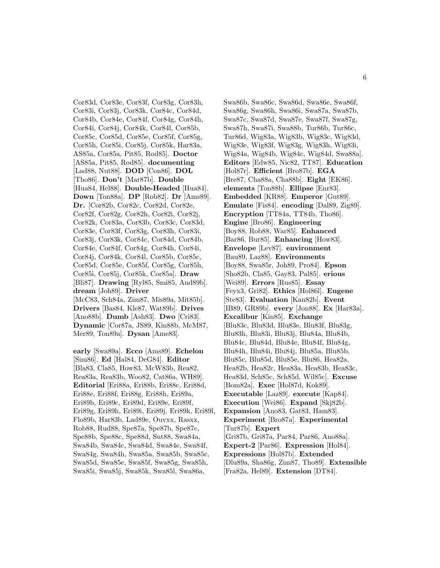Cor83d, Cor83e, Cor83f, Cor83g, Cor83h, Cor83i, Cor83j, Cor83k, Cor84c, Cor84d, Cor84b, Cor84e, Cor84f, Cor84g, Cor84h, Cor84i, Cor84j, Cor84k, Cor84l, Cor85b, Cor85c, Cor85d, Cor85e, Cor85f, Cor85g, Cor85h, Cor85i, Cor85j, Cor85k, Har83a, AS85a, Cor85a, Pit85, Rod85]. **Doctor** [AS85a, Pit85, Rod85]. **documenting** [Lad88, Nut88]. **DOD** [Con86]. **DOL** [Tho86]. **Don't** [Mar87b]. **Double** [Hua84, Hel88]. **Double-Headed** [Hua84]. **Down** [Ton88a]. **DP** [Rob82]. **Dr** [Ams89]. **Dr.** [Cor82b, Cor82c, Cor82d, Cor82e, Cor82f, Cor82g, Cor82h, Cor82i, Cor82j, Cor82k, Cor83a, Cor83b, Cor83c, Cor83d, Cor83e, Cor83f, Cor83g, Cor83h, Cor83i, Cor83j, Cor83k, Cor84c, Cor84d, Cor84b, Cor84e, Cor84f, Cor84g, Cor84h, Cor84i, Cor84j, Cor84k, Cor84l, Cor85b, Cor85c, Cor85d, Cor85e, Cor85f, Cor85g, Cor85h, Cor85i, Cor85j, Cor85k, Cor85a]. **Draw** [Bli87]. **Drawing** [Ryl85, Smi85, And89b]. **dream** [Joh89]. **Driver** [McC83, Sch84a, Zim87, Mis89a, Mit85b]. **Drivers** [Bas84, Kle87, Wat89b]. **Drives** [Ano88b]. **Dumb** [Ash83]. **Dwo** [Cri83]. **Dynamic** [Cor87a, JS89, Kin88b, McM87, Mer89, Ton89a]. **Dysan** [Ame83].

**early** [Swa89a]. **Ecco** [Ams89]. **Echelon** [Sim86]. **Ed** [Hal84, DeG84]. **Editor** [Bla83, Cla85, How83, McW83b, Rea82, Rea83a, Rea83b, Woo82, Cat86a, WH89]. **Editorial** [Eri88a, Eri88b, Eri88c, Eri88d, Eri88e, Eri88f, Eri88g, Eri88h, Eri89a, Eri89b, Eri89c, Eri89d, Eri89e, Eri89f, Eri89g, Eri89h, Eri89i, Eri89j, Eri89k, Eri89l, Flo89b, Har83b, Lad89e, Ouvxx, Rasxx, Rob88, Rud88, Spe87a, Spe87b, Spe87c, Spe88b, Spe88c, Spe88d, Sut88, Swa84a, Swa84b, Swa84c, Swa84d, Swa84e, Swa84f, Swa84g, Swa84h, Swa85a, Swa85b, Swa85c, Swa85d, Swa85e, Swa85f, Swa85g, Swa85h, Swa85i, Swa85j, Swa85k, Swa85l, Swa86a,

Swa86b, Swa86c, Swa86d, Swa86e, Swa86f, Swa86g, Swa86h, Swa86i, Swa87a, Swa87b, Swa87c, Swa87d, Swa87e, Swa87f, Swa87g, Swa87h, Swa87i, Swa88b, Tur86b, Tur86c, Tur86d, Wig83a, Wig83b, Wig83c, Wig83d, Wig83e, Wig83f, Wig83g, Wig83h, Wig83i, Wig84a, Wig84b, Wig84c, Wig84d, Swa88a]. **Editors** [Edw85, Nic82, TT87]. **Education** [Hol87r]. **Efficient** [Bro87b]. **EGA** [Bre87, Cha88a, Cha88b]. **Eight** [EK86]. **elements** [Ton88b]. **Ellipse** [Enr83]. **Embedded** [KR88]. **Emperor** [Gut89]. **Emulate** [Fis84]. **encoding** [Dal89, Zig89]. **Encryption** [TT84a, TT84b, Tho86]. **Engine** [Bro86]. **Engineering** [Boy88, Rob88, War85]. **Enhanced** [Bar86, Bur85]. **Enhancing** [How83]. **Envelope** [Lev87]. **environment** [Bau89, Laz88]. **Environments** [Boy88, Swa85r, Joh89, Pro84]. **Epson** [Sho82b, Cla85, Gay83, Pal85]. **erious** [Wei89]. **Errors** [Rus85]. **Essay** [Feyx3, Gri82]. **Ethics** [Hol86l]. **Eugene** [Ste83]. **Evaluation** [Kan82b]. **Event** [IB89, GR89b]. **every** [Jon88]. **Ex** [Har83a]. **Excalibur** [Kin85]. **Exchange** [Blu83c, Blu83d, Blu83e, Blu83f, Blu83g, Blu83h, Blu83i, Blu83j, Blu84a, Blu84b, Blu84c, Blu84d, Blu84e, Blu84f, Blu84g, Blu84h, Blu84i, Blu84j, Blu85a, Blu85b, Blu85c, Blu85d, Blu85e, Blu86, Hea82a, Hea82b, Hea82c, Hea83a, Hea83b, Hea83c, Hea83d, Sch85c, Sch85d, Wil85c]. **Excuse** [Bom82a]. **Exec** [Hol87d, Kok89]. **Executable** [Laz89]. **execute** [Kap84]. **Execution** [Wei86]. **Expand** [Skj82b]. **Expansion** [Ano83, Gat83, Ham83]. **Experiment** [Bro87a]. **Experimental** [Tur87b]. **Expert** [Gri87b, Gri87a, Par84, Par86, Ano88a]. **Expert-2** [Par86]. **Expression** [Hol84]. **Expressions** [Hol87b]. **Extended** [Dlu89a, Sha86g, Zim87, Tho89]. **Extensible** [Fra82a, Hel89]. **Extension** [DT84].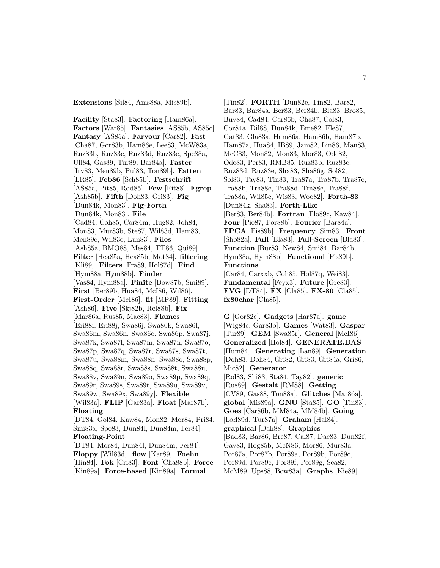**Extensions** [Sil84, Ams88a, Mis89b].

**Facility** [Sta83]. **Factoring** [Ham86a]. **Factors** [War85]. **Fantasies** [AS85b, AS85c]. **Fantasy** [AS85a]. **Farvour** [Car82]. **Fast** [Cha87, Gor83b, Ham86e, Lee83, McW83a, Ruz83b, Ruz83c, Ruz83d, Ruz83e, Spe88a, Ull84, Gas89, Tur89, Bar84a]. **Faster** [Irv83, Men89b, Pul83, Ton89b]. **Fatten** [LR85]. **Feb86** [Sch85b]. **Festschrift** [AS85a, Pit85, Rod85]. **Few** [Fit88]. **Fgrep** [Ash85b]. **Fifth** [Doh83, Gri83]. **Fig** [Dun84k, Mon83]. **Fig-Forth** [Dun84k, Mon83]. **File** [Cad84, Coh85, Cor84m, Hug82, Joh84, Mon83, Mur83b, Ste87, Wil83d, Ham83, Men89c, Wil83e, Lun83]. **Files** [Ash85a, BMO88, Mes84, TT86, Qui89]. **Filter** [Hea85a, Hea85b, Mot84]. **filtering** [Kli89]. **Filters** [Fra89, Hol87d]. **Find** [Hym88a, Hym88b]. **Finder** [Vas84, Hym88a]. **Finite** [Bow87b, Smi89]. **First** [Ber89b, Hua84, McI86, Wil86]. **First-Order** [McI86]. **fit** [MP89]. **Fitting** [Ash86]. **Five** [Skj82b, Rel88b]. **Fix** [Mar86a, Rus85, Mac83]. **Flames** [Eri88i, Eri88j, Swa86j, Swa86k, Swa86l, Swa86m, Swa86n, Swa86o, Swa86p, Swa87j, Swa87k, Swa87l, Swa87m, Swa87n, Swa87o, Swa87p, Swa87q, Swa87r, Swa87s, Swa87t, Swa87u, Swa88m, Swa88n, Swa88o, Swa88p, Swa88q, Swa88r, Swa88s, Swa88t, Swa88u, Swa88v, Swa89n, Swa89o, Swa89p, Swa89q, Swa89r, Swa89s, Swa89t, Swa89u, Swa89v, Swa89w, Swa89x, Swa89y]. **Flexible** [Wil83a]. **FLIP** [Gar83a]. **Float** [Mar87b]. **Floating** [DT84, Gol84, Kaw84, Mon82, Mor84, Pri84, Smi83a, Spe83, Dun84l, Dun84m, Fer84]. **Floating-Point** [DT84, Mor84, Dun84l, Dun84m, Fer84]. **Floppy** [Wil83d]. **flow** [Kar89]. **Foehn** [Hin84]. **Fok** [Cri83]. **Font** [Cha88b]. **Force**

[Kin89a]. **Force-based** [Kin89a]. **Formal**

[Tin82]. **FORTH** [Dun82e, Tin82, Bar82, Bar83, Bar84a, Ber83, Ber84b, Bla83, Bro85, Buv84, Cad84, Car86b, Cha87, Col83, Cor84a, Dil88, Dun84k, Eme82, Fle87, Gat83, Gla83a, Ham86a, Ham86b, Ham87b, Ham87a, Hua84, IB89, Jam82, Lin86, Man83, McC83, Mon82, Mon83, Mor83, Ode82, Ode83, Per83, RMB85, Ruz83b, Ruz83c, Ruz83d, Ruz83e, Sha83, Sha86g, Sol82, Sol83, Tay83, Tin83, Tra87a, Tra87b, Tra87c, Tra88b, Tra88c, Tra88d, Tra88e, Tra88f, Tra88a, Wil85e, Wis83, Woo82]. **Forth-83** [Dun84k, Sha83]. **Forth-Like** [Ber83, Ber84b]. **Fortran** [Flo89c, Kaw84]. **Four** [Pie87, Por88b]. **Fourier** [Bar84a]. **FPCA** [Fis89b]. **Frequency** [Sim83]. **Front** [Sho82a]. **Full** [Bla83]. **Full-Screen** [Bla83]. **Function** [Bur83, New84, Smi84, Bar84b, Hym88a, Hym88b]. **Functional** [Fis89b]. **Functions** [Car84, Carxxb, Coh85, Hol87q, Wei83]. **Fundamental** [Feyx3]. **Future** [Gre83]. **FVG** [DT84]. **FX** [Cla85]. **FX-80** [Cla85]. **fx80char** [Cla85].

**G** [Gor82c]. **Gadgets** [Har87a]. **game** [Wig84e, Gar83b]. **Games** [Wat83]. **Gaspar** [Tur89]. **GEM** [Swa85r]. **General** [McI86]. **Generalized** [Hol84]. **GENERATE.BAS** [Hum84]. **Generating** [Lan89]. **Generation** [Doh83, Doh84, Gri82, Gri83, Gri84a, Gri86, Mic82]. **Generator** [Rol83, Shi83, Sta84, Tay82]. **generic** [Rus89]. **Gestalt** [RM88]. **Getting** [CV89, Gas88, Ton88a]. **Glitches** [Mar86a]. **global** [Mis89a]. **GNU** [Sta85]. **GO** [Tin83]. **Goes** [Car86b, MM84a, MM84b]. **Going** [Lad89d, Tur87a]. **Graham** [Hal84]. **graphical** [Dah88]. **Graphics** [Bad83, Bar86, Bre87, Cal87, Dae83, Dun82f, Gay83, Hog85b, McN86, Mor86, Mur83a, Por87a, Por87b, Por89a, Por89b, Por89c, Por89d, Por89e, Por89f, Por89g, Sea82, McM89, Ups88, Bow83a]. **Graphs** [Kie89].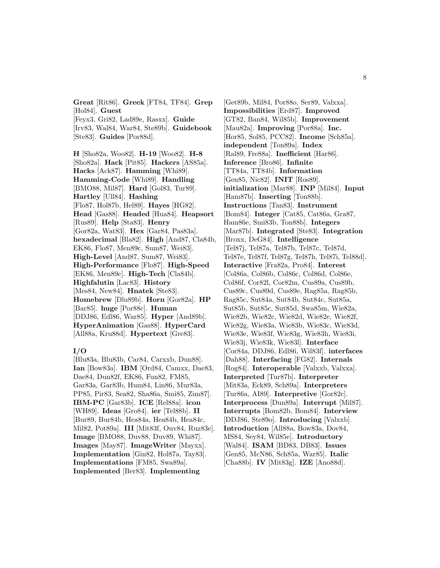**Great** [Rit86]. **Greek** [FT84, TF84]. **Grep** [Hol84]. **Guest** [Feyx3, Gri82, Lad89e, Rasxx]. **Guide** [Irv83, Wal84, War84, Ste89b]. **Guidebook** [Ste83]. **Guides** [Por88d].

**H** [Sho82a, Woo82]. **H-19** [Woo82]. **H-8** [Sho82a]. **Hack** [Pit85]. **Hackers** [AS85a]. **Hacks** [Ack87]. **Hamming** [Whi89]. **Hamming-Code** [Whi89]. **Handling** [BMO88, Mil87]. **Hard** [Gol83, Tur89]. **Hartley** [Ull84]. **Hashing** [Flo87, Hol87b, Hel89]. **Hayes** [HG82]. **Head** [Gas88]. **Headed** [Hua84]. **Heapsort** [Rus89]. **Help** [Sta83]. **Henry** [Gor82a, Wat83]. **Hex** [Gar84, Pas83a]. **hexadecimal** [Bla82]. **High** [And87, Cla84b, EK86, Flo87, Men89c, Sum87, Wei83]. **High-Level** [And87, Sum87, Wei83]. **High-Performance** [Flo87]. **High-Speed** [EK86, Men89c]. **High-Tech** [Cla84b]. **Highfalutin** [Lac83]. **History** [Mes84, New84]. **Hnatek** [Ste83]. **Homebrew** [Dlu89b]. **Horn** [Gor82a]. **HP** [Bar85]. **huge** [Por88c]. **Human** [DDJ86, Edl86, War85]. **Hyper** [And89b]. **HyperAnimation** [Gas88]. **HyperCard** [All88a, Kru88d]. **Hypertext** [Gre83].

# **I/O**

[Blu83a, Blu83b, Car84, Carxxb, Dun88]. **Ian** [Bow83a]. **IBM** [Ord84, Camxx, Dae83, Dae84, Dun82f, EK86, Fun82, FM85, Gar83a, Gar83b, Hum84, Lin86, Mur83a, PP85, Pir83, Sea82, Sha86a, Smi85, Zim87]. **IBM-PC** [Gar83b]. **ICE** [Rel88a]. **icon** [WH89]. **Ideas** [Gro84]. **ier** [Tel88b]. **II** [Bur89, Bur84b, Hea84a, Hea84b, Hea84c, Mil82, Pot89a]. **III** [Mit83f, Ouv84, Ruz83e]. **Image** [BMO88, Duv88, Duv89, Whi87]. **Images** [May87]. **ImageWriter** [Mayxx]. **Implementation** [Gin82, Hol87a, Tay83]. **Implementations** [FM85, Swa89a]. **Implemented** [Ber83]. **Implementing**

[Get89b, Mil84, Por88o, Ser89, Valxxa]. **Impossibilities** [Erd87]. **Improved** [GT82, Ban84, Wil85b]. **Improvement** [Mau82a]. **Improving** [Por88a]. **Inc.** [Hor85, Sol85, PCC82]. **Income** [Sch85a]. **independent** [Ton89a]. **Index** [Ral89, Fre88a]. **Inefficient** [Har86]. **Inference** [Bro86]. **Infinite** [TT84a, TT84b]. **Information** [Gen85, Nic82]. **INIT** [Ros89]. **initialization** [Mar88]. **INP** [Mil84]. **Input** [Ham87b]. **Inserting** [Ton88b]. **Instructions** [Tan83]. **Instrument** [Bom84]. **Integer** [Cat85, Cat86a, Gra87, Ham86e, Smi83b, Ton88b]. **Integers** [Mar87b]. **Integrated** [Ste83]. **Integration** [Broxx, DeG84]. **Intelligence** [Tel87j, Tel87a, Tel87b, Tel87c, Tel87d, Tel87e, Tel87f, Tel87g, Tel87h, Tel87i, Tel88d]. **Interactive** [Fra82a, Pro84]. **Interest** [Col86a, Col86b, Col86c, Col86d, Col86e, Col86f, Cor82l, Cor82m, Cus89a, Cus89b, Cus89c, Cus89d, Cus89e, Rag85a, Rag85b, Rag85c, Sut84a, Sut84b, Sut84c, Sut85a, Sut85b, Sut85c, Sut85d, Swa85m, Wie82a, Wie82b, Wie82c, Wie82d, Wie82e, Wie82f, Wie82g, Wie83a, Wie83b, Wie83c, Wie83d, Wie83e, Wie83f, Wie83g, Wie83h, Wie83i, Wie83j, Wie83k, Wie83l]. **Interface** [Cor84a, DDJ86, Edl86, Wil83f]. **interfaces** [Dah88]. **Interfacing** [FG82]. **Internals** [Rog84]. **Interoperable** [Valxxb, Valxxa]. **Interpreted** [Tur87b]. **Interpreter** [Mit83a, Eck89, Sch89a]. **Interpreters** [Tur86a, AI89]. **Interpretive** [Gor82c]. **Interprocess** [Dun89a]. **Interrupt** [Mil87]. **Interrupts** [Bom82b, Bom84]. **Interview** [DDJ86, Ste89o]. **Introducing** [Valxxb]. **Introduction** [All88a, Bow83a, Dov84, MS84, Sey84, Wil85e]. **Introductory** [Wal84]. **ISAM** [BD83, DB83]. **Issues** [Gen85, McN86, Sch85a, War85]. **Italic** [Cha88b]. **IV** [Mit83g]. **IZE** [Ano88d].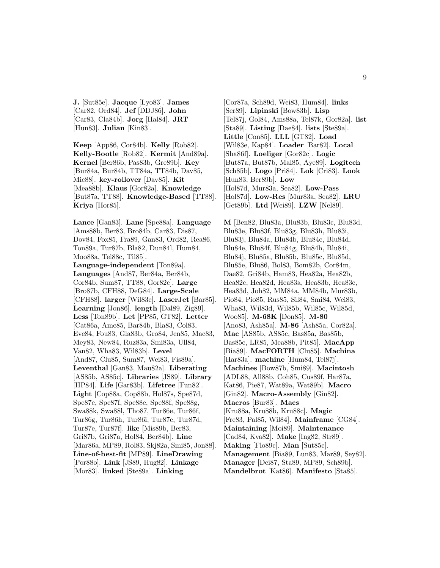**J.** [Sut85e]. **Jacque** [Lyo83]. **James** [Car82, Ord84]. **Jef** [DDJ86]. **John** [Car83, Cla84b]. **Jorg** [Hal84]. **JRT** [Hun83]. **Julian** [Kin83].

**Keep** [App86, Cor84b]. **Kelly** [Rob82]. **Kelly-Bootle** [Rob82]. **Kermit** [And89a]. **Kernel** [Ber86b, Pas83b, Gre89b]. **Key** [Bur84a, Bur84b, TT84a, TT84b, Dav85, Mic88]. **key-rollover** [Dav85]. **Kit** [Mea88b]. **Klaus** [Gor82a]. **Knowledge** [But87a, TT88]. **Knowledge-Based** [TT88]. **Kriya** [Hor85].

**Lance** [Gan83]. **Lane** [Spe88a]. **Language** [Ams88b, Ber83, Bro84b, Car83, Dis87, Dov84, Fox85, Fra89, Gan83, Ord82, Rea86, Ton89a, Tur87b, Bla82, Dun84l, Hum84, Moo88a, Tel88c, Til85]. **Language-independent** [Ton89a]. **Languages** [And87, Ber84a, Ber84b, Cor84b, Sum87, TT88, Gor82c]. **Large** [Bro87b, CFH88, DeG84]. **Large-Scale** [CFH88]. **larger** [Wil83e]. **LaserJet** [Bar85]. **Learning** [Jon86]. **length** [Dal89, Zig89]. **Less** [Ton89b]. **Let** [PP85, GT82]. **Letter** [Cat86a, Ame85, Bar84b, Bla83, Col83, Eve84, Fou83, Gla83b, Gro84, Jen85, Mac83, Mey83, New84, Ruz83a, Smi83a, Ull84, Van82, Wha83, Wil83b]. **Level** [And87, Clu85, Sum87, Wei83, Fis89a]. **Leventhal** [Gan83, Mau82a]. **Liberating** [AS85b, AS85c]. **Libraries** [JS89]. **Library** [HP84]. **Life** [Gar83b]. **Lifetree** [Fun82]. **Light** [Cop88a, Cop88b, Hol87s, Spe87d, Spe87e, Spe87f, Spe88e, Spe88f, Spe88g, Swa88k, Swa88l, Tho87, Tur86e, Tur86f, Tur86g, Tur86h, Tur86i, Tur87c, Tur87d, Tur87e, Tur87f]. **like** [Mis89b, Ber83, Gri87b, Gri87a, Hol84, Ber84b]. **Line** [Mar86a, MP89, Rol83, Skj82a, Smi85, Jon88]. **Line-of-best-fit** [MP89]. **LineDrawing** [Por88o]. **Link** [JS89, Hug82]. **Linkage** [Mor83]. **linked** [Ste89a]. **Linking**

[Cor87a, Sch89d, Wei83, Hum84]. **links** [Ser89]. **Lipinski** [Bow83b]. **Lisp** [Tel87j, Gol84, Ams88a, Tel87k, Gor82a]. **list** [Sta89]. **Listing** [Dae84]. **lists** [Ste89a]. **Little** [Con85]. **LLL** [GT82]. **Load** [Wil83e, Kap84]. **Loader** [Bar82]. **Local** [Sha86f]. **Loeliger** [Gor82c]. **Logic** [But87a, But87b, Mal85, Aye89]. **Logitech** [Sch85b]. **Logo** [Pri84]. **Lok** [Cri83]. **Look** [Hun83, Ber89b]. **Low** [Hol87d, Mur83a, Sea82]. **Low-Pass** [Hol87d]. **Low-Res** [Mur83a, Sea82]. **LRU** [Get89b]. **Ltd** [Wei89]. **LZW** [Nel89].

**M** [Ben82, Blu83a, Blu83b, Blu83c, Blu83d, Blu83e, Blu83f, Blu83g, Blu83h, Blu83i, Blu83j, Blu84a, Blu84b, Blu84c, Blu84d, Blu84e, Blu84f, Blu84g, Blu84h, Blu84i, Blu84j, Blu85a, Blu85b, Blu85c, Blu85d, Blu85e, Blu86, Bol83, Bom82b, Cor84m, Dae82, Gri84b, Ham83, Hea82a, Hea82b, Hea82c, Hea82d, Hea83a, Hea83b, Hea83c, Hea83d, Joh82, MM84a, MM84b, Mur83b, Pio84, Pio85, Rus85, Sil84, Smi84, Wei83, Wha83, Wil83d, Wil85b, Wil85c, Wil85d, Woo85]. **M-68K** [Don85]. **M-80** [Ano83, Ash85a]. **M-86** [Ash85a, Cor82a]. **Mac** [AS85b, AS85c, Bas85a, Bas85b, Bas85c, LR85, Mea88b, Pit85]. **MacApp** [Bia89]. **MacFORTH** [Clu85]. **Machina** [Har83a]. **machine** [Hum84, Tel87j]. **Machines** [Bow87b, Smi89]. **Macintosh** [ADL88, All88b, Coh85, Cus89f, Har87a, Kat86, Pie87, Wat89a, Wat89b]. **Macro** [Gin82]. **Macro-Assembly** [Gin82]. **Macros** [Bur83]. **Macs** [Kru88a, Kru88b, Kru88c]. **Magic** [Fre83, Pal85, Wil84]. **Mainframe** [CG84]. **Maintaining** [Moi89]. **Maintenance** [Cad84, Kva82]. **Make** [Ing82, Str89]. **Making** [Flo89c]. **Man** [Sut85e]. **Management** [Bia89, Lun83, Mar89, Sey82]. **Manager** [Dei87, Sta89, MP89, Sch89b]. **Mandelbrot** [Kat86]. **Manifesto** [Sta85].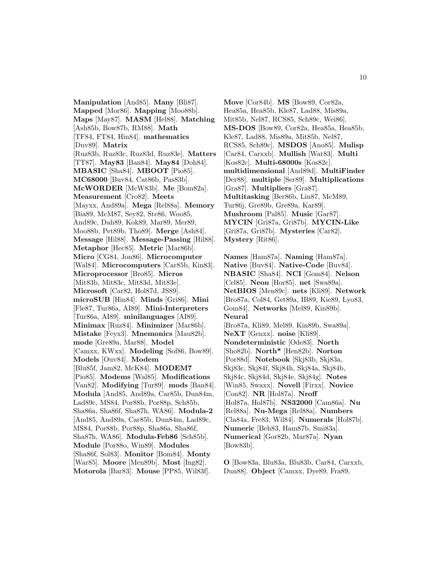**Manipulation** [And85]. **Many** [Bli87]. **Mapped** [Mor86]. **Mapping** [Moo88b]. **Maps** [May87]. **MASM** [Hel88]. **Matching** [Ash85b, Bow87b, RM88]. **Math** [TF84, FT84, Hin84]. **mathematics** [Duv89]. **Matrix** [Ruz83b, Ruz83c, Ruz83d, Ruz83e]. **Matters** [TT87]. **May83** [Ban84]. **May84** [Doh84]. **MBASIC** [Sha84]. **MBOOT** [Pio85]. **MC68000** [Buv84, Cat86b, Pas83b]. **McWORDER** [McW83b]. **Me** [Bom82a]. **Measurement** [Cro82]. **Meets** [Mayxx, And89a]. **Mega** [Rel88a]. **Memory** [Bia89, McM87, Sey82, Ste86, Woo85, And89c, Dah89, Kok89, Mar89, Mer89, Moo88b, Pet89b, Tho89]. **Merge** [Ash84]. **Message** [Hil88]. **Message-Passing** [Hil88]. **Metaphor** [Hec85]. **Metric** [Mar86b]. **Micro** [CG84, Jon86]. **Microcomputer** [Wal84]. **Microcomputers** [Car85b, Kin83]. **Microprocessor** [Bro85]. **Micros** [Mit83b, Mit83c, Mit83d, Mit83e]. **Microsoft** [Car82, Hol87d, JS89]. **microSUB** [Hin84]. **Minds** [Gri86]. **Mini** [Fle87, Tur86a, AI89]. **Mini-Interpreters** [Tur86a, AI89]. **minilanguages** [AI89]. **Minimax** [Ruz84]. **Minimizer** [Mar86b]. **Mistake** [Feyx3]. **Mnemonics** [Mau82b]. **mode** [Gre89a, Mar88]. **Model** [Camxx, KWxx]. **Modeling** [Sof86, Bow89]. **Models** [Ouv84]. **Modem** [Blu85f, Jam82, McK84]. **MODEM7** [Pio85]. **Modems** [Wal85]. **Modifications** [Van82]. **Modifying** [Tur89]. **mods** [Ban84]. **Modula** [And85, And89a, Car85b, Dun84m, Lad89c, MS84, Por88b, Por88p, Sch85b, Sha86a, Sha86f, Sha87h, WA86]. **Modula-2** [And85, And89a, Car85b, Dun84m, Lad89c, MS84, Por88b, Por88p, Sha86a, Sha86f, Sha87h, WA86]. **Modula-Feb86** [Sch85b]. **Module** [Por88o, Win89]. **Modules** [Sha86f, Sol83]. **Monitor** [Bom84]. **Monty** [War85]. **Moore** [Men89b]. **Most** [Ing82]. **Motorola** [Bar83]. **Mouse** [PP85, Wil83f].

**Move** [Cor84b]. **MS** [Bow89, Cor82a, Hea85a, Hea85b, Kle87, Lad88, Mis89a, Mit85b, Nel87, RCS85, Sch89c, Wei86]. **MS-DOS** [Bow89, Cor82a, Hea85a, Hea85b, Kle87, Lad88, Mis89a, Mit85b, Nel87, RCS85, Sch89c]. **MSDOS** [Ano85]. **Mulisp** [Car84, Carxxb]. **Mullish** [Wat83]. **Multi** [Kos82c]. **Multi-68000s** [Kos82c]. **multidimensional** [And89d]. **MultiFinder** [Der88]. **multiple** [Ser89]. **Multiplications** [Gra87]. **Multipliers** [Gra87]. **Multitasking** [Ber86b, Lin87, McM89, Tur86j, Gre89b, Gre89a, Kar89]. **Mushroom** [Pal85]. **Music** [Gar87]. **MYCIN** [Gri87a, Gri87b]. **MYCIN-Like** [Gri87a, Gri87b]. **Mysteries** [Car82]. **Mystery** [Rit86].

**Names** [Ham87a]. **Naming** [Ham87a]. **Native** [Buv84]. **Native-Code** [Buv84]. **NBASIC** [Sha84]. **NCI** [Gom84]. **Nelson** [Cel85]. **Neon** [Hor85]. **net** [Swa89a]. **NetBIOS** [Men89c]. **nets** [Kli89]. **Network** [Bro87a, Col84, Get89a, IB89, Kie89, Lyo83, Gom84]. **Networks** [Mel89, Kin89b]. **Neural** [Bro87a, Kli89, Mel89, Kin89b, Swa89a]. **NeXT** [Genxx]. **noise** [Kli89]. **Nondeterministic** [Ode83]. **North** [Sho82b]. **North\*** [Hen82b]. **Norton** [Por88d]. **Notebook** [Skj83b, Skj83a, Skj83c, Skj84f, Skj84h, Skj84a, Skj84b, Skj84c, Skj84d, Skj84e, Skj84g]. **Notes** [Win85, Swaxx]. **Novell** [Firxx]. **Novice** [Con82]. **NR** [Hol87a]. **Nroff** [Hol87a, Hol87b]. **NS32000** [Cam86a]. **Nu** [Rel88a]. **Nu-Mega** [Rel88a]. **Numbers** [Cla84a, Fre83, Wil84]. **Numerals** [Hol87b]. **Numeric** [Beh83, Ham87b, Smi83a]. **Numerical** [Gor82b, Mar87a]. **Nyan** [Bow83b].

**O** [Bow83a, Blu83a, Blu83b, Car84, Carxxb, Dun88]. **Object** [Camxx, Dye89, Fra89,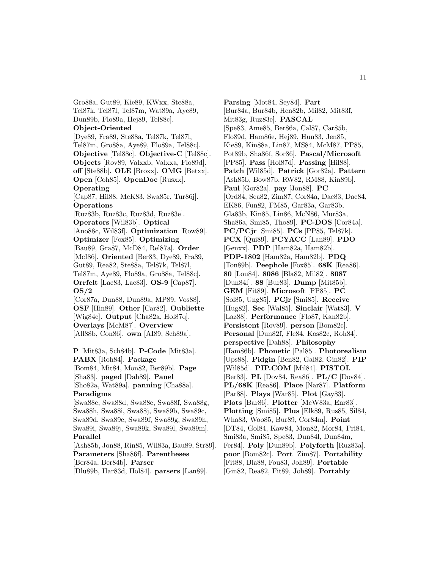Gro88a, Gut89, Kie89, KWxx, Ste88a, Tel87k, Tel87l, Tel87m, Wat89a, Aye89, Dun89b, Flo89a, Hej89, Tel88c]. **Object-Oriented** [Dye89, Fra89, Ste88a, Tel87k, Tel87l, Tel87m, Gro88a, Aye89, Flo89a, Tel88c]. **Objective** [Tel88c]. **Objective-C** [Tel88c]. **Objects** [Rov89, Valxxb, Valxxa, Flo89d]. **off** [Ste88b]. **OLE** [Broxx]. **OMG** [Betxx]. **Open** [Coh85]. **OpenDoc** [Rusxx]. **Operating** [Cap87, Hil88, McK83, Swa85r, Tur86j]. **Operations** [Ruz83b, Ruz83c, Ruz83d, Ruz83e]. **Operators** [Wil83b]. **Optical** [Ano88c, Wil83f]. **Optimization** [Row89]. **Optimizer** [Fox85]. **Optimizing** [Bau89, Gra87, McD84, Rel87a]. **Order** [McI86]. **Oriented** [Ber83, Dye89, Fra89, Gut89, Rea82, Ste88a, Tel87k, Tel87l, Tel87m, Aye89, Flo89a, Gro88a, Tel88c]. **Orrfelt** [Lac83, Lac83]. **OS-9** [Cap87]. **OS/2** [Cor87a, Dun88, Dun89a, MP89, Vos88]. **OSF** [Hin89]. **Other** [Car82]. **Oubliette** [Wig84e]. **Output** [Cha82a, Hol87q]. **Overlays** [McM87]. **Overview** [All88b, Con86]. **own** [AI89, Sch89a]. **P** [Mit83a, Sch84b]. **P-Code** [Mit83a]. **PABX** [Roh84]. **Package** [Bom84, Mit84, Mon82, Ber89b]. **Page** [Sha83]. **paged** [Dah89]. **Panel** [Sho82a, Wat89a]. **panning** [Cha88a]. **Paradigms** [Swa88c, Swa88d, Swa88e, Swa88f, Swa88g, Swa88h, Swa88i, Swa88j, Swa89b, Swa89c, Swa89d, Swa89e, Swa89f, Swa89g, Swa89h, Swa89i, Swa89j, Swa89k, Swa89l, Swa89m]. **Parallel** [Ash85b, Jon88, Rin85, Wil83a, Bau89, Str89]. **Parameters** [Sha86f]. **Parentheses** [Ber84a, Ber84b]. **Parser** [Dlu89b, Har83d, Hol84]. **parsers** [Lan89].

**Parsing** [Mot84, Sey84]. **Part** [Bur84a, Bur84b, Hen82b, Mil82, Mit83f, Mit83g, Ruz83e]. **PASCAL** [Spe83, Ame85, Ber86a, Cal87, Car85b, Flo89d, Ham86e, Hej89, Hun83, Jen85, Kie89, Kin88a, Lin87, MS84, McM87, PP85, Pot89b, Sha86f, Sor86]. **Pascal/Microsoft** [PP85]. **Pass** [Hol87d]. **Passing** [Hil88]. **Patch** [Wil85d]. **Patrick** [Gor82a]. **Pattern** [Ash85b, Bow87b, RW82, RM88, Kin89b]. **Paul** [Gor82a]. **pay** [Jon88]. **PC** [Ord84, Sea82, Zim87, Cor84a, Dae83, Dae84, EK86, Fun82, FM85, Gar83a, Gar83b, Gla83b, Kin85, Lin86, McN86, Mur83a, Sha86a, Smi85, Tho89]. **PC-DOS** [Cor84a]. **PC/PCjr** [Smi85]. **PCs** [PP85, Tel87k]. **PCX** [Qui89]. **PCYACC** [Lan89]. **PDO** [Genxx]. **PDP** [Ham82a, Ham82b]. **PDP-1802** [Ham82a, Ham82b]. **PDQ** [Ton89b]. **Peephole** [Fox85]. **68K** [Rea86]. **80** [Lou84]. **8086** [Bla82, Mil82]. **8087** [Dun84l]. **88** [Bur83]. **Dump** [Mit85b]. **GEM** [Fit89]. **Microsoft** [PP85]. **PC** [Sol85, Ung85]. **PCjr** [Smi85]. **Receive** [Hug82]. **Sec** [Wal85]. **Sinclair** [Wat83]. **V** [Laz88]. **Performance** [Flo87, Kan82b]. **Persistent** [Rov89]. **person** [Bom82c]. **Personal** [Dun82f, Fle84, Kos82c, Roh84]. **perspective** [Dah88]. **Philosophy** [Ham86b]. **Phonetic** [Pal85]. **Photorealism** [Ups88]. **Pidgin** [Ben82, Gal82, Gin82]. **PIP** [Wil85d]. **PIP.COM** [Mil84]. **PISTOL** [Ber83]. **PL** [Dov84, Rea86]. **PL/C** [Dov84]. **PL/68K** [Rea86]. **Place** [Nar87]. **Platform** [Par88]. **Plays** [War85]. **Plot** [Gay83]. **Plots** [Bar86]. **Plotter** [McW83a, Enr83]. **Plotting** [Smi85]. **Plus** [Elk89, Rus85, Sil84, Wha83, Woo85, Bur89, Cor84m]. **Point** [DT84, Gol84, Kaw84, Mon82, Mor84, Pri84, Smi83a, Smi85, Spe83, Dun84l, Dun84m, Fer84]. **Poly** [Dun89b]. **Polyforth** [Ruz83a]. **poor** [Bom82c]. **Port** [Zim87]. **Portability** [Fit88, Bla88, Fou83, Joh89]. **Portable** [Gin82, Rea82, Fit89, Joh89]. **Portably**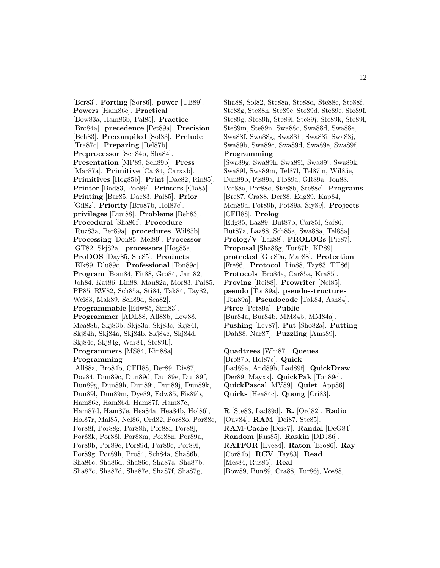[Ber83]. **Porting** [Sor86]. **power** [TB89]. **Powers** [Ham86e]. **Practical** [Bow83a, Ham86b, Pal85]. **Practice** [Bro84a]. **precedence** [Pet89a]. **Precision** [Beh83]. **Precompiled** [Sol83]. **Prelude** [Tra87c]. **Preparing** [Rel87b]. **Preprocessor** [Sch84b, Sha84]. **Presentation** [MP89, Sch89b]. **Press** [Mar87a]. **Primitive** [Car84, Carxxb]. **Primitives** [Hog85b]. **Print** [Dae82, Rin85]. **Printer** [Bad83, Poo89]. **Printers** [Cla85]. **Printing** [Bar85, Dae83, Pal85]. **Prior** [Gil82]. **Priority** [Bro87b, Hol87c]. **privileges** [Dun88]. **Problems** [Beh83]. **Procedural** [Sha86f]. **Procedure** [Ruz83a, Ber89a]. **procedures** [Wil85b]. **Processing** [Don85, Mel89]. **Processor** [GT82, Skj82a]. **processors** [Hog85a]. **ProDOS** [Day85, Ste85]. **Products** [Elk89, Dlu89c]. **Professional** [Ton89c]. **Program** [Bom84, Fit88, Gro84, Jam82, Joh84, Kat86, Lin88, Mau82a, Mor83, Pal85, PP85, RW82, Sch85a, Sti84, Tak84, Tay82, Wei83, Mak89, Sch89d, Sea82]. **Programmable** [Edw85, Sim83]. Programmer<sup>[ADL88, All88b, Lew88,</sup> Mea88b, Skj83b, Skj83a, Skj83c, Skj84f, Skj84h, Skj84a, Skj84b, Skj84c, Skj84d, Skj84e, Skj84g, War84, Ste89b]. **Programmers** [MS84, Kin88a]. **Programming** [All88a, Bro84b, CFH88, Der89, Dis87, Dov84, Dun89c, Dun89d, Dun89e, Dun89f, Dun89g, Dun89h, Dun89i, Dun89j, Dun89k, Dun89l, Dun89m, Dye89, Edw85, Fis89b, Ham86c, Ham86d, Ham87f, Ham87c, Ham87d, Ham87e, Hea84a, Hea84b, Hol86l, Hol87r, Mal85, Nel86, Ord82, Por88o, Por88e, Por88f, Por88g, Por88h, Por88i, Por88j, Por88k, Por88l, Por88m, Por88n, Por89a, Por89b, Por89c, Por89d, Por89e, Por89f, Por89g, Por89h, Pro84, Sch84a, Sha86b, Sha86c, Sha86d, Sha86e, Sha87a, Sha87b, Sha87c, Sha87d, Sha87e, Sha87f, Sha87g,

Sha88, Sol82, Ste88a, Ste88d, Ste88e, Ste88f, Ste88g, Ste88h, Ste89c, Ste89d, Ste89e, Ste89f, Ste89g, Ste89h, Ste89i, Ste89j, Ste89k, Ste89l, Ste89m, Ste89n, Swa88c, Swa88d, Swa88e, Swa88f, Swa88g, Swa88h, Swa88i, Swa88j, Swa89b, Swa89c, Swa89d, Swa89e, Swa89f]. **Programming** [Swa89g, Swa89h, Swa89i, Swa89j, Swa89k, Swa89l, Swa89m, Tel87l, Tel87m, Wil85e, Dun89b, Fis89a, Flo89a, GR89a, Jon88, Por88a, Por88c, Ste88b, Ste88c]. **Programs** [Bre87, Cra88, Der88, Edg89, Kap84, Men89a, Pot89b, Pot89a, Siy89]. **Projects** [CFH88]. **Prolog** [Edg85, Laz89, But87b, Cor85l, Sof86, But87a, Laz88, Sch85a, Swa88a, Tel88a]. **Prolog/V** [Laz88]. **PROLOGs** [Pie87]. **Proposal** [Sha86g, Tur87b, KP89]. **protected** [Gre89a, Mar88]. **Protection** [Fre86]. **Protocol** [Lin88, Tay83, TT86]. **Protocols** [Bro84a, Car85a, Kra85]. **Proving** [Rei88]. **Prowriter** [Nel85]. **pseudo** [Ton89a]. **pseudo-structures** [Ton89a]. **Pseudocode** [Tak84, Ash84]. **Ptree** [Pet89a]. **Public** [Bur84a, Bur84b, MM84b, MM84a]. **Pushing** [Lev87]. **Put** [Sho82a]. **Putting** [Dah88, Nar87]. **Puzzling** [Ams89].

**Quadtrees** [Whi87]. **Queues** [Bro87b, Hol87c]. **Quick** [Lad89a, And89b, Lad89f]. **QuickDraw** [Der89, Mayxx]. **QuickPak** [Ton89c]. **QuickPascal** [MV89]. **Quiet** [App86]. **Quirks** [Hea84c]. **Quong** [Cri83].

**R** [Ste83, Lad89d]. **R.** [Ord82]. **Radio** [Ouv84]. **RAM** [Dei87, Ste85]. **RAM-Cache** [Dei87]. **Randal** [DeG84]. **Random** [Rus85]. **Raskin** [DDJ86]. **RATFOR** [Eve84]. **Raton** [Bro86]. **Ray** [Cor84b]. **RCV** [Tay83]. **Read** [Mes84, Rus85]. **Real** [Bow89, Bun89, Cra88, Tur86j, Vos88,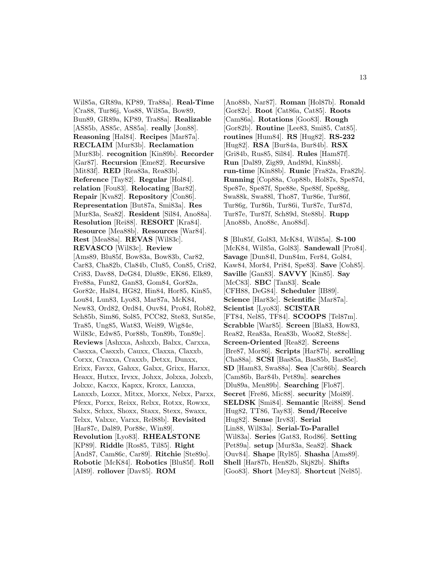Wil85a, GR89a, KP89, Tra88a]. **Real-Time** [Cra88, Tur86j, Vos88, Wil85a, Bow89, Bun89, GR89a, KP89, Tra88a]. **Realizable** [AS85b, AS85c, AS85a]. **really** [Jon88]. **Reasoning** [Hal84]. **Recipes** [Mar87a]. **RECLAIM** [Mur83b]. **Reclamation** [Mur83b]. **recognition** [Kin89b]. **Recorder** [Gar87]. **Recursion** [Eme82]. **Recursive** [Mit83f]. **RED** [Rea83a, Rea83b]. **Reference** [Tay82]. **Regular** [Hol84]. **relation** [Fou83]. **Relocating** [Bar82]. **Repair** [Kva82]. **Repository** [Con86]. **Representation** [But87a, Smi83a]. **Res** [Mur83a, Sea82]. **Resident** [Sil84, Ano88a]. **Resolution** [Rei88]. **RESORT** [Kra84]. **Resource** [Mea88b]. **Resources** [War84]. **Rest** [Mea88a]. **REVAS** [Wil83c]. **REVASCO** [Wil83c]. **Review** [Ams89, Blu85f, Bow83a, Bow83b, Car82, Car83, Cha82b, Cla84b, Clu85, Con85, Cri82, Cri83, Dav88, DeG84, Dlu89c, EK86, Elk89, Fre88a, Fun82, Gan83, Gom84, Gor82a, Gor82c, Hal84, HG82, Hin84, Hor85, Kin85, Lou84, Lun83, Lyo83, Mar87a, McK84, New83, Ord82, Ord84, Ouv84, Pro84, Rob82, Sch85b, Sim86, Sol85, PCC82, Ste83, Sut85e, Tra85, Ung85, Wat83, Wei89, Wig84e, Wil83c, Edw85, Por88b, Ton89b, Ton89c]. **Reviews** [Ashxxa, Ashxxb, Balxx, Carxxa, Casxxa, Casxxb, Cauxx, Claxxa, Claxxb, Corxx, Craxxa, Craxxb, Detxx, Dunxx, Erixx, Favxx, Gahxx, Galxx, Grixx, Harxx, Heaxx, Hutxx, Irvxx, Johxx, Jolxxa, Jolxxb, Jolxxc, Kacxx, Kapxx, Kroxx, Lanxxa, Lanxxb, Lozxx, Mitxx, Morxx, Nelxx, Parxx, Pfexx, Porxx, Reixx, Relxx, Rotxx, Rowxx, Salxx, Schxx, Shoxx, Staxx, Stexx, Swaxx, Telxx, Valxxc, Varxx, Rel88b]. **Revisited** [Har87c, Dal89, Por88c, Win89]. **Revolution** [Lyo83]. **RHEALSTONE** [KP89]. **Riddle** [Ros85, Til85]. **Right** [And87, Cam86c, Car89]. **Ritchie** [Ste89o]. **Robotic** [McK84]. **Robotics** [Blu85f]. **Roll** [AI89]. **rollover** [Dav85]. **ROM**

[Ano88b, Nar87]. **Roman** [Hol87b]. **Ronald** [Gor82c]. **Root** [Cat86a, Cat85]. **Roots** [Cam86a]. **Rotations** [Goo83]. **Rough** [Gor82b]. **Routine** [Lee83, Smi85, Cat85]. **routines** [Hum84]. **RS** [Hug82]. **RS-232** [Hug82]. **RSA** [Bur84a, Bur84b]. **RSX** [Gri84b, Rus85, Sil84]. **Rules** [Ham87f]. **Run** [Dal89, Zig89, And89d, Kin88b]. **run-time** [Kin88b]. **Runic** [Fra82a, Fra82b]. **Running** [Cop88a, Cop88b, Hol87s, Spe87d, Spe87e, Spe87f, Spe88e, Spe88f, Spe88g, Swa88k, Swa88l, Tho87, Tur86e, Tur86f, Tur86g, Tur86h, Tur86i, Tur87c, Tur87d, Tur87e, Tur87f, Sch89d, Ste88b]. **Rupp** [Ano88b, Ano88c, Ano88d].

**S** [Blu85f, Gol83, McK84, Wil85a]. **S-100** [McK84, Wil85a, Gol83]. **Sandewall** [Pro84]. **Savage** [Dun84l, Dun84m, Fer84, Gol84, Kaw84, Mor84, Pri84, Spe83]. **Save** [Coh85]. **Saville** [Gan83]. **SAVVY** [Kin85]. **Say** [McC83]. **SBC** [Tan83]. **Scale** [CFH88, DeG84]. **Scheduler** [IB89]. **Science** [Har83c]. **Scientific** [Mar87a]. **Scientist** [Lyo83]. **SCISTAR** [FT84, Nel85, TF84]. **SCOOPS** [Tel87m]. **Scrabble** [War85]. **Screen** [Bla83, How83, Rea82, Rea83a, Rea83b, Woo82, Ste88c]. **Screen-Oriented** [Rea82]. **Screens** [Bre87, Mor86]. **Scripts** [Har87b]. **scrolling** [Cha88a]. **SCSI** [Bas85a, Bas85b, Bas85c]. **SD** [Ham83, Swa88a]. **Sea** [Car86b]. **Search** [Cam86b, Bar84b, Pet89a]. **searches** [Dlu89a, Men89b]. **Searching** [Flo87]. **Secret** [Fre86, Mic88]. **security** [Moi89]. **SELDSK** [Smi84]. **Semantic** [Rei88]. **Send** [Hug82, TT86, Tay83]. **Send/Receive** [Hug82]. **Sense** [Irv83]. **Serial** [Lin88, Wil83a]. **Serial-To-Parallel** [Wil83a]. **Series** [Gat83, Rod86]. **Setting** [Pet89a]. **setup** [Mur83a, Sea82]. **Shack** [Ouv84]. **Shape** [Ryl85]. **Shasha** [Ams89]. **Shell** [Har87b, Hen82b, Skj82b]. **Shifts** [Goo83]. **Short** [Mey83]. **Shortcut** [Nel85].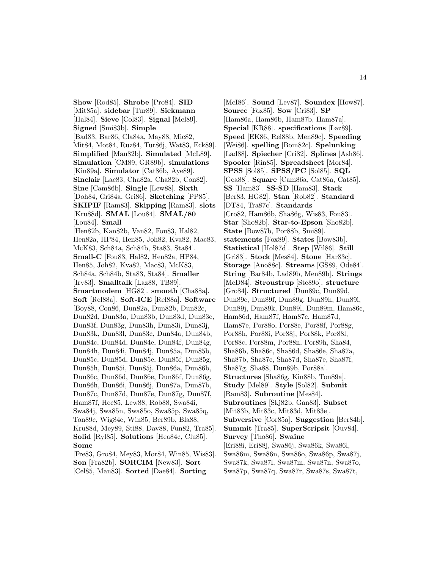**Show** [Rod85]. **Shrobe** [Pro84]. **SID** [Mit85a]. **sidebar** [Tur89]. **Siekmann** [Hal84]. **Sieve** [Col83]. **Signal** [Mel89]. **Signed** [Smi83b]. **Simple** [Bad83, Bar86, Cla84a, May88, Mic82, Mit84, Mot84, Ruz84, Tur86j, Wat83, Eck89]. **Simplified** [Mau82b]. **Simulated** [McL89]. **Simulation** [CM89, GR89b]. **simulations** [Kin89a]. **Simulator** [Cat86b, Aye89]. **Sinclair** [Lac83, Cha82a, Cha82b, Con82]. **Sine** [Cam86b]. **Single** [Lew88]. **Sixth** [Doh84, Gri84a, Gri86]. **Sketching** [PP85]. **SKIPIF** [Ram83]. **Skipping** [Ram83]. **slots** [Kru88d]. **SMAL** [Lou84]. **SMAL/80** [Lou84]. **Small** [Hen82b, Kan82b, Van82, Fou83, Hal82, Hen82a, HP84, Hen85, Joh82, Kva82, Mac83, McK83, Sch84a, Sch84b, Sta83, Sta84]. **Small-C** [Fou83, Hal82, Hen82a, HP84, Hen85, Joh82, Kva82, Mac83, McK83, Sch84a, Sch84b, Sta83, Sta84]. **Smaller** [Irv83]. **Smalltalk** [Laz88, TB89]. **Smartmodem** [HG82]. **smooth** [Cha88a]. **Soft** [Rel88a]. **Soft-ICE** [Rel88a]. **Software** [Boy88, Con86, Dun82a, Dun82b, Dun82c, Dun82d, Dun83a, Dun83b, Dun83d, Dun83e, Dun83f, Dun83g, Dun83h, Dun83i, Dun83j, Dun83k, Dun83l, Dun83c, Dun84a, Dun84b, Dun84c, Dun84d, Dun84e, Dun84f, Dun84g, Dun84h, Dun84i, Dun84j, Dun85a, Dun85b, Dun85c, Dun85d, Dun85e, Dun85f, Dun85g, Dun85h, Dun85i, Dun85j, Dun86a, Dun86b, Dun86c, Dun86d, Dun86e, Dun86f, Dun86g, Dun86h, Dun86i, Dun86j, Dun87a, Dun87b, Dun87c, Dun87d, Dun87e, Dun87g, Dun87f, Ham87f, Hec85, Lew88, Rob88, Swa84i, Swa84j, Swa85n, Swa85o, Swa85p, Swa85q, Ton89c, Wig84e, Win85, Ber89b, Bla88, Kru88d, Mey89, Sti88, Dav88, Fun82, Tra85]. **Solid** [Ryl85]. **Solutions** [Hea84c, Clu85]. **Some** [Fre83, Gro84, Mey83, Mor84, Win85, Wis83]. **Son** [Fra82b]. **SORCIM** [New83]. **Sort**

[Cel85, Man83]. **Sorted** [Dae84]. **Sorting**

[McI86]. **Sound** [Lev87]. **Soundex** [How87]. **Source** [Fox85]. **Sow** [Cri83]. **SP** [Ham86a, Ham86b, Ham87b, Ham87a]. **Special** [KR88]. **specifications** [Laz89]. **Speed** [EK86, Rel88b, Men89c]. **Speeding** [Wei86]. **spelling** [Bom82c]. **Spelunking** [Lad88]. **Spiecher** [Cri82]. **Splines** [Ash86]. **Spooler** [Rin85]. **Spreadsheet** [Mor84]. **SPSS** [Sol85]. **SPSS/PC** [Sol85]. **SQL** [Gea88]. **Square** [Cam86a, Cat86a, Cat85]. **SS** [Ham83]. **SS-SD** [Ham83]. **Stack** [Ber83, HG82]. **Stan** [Rob82]. **Standard** [DT84, Tra87c]. **Standards** [Cro82, Ham86b, Sha86g, Wis83, Fou83]. **Star** [Sho82b]. **Star-to-Epson** [Sho82b]. **State** [Bow87b, Por88b, Smi89]. **statements** [Fox89]. **States** [Bow83b]. **Statistical** [Hol87d]. **Step** [Wil86]. **Still** [Gri83]. **Stock** [Mes84]. **Stone** [Har83c]. **Storage** [Ano88c]. **Streams** [GS89, Ode84]. **String** [Bar84b, Lad89b, Men89b]. **Strings** [McD84]. **Stroustrup** [Ste89o]. **structure** [Gro84]. **Structured** [Dun89c, Dun89d, Dun89e, Dun89f, Dun89g, Dun89h, Dun89i, Dun89j, Dun89k, Dun89l, Dun89m, Ham86c, Ham86d, Ham87f, Ham87c, Ham87d, Ham87e, Por88o, Por88e, Por88f, Por88g, Por88h, Por88i, Por88j, Por88k, Por88l, Por88c, Por88m, Por88n, Por89h, Sha84, Sha86b, Sha86c, Sha86d, Sha86e, Sha87a, Sha87b, Sha87c, Sha87d, Sha87e, Sha87f, Sha87g, Sha88, Dun89b, Por88a]. **Structures** [Sha86g, Kin88b, Ton89a]. **Study** [Mel89]. **Style** [Sol82]. **Submit** [Ram83]. **Subroutine** [Mes84]. **Subroutines** [Skj82b, Gan83]. **Subset** [Mit83b, Mit83c, Mit83d, Mit83e]. **Subversive** [Cor85a]. **Suggestion** [Ber84b]. **Summit** [Tra85]. **SuperScripsit** [Ouv84]. **Survey** [Tho86]. **Swaine** [Eri88i, Eri88j, Swa86j, Swa86k, Swa86l, Swa86m, Swa86n, Swa86o, Swa86p, Swa87j, Swa87k, Swa87l, Swa87m, Swa87n, Swa87o, Swa87p, Swa87q, Swa87r, Swa87s, Swa87t,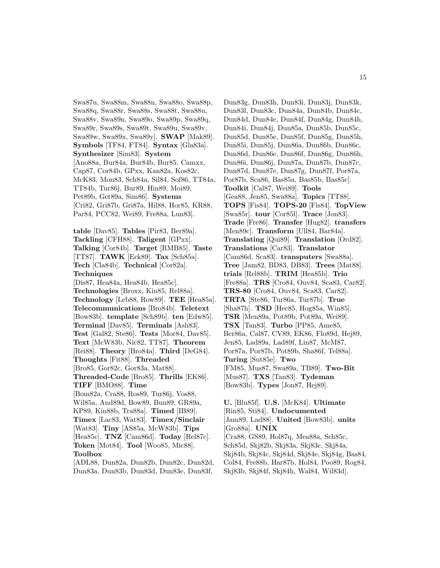Swa87u, Swa88m, Swa88n, Swa88o, Swa88p, Swa88q, Swa88r, Swa88s, Swa88t, Swa88u, Swa88v, Swa89n, Swa89o, Swa89p, Swa89q, Swa89r, Swa89s, Swa89t, Swa89u, Swa89v, Swa89w, Swa89x, Swa89y]. **SWAP** [Mak89]. **Symbols** [TF84, FT84]. **Syntax** [Gla83a]. **Synthesizer** [Sim83]. **System** [Ano88a, Bur84a, Bur84b, Bur85, Camxx, Cap87, Cor84b, GPxx, Kan82a, Kos82c, McK83, Mon83, Sch84a, Sil84, Sof86, TT84a, TT84b, Tur86j, Bur89, Hin89, Moi89, Pet89b, Get89a, Sim86]. **Systems** [Cri82, Gri87b, Gri87a, Hil88, Hor85, KR88, Par84, PCC82, Wei89, Fre88a, Lun83]. **table** [Dav85]. **Tables** [Pir83, Ber89a]. **Tackling** [CFH88]. **Taligent** [GPxx]. **Talking** [Cor84b]. **Target** [RMB85]. **Taste** [TT87]. **TAWK** [Eck89]. **Tax** [Sch85a]. **Tech** [Cla84b]. **Technical** [Cor82a]. **Techniques** [Dis87, Hea84a, Hea84b, Hea85c]. **Technologies** [Broxx, Kin85, Rel88a]. **Technology** [Leb88, Row89]. **TEE** [Hea85a]. **Telecommunications** [Bro84b]. **Teletext** [Bow83b]. **template** [Sch89b]. **ten** [Edw85]. **Terminal** [Dav85]. **Terminals** [Ash83]. **Test** [Gal82, Ste86]. **Tests** [Mor84, Dav85]. **Text** [McW83b, Nic82, TT87]. **Theorem** [Rei88]. **Theory** [Bro84a]. **Third** [DeG84]. **Thoughts** [Fit88]. **Threaded** [Bro85, Gor82c, Gor83a, Mat88]. **Threaded-Code** [Bro85]. **Thrills** [EK86]. **TIFF** [BMO88]. **Time** [Bom82a, Cra88, Ros89, Tur86j, Vos88, Wil85a, And89d, Bow89, Bun89, GR89a, KP89, Kin88b, Tra88a]. **Timed** [IB89]. **Timex** [Lac83, Wat83]. **Timex/Sinclair** [Wat83]. **Tiny** [AS85a, McW83b]. **Tips** [Hea85c]. **TNZ** [Cam86d]. **Today** [Rel87c]. **Token** [Mot84]. **Tool** [Woo85, Mic88]. **Toolbox** [ADL88, Dun82a, Dun82b, Dun82c, Dun82d,

Dun83a, Dun83b, Dun83d, Dun83e, Dun83f,

Dun83g, Dun83h, Dun83i, Dun83j, Dun83k, Dun83l, Dun83c, Dun84a, Dun84b, Dun84c, Dun84d, Dun84e, Dun84f, Dun84g, Dun84h, Dun84i, Dun84j, Dun85a, Dun85b, Dun85c, Dun85d, Dun85e, Dun85f, Dun85g, Dun85h, Dun85i, Dun85j, Dun86a, Dun86b, Dun86c, Dun86d, Dun86e, Dun86f, Dun86g, Dun86h, Dun86i, Dun86j, Dun87a, Dun87b, Dun87c, Dun87d, Dun87e, Dun87g, Dun87f, Por87a, Por87b, Sca86, Bas85a, Bas85b, Bas85c]. **Toolkit** [Cal87, Wei89]. **Tools** [Gea88, Jen85, Swa88a]. **Topics** [TT88]. **TOPS** [Fis84]. **TOPS-20** [Fis84]. **TopView** [Swa85r]. **tour** [Cor85l]. **Trace** [Jon83]. **Trade** [Fre86]. **Transfer** [Hug82]. **transfers** [Men89c]. **Transform** [Ull84, Bar84a]. **Translating** [Qui89]. **Translation** [Ord82]. **Translations** [Car83]. **Translator** [Cam86d, Sca83]. **transputers** [Swa88a]. **Tree** [Jam82, BD83, DB83]. **Trees** [Mat88]. **trials** [Rel88b]. **TRIM** [Hea85b]. **Trio** [Fre88a]. **TRS** [Cro84, Ouv84, Sca83, Car82]. **TRS-80** [Cro84, Ouv84, Sca83, Car82]. **TRTA** [Ste86, Tur86a, Tur87b]. **True** [Sha87h]. **TSD** [Hec85, Hog85a, Win85]. **TSR** [Men89a, Pot89b, Pot89a, Wei89]. **TSX** [Tan83]. **Turbo** [PP85, Ame85, Ber86a, Cal87, CV89, EK86, Flo89d, Hej89, Jen85, Lad89a, Lad89f, Lin87, McM87, Por87a, Por87b, Pot89b, Sha86f, Tel88a]. **Turing** [Sut85e]. **Two** [FM85, Mus87, Swa89a, TB89]. **Two-Bit** [Mus87]. **TXS** [Tan83]. **Tydeman** [Bow83b]. **Types** [Jon87, Hej89].

**U.** [Blu85f]. **U.S.** [McK84]. **Ultimate** [Rin85, Sti84]. **Undocumented** [Jam89, Lad88]. **United** [Bow83b]. **units** [Gro88a]. **UNIX** [Cra88, GS89, Hol87q, Mea88a, Sch85c, Sch85d, Skj82b, Skj83a, Skj83c, Skj84a, Skj84b, Skj84c, Skj84d, Skj84e, Skj84g, Bas84, Col84, Fre88b, Har87b, Hol84, Poo89, Rog84, Skj83b, Skj84f, Skj84h, Wal84, Wil83d].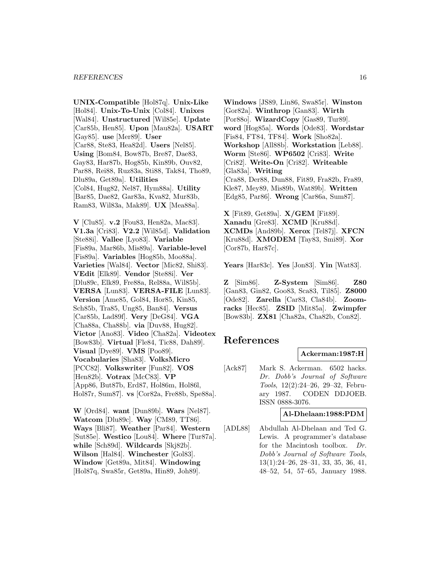**UNIX-Compatible** [Hol87q]. **Unix-Like** [Hol84]. **Unix-To-Unix** [Col84]. **Unixes** [Wal84]. **Unstructured** [Wil85e]. **Update** [Car85b, Hen85]. **Upon** [Mau82a]. **USART** [Gay85]. **use** [Mer89]. **User** [Car88, Ste83, Hea82d]. **Users** [Nel85]. **Using** [Bom84, Bow87b, Bre87, Dae83, Gay83, Har87b, Hog85b, Kin89b, Ouv82, Par88, Rei88, Ruz83a, Sti88, Tak84, Tho89, Dlu89a, Get89a]. **Utilities** [Col84, Hug82, Nel87, Hym88a]. **Utility** [Bar85, Dae82, Gar83a, Kva82, Mur83b, Ram83, Wil83a, Mak89]. **UX** [Mea88a].

**V** [Clu85]. **v.2** [Fou83, Hen82a, Mac83]. **V1.3a** [Cri83]. **V2.2** [Wil85d]. **Validation** [Ste88i]. **Vallee** [Lyo83]. **Variable** [Fis89a, Mar86b, Mis89a]. **Variable-level** [Fis89a]. **Variables** [Hog85b, Moo88a]. **Varieties** [Wal84]. **Vector** [Mic82, Shi83]. **VEdit** [Elk89]. **Vendor** [Ste88i]. **Ver** [Dlu89c, Elk89, Fre88a, Rel88a, Wil85b]. **VERSA** [Lun83]. **VERSA-FILE** [Lun83]. **Version** [Ame85, Gol84, Hor85, Kin85, Sch85b, Tra85, Ung85, Ban84]. **Versus** [Car85b, Lad89f]. **Very** [DeG84]. **VGA** [Cha88a, Cha88b]. **via** [Duv88, Hug82]. **Victor** [Ano83]. **Video** [Cha82a]. **Videotex** [Bow83b]. **Virtual** [Fle84, Tic88, Dah89]. **Visual** [Dye89]. **VMS** [Poo89]. **Vocabularies** [Sha83]. **VolksMicro** [PCC82]. **Volkswriter** [Fun82]. **VOS** [Hen82b]. **Votrax** [McC83]. **VP** [App86, But87b, Erd87, Hol86m, Hol86l, Hol87r, Sum87]. **vs** [Cor82a, Fre88b, Spe88a].

**W** [Ord84]. **want** [Dun89b]. **Wars** [Nel87]. **Watcom** [Dlu89c]. **Way** [CM89, TT86]. **Ways** [Bli87]. **Weather** [Par84]. **Western** [Sut85e]. **Westico** [Lou84]. **Where** [Tur87a]. **while** [Sch89d]. **Wildcards** [Skj82b]. **Wilson** [Hal84]. **Winchester** [Gol83]. **Window** [Get89a, Mit84]. **Windowing** [Hol87q, Swa85r, Get89a, Hin89, Joh89].

**Windows** [JS89, Lin86, Swa85r]. **Winston** [Gor82a]. **Winthrop** [Gan83]. **Wirth** [Por88o]. **WizardCopy** [Gas89, Tur89]. **word** [Hog85a]. **Words** [Ode83]. **Wordstar** [Fis84, FT84, TF84]. **Work** [Sho82a]. **Workshop** [All88b]. **Workstation** [Leb88]. **Worm** [Ste86]. **WP6502** [Cri83]. **Write** [Cri82]. **Write-On** [Cri82]. **Writeable** [Gla83a]. **Writing** [Cra88, Der88, Dun88, Fit89, Fra82b, Fra89, Kle87, Mey89, Mis89b, Wat89b]. **Written** [Edg85, Par86]. **Wrong** [Car86a, Sum87].

**X** [Fit89, Get89a]. **X/GEM** [Fit89]. **Xanadu** [Gre83]. **XCMD** [Kru88d]. **XCMDs** [And89b]. **Xerox** [Tel87j]. **XFCN** [Kru88d]. **XMODEM** [Tay83, Smi89]. **Xor** [Cor87b, Har87c].

**Years** [Har83c]. **Yes** [Jon83]. **Yin** [Wat83].

**Z** [Sim86]. **Z-System** [Sim86]. **Z80** [Gan83, Gin82, Goo83, Sca83, Til85]. **Z8000** [Ode82]. **Zarella** [Car83, Cla84b]. **Zoomracks** [Hec85]. **ZSID** [Mit85a]. **Zwimpfer** [Bow83b]. **ZX81** [Cha82a, Cha82b, Con82].

# **References**

# **Ackerman:1987:H**

[Ack87] Mark S. Ackerman. 6502 hacks. Dr. Dobb's Journal of Software Tools, 12(2):24–26, 29–32, February 1987. CODEN DDJOEB. ISSN 0888-3076.

#### **Al-Dhelaan:1988:PDM**

[ADL88] Abdullah Al-Dhelaan and Ted G. Lewis. A programmer's database for the Macintosh toolbox. Dr. Dobb's Journal of Software Tools, 13(1):24–26, 28–31, 33, 35, 36, 41, 48–52, 54, 57–65, January 1988.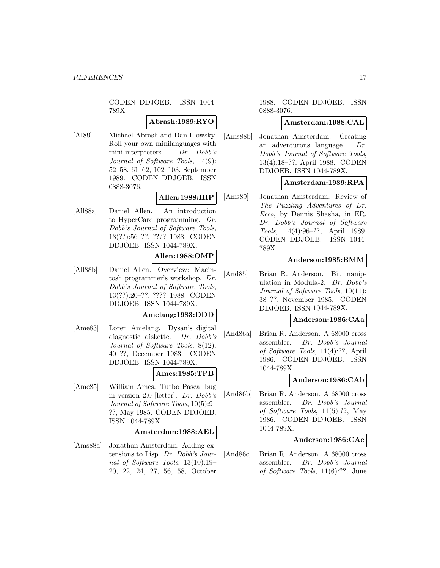CODEN DDJOEB. ISSN 1044- 789X.

### **Abrash:1989:RYO**

[AI89] Michael Abrash and Dan Illowsky. Roll your own minilanguages with mini-interpreters. Dr. Dobb's Journal of Software Tools, 14(9): 52–58, 61–62, 102–103, September 1989. CODEN DDJOEB. ISSN 0888-3076.

# **Allen:1988:IHP**

[All88a] Daniel Allen. An introduction to HyperCard programming. Dr. Dobb's Journal of Software Tools, 13(??):56–??, ???? 1988. CODEN DDJOEB. ISSN 1044-789X.

# **Allen:1988:OMP**

[All88b] Daniel Allen. Overview: Macintosh programmer's workshop. Dr. Dobb's Journal of Software Tools, 13(??):20–??, ???? 1988. CODEN DDJOEB. ISSN 1044-789X.

# **Amelang:1983:DDD**

[Ame83] Loren Amelang. Dysan's digital diagnostic diskette. Dr. Dobb's Journal of Software Tools, 8(12): 40–??, December 1983. CODEN DDJOEB. ISSN 1044-789X.

# **Ames:1985:TPB**

[Ame85] William Ames. Turbo Pascal bug in version 2.0 [letter]. Dr. Dobb's Journal of Software Tools, 10(5):9– ??, May 1985. CODEN DDJOEB. ISSN 1044-789X.

#### **Amsterdam:1988:AEL**

[Ams88a] Jonathan Amsterdam. Adding extensions to Lisp. Dr. Dobb's Journal of Software Tools, 13(10):19– 20, 22, 24, 27, 56, 58, October

1988. CODEN DDJOEB. ISSN 0888-3076.

### **Amsterdam:1988:CAL**

[Ams88b] Jonathan Amsterdam. Creating an adventurous language. Dr. Dobb's Journal of Software Tools, 13(4):18–??, April 1988. CODEN DDJOEB. ISSN 1044-789X.

# **Amsterdam:1989:RPA**

[Ams89] Jonathan Amsterdam. Review of The Puzzling Adventures of Dr. Ecco, by Dennis Shasha, in ER. Dr. Dobb's Journal of Software Tools, 14(4):96–??, April 1989. CODEN DDJOEB. ISSN 1044- 789X.

# **Anderson:1985:BMM**

[And85] Brian R. Anderson. Bit manipulation in Modula-2. Dr. Dobb's Journal of Software Tools, 10(11): 38–??, November 1985. CODEN DDJOEB. ISSN 1044-789X.

# **Anderson:1986:CAa**

[And86a] Brian R. Anderson. A 68000 cross assembler. Dr. Dobb's Journal of Software Tools, 11(4):??, April 1986. CODEN DDJOEB. ISSN 1044-789X.

# **Anderson:1986:CAb**

[And86b] Brian R. Anderson. A 68000 cross assembler. Dr. Dobb's Journal of Software Tools, 11(5):??, May 1986. CODEN DDJOEB. ISSN 1044-789X.

# **Anderson:1986:CAc**

[And86c] Brian R. Anderson. A 68000 cross assembler. Dr. Dobb's Journal of Software Tools, 11(6):??, June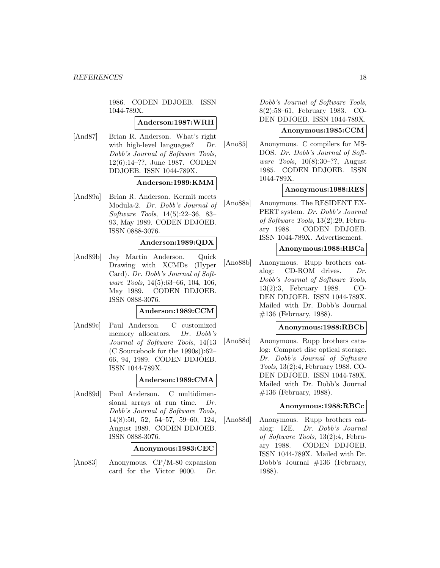1986. CODEN DDJOEB. ISSN 1044-789X.

### **Anderson:1987:WRH**

[And87] Brian R. Anderson. What's right with high-level languages?  $Dr.$ Dobb's Journal of Software Tools, 12(6):14–??, June 1987. CODEN DDJOEB. ISSN 1044-789X.

### **Anderson:1989:KMM**

[And89a] Brian R. Anderson. Kermit meets Modula-2. Dr. Dobb's Journal of Software Tools, 14(5):22–36, 83– 93, May 1989. CODEN DDJOEB. ISSN 0888-3076.

### **Anderson:1989:QDX**

[And89b] Jay Martin Anderson. Quick Drawing with XCMDs (Hyper Card). Dr. Dobb's Journal of Software Tools, 14(5):63–66, 104, 106, May 1989. CODEN DDJOEB. ISSN 0888-3076.

### **Anderson:1989:CCM**

[And89c] Paul Anderson. C customized memory allocators. Dr. Dobb's Journal of Software Tools, 14(13 (C Sourcebook for the 1990s)):62– 66, 94, 1989. CODEN DDJOEB. ISSN 1044-789X.

#### **Anderson:1989:CMA**

[And89d] Paul Anderson. C multidimensional arrays at run time. Dr. Dobb's Journal of Software Tools, 14(8):50, 52, 54–57, 59–60, 124, August 1989. CODEN DDJOEB. ISSN 0888-3076.

#### **Anonymous:1983:CEC**

[Ano83] Anonymous. CP/M-80 expansion card for the Victor 9000. Dr.

Dobb's Journal of Software Tools, 8(2):58–61, February 1983. CO-DEN DDJOEB. ISSN 1044-789X.

### **Anonymous:1985:CCM**

[Ano85] Anonymous. C compilers for MS-DOS. Dr. Dobb's Journal of Software Tools, 10(8):30–??, August 1985. CODEN DDJOEB. ISSN 1044-789X.

# **Anonymous:1988:RES**

[Ano88a] Anonymous. The RESIDENT EX-PERT system. Dr. Dobb's Journal of Software Tools, 13(2):29, February 1988. CODEN DDJOEB. ISSN 1044-789X. Advertisement.

### **Anonymous:1988:RBCa**

[Ano88b] Anonymous. Rupp brothers catalog: CD-ROM drives. Dr. Dobb's Journal of Software Tools, 13(2):3, February 1988. CO-DEN DDJOEB. ISSN 1044-789X. Mailed with Dr. Dobb's Journal #136 (February, 1988).

#### **Anonymous:1988:RBCb**

[Ano88c] Anonymous. Rupp brothers catalog: Compact disc optical storage. Dr. Dobb's Journal of Software Tools, 13(2):4, February 1988. CO-DEN DDJOEB. ISSN 1044-789X. Mailed with Dr. Dobb's Journal #136 (February, 1988).

### **Anonymous:1988:RBCc**

[Ano88d] Anonymous. Rupp brothers catalog: IZE. Dr. Dobb's Journal of Software Tools, 13(2):4, February 1988. CODEN DDJOEB. ISSN 1044-789X. Mailed with Dr. Dobb's Journal #136 (February, 1988).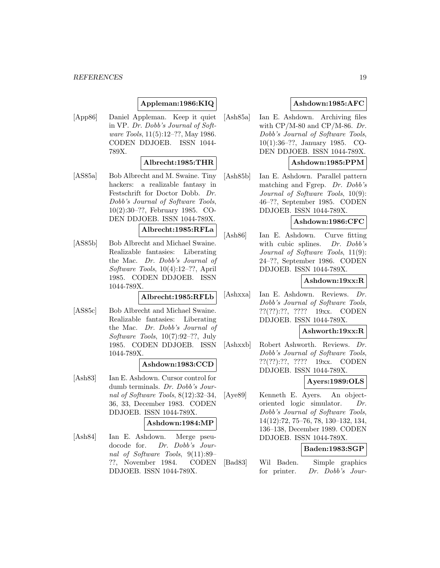# **Appleman:1986:KIQ**

[App86] Daniel Appleman. Keep it quiet in VP. Dr. Dobb's Journal of Software Tools, 11(5):12–??, May 1986. CODEN DDJOEB. ISSN 1044- 789X.

### **Albrecht:1985:THR**

[AS85a] Bob Albrecht and M. Swaine. Tiny hackers: a realizable fantasy in Festschrift for Doctor Dobb. Dr. Dobb's Journal of Software Tools, 10(2):30–??, February 1985. CO-DEN DDJOEB. ISSN 1044-789X.

### **Albrecht:1985:RFLa**

[AS85b] Bob Albrecht and Michael Swaine. Realizable fantasies: Liberating the Mac. Dr. Dobb's Journal of Software Tools, 10(4):12–??, April 1985. CODEN DDJOEB. ISSN 1044-789X.

#### **Albrecht:1985:RFLb**

[AS85c] Bob Albrecht and Michael Swaine. Realizable fantasies: Liberating the Mac. Dr. Dobb's Journal of Software Tools, 10(7):92–??, July 1985. CODEN DDJOEB. ISSN 1044-789X.

#### **Ashdown:1983:CCD**

[Ash83] Ian E. Ashdown. Cursor control for dumb terminals. Dr. Dobb's Journal of Software Tools, 8(12):32–34, 36, 33, December 1983. CODEN DDJOEB. ISSN 1044-789X.

#### **Ashdown:1984:MP**

[Ash84] Ian E. Ashdown. Merge pseudocode for. Dr. Dobb's Journal of Software Tools, 9(11):89– ??, November 1984. CODEN DDJOEB. ISSN 1044-789X.

# **Ashdown:1985:AFC**

[Ash85a] Ian E. Ashdown. Archiving files with  $\text{CP}/\text{M-80}$  and  $\text{CP}/\text{M-86}$ . Dr. Dobb's Journal of Software Tools, 10(1):36–??, January 1985. CO-DEN DDJOEB. ISSN 1044-789X.

#### **Ashdown:1985:PPM**

[Ash85b] Ian E. Ashdown. Parallel pattern matching and Fgrep. Dr. Dobb's Journal of Software Tools, 10(9): 46–??, September 1985. CODEN DDJOEB. ISSN 1044-789X.

# **Ashdown:1986:CFC**

[Ash86] Ian E. Ashdown. Curve fitting with cubic splines. Dr. Dobb's Journal of Software Tools, 11(9): 24–??, September 1986. CODEN DDJOEB. ISSN 1044-789X.

### **Ashdown:19xx:R**

[Ashxxa] Ian E. Ashdown. Reviews. Dr. Dobb's Journal of Software Tools, ??(??):??, ???? 19xx. CODEN DDJOEB. ISSN 1044-789X.

# **Ashworth:19xx:R**

[Ashxxb] Robert Ashworth. Reviews. Dr. Dobb's Journal of Software Tools, ??(??):??, ???? 19xx. CODEN DDJOEB. ISSN 1044-789X.

# **Ayers:1989:OLS**

[Aye89] Kenneth E. Ayers. An objectoriented logic simulator. Dr. Dobb's Journal of Software Tools, 14(12):72, 75–76, 78, 130–132, 134, 136–138, December 1989. CODEN DDJOEB. ISSN 1044-789X.

### **Baden:1983:SGP**

[Bad83] Wil Baden. Simple graphics for printer. Dr. Dobb's Jour-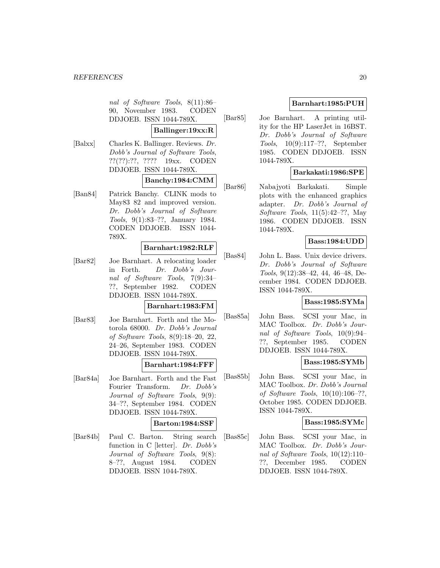nal of Software Tools, 8(11):86– 90, November 1983. CODEN DDJOEB. ISSN 1044-789X.

**Ballinger:19xx:R**

[Balxx] Charles K. Ballinger. Reviews. Dr. Dobb's Journal of Software Tools, ??(??):??, ???? 19xx. CODEN DDJOEB. ISSN 1044-789X.

# **Banchy:1984:CMM**

[Ban84] Patrick Banchy. CLINK mods to May83 82 and improved version. Dr. Dobb's Journal of Software Tools, 9(1):83–??, January 1984. CODEN DDJOEB. ISSN 1044- 789X.

# **Barnhart:1982:RLF**

[Bar82] Joe Barnhart. A relocating loader in Forth. Dr. Dobb's Journal of Software Tools, 7(9):34– ??, September 1982. CODEN DDJOEB. ISSN 1044-789X.

#### **Barnhart:1983:FM**

[Bar83] Joe Barnhart. Forth and the Motorola 68000. Dr. Dobb's Journal of Software Tools, 8(9):18–20, 22, 24–26, September 1983. CODEN DDJOEB. ISSN 1044-789X.

#### **Barnhart:1984:FFF**

[Bar84a] Joe Barnhart. Forth and the Fast Fourier Transform. Dr. Dobb's Journal of Software Tools, 9(9): 34–??, September 1984. CODEN DDJOEB. ISSN 1044-789X.

#### **Barton:1984:SSF**

[Bar84b] Paul C. Barton. String search function in C [letter]. Dr. Dobb's Journal of Software Tools, 9(8): 8–??, August 1984. CODEN DDJOEB. ISSN 1044-789X.

# **Barnhart:1985:PUH**

[Bar85] Joe Barnhart. A printing utility for the HP LaserJet in 16BST. Dr. Dobb's Journal of Software Tools, 10(9):117–??, September 1985. CODEN DDJOEB. ISSN 1044-789X.

# **Barkakati:1986:SPE**

[Bar86] Nabajyoti Barkakati. Simple plots with the enhanced graphics adapter. Dr. Dobb's Journal of Software Tools, 11(5):42–??, May 1986. CODEN DDJOEB. ISSN 1044-789X.

# **Bass:1984:UDD**

[Bas84] John L. Bass. Unix device drivers. Dr. Dobb's Journal of Software Tools, 9(12):38–42, 44, 46–48, December 1984. CODEN DDJOEB. ISSN 1044-789X.

### **Bass:1985:SYMa**

[Bas85a] John Bass. SCSI your Mac, in MAC Toolbox. Dr. Dobb's Journal of Software Tools, 10(9):94– ??, September 1985. CODEN DDJOEB. ISSN 1044-789X.

# **Bass:1985:SYMb**

[Bas85b] John Bass. SCSI your Mac, in MAC Toolbox. Dr. Dobb's Journal of Software Tools, 10(10):106–??, October 1985. CODEN DDJOEB. ISSN 1044-789X.

# **Bass:1985:SYMc**

[Bas85c] John Bass. SCSI your Mac, in MAC Toolbox. Dr. Dobb's Journal of Software Tools, 10(12):110– ??, December 1985. CODEN DDJOEB. ISSN 1044-789X.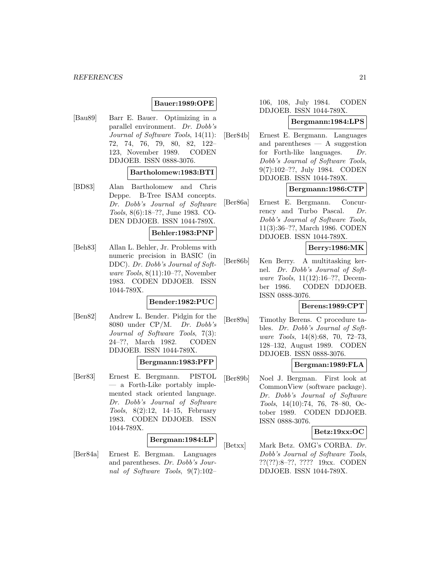# **Bauer:1989:OPE**

[Bau89] Barr E. Bauer. Optimizing in a parallel environment. Dr. Dobb's Journal of Software Tools, 14(11): 72, 74, 76, 79, 80, 82, 122– 123, November 1989. CODEN DDJOEB. ISSN 0888-3076.

#### **Bartholomew:1983:BTI**

[BD83] Alan Bartholomew and Chris Deppe. B-Tree ISAM concepts. Dr. Dobb's Journal of Software Tools, 8(6):18–??, June 1983. CO-DEN DDJOEB. ISSN 1044-789X.

### **Behler:1983:PNP**

[Beh83] Allan L. Behler, Jr. Problems with numeric precision in BASIC (in DDC). Dr. Dobb's Journal of Software Tools, 8(11):10–??, November 1983. CODEN DDJOEB. ISSN 1044-789X.

# **Bender:1982:PUC**

[Ben82] Andrew L. Bender. Pidgin for the 8080 under CP/M. Dr. Dobb's Journal of Software Tools, 7(3): 24–??, March 1982. CODEN DDJOEB. ISSN 1044-789X.

# **Bergmann:1983:PFP**

[Ber83] Ernest E. Bergmann. PISTOL — a Forth-Like portably implemented stack oriented language. Dr. Dobb's Journal of Software Tools, 8(2):12, 14–15, February 1983. CODEN DDJOEB. ISSN 1044-789X.

# **Bergman:1984:LP**

[Ber84a] Ernest E. Bergman. Languages and parentheses. Dr. Dobb's Journal of Software Tools, 9(7):102–

# 106, 108, July 1984. CODEN DDJOEB. ISSN 1044-789X.

### **Bergmann:1984:LPS**

[Ber84b] Ernest E. Bergmann. Languages and parentheses — A suggestion for Forth-like languages. Dr. Dobb's Journal of Software Tools, 9(7):102–??, July 1984. CODEN DDJOEB. ISSN 1044-789X.

# **Bergmann:1986:CTP**

[Ber86a] Ernest E. Bergmann. Concurrency and Turbo Pascal. Dr. Dobb's Journal of Software Tools, 11(3):36–??, March 1986. CODEN DDJOEB. ISSN 1044-789X.

# **Berry:1986:MK**

[Ber86b] Ken Berry. A multitasking kernel. Dr. Dobb's Journal of Software Tools, 11(12):16–??, December 1986. CODEN DDJOEB. ISSN 0888-3076.

### **Berens:1989:CPT**

[Ber89a] Timothy Berens. C procedure tables. Dr. Dobb's Journal of Software Tools, 14(8):68, 70, 72–73, 128–132, August 1989. CODEN DDJOEB. ISSN 0888-3076.

#### **Bergman:1989:FLA**

[Ber89b] Noel J. Bergman. First look at CommonView (software package). Dr. Dobb's Journal of Software Tools, 14(10):74, 76, 78–80, October 1989. CODEN DDJOEB. ISSN 0888-3076.

#### **Betz:19xx:OC**

[Betxx] Mark Betz. OMG's CORBA. Dr. Dobb's Journal of Software Tools, ??(??):8–??, ???? 19xx. CODEN DDJOEB. ISSN 1044-789X.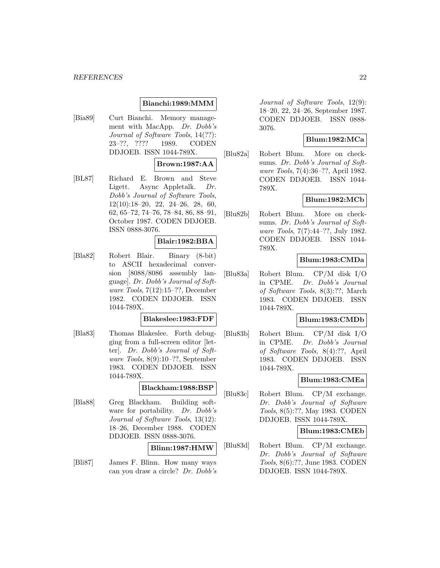# **Bianchi:1989:MMM**

[Bia89] Curt Bianchi. Memory management with MacApp. Dr. Dobb's Journal of Software Tools, 14(??): 23–??, ???? 1989. CODEN DDJOEB. ISSN 1044-789X.

#### **Brown:1987:AA**

[BL87] Richard E. Brown and Steve Ligett. Async Appletalk. Dr. Dobb's Journal of Software Tools, 12(10):18–20, 22, 24–26, 28, 60, 62, 65–72, 74–76, 78–84, 86, 88–91, October 1987. CODEN DDJOEB. ISSN 0888-3076.

#### **Blair:1982:BBA**

[Bla82] Robert Blair. Binary (8-bit) to ASCII hexadecimal conversion [8088/8086 assembly language]. Dr. Dobb's Journal of Software Tools, 7(12):15–??, December 1982. CODEN DDJOEB. ISSN 1044-789X.

# **Blakeslee:1983:FDF**

[Bla83] Thomas Blakeslee. Forth debugging from a full-screen editor [letter]. Dr. Dobb's Journal of Software Tools, 8(9):10–??, September 1983. CODEN DDJOEB. ISSN 1044-789X.

# **Blackham:1988:BSP**

[Bla88] Greg Blackham. Building software for portability. Dr. Dobb's Journal of Software Tools, 13(12): 18–26, December 1988. CODEN DDJOEB. ISSN 0888-3076.

#### **Blinn:1987:HMW**

[Bli87] James F. Blinn. How many ways can you draw a circle? Dr. Dobb's Journal of Software Tools, 12(9): 18–20, 22, 24–26, September 1987. CODEN DDJOEB. ISSN 0888- 3076.

#### **Blum:1982:MCa**

[Blu82a] Robert Blum. More on checksums. Dr. Dobb's Journal of Software Tools, 7(4):36–??, April 1982. CODEN DDJOEB. ISSN 1044- 789X.

### **Blum:1982:MCb**

[Blu82b] Robert Blum. More on checksums. Dr. Dobb's Journal of Software Tools, 7(7):44–??, July 1982. CODEN DDJOEB. ISSN 1044- 789X.

# **Blum:1983:CMDa**

[Blu83a] Robert Blum. CP/M disk I/O in CPME. Dr. Dobb's Journal of Software Tools, 8(3):??, March 1983. CODEN DDJOEB. ISSN 1044-789X.

# **Blum:1983:CMDb**

[Blu83b] Robert Blum. CP/M disk I/O in CPME. Dr. Dobb's Journal of Software Tools, 8(4):??, April 1983. CODEN DDJOEB. ISSN 1044-789X.

# **Blum:1983:CMEa**

[Blu83c] Robert Blum. CP/M exchange. Dr. Dobb's Journal of Software Tools, 8(5):??, May 1983. CODEN DDJOEB. ISSN 1044-789X.

#### **Blum:1983:CMEb**

[Blu83d] Robert Blum. CP/M exchange. Dr. Dobb's Journal of Software Tools, 8(6):??, June 1983. CODEN DDJOEB. ISSN 1044-789X.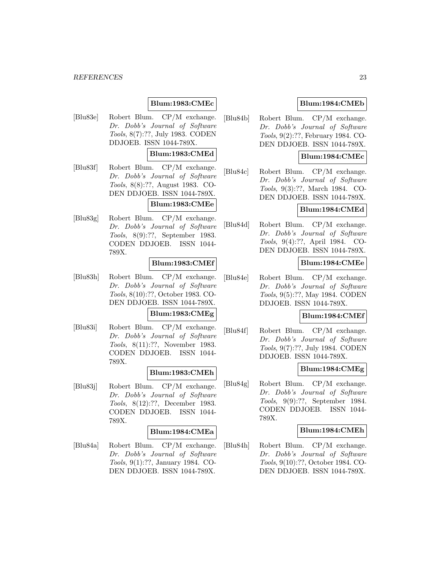# **Blum:1983:CMEc**

[Blu83e] Robert Blum. CP/M exchange. Dr. Dobb's Journal of Software Tools, 8(7):??, July 1983. CODEN DDJOEB. ISSN 1044-789X.

# **Blum:1983:CMEd**

[Blu83f] Robert Blum. CP/M exchange. Dr. Dobb's Journal of Software Tools, 8(8):??, August 1983. CO-DEN DDJOEB. ISSN 1044-789X.

# **Blum:1983:CMEe**

[Blu83g] Robert Blum. CP/M exchange. Dr. Dobb's Journal of Software Tools, 8(9):??, September 1983. CODEN DDJOEB. ISSN 1044- 789X.

### **Blum:1983:CMEf**

[Blu83h] Robert Blum. CP/M exchange. Dr. Dobb's Journal of Software Tools, 8(10):??, October 1983. CO-DEN DDJOEB. ISSN 1044-789X.

#### **Blum:1983:CMEg**

[Blu83i] Robert Blum. CP/M exchange. Dr. Dobb's Journal of Software Tools, 8(11):??, November 1983. CODEN DDJOEB. ISSN 1044- 789X.

# **Blum:1983:CMEh**

[Blu83j] Robert Blum. CP/M exchange. Dr. Dobb's Journal of Software Tools, 8(12):??, December 1983. CODEN DDJOEB. ISSN 1044- 789X.

#### **Blum:1984:CMEa**

[Blu84a] Robert Blum. CP/M exchange. Dr. Dobb's Journal of Software Tools, 9(1):??, January 1984. CO-DEN DDJOEB. ISSN 1044-789X.

# **Blum:1984:CMEb**

[Blu84b] Robert Blum. CP/M exchange. Dr. Dobb's Journal of Software Tools, 9(2):??, February 1984. CO-DEN DDJOEB. ISSN 1044-789X.

# **Blum:1984:CMEc**

[Blu84c] Robert Blum. CP/M exchange. Dr. Dobb's Journal of Software Tools, 9(3):??, March 1984. CO-DEN DDJOEB. ISSN 1044-789X.

# **Blum:1984:CMEd**

[Blu84d] Robert Blum. CP/M exchange. Dr. Dobb's Journal of Software Tools, 9(4):??, April 1984. CO-DEN DDJOEB. ISSN 1044-789X.

# **Blum:1984:CMEe**

[Blu84e] Robert Blum. CP/M exchange. Dr. Dobb's Journal of Software Tools, 9(5):??, May 1984. CODEN DDJOEB. ISSN 1044-789X.

### **Blum:1984:CMEf**

[Blu84f] Robert Blum. CP/M exchange. Dr. Dobb's Journal of Software Tools, 9(7):??, July 1984. CODEN DDJOEB. ISSN 1044-789X.

# **Blum:1984:CMEg**

[Blu84g] Robert Blum. CP/M exchange. Dr. Dobb's Journal of Software Tools, 9(9):??, September 1984. CODEN DDJOEB. ISSN 1044- 789X.

# **Blum:1984:CMEh**

[Blu84h] Robert Blum. CP/M exchange. Dr. Dobb's Journal of Software Tools, 9(10):??, October 1984. CO-DEN DDJOEB. ISSN 1044-789X.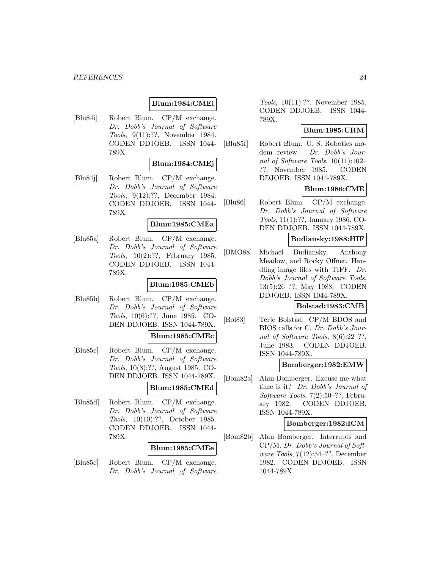### **Blum:1984:CMEi**

[Blu84i] Robert Blum. CP/M exchange. Dr. Dobb's Journal of Software Tools, 9(11):??, November 1984. CODEN DDJOEB. ISSN 1044- 789X.

#### **Blum:1984:CMEj**

[Blu84j] Robert Blum. CP/M exchange. Dr. Dobb's Journal of Software Tools, 9(12):??, December 1984. CODEN DDJOEB. ISSN 1044- 789X.

# **Blum:1985:CMEa**

[Blu85a] Robert Blum. CP/M exchange. Dr. Dobb's Journal of Software Tools, 10(2):??, February 1985. CODEN DDJOEB. ISSN 1044- 789X.

### **Blum:1985:CMEb**

[Blu85b] Robert Blum. CP/M exchange. Dr. Dobb's Journal of Software Tools, 10(6):??, June 1985. CO-DEN DDJOEB. ISSN 1044-789X.

#### **Blum:1985:CMEc**

[Blu85c] Robert Blum. CP/M exchange. Dr. Dobb's Journal of Software Tools, 10(8):??, August 1985. CO-DEN DDJOEB. ISSN 1044-789X.

# **Blum:1985:CMEd**

[Blu85d] Robert Blum. CP/M exchange. Dr. Dobb's Journal of Software Tools, 10(10):??, October 1985. CODEN DDJOEB. ISSN 1044- 789X.

#### **Blum:1985:CMEe**

[Blu85e] Robert Blum. CP/M exchange. Dr. Dobb's Journal of Software

Tools, 10(11):??, November 1985. CODEN DDJOEB. ISSN 1044- 789X.

# **Blum:1985:URM**

[Blu85f] Robert Blum. U. S. Robotics modem review. Dr. Dobb's Journal of Software Tools, 10(11):102– ??, November 1985. CODEN DDJOEB. ISSN 1044-789X.

# **Blum:1986:CME**

[Blu86] Robert Blum. CP/M exchange. Dr. Dobb's Journal of Software Tools, 11(1):??, January 1986. CO-DEN DDJOEB. ISSN 1044-789X.

# **Budiansky:1988:HIF**

[BMO88] Michael Budiansky, Anthony Meadow, and Rocky Offner. Handling image files with TIFF. Dr. Dobb's Journal of Software Tools, 13(5):26–??, May 1988. CODEN DDJOEB. ISSN 1044-789X.

### **Bolstad:1983:CMB**

[Bol83] Terje Bolstad. CP/M BDOS and BIOS calls for C. Dr. Dobb's Journal of Software Tools, 8(6):22–??, June 1983. CODEN DDJOEB. ISSN 1044-789X.

#### **Bomberger:1982:EMW**

[Bom82a] Alan Bomberger. Excuse me what time is it? Dr. Dobb's Journal of Software Tools, 7(2):50–??, February 1982. CODEN DDJOEB. ISSN 1044-789X.

#### **Bomberger:1982:ICM**

[Bom82b] Alan Bomberger. Interrupts and CP/M. Dr. Dobb's Journal of Software Tools, 7(12):54–??, December 1982. CODEN DDJOEB. ISSN 1044-789X.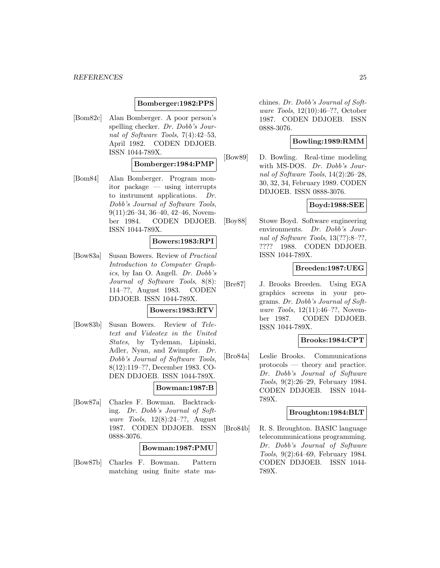### **Bomberger:1982:PPS**

[Bom82c] Alan Bomberger. A poor person's spelling checker. Dr. Dobb's Journal of Software Tools, 7(4):42–53, April 1982. CODEN DDJOEB. ISSN 1044-789X.

#### **Bomberger:1984:PMP**

[Bom84] Alan Bomberger. Program monitor package — using interrupts to instrument applications. Dr. Dobb's Journal of Software Tools, 9(11):26–34, 36–40, 42–46, November 1984. CODEN DDJOEB. ISSN 1044-789X.

#### **Bowers:1983:RPI**

[Bow83a] Susan Bowers. Review of Practical Introduction to Computer Graphics, by Ian O. Angell. Dr. Dobb's Journal of Software Tools, 8(8): 114–??, August 1983. CODEN DDJOEB. ISSN 1044-789X.

#### **Bowers:1983:RTV**

[Bow83b] Susan Bowers. Review of Teletext and Videotex in the United States, by Tydeman, Lipinski, Adler, Nyan, and Zwimpfer. Dr. Dobb's Journal of Software Tools, 8(12):119–??, December 1983. CO-DEN DDJOEB. ISSN 1044-789X.

#### **Bowman:1987:B**

[Bow87a] Charles F. Bowman. Backtracking. Dr. Dobb's Journal of Software Tools, 12(8):24–??, August 1987. CODEN DDJOEB. ISSN 0888-3076.

### **Bowman:1987:PMU**

[Bow87b] Charles F. Bowman. Pattern matching using finite state machines. Dr. Dobb's Journal of Software Tools, 12(10):46–??, October 1987. CODEN DDJOEB. ISSN 0888-3076.

# **Bowling:1989:RMM**

[Bow89] D. Bowling. Real-time modeling with MS-DOS. Dr. Dobb's Journal of Software Tools, 14(2):26–28, 30, 32, 34, February 1989. CODEN DDJOEB. ISSN 0888-3076.

# **Boyd:1988:SEE**

[Boy88] Stowe Boyd. Software engineering environments. Dr. Dobb's Journal of Software Tools, 13(??):8–??, ???? 1988. CODEN DDJOEB. ISSN 1044-789X.

### **Breeden:1987:UEG**

[Bre87] J. Brooks Breeden. Using EGA graphics screens in your programs. Dr. Dobb's Journal of Software Tools, 12(11):46–??, November 1987. CODEN DDJOEB. ISSN 1044-789X.

#### **Brooks:1984:CPT**

[Bro84a] Leslie Brooks. Communications protocols — theory and practice. Dr. Dobb's Journal of Software Tools, 9(2):26–29, February 1984. CODEN DDJOEB. ISSN 1044- 789X.

#### **Broughton:1984:BLT**

[Bro84b] R. S. Broughton. BASIC language telecommunications programming. Dr. Dobb's Journal of Software Tools, 9(2):64–69, February 1984. CODEN DDJOEB. ISSN 1044- 789X.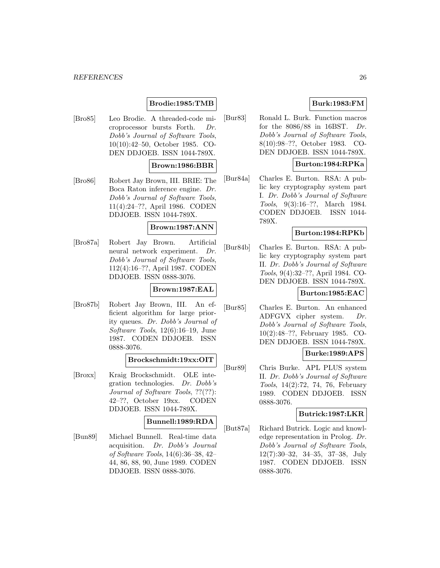# **Brodie:1985:TMB**

[Bro85] Leo Brodie. A threaded-code microprocessor bursts Forth. Dr. Dobb's Journal of Software Tools, 10(10):42–50, October 1985. CO-DEN DDJOEB. ISSN 1044-789X.

# **Brown:1986:BBR**

[Bro86] Robert Jay Brown, III. BRIE: The Boca Raton inference engine. Dr. Dobb's Journal of Software Tools, 11(4):24–??, April 1986. CODEN DDJOEB. ISSN 1044-789X.

# **Brown:1987:ANN**

[Bro87a] Robert Jay Brown. Artificial neural network experiment. Dr. Dobb's Journal of Software Tools, 112(4):16–??, April 1987. CODEN DDJOEB. ISSN 0888-3076.

# **Brown:1987:EAL**

[Bro87b] Robert Jay Brown, III. An efficient algorithm for large priority queues. Dr. Dobb's Journal of Software Tools, 12(6):16–19, June 1987. CODEN DDJOEB. ISSN 0888-3076.

#### **Brockschmidt:19xx:OIT**

[Broxx] Kraig Brockschmidt. OLE integration technologies. Dr. Dobb's Journal of Software Tools, ??(??): 42–??, October 19xx. CODEN DDJOEB. ISSN 1044-789X.

# **Bunnell:1989:RDA**

[Bun89] Michael Bunnell. Real-time data acquisition. Dr. Dobb's Journal of Software Tools, 14(6):36–38, 42– 44, 86, 88, 90, June 1989. CODEN DDJOEB. ISSN 0888-3076.

# **Burk:1983:FM**

[Bur83] Ronald L. Burk. Function macros for the 8086/88 in 16BST. Dr. Dobb's Journal of Software Tools, 8(10):98–??, October 1983. CO-DEN DDJOEB. ISSN 1044-789X.

### **Burton:1984:RPKa**

[Bur84a] Charles E. Burton. RSA: A public key cryptography system part I. Dr. Dobb's Journal of Software Tools, 9(3):16–??, March 1984. CODEN DDJOEB. ISSN 1044- 789X.

# **Burton:1984:RPKb**

[Bur84b] Charles E. Burton. RSA: A public key cryptography system part II. Dr. Dobb's Journal of Software Tools, 9(4):32–??, April 1984. CO-DEN DDJOEB. ISSN 1044-789X.

# **Burton:1985:EAC**

[Bur85] Charles E. Burton. An enhanced ADFGVX cipher system. Dr. Dobb's Journal of Software Tools, 10(2):48–??, February 1985. CO-DEN DDJOEB. ISSN 1044-789X.

### **Burke:1989:APS**

[Bur89] Chris Burke. APL PLUS system II. Dr. Dobb's Journal of Software Tools, 14(2):72, 74, 76, February 1989. CODEN DDJOEB. ISSN 0888-3076.

# **Butrick:1987:LKR**

[But87a] Richard Butrick. Logic and knowledge representation in Prolog. Dr. Dobb's Journal of Software Tools, 12(7):30–32, 34–35, 37–38, July 1987. CODEN DDJOEB. ISSN 0888-3076.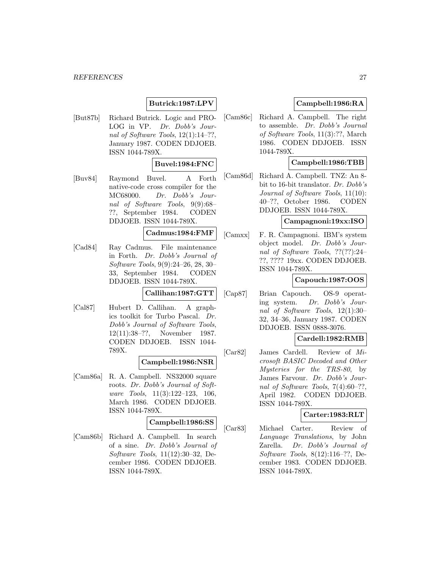# **Butrick:1987:LPV**

[But87b] Richard Butrick. Logic and PRO-LOG in VP. Dr. Dobb's Journal of Software Tools, 12(1):14–??, January 1987. CODEN DDJOEB. ISSN 1044-789X.

#### **Buvel:1984:FNC**

[Buv84] Raymond Buvel. A Forth native-code cross compiler for the MC68000. Dr. Dobb's Journal of Software Tools, 9(9):68– ??, September 1984. CODEN DDJOEB. ISSN 1044-789X.

# **Cadmus:1984:FMF**

[Cad84] Ray Cadmus. File maintenance in Forth. Dr. Dobb's Journal of Software Tools, 9(9):24–26, 28, 30– 33, September 1984. CODEN DDJOEB. ISSN 1044-789X.

**Callihan:1987:GTT**

[Cal87] Hubert D. Callihan. A graphics toolkit for Turbo Pascal. Dr. Dobb's Journal of Software Tools, 12(11):38–??, November 1987. CODEN DDJOEB. ISSN 1044- 789X.

# **Campbell:1986:NSR**

[Cam86a] R. A. Campbell. NS32000 square roots. Dr. Dobb's Journal of Software Tools, 11(3):122–123, 106, March 1986. CODEN DDJOEB. ISSN 1044-789X.

#### **Campbell:1986:SS**

[Cam86b] Richard A. Campbell. In search of a sine. Dr. Dobb's Journal of Software Tools, 11(12):30–32, December 1986. CODEN DDJOEB. ISSN 1044-789X.

# **Campbell:1986:RA**

[Cam86c] Richard A. Campbell. The right to assemble. Dr. Dobb's Journal of Software Tools, 11(3):??, March 1986. CODEN DDJOEB. ISSN 1044-789X.

### **Campbell:1986:TBB**

[Cam86d] Richard A. Campbell. TNZ: An 8 bit to 16-bit translator. Dr. Dobb's Journal of Software Tools, 11(10): 40–??, October 1986. CODEN DDJOEB. ISSN 1044-789X.

# **Campagnoni:19xx:ISO**

[Camxx] F. R. Campagnoni. IBM's system object model. Dr. Dobb's Journal of Software Tools, ??(??):24– ??, ???? 19xx. CODEN DDJOEB. ISSN 1044-789X.

### **Capouch:1987:OOS**

[Cap87] Brian Capouch. OS-9 operating system. Dr. Dobb's Journal of Software Tools, 12(1):30– 32, 34–36, January 1987. CODEN DDJOEB. ISSN 0888-3076.

### **Cardell:1982:RMB**

[Car82] James Cardell. Review of Microsoft BASIC Decoded and Other Mysteries for the TRS-80, by James Farvour. Dr. Dobb's Journal of Software Tools, 7(4):60–??, April 1982. CODEN DDJOEB. ISSN 1044-789X.

### **Carter:1983:RLT**

[Car83] Michael Carter. Review of Language Translations, by John Zarella. Dr. Dobb's Journal of Software Tools, 8(12):116–??, December 1983. CODEN DDJOEB. ISSN 1044-789X.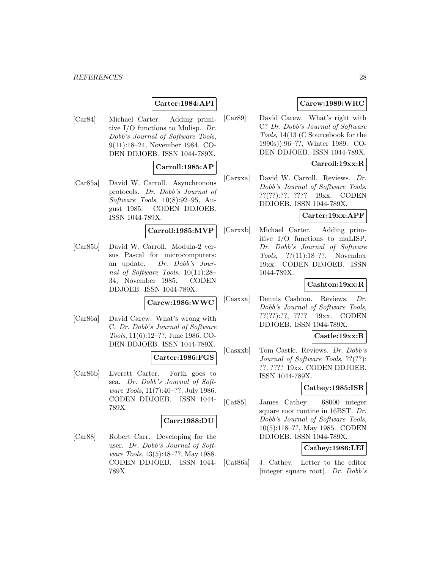# **Carter:1984:API**

[Car84] Michael Carter. Adding primitive I/O functions to Mulisp. Dr. Dobb's Journal of Software Tools, 9(11):18–24, November 1984. CO-DEN DDJOEB. ISSN 1044-789X.

# **Carroll:1985:AP**

[Car85a] David W. Carroll. Asynchronous protocols. Dr. Dobb's Journal of Software Tools, 10(8):92–95, August 1985. CODEN DDJOEB. ISSN 1044-789X.

#### **Carroll:1985:MVP**

[Car85b] David W. Carroll. Modula-2 versus Pascal for microcomputers: an update. Dr. Dobb's Journal of Software Tools, 10(11):28– 34, November 1985. CODEN DDJOEB. ISSN 1044-789X.

#### **Carew:1986:WWC**

[Car86a] David Carew. What's wrong with C. Dr. Dobb's Journal of Software Tools, 11(6):12–??, June 1986. CO-DEN DDJOEB. ISSN 1044-789X.

# **Carter:1986:FGS**

[Car86b] Everett Carter. Forth goes to sea. Dr. Dobb's Journal of Software Tools, 11(7):40–??, July 1986. CODEN DDJOEB. ISSN 1044- 789X.

#### **Carr:1988:DU**

[Car88] Robert Carr. Developing for the user. Dr. Dobb's Journal of Software Tools, 13(5):18–??, May 1988. CODEN DDJOEB. ISSN 1044- 789X.

# **Carew:1989:WRC**

[Car89] David Carew. What's right with C? Dr. Dobb's Journal of Software Tools, 14(13 (C Sourcebook for the 1990s)):96–??, Winter 1989. CO-DEN DDJOEB. ISSN 1044-789X.

# **Carroll:19xx:R**

[Carxxa] David W. Carroll. Reviews. Dr. Dobb's Journal of Software Tools, ??(??):??, ???? 19xx. CODEN DDJOEB. ISSN 1044-789X.

### **Carter:19xx:APF**

[Carxxb] Michael Carter. Adding primitive I/O functions to muLISP. Dr. Dobb's Journal of Software Tools, ??(11):18–??, November 19xx. CODEN DDJOEB. ISSN 1044-789X.

# **Cashton:19xx:R**

[Casxxa] Dennis Cashton. Reviews. Dr. Dobb's Journal of Software Tools, ??(??):??, ???? 19xx. CODEN DDJOEB. ISSN 1044-789X.

### **Castle:19xx:R**

[Casxxb] Tom Castle. Reviews. Dr. Dobb's Journal of Software Tools, ??(??): ??, ???? 19xx. CODEN DDJOEB. ISSN 1044-789X.

#### **Cathey:1985:ISR**

[Cat85] James Cathey. 68000 integer square root routine in 16BST. Dr. Dobb's Journal of Software Tools, 10(5):118–??, May 1985. CODEN DDJOEB. ISSN 1044-789X.

#### **Cathey:1986:LEI**

[Cat86a] J. Cathey. Letter to the editor [integer square root]. Dr. Dobb's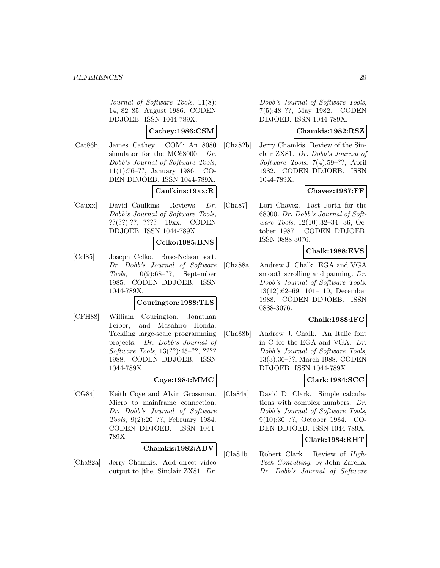Journal of Software Tools, 11(8): 14, 82–85, August 1986. CODEN DDJOEB. ISSN 1044-789X.

**Cathey:1986:CSM**

- [Cat86b] James Cathey. COM: An 8080 simulator for the MC68000. Dr. Dobb's Journal of Software Tools, 11(1):76–??, January 1986. CO-DEN DDJOEB. ISSN 1044-789X. **Caulkins:19xx:R**
- [Cauxx] David Caulkins. Reviews. Dr. Dobb's Journal of Software Tools, ??(??):??, ???? 19xx. CODEN DDJOEB. ISSN 1044-789X.

#### **Celko:1985:BNS**

[Cel85] Joseph Celko. Bose-Nelson sort. Dr. Dobb's Journal of Software Tools, 10(9):68–??, September 1985. CODEN DDJOEB. ISSN 1044-789X.

### **Courington:1988:TLS**

[CFH88] William Courington, Jonathan Feiber, and Masahiro Honda. Tackling large-scale programming projects. Dr. Dobb's Journal of Software Tools, 13(??):45–??, ???? 1988. CODEN DDJOEB. ISSN 1044-789X.

### **Coye:1984:MMC**

[CG84] Keith Coye and Alvin Grossman. Micro to mainframe connection. Dr. Dobb's Journal of Software Tools, 9(2):20–??, February 1984. CODEN DDJOEB. ISSN 1044- 789X.

#### **Chamkis:1982:ADV**

[Cha82a] Jerry Chamkis. Add direct video output to [the] Sinclair ZX81. Dr.

Dobb's Journal of Software Tools, 7(5):48–??, May 1982. CODEN DDJOEB. ISSN 1044-789X.

# **Chamkis:1982:RSZ**

[Cha82b] Jerry Chamkis. Review of the Sinclair ZX81. Dr. Dobb's Journal of Software Tools, 7(4):59–??, April 1982. CODEN DDJOEB. ISSN 1044-789X.

# **Chavez:1987:FF**

[Cha87] Lori Chavez. Fast Forth for the 68000. Dr. Dobb's Journal of Software Tools, 12(10):32–34, 36, October 1987. CODEN DDJOEB. ISSN 0888-3076.

# **Chalk:1988:EVS**

[Cha88a] Andrew J. Chalk. EGA and VGA smooth scrolling and panning. Dr. Dobb's Journal of Software Tools, 13(12):62–69, 101–110, December 1988. CODEN DDJOEB. ISSN 0888-3076.

# **Chalk:1988:IFC**

[Cha88b] Andrew J. Chalk. An Italic font in C for the EGA and VGA. Dr. Dobb's Journal of Software Tools, 13(3):36–??, March 1988. CODEN DDJOEB. ISSN 1044-789X.

# **Clark:1984:SCC**

[Cla84a] David D. Clark. Simple calculations with complex numbers. Dr. Dobb's Journal of Software Tools, 9(10):30–??, October 1984. CO-DEN DDJOEB. ISSN 1044-789X.

# **Clark:1984:RHT**

[Cla84b] Robert Clark. Review of High-Tech Consulting, by John Zarella. Dr. Dobb's Journal of Software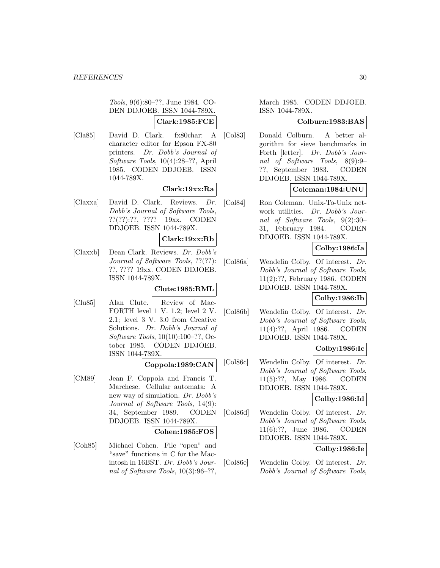Tools, 9(6):80–??, June 1984. CO-DEN DDJOEB. ISSN 1044-789X. **Clark:1985:FCE**

[Cla85] David D. Clark. fx80char: A character editor for Epson FX-80 printers. Dr. Dobb's Journal of Software Tools, 10(4):28–??, April 1985. CODEN DDJOEB. ISSN 1044-789X.

# **Clark:19xx:Ra**

[Claxxa] David D. Clark. Reviews. Dr. Dobb's Journal of Software Tools, ??(??):??, ???? 19xx. CODEN DDJOEB. ISSN 1044-789X.

### **Clark:19xx:Rb**

[Claxxb] Dean Clark. Reviews. Dr. Dobb's Journal of Software Tools, ??(??): ??, ???? 19xx. CODEN DDJOEB. ISSN 1044-789X.

# **Clute:1985:RML**

[Clu85] Alan Clute. Review of Mac-FORTH level 1 V. 1.2; level 2 V. 2.1; level 3 V. 3.0 from Creative Solutions. Dr. Dobb's Journal of Software Tools, 10(10):100–??, October 1985. CODEN DDJOEB. ISSN 1044-789X.

### **Coppola:1989:CAN**

[CM89] Jean F. Coppola and Francis T. Marchese. Cellular automata: A new way of simulation. Dr. Dobb's Journal of Software Tools, 14(9): 34, September 1989. CODEN DDJOEB. ISSN 1044-789X.

#### **Cohen:1985:FOS**

[Coh85] Michael Cohen. File "open" and "save" functions in C for the Macintosh in 16BST. Dr. Dobb's Journal of Software Tools, 10(3):96–??,

March 1985. CODEN DDJOEB. ISSN 1044-789X.

# **Colburn:1983:BAS**

[Col83] Donald Colburn. A better algorithm for sieve benchmarks in Forth [letter]. Dr. Dobb's Journal of Software Tools, 8(9):9– ??, September 1983. CODEN DDJOEB. ISSN 1044-789X.

# **Coleman:1984:UNU**

[Col84] Ron Coleman. Unix-To-Unix network utilities. Dr. Dobb's Journal of Software Tools, 9(2):30– 31, February 1984. CODEN DDJOEB. ISSN 1044-789X.

# **Colby:1986:Ia**

[Col86a] Wendelin Colby. Of interest. Dr. Dobb's Journal of Software Tools, 11(2):??, February 1986. CODEN DDJOEB. ISSN 1044-789X.

# **Colby:1986:Ib**

[Col86b] Wendelin Colby. Of interest. Dr. Dobb's Journal of Software Tools, 11(4):??, April 1986. CODEN DDJOEB. ISSN 1044-789X.

# **Colby:1986:Ic**

[Col86c] Wendelin Colby. Of interest. Dr. Dobb's Journal of Software Tools, 11(5):??, May 1986. CODEN DDJOEB. ISSN 1044-789X.

# **Colby:1986:Id**

[Col86d] Wendelin Colby. Of interest. Dr. Dobb's Journal of Software Tools, 11(6):??, June 1986. CODEN DDJOEB. ISSN 1044-789X.

# **Colby:1986:Ie**

[Col86e] Wendelin Colby. Of interest. Dr. Dobb's Journal of Software Tools,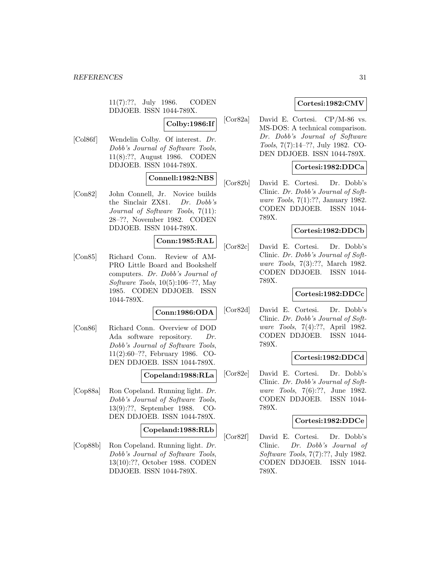11(7):??, July 1986. CODEN DDJOEB. ISSN 1044-789X.

**Colby:1986:If**

[Col86f] Wendelin Colby. Of interest. Dr. Dobb's Journal of Software Tools, 11(8):??, August 1986. CODEN DDJOEB. ISSN 1044-789X.

# **Connell:1982:NBS**

[Con82] John Connell, Jr. Novice builds the Sinclair ZX81. Dr. Dobb's Journal of Software Tools, 7(11): 28–??, November 1982. CODEN DDJOEB. ISSN 1044-789X.

# **Conn:1985:RAL**

[Con85] Richard Conn. Review of AM-PRO Little Board and Bookshelf computers. Dr. Dobb's Journal of Software Tools, 10(5):106–??, May 1985. CODEN DDJOEB. ISSN 1044-789X.

### **Conn:1986:ODA**

[Con86] Richard Conn. Overview of DOD Ada software repository. Dr. Dobb's Journal of Software Tools, 11(2):60–??, February 1986. CO-DEN DDJOEB. ISSN 1044-789X.

# **Copeland:1988:RLa**

[Cop88a] Ron Copeland. Running light. Dr. Dobb's Journal of Software Tools, 13(9):??, September 1988. CO-DEN DDJOEB. ISSN 1044-789X.

# **Copeland:1988:RLb**

[Cop88b] Ron Copeland. Running light. Dr. Dobb's Journal of Software Tools, 13(10):??, October 1988. CODEN DDJOEB. ISSN 1044-789X.

# **Cortesi:1982:CMV**

[Cor82a] David E. Cortesi. CP/M-86 vs. MS-DOS: A technical comparison. Dr. Dobb's Journal of Software Tools, 7(7):14–??, July 1982. CO-DEN DDJOEB. ISSN 1044-789X.

# **Cortesi:1982:DDCa**

[Cor82b] David E. Cortesi. Dr. Dobb's Clinic. Dr. Dobb's Journal of Software Tools, 7(1):??, January 1982. CODEN DDJOEB. ISSN 1044- 789X.

# **Cortesi:1982:DDCb**

[Cor82c] David E. Cortesi. Dr. Dobb's Clinic. Dr. Dobb's Journal of Software Tools, 7(3):??, March 1982. CODEN DDJOEB. ISSN 1044- 789X.

# **Cortesi:1982:DDCc**

[Cor82d] David E. Cortesi. Dr. Dobb's Clinic. Dr. Dobb's Journal of Software Tools, 7(4):??, April 1982. CODEN DDJOEB. ISSN 1044- 789X.

# **Cortesi:1982:DDCd**

[Cor82e] David E. Cortesi. Dr. Dobb's Clinic. Dr. Dobb's Journal of Software Tools, 7(6):??, June 1982. CODEN DDJOEB. ISSN 1044- 789X.

# **Cortesi:1982:DDCe**

[Cor82f] David E. Cortesi. Dr. Dobb's Clinic. Dr. Dobb's Journal of Software Tools, 7(7):??, July 1982. CODEN DDJOEB. ISSN 1044- 789X.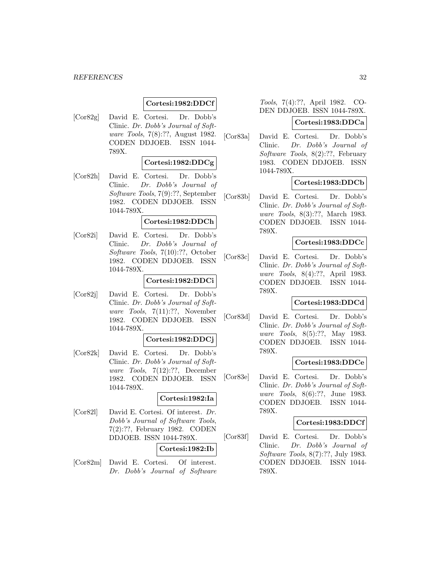# **Cortesi:1982:DDCf**

[Cor82g] David E. Cortesi. Dr. Dobb's Clinic. Dr. Dobb's Journal of Software Tools, 7(8):??, August 1982. CODEN DDJOEB. ISSN 1044- 789X.

### **Cortesi:1982:DDCg**

[Cor82h] David E. Cortesi. Dr. Dobb's Clinic. Dr. Dobb's Journal of Software Tools, 7(9):??, September 1982. CODEN DDJOEB. ISSN 1044-789X.

#### **Cortesi:1982:DDCh**

[Cor82i] David E. Cortesi. Dr. Dobb's Clinic. Dr. Dobb's Journal of Software Tools, 7(10):??, October 1982. CODEN DDJOEB. ISSN 1044-789X.

# **Cortesi:1982:DDCi**

[Cor82j] David E. Cortesi. Dr. Dobb's Clinic. Dr. Dobb's Journal of Software Tools, 7(11):??, November 1982. CODEN DDJOEB. ISSN 1044-789X.

#### **Cortesi:1982:DDCj**

[Cor82k] David E. Cortesi. Dr. Dobb's Clinic. Dr. Dobb's Journal of Software Tools, 7(12):??, December 1982. CODEN DDJOEB. ISSN 1044-789X.

# **Cortesi:1982:Ia**

[Cor82l] David E. Cortesi. Of interest. Dr. Dobb's Journal of Software Tools, 7(2):??, February 1982. CODEN DDJOEB. ISSN 1044-789X.

#### **Cortesi:1982:Ib**

[Cor82m] David E. Cortesi. Of interest. Dr. Dobb's Journal of Software

Tools, 7(4):??, April 1982. CO-DEN DDJOEB. ISSN 1044-789X.

#### **Cortesi:1983:DDCa**

[Cor83a] David E. Cortesi. Dr. Dobb's Clinic. Dr. Dobb's Journal of Software Tools, 8(2):??, February 1983. CODEN DDJOEB. ISSN 1044-789X.

### **Cortesi:1983:DDCb**

[Cor83b] David E. Cortesi. Dr. Dobb's Clinic. Dr. Dobb's Journal of Software Tools, 8(3):??, March 1983. CODEN DDJOEB. ISSN 1044- 789X.

#### **Cortesi:1983:DDCc**

[Cor83c] David E. Cortesi. Dr. Dobb's Clinic. Dr. Dobb's Journal of Software Tools, 8(4):??, April 1983. CODEN DDJOEB. ISSN 1044- 789X.

### **Cortesi:1983:DDCd**

[Cor83d] David E. Cortesi. Dr. Dobb's Clinic. Dr. Dobb's Journal of Software Tools, 8(5):??, May 1983. CODEN DDJOEB. ISSN 1044- 789X.

#### **Cortesi:1983:DDCe**

[Cor83e] David E. Cortesi. Dr. Dobb's Clinic. Dr. Dobb's Journal of Software Tools, 8(6):??, June 1983. CODEN DDJOEB. ISSN 1044- 789X.

#### **Cortesi:1983:DDCf**

[Cor83f] David E. Cortesi. Dr. Dobb's Clinic. Dr. Dobb's Journal of Software Tools, 8(7):??, July 1983. CODEN DDJOEB. ISSN 1044- 789X.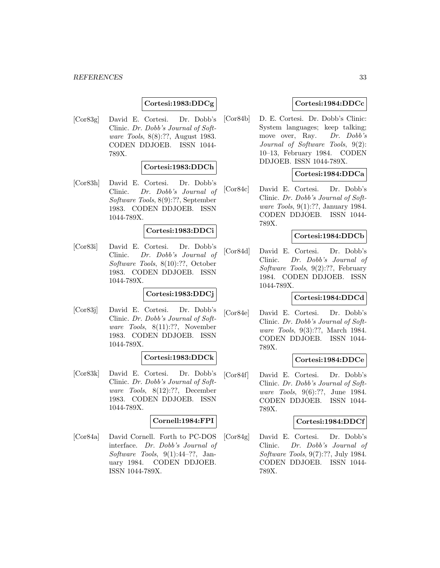# **Cortesi:1983:DDCg**

[Cor83g] David E. Cortesi. Dr. Dobb's Clinic. Dr. Dobb's Journal of Software Tools, 8(8):??, August 1983. CODEN DDJOEB. ISSN 1044- 789X.

### **Cortesi:1983:DDCh**

[Cor83h] David E. Cortesi. Dr. Dobb's Clinic. Dr. Dobb's Journal of Software Tools, 8(9):??, September 1983. CODEN DDJOEB. ISSN 1044-789X.

#### **Cortesi:1983:DDCi**

[Cor83i] David E. Cortesi. Dr. Dobb's Clinic. Dr. Dobb's Journal of Software Tools, 8(10):??, October 1983. CODEN DDJOEB. ISSN 1044-789X.

# **Cortesi:1983:DDCj**

[Cor83j] David E. Cortesi. Dr. Dobb's Clinic. Dr. Dobb's Journal of Software Tools, 8(11):??, November 1983. CODEN DDJOEB. ISSN 1044-789X.

#### **Cortesi:1983:DDCk**

[Cor83k] David E. Cortesi. Dr. Dobb's Clinic. Dr. Dobb's Journal of Software Tools, 8(12):??, December 1983. CODEN DDJOEB. ISSN 1044-789X.

#### **Cornell:1984:FPI**

[Cor84a] David Cornell. Forth to PC-DOS interface. Dr. Dobb's Journal of Software Tools, 9(1):44–??, January 1984. CODEN DDJOEB. ISSN 1044-789X.

### **Cortesi:1984:DDCc**

[Cor84b] D. E. Cortesi. Dr. Dobb's Clinic: System languages; keep talking; move over, Ray. Dr. Dobb's Journal of Software Tools, 9(2): 10–13, February 1984. CODEN DDJOEB. ISSN 1044-789X.

# **Cortesi:1984:DDCa**

[Cor84c] David E. Cortesi. Dr. Dobb's Clinic. Dr. Dobb's Journal of Software Tools, 9(1):??, January 1984. CODEN DDJOEB. ISSN 1044- 789X.

# **Cortesi:1984:DDCb**

[Cor84d] David E. Cortesi. Dr. Dobb's Clinic. Dr. Dobb's Journal of Software Tools, 9(2):??, February 1984. CODEN DDJOEB. ISSN 1044-789X.

### **Cortesi:1984:DDCd**

[Cor84e] David E. Cortesi. Dr. Dobb's Clinic. Dr. Dobb's Journal of Software Tools, 9(3):??, March 1984. CODEN DDJOEB. ISSN 1044- 789X.

#### **Cortesi:1984:DDCe**

[Cor84f] David E. Cortesi. Dr. Dobb's Clinic. Dr. Dobb's Journal of Software Tools, 9(6):??, June 1984. CODEN DDJOEB. ISSN 1044- 789X.

# **Cortesi:1984:DDCf**

[Cor84g] David E. Cortesi. Dr. Dobb's Clinic. Dr. Dobb's Journal of Software Tools, 9(7):??, July 1984. CODEN DDJOEB. ISSN 1044- 789X.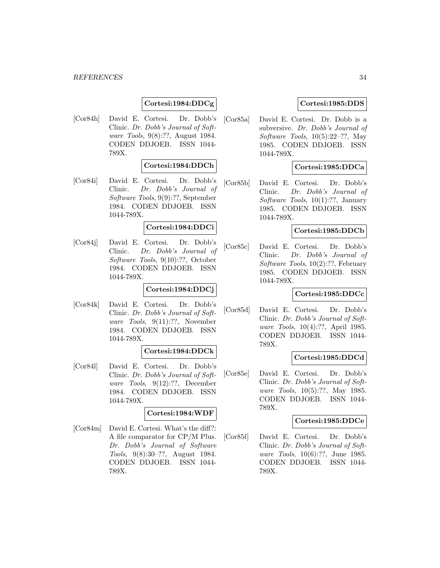# **Cortesi:1984:DDCg**

[Cor84h] David E. Cortesi. Dr. Dobb's Clinic. Dr. Dobb's Journal of Software Tools, 9(8):??, August 1984. CODEN DDJOEB. ISSN 1044- 789X.

# **Cortesi:1984:DDCh**

[Cor84i] David E. Cortesi. Dr. Dobb's Clinic. Dr. Dobb's Journal of Software Tools, 9(9):??, September 1984. CODEN DDJOEB. ISSN 1044-789X.

### **Cortesi:1984:DDCi**

[Cor84j] David E. Cortesi. Dr. Dobb's Clinic. Dr. Dobb's Journal of Software Tools, 9(10):??, October 1984. CODEN DDJOEB. ISSN 1044-789X.

#### **Cortesi:1984:DDCj**

[Cor84k] David E. Cortesi. Dr. Dobb's Clinic. Dr. Dobb's Journal of Software Tools, 9(11):??, November 1984. CODEN DDJOEB. ISSN 1044-789X.

### **Cortesi:1984:DDCk**

[Cor84l] David E. Cortesi. Dr. Dobb's Clinic. Dr. Dobb's Journal of Software Tools, 9(12):??, December 1984. CODEN DDJOEB. ISSN 1044-789X.

# **Cortesi:1984:WDF**

[Cor84m] David E. Cortesi. What's the diff?: A file comparator for CP/M Plus. Dr. Dobb's Journal of Software Tools, 9(8):30–??, August 1984. CODEN DDJOEB. ISSN 1044- 789X.

# **Cortesi:1985:DDS**

[Cor85a] David E. Cortesi. Dr. Dobb is a subversive. Dr. Dobb's Journal of Software Tools,  $10(5):22-??$ , May 1985. CODEN DDJOEB. ISSN 1044-789X.

# **Cortesi:1985:DDCa**

[Cor85b] David E. Cortesi. Dr. Dobb's Clinic. Dr. Dobb's Journal of Software Tools, 10(1):??, January 1985. CODEN DDJOEB. ISSN 1044-789X.

#### **Cortesi:1985:DDCb**

[Cor85c] David E. Cortesi. Dr. Dobb's Clinic. Dr. Dobb's Journal of Software Tools, 10(2):??, February 1985. CODEN DDJOEB. ISSN 1044-789X.

### **Cortesi:1985:DDCc**

[Cor85d] David E. Cortesi. Dr. Dobb's Clinic. Dr. Dobb's Journal of Software Tools, 10(4):??, April 1985. CODEN DDJOEB. ISSN 1044- 789X.

# **Cortesi:1985:DDCd**

[Cor85e] David E. Cortesi. Dr. Dobb's Clinic. Dr. Dobb's Journal of Software Tools, 10(5):??, May 1985. CODEN DDJOEB. ISSN 1044- 789X.

#### **Cortesi:1985:DDCe**

[Cor85f] David E. Cortesi. Dr. Dobb's Clinic. Dr. Dobb's Journal of Software Tools, 10(6):??, June 1985. CODEN DDJOEB. ISSN 1044- 789X.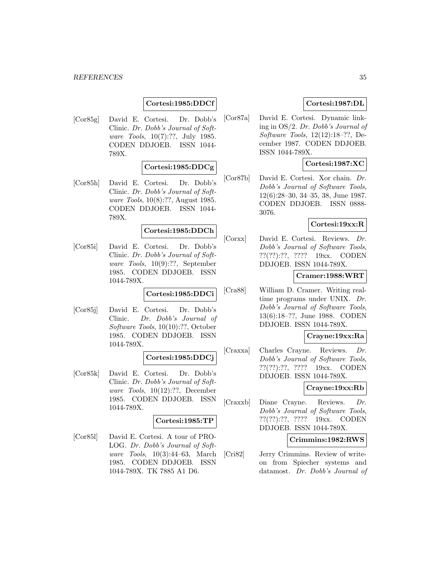# **Cortesi:1985:DDCf**

[Cor85g] David E. Cortesi. Dr. Dobb's Clinic. Dr. Dobb's Journal of Software Tools, 10(7):??, July 1985. CODEN DDJOEB. ISSN 1044- 789X.

# **Cortesi:1985:DDCg**

[Cor85h] David E. Cortesi. Dr. Dobb's Clinic. Dr. Dobb's Journal of Software Tools, 10(8):??, August 1985. CODEN DDJOEB. ISSN 1044- 789X.

# **Cortesi:1985:DDCh**

[Cor85i] David E. Cortesi. Dr. Dobb's Clinic. Dr. Dobb's Journal of Software Tools, 10(9):??, September 1985. CODEN DDJOEB. ISSN 1044-789X.

**Cortesi:1985:DDCi**

[Cor85j] David E. Cortesi. Dr. Dobb's Clinic. Dr. Dobb's Journal of Software Tools, 10(10):??, October 1985. CODEN DDJOEB. ISSN 1044-789X.

# **Cortesi:1985:DDCj**

[Cor85k] David E. Cortesi. Dr. Dobb's Clinic. Dr. Dobb's Journal of Software Tools, 10(12):??, December 1985. CODEN DDJOEB. ISSN 1044-789X.

#### **Cortesi:1985:TP**

[Cor85l] David E. Cortesi. A tour of PRO-LOG. Dr. Dobb's Journal of Software Tools, 10(3):44–63, March 1985. CODEN DDJOEB. ISSN 1044-789X. TK 7885 A1 D6.

# **Cortesi:1987:DL**

[Cor87a] David E. Cortesi. Dynamic linking in OS/2. Dr. Dobb's Journal of Software Tools, 12(12):18–??, December 1987. CODEN DDJOEB. ISSN 1044-789X.

# **Cortesi:1987:XC**

[Cor87b] David E. Cortesi. Xor chain. Dr. Dobb's Journal of Software Tools, 12(6):28–30, 34–35, 38, June 1987. CODEN DDJOEB. ISSN 0888- 3076.

# **Cortesi:19xx:R**

[Corxx] David E. Cortesi. Reviews. Dr. Dobb's Journal of Software Tools, ??(??):??, ???? 19xx. CODEN DDJOEB. ISSN 1044-789X.

#### **Cramer:1988:WRT**

[Cra88] William D. Cramer. Writing realtime programs under UNIX. Dr. Dobb's Journal of Software Tools, 13(6):18–??, June 1988. CODEN DDJOEB. ISSN 1044-789X.

### **Crayne:19xx:Ra**

[Craxxa] Charles Crayne. Reviews. Dr. Dobb's Journal of Software Tools, ??(??):??, ???? 19xx. CODEN DDJOEB. ISSN 1044-789X.

#### **Crayne:19xx:Rb**

[Craxxb] Diane Crayne. Reviews. Dr. Dobb's Journal of Software Tools, ??(??):??, ???? 19xx. CODEN DDJOEB. ISSN 1044-789X.

#### **Crimmins:1982:RWS**

[Cri82] Jerry Crimmins. Review of writeon from Spiecher systems and datamost. Dr. Dobb's Journal of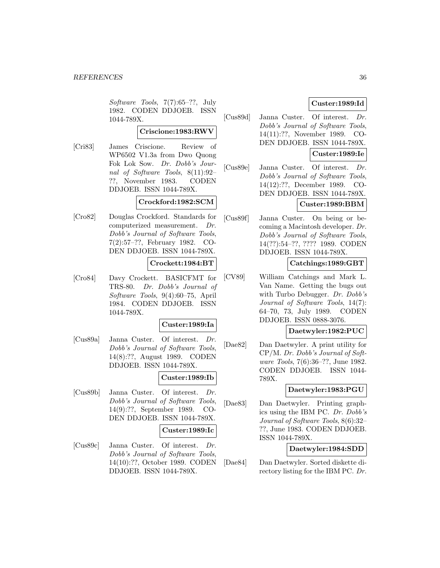Software Tools, 7(7):65–??, July 1982. CODEN DDJOEB. ISSN 1044-789X.

### **Criscione:1983:RWV**

[Cri83] James Criscione. Review of WP6502 V1.3a from Dwo Quong Fok Lok Sow. Dr. Dobb's Journal of Software Tools, 8(11):92– ??, November 1983. CODEN DDJOEB. ISSN 1044-789X.

# **Crockford:1982:SCM**

[Cro82] Douglas Crockford. Standards for computerized measurement. Dr. Dobb's Journal of Software Tools, 7(2):57–??, February 1982. CO-DEN DDJOEB. ISSN 1044-789X.

# **Crockett:1984:BT**

[Cro84] Davy Crockett. BASICFMT for TRS-80. Dr. Dobb's Journal of Software Tools, 9(4):60–75, April 1984. CODEN DDJOEB. ISSN 1044-789X.

# **Custer:1989:Ia**

[Cus89a] Janna Custer. Of interest. Dr. Dobb's Journal of Software Tools, 14(8):??, August 1989. CODEN DDJOEB. ISSN 1044-789X.

### **Custer:1989:Ib**

[Cus89b] Janna Custer. Of interest. Dr. Dobb's Journal of Software Tools, 14(9):??, September 1989. CO-DEN DDJOEB. ISSN 1044-789X.

#### **Custer:1989:Ic**

[Cus89c] Janna Custer. Of interest. Dr. Dobb's Journal of Software Tools, 14(10):??, October 1989. CODEN DDJOEB. ISSN 1044-789X.

# **Custer:1989:Id**

[Cus89d] Janna Custer. Of interest. Dr. Dobb's Journal of Software Tools, 14(11):??, November 1989. CO-DEN DDJOEB. ISSN 1044-789X.

# **Custer:1989:Ie**

[Cus89e] Janna Custer. Of interest. Dr. Dobb's Journal of Software Tools, 14(12):??, December 1989. CO-DEN DDJOEB. ISSN 1044-789X.

# **Custer:1989:BBM**

[Cus89f] Janna Custer. On being or becoming a Macintosh developer. Dr. Dobb's Journal of Software Tools, 14(??):54–??, ???? 1989. CODEN DDJOEB. ISSN 1044-789X.

# **Catchings:1989:GBT**

[CV89] William Catchings and Mark L. Van Name. Getting the bugs out with Turbo Debugger. Dr. Dobb's Journal of Software Tools, 14(7): 64–70, 73, July 1989. CODEN DDJOEB. ISSN 0888-3076.

# **Daetwyler:1982:PUC**

[Dae82] Dan Daetwyler. A print utility for CP/M. Dr. Dobb's Journal of Software Tools, 7(6):36–??, June 1982. CODEN DDJOEB. ISSN 1044- 789X.

#### **Daetwyler:1983:PGU**

[Dae83] Dan Daetwyler. Printing graphics using the IBM PC. Dr. Dobb's Journal of Software Tools, 8(6):32– ??, June 1983. CODEN DDJOEB. ISSN 1044-789X.

# **Daetwyler:1984:SDD**

[Dae84] Dan Daetwyler. Sorted diskette directory listing for the IBM PC. Dr.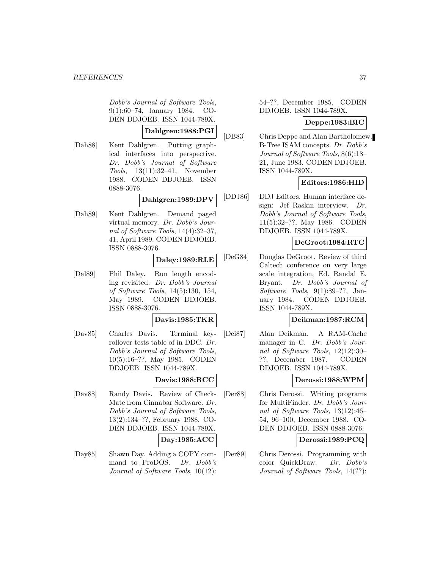Dobb's Journal of Software Tools, 9(1):60–74, January 1984. CO-DEN DDJOEB. ISSN 1044-789X.

# **Dahlgren:1988:PGI**

[Dah88] Kent Dahlgren. Putting graphical interfaces into perspective. Dr. Dobb's Journal of Software Tools, 13(11):32–41, November 1988. CODEN DDJOEB. ISSN 0888-3076.

### **Dahlgren:1989:DPV**

[Dah89] Kent Dahlgren. Demand paged virtual memory. Dr. Dobb's Journal of Software Tools, 14(4):32–37, 41, April 1989. CODEN DDJOEB. ISSN 0888-3076.

### **Daley:1989:RLE**

[Dal89] Phil Daley. Run length encoding revisited. Dr. Dobb's Journal of Software Tools, 14(5):130, 154, May 1989. CODEN DDJOEB. ISSN 0888-3076.

# **Davis:1985:TKR**

[Dav85] Charles Davis. Terminal keyrollover tests table of in DDC. Dr. Dobb's Journal of Software Tools, 10(5):16–??, May 1985. CODEN DDJOEB. ISSN 1044-789X.

### **Davis:1988:RCC**

- [Dav88] Randy Davis. Review of Check-Mate from Cinnabar Software. Dr. Dobb's Journal of Software Tools, 13(2):134–??, February 1988. CO-DEN DDJOEB. ISSN 1044-789X. **Day:1985:ACC**
- [Day85] Shawn Day. Adding a COPY command to ProDOS. Dr. Dobb's Journal of Software Tools, 10(12):

54–??, December 1985. CODEN DDJOEB. ISSN 1044-789X.

# **Deppe:1983:BIC**

[DB83] Chris Deppe and Alan Bartholomew. B-Tree ISAM concepts. Dr. Dobb's Journal of Software Tools, 8(6):18– 21, June 1983. CODEN DDJOEB. ISSN 1044-789X.

# **Editors:1986:HID**

[DDJ86] DDJ Editors. Human interface design: Jef Raskin interview. Dr. Dobb's Journal of Software Tools, 11(5):32–??, May 1986. CODEN DDJOEB. ISSN 1044-789X.

### **DeGroot:1984:RTC**

[DeG84] Douglas DeGroot. Review of third Caltech conference on very large scale integration, Ed. Randal E. Bryant. Dr. Dobb's Journal of Software Tools, 9(1):89–??, January 1984. CODEN DDJOEB. ISSN 1044-789X.

# **Deikman:1987:RCM**

[Dei87] Alan Deikman. A RAM-Cache manager in C. Dr. Dobb's Journal of Software Tools, 12(12):30– ??, December 1987. CODEN DDJOEB. ISSN 1044-789X.

# **Derossi:1988:WPM**

[Der88] Chris Derossi. Writing programs for MultiFinder. Dr. Dobb's Journal of Software Tools, 13(12):46– 54, 96–100, December 1988. CO-DEN DDJOEB. ISSN 0888-3076.

# **Derossi:1989:PCQ**

[Der89] Chris Derossi. Programming with color QuickDraw. Dr. Dobb's Journal of Software Tools, 14(??):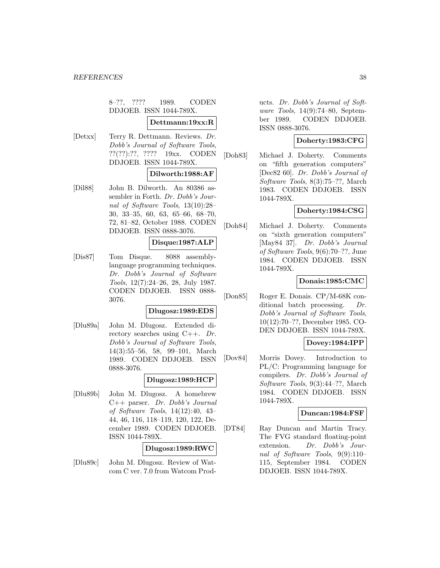8–??, ???? 1989. CODEN DDJOEB. ISSN 1044-789X.

## **Dettmann:19xx:R**

[Detxx] Terry R. Dettmann. Reviews. Dr. Dobb's Journal of Software Tools, ??(??):??, ???? 19xx. CODEN DDJOEB. ISSN 1044-789X.

# **Dilworth:1988:AF**

[Dil88] John B. Dilworth. An 80386 assembler in Forth. Dr. Dobb's Journal of Software Tools, 13(10):28– 30, 33–35, 60, 63, 65–66, 68–70, 72, 81–82, October 1988. CODEN DDJOEB. ISSN 0888-3076.

### **Disque:1987:ALP**

[Dis87] Tom Disque. 8088 assemblylanguage programming techniques. Dr. Dobb's Journal of Software Tools, 12(7):24–26, 28, July 1987. CODEN DDJOEB. ISSN 0888- 3076.

### **Dlugosz:1989:EDS**

[Dlu89a] John M. Dlugosz. Extended directory searches using  $C++$ . Dr. Dobb's Journal of Software Tools, 14(3):55–56, 58, 99–101, March 1989. CODEN DDJOEB. ISSN 0888-3076.

### **Dlugosz:1989:HCP**

[Dlu89b] John M. Dlugosz. A homebrew C++ parser. Dr. Dobb's Journal of Software Tools, 14(12):40, 43– 44, 46, 116, 118–119, 120, 122, December 1989. CODEN DDJOEB. ISSN 1044-789X.

### **Dlugosz:1989:RWC**

[Dlu89c] John M. Dlugosz. Review of Watcom C ver. 7.0 from Watcom Products. Dr. Dobb's Journal of Software Tools, 14(9):74–80, September 1989. CODEN DDJOEB. ISSN 0888-3076.

# **Doherty:1983:CFG**

[Doh83] Michael J. Doherty. Comments on "fifth generation computers" [Dec82 60]. Dr. Dobb's Journal of Software Tools, 8(3):75–??, March 1983. CODEN DDJOEB. ISSN 1044-789X.

# **Doherty:1984:CSG**

[Doh84] Michael J. Doherty. Comments on "sixth generation computers" [May84 37]. Dr. Dobb's Journal of Software Tools, 9(6):70–??, June 1984. CODEN DDJOEB. ISSN 1044-789X.

# **Donais:1985:CMC**

[Don85] Roger E. Donais. CP/M-68K conditional batch processing. Dr. Dobb's Journal of Software Tools, 10(12):70–??, December 1985. CO-DEN DDJOEB. ISSN 1044-789X.

# **Dovey:1984:IPP**

[Dov84] Morris Dovey. Introduction to PL/C: Programming language for compilers. Dr. Dobb's Journal of Software Tools, 9(3):44–??, March 1984. CODEN DDJOEB. ISSN 1044-789X.

### **Duncan:1984:FSF**

[DT84] Ray Duncan and Martin Tracy. The FVG standard floating-point extension. Dr. Dobb's Journal of Software Tools, 9(9):110– 115, September 1984. CODEN DDJOEB. ISSN 1044-789X.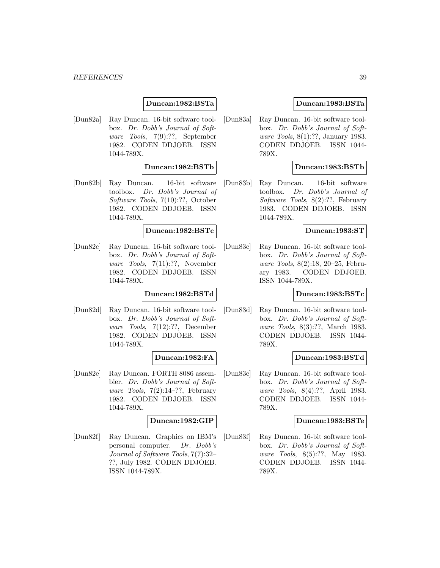### **Duncan:1982:BSTa**

[Dun82a] Ray Duncan. 16-bit software toolbox. Dr. Dobb's Journal of Software Tools, 7(9):??, September 1982. CODEN DDJOEB. ISSN 1044-789X.

### **Duncan:1982:BSTb**

[Dun82b] Ray Duncan. 16-bit software toolbox. Dr. Dobb's Journal of Software Tools, 7(10):??, October 1982. CODEN DDJOEB. ISSN 1044-789X.

#### **Duncan:1982:BSTc**

[Dun82c] Ray Duncan. 16-bit software toolbox. Dr. Dobb's Journal of Software Tools, 7(11):??, November 1982. CODEN DDJOEB. ISSN 1044-789X.

### **Duncan:1982:BSTd**

[Dun82d] Ray Duncan. 16-bit software toolbox. Dr. Dobb's Journal of Software Tools, 7(12):??, December 1982. CODEN DDJOEB. ISSN 1044-789X.

### **Duncan:1982:FA**

[Dun82e] Ray Duncan. FORTH 8086 assembler. Dr. Dobb's Journal of Software Tools,  $7(2):14-??$ , February 1982. CODEN DDJOEB. ISSN 1044-789X.

### **Duncan:1982:GIP**

[Dun82f] Ray Duncan. Graphics on IBM's personal computer. Dr. Dobb's Journal of Software Tools, 7(7):32– ??, July 1982. CODEN DDJOEB. ISSN 1044-789X.

# **Duncan:1983:BSTa**

[Dun83a] Ray Duncan. 16-bit software toolbox. Dr. Dobb's Journal of Software Tools, 8(1):??, January 1983. CODEN DDJOEB. ISSN 1044- 789X.

# **Duncan:1983:BSTb**

[Dun83b] Ray Duncan. 16-bit software toolbox. Dr. Dobb's Journal of Software Tools, 8(2):??, February 1983. CODEN DDJOEB. ISSN 1044-789X.

#### **Duncan:1983:ST**

[Dun83c] Ray Duncan. 16-bit software toolbox. Dr. Dobb's Journal of Software Tools, 8(2):18, 20–25, February 1983. CODEN DDJOEB. ISSN 1044-789X.

# **Duncan:1983:BSTc**

[Dun83d] Ray Duncan. 16-bit software toolbox. Dr. Dobb's Journal of Software Tools, 8(3):??, March 1983. CODEN DDJOEB. ISSN 1044- 789X.

### **Duncan:1983:BSTd**

[Dun83e] Ray Duncan. 16-bit software toolbox. Dr. Dobb's Journal of Software Tools, 8(4):??, April 1983. CODEN DDJOEB. ISSN 1044- 789X.

# **Duncan:1983:BSTe**

[Dun83f] Ray Duncan. 16-bit software toolbox. Dr. Dobb's Journal of Software Tools, 8(5):??, May 1983. CODEN DDJOEB. ISSN 1044- 789X.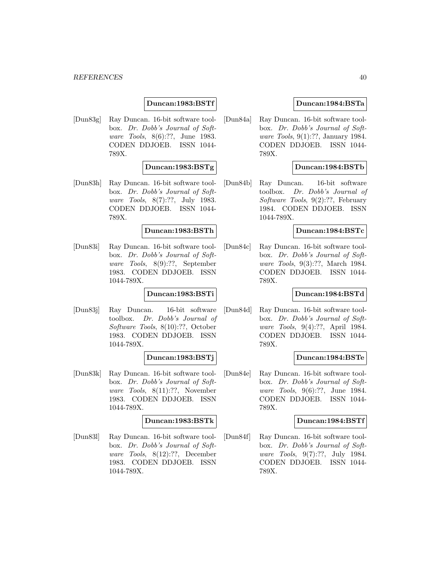# **Duncan:1983:BSTf**

[Dun83g] Ray Duncan. 16-bit software toolbox. Dr. Dobb's Journal of Software Tools, 8(6):??, June 1983. CODEN DDJOEB. ISSN 1044- 789X.

### **Duncan:1983:BSTg**

[Dun83h] Ray Duncan. 16-bit software toolbox. Dr. Dobb's Journal of Software Tools, 8(7):??, July 1983. CODEN DDJOEB. ISSN 1044- 789X.

### **Duncan:1983:BSTh**

[Dun83i] Ray Duncan. 16-bit software toolbox. Dr. Dobb's Journal of Software Tools, 8(9):??, September 1983. CODEN DDJOEB. ISSN 1044-789X.

#### **Duncan:1983:BSTi**

[Dun83j] Ray Duncan. 16-bit software toolbox. Dr. Dobb's Journal of Software Tools, 8(10):??, October 1983. CODEN DDJOEB. ISSN 1044-789X.

### **Duncan:1983:BSTj**

[Dun83k] Ray Duncan. 16-bit software toolbox. Dr. Dobb's Journal of Software Tools, 8(11):??, November 1983. CODEN DDJOEB. ISSN 1044-789X.

### **Duncan:1983:BSTk**

[Dun83l] Ray Duncan. 16-bit software toolbox. Dr. Dobb's Journal of Software Tools, 8(12):??, December 1983. CODEN DDJOEB. ISSN 1044-789X.

# **Duncan:1984:BSTa**

[Dun84a] Ray Duncan. 16-bit software toolbox. Dr. Dobb's Journal of Software Tools, 9(1):??, January 1984. CODEN DDJOEB. ISSN 1044- 789X.

# **Duncan:1984:BSTb**

[Dun84b] Ray Duncan. 16-bit software toolbox. Dr. Dobb's Journal of Software Tools, 9(2):??, February 1984. CODEN DDJOEB. ISSN 1044-789X.

### **Duncan:1984:BSTc**

[Dun84c] Ray Duncan. 16-bit software toolbox. Dr. Dobb's Journal of Software Tools, 9(3):??, March 1984. CODEN DDJOEB. ISSN 1044- 789X.

### **Duncan:1984:BSTd**

[Dun84d] Ray Duncan. 16-bit software toolbox. Dr. Dobb's Journal of Software Tools, 9(4):??, April 1984. CODEN DDJOEB. ISSN 1044- 789X.

### **Duncan:1984:BSTe**

[Dun84e] Ray Duncan. 16-bit software toolbox. Dr. Dobb's Journal of Software Tools, 9(6):??, June 1984. CODEN DDJOEB. ISSN 1044- 789X.

### **Duncan:1984:BSTf**

[Dun84f] Ray Duncan. 16-bit software toolbox. Dr. Dobb's Journal of Software Tools, 9(7):??, July 1984. CODEN DDJOEB. ISSN 1044- 789X.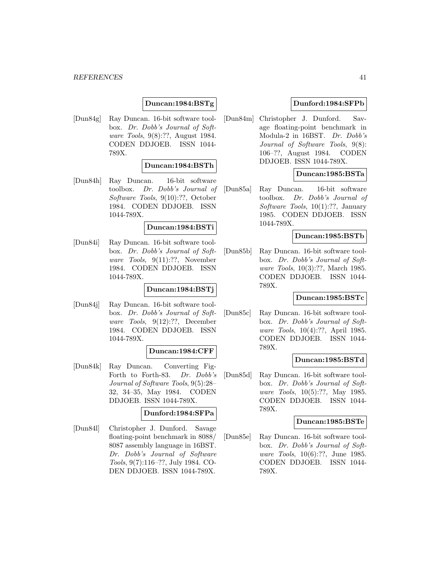# **Duncan:1984:BSTg**

[Dun84g] Ray Duncan. 16-bit software toolbox. Dr. Dobb's Journal of Software Tools, 9(8):??, August 1984. CODEN DDJOEB. ISSN 1044- 789X.

# **Duncan:1984:BSTh**

[Dun84h] Ray Duncan. 16-bit software toolbox. Dr. Dobb's Journal of Software Tools, 9(10):??, October 1984. CODEN DDJOEB. ISSN 1044-789X.

### **Duncan:1984:BSTi**

[Dun84i] Ray Duncan. 16-bit software toolbox. Dr. Dobb's Journal of Software Tools, 9(11):??, November 1984. CODEN DDJOEB. ISSN 1044-789X.

### **Duncan:1984:BSTj**

[Dun84j] Ray Duncan. 16-bit software toolbox. Dr. Dobb's Journal of Software Tools, 9(12):??, December 1984. CODEN DDJOEB. ISSN 1044-789X.

### **Duncan:1984:CFF**

[Dun84k] Ray Duncan. Converting Fig-Forth to Forth-83. Dr. Dobb's Journal of Software Tools, 9(5):28– 32, 34–35, May 1984. CODEN DDJOEB. ISSN 1044-789X.

# **Dunford:1984:SFPa**

[Dun84l] Christopher J. Dunford. Savage floating-point benchmark in 8088/ 8087 assembly language in 16BST. Dr. Dobb's Journal of Software Tools, 9(7):116–??, July 1984. CO-DEN DDJOEB. ISSN 1044-789X.

## **Dunford:1984:SFPb**

[Dun84m] Christopher J. Dunford. Savage floating-point benchmark in Modula-2 in 16BST. Dr. Dobb's Journal of Software Tools, 9(8): 106–??, August 1984. CODEN DDJOEB. ISSN 1044-789X.

# **Duncan:1985:BSTa**

[Dun85a] Ray Duncan. 16-bit software toolbox. Dr. Dobb's Journal of Software Tools, 10(1):??, January 1985. CODEN DDJOEB. ISSN 1044-789X.

### **Duncan:1985:BSTb**

[Dun85b] Ray Duncan. 16-bit software toolbox. Dr. Dobb's Journal of Software Tools, 10(3):??, March 1985. CODEN DDJOEB. ISSN 1044- 789X.

# **Duncan:1985:BSTc**

[Dun85c] Ray Duncan. 16-bit software toolbox. Dr. Dobb's Journal of Software Tools, 10(4):??, April 1985. CODEN DDJOEB. ISSN 1044- 789X.

### **Duncan:1985:BSTd**

[Dun85d] Ray Duncan. 16-bit software toolbox. Dr. Dobb's Journal of Software Tools, 10(5):??, May 1985. CODEN DDJOEB. ISSN 1044- 789X.

# **Duncan:1985:BSTe**

[Dun85e] Ray Duncan. 16-bit software toolbox. Dr. Dobb's Journal of Software Tools, 10(6):??, June 1985. CODEN DDJOEB. ISSN 1044- 789X.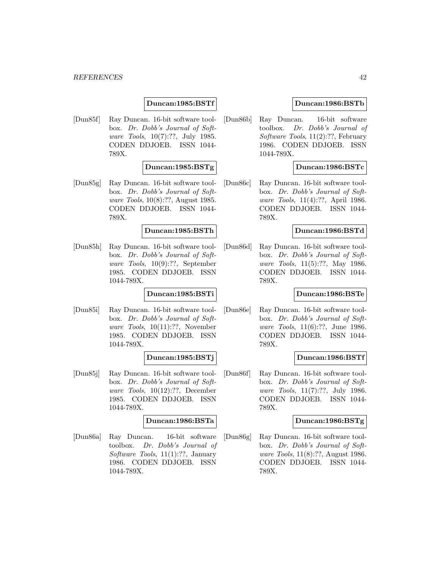# **Duncan:1985:BSTf**

[Dun85f] Ray Duncan. 16-bit software toolbox. Dr. Dobb's Journal of Software Tools, 10(7):??, July 1985. CODEN DDJOEB. ISSN 1044- 789X.

### **Duncan:1985:BSTg**

[Dun85g] Ray Duncan. 16-bit software toolbox. Dr. Dobb's Journal of Software Tools, 10(8):??, August 1985. CODEN DDJOEB. ISSN 1044- 789X.

### **Duncan:1985:BSTh**

[Dun85h] Ray Duncan. 16-bit software toolbox. Dr. Dobb's Journal of Software Tools, 10(9):??, September 1985. CODEN DDJOEB. ISSN 1044-789X.

### **Duncan:1985:BSTi**

[Dun85i] Ray Duncan. 16-bit software toolbox. Dr. Dobb's Journal of Software Tools, 10(11):??, November 1985. CODEN DDJOEB. ISSN 1044-789X.

### **Duncan:1985:BSTj**

[Dun85j] Ray Duncan. 16-bit software toolbox. Dr. Dobb's Journal of Software Tools, 10(12):??, December 1985. CODEN DDJOEB. ISSN 1044-789X.

### **Duncan:1986:BSTa**

[Dun86a] Ray Duncan. 16-bit software toolbox. Dr. Dobb's Journal of Software Tools, 11(1):??, January 1986. CODEN DDJOEB. ISSN 1044-789X.

## **Duncan:1986:BSTb**

[Dun86b] Ray Duncan. 16-bit software toolbox. Dr. Dobb's Journal of Software Tools, 11(2):??, February 1986. CODEN DDJOEB. ISSN 1044-789X.

# **Duncan:1986:BSTc**

[Dun86c] Ray Duncan. 16-bit software toolbox. Dr. Dobb's Journal of Software Tools, 11(4):??, April 1986. CODEN DDJOEB. ISSN 1044- 789X.

### **Duncan:1986:BSTd**

[Dun86d] Ray Duncan. 16-bit software toolbox. Dr. Dobb's Journal of Software Tools, 11(5):??, May 1986. CODEN DDJOEB. ISSN 1044- 789X.

# **Duncan:1986:BSTe**

[Dun86e] Ray Duncan. 16-bit software toolbox. Dr. Dobb's Journal of Software Tools, 11(6):??, June 1986. CODEN DDJOEB. ISSN 1044- 789X.

# **Duncan:1986:BSTf**

[Dun86f] Ray Duncan. 16-bit software toolbox. Dr. Dobb's Journal of Software Tools, 11(7):??, July 1986. CODEN DDJOEB. ISSN 1044- 789X.

# **Duncan:1986:BSTg**

[Dun86g] Ray Duncan. 16-bit software toolbox. Dr. Dobb's Journal of Software Tools, 11(8):??, August 1986. CODEN DDJOEB. ISSN 1044- 789X.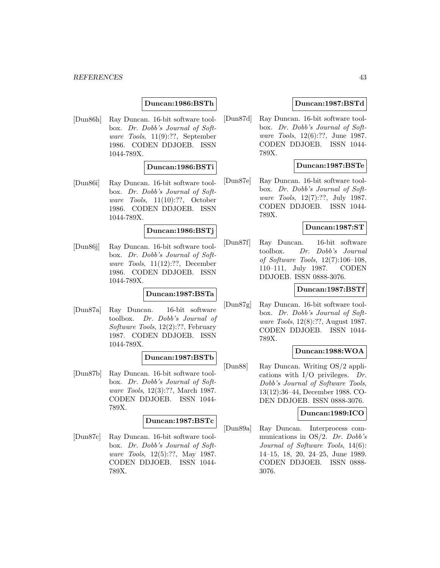## **Duncan:1986:BSTh**

[Dun86h] Ray Duncan. 16-bit software toolbox. Dr. Dobb's Journal of Software Tools, 11(9):??, September 1986. CODEN DDJOEB. ISSN 1044-789X.

### **Duncan:1986:BSTi**

[Dun86i] Ray Duncan. 16-bit software toolbox. Dr. Dobb's Journal of Software Tools, 11(10):??, October 1986. CODEN DDJOEB. ISSN 1044-789X.

#### **Duncan:1986:BSTj**

[Dun86j] Ray Duncan. 16-bit software toolbox. Dr. Dobb's Journal of Software Tools, 11(12):??, December 1986. CODEN DDJOEB. ISSN 1044-789X.

### **Duncan:1987:BSTa**

[Dun87a] Ray Duncan. 16-bit software toolbox. Dr. Dobb's Journal of Software Tools, 12(2):??, February 1987. CODEN DDJOEB. ISSN 1044-789X.

### **Duncan:1987:BSTb**

[Dun87b] Ray Duncan. 16-bit software toolbox. Dr. Dobb's Journal of Software Tools, 12(3):??, March 1987. CODEN DDJOEB. ISSN 1044- 789X.

### **Duncan:1987:BSTc**

[Dun87c] Ray Duncan. 16-bit software toolbox. Dr. Dobb's Journal of Software Tools, 12(5):??, May 1987. CODEN DDJOEB. ISSN 1044- 789X.

### **Duncan:1987:BSTd**

[Dun87d] Ray Duncan. 16-bit software toolbox. Dr. Dobb's Journal of Software Tools, 12(6):??, June 1987. CODEN DDJOEB. ISSN 1044- 789X.

# **Duncan:1987:BSTe**

[Dun87e] Ray Duncan. 16-bit software toolbox. Dr. Dobb's Journal of Software Tools, 12(7):??, July 1987. CODEN DDJOEB. ISSN 1044- 789X.

## **Duncan:1987:ST**

[Dun87f] Ray Duncan. 16-bit software toolbox. Dr. Dobb's Journal of Software Tools, 12(7):106–108, 110–111, July 1987. CODEN DDJOEB. ISSN 0888-3076.

### **Duncan:1987:BSTf**

[Dun87g] Ray Duncan. 16-bit software toolbox. Dr. Dobb's Journal of Software Tools, 12(8):??, August 1987. CODEN DDJOEB. ISSN 1044- 789X.

### **Duncan:1988:WOA**

[Dun88] Ray Duncan. Writing OS/2 applications with  $I/O$  privileges. Dr. Dobb's Journal of Software Tools, 13(12):36–44, December 1988. CO-DEN DDJOEB. ISSN 0888-3076.

### **Duncan:1989:ICO**

[Dun89a] Ray Duncan. Interprocess communications in OS/2. Dr. Dobb's Journal of Software Tools, 14(6): 14–15, 18, 20, 24–25, June 1989. CODEN DDJOEB. ISSN 0888- 3076.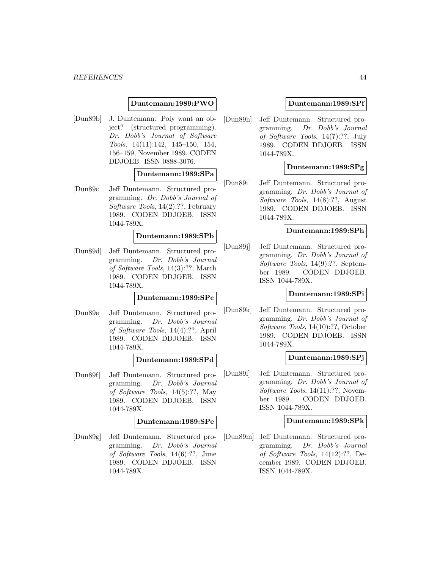# **Duntemann:1989:PWO**

[Dun89b] J. Duntemann. Poly want an object? (structured programming). Dr. Dobb's Journal of Software Tools, 14(11):142, 145–150, 154, 156–159, November 1989. CODEN DDJOEB. ISSN 0888-3076.

## **Duntemann:1989:SPa**

[Dun89c] Jeff Duntemann. Structured programming. Dr. Dobb's Journal of Software Tools, 14(2):??, February 1989. CODEN DDJOEB. ISSN 1044-789X.

### **Duntemann:1989:SPb**

[Dun89d] Jeff Duntemann. Structured programming. Dr. Dobb's Journal of Software Tools, 14(3):??, March 1989. CODEN DDJOEB. ISSN 1044-789X.

# **Duntemann:1989:SPc**

[Dun89e] Jeff Duntemann. Structured programming. Dr. Dobb's Journal of Software Tools, 14(4):??, April 1989. CODEN DDJOEB. ISSN 1044-789X.

### **Duntemann:1989:SPd**

[Dun89f] Jeff Duntemann. Structured programming. Dr. Dobb's Journal of Software Tools, 14(5):??, May 1989. CODEN DDJOEB. ISSN 1044-789X.

### **Duntemann:1989:SPe**

[Dun89g] Jeff Duntemann. Structured programming. Dr. Dobb's Journal of Software Tools, 14(6):??, June 1989. CODEN DDJOEB. ISSN 1044-789X.

## **Duntemann:1989:SPf**

[Dun89h] Jeff Duntemann. Structured programming. Dr. Dobb's Journal of Software Tools, 14(7):??, July 1989. CODEN DDJOEB. ISSN 1044-789X.

# **Duntemann:1989:SPg**

[Dun89i] Jeff Duntemann. Structured programming. Dr. Dobb's Journal of Software Tools, 14(8):??, August 1989. CODEN DDJOEB. ISSN 1044-789X.

### **Duntemann:1989:SPh**

[Dun89j] Jeff Duntemann. Structured programming. Dr. Dobb's Journal of Software Tools, 14(9):??, September 1989. CODEN DDJOEB. ISSN 1044-789X.

### **Duntemann:1989:SPi**

[Dun89k] Jeff Duntemann. Structured programming. Dr. Dobb's Journal of Software Tools, 14(10):??, October 1989. CODEN DDJOEB. ISSN 1044-789X.

### **Duntemann:1989:SPj**

[Dun89l] Jeff Duntemann. Structured programming. Dr. Dobb's Journal of Software Tools, 14(11):??, November 1989. CODEN DDJOEB. ISSN 1044-789X.

### **Duntemann:1989:SPk**

[Dun89m] Jeff Duntemann. Structured programming. Dr. Dobb's Journal of Software Tools, 14(12):??, December 1989. CODEN DDJOEB. ISSN 1044-789X.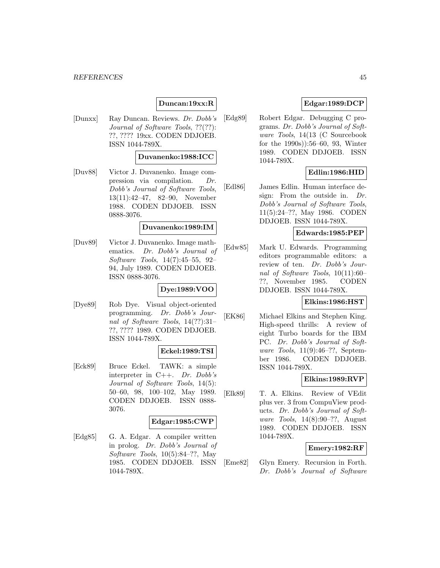# **Duncan:19xx:R**

[Dunxx] Ray Duncan. Reviews. Dr. Dobb's Journal of Software Tools, ??(??): ??, ???? 19xx. CODEN DDJOEB. ISSN 1044-789X.

### **Duvanenko:1988:ICC**

[Duv88] Victor J. Duvanenko. Image compression via compilation. Dr. Dobb's Journal of Software Tools, 13(11):42–47, 82–90, November 1988. CODEN DDJOEB. ISSN 0888-3076.

## **Duvanenko:1989:IM**

[Duv89] Victor J. Duvanenko. Image mathematics. Dr. Dobb's Journal of Software Tools, 14(7):45–55, 92– 94, July 1989. CODEN DDJOEB. ISSN 0888-3076.

### **Dye:1989:VOO**

[Dye89] Rob Dye. Visual object-oriented programming. Dr. Dobb's Journal of Software Tools, 14(??):31– ??, ???? 1989. CODEN DDJOEB. ISSN 1044-789X.

### **Eckel:1989:TSI**

[Eck89] Bruce Eckel. TAWK: a simple interpreter in C++. Dr. Dobb's Journal of Software Tools, 14(5): 50–60, 98, 100–102, May 1989. CODEN DDJOEB. ISSN 0888- 3076.

### **Edgar:1985:CWP**

[Edg85] G. A. Edgar. A compiler written in prolog. Dr. Dobb's Journal of Software Tools, 10(5):84–??, May 1985. CODEN DDJOEB. ISSN 1044-789X.

# **Edgar:1989:DCP**

[Edg89] Robert Edgar. Debugging C programs. Dr. Dobb's Journal of Software Tools, 14(13 (C Sourcebook for the 1990s)):56–60, 93, Winter 1989. CODEN DDJOEB. ISSN 1044-789X.

# **Edlin:1986:HID**

[Edl86] James Edlin. Human interface design: From the outside in. Dr. Dobb's Journal of Software Tools, 11(5):24–??, May 1986. CODEN DDJOEB. ISSN 1044-789X.

### **Edwards:1985:PEP**

[Edw85] Mark U. Edwards. Programming editors programmable editors: a review of ten. Dr. Dobb's Journal of Software Tools, 10(11):60– ??, November 1985. CODEN DDJOEB. ISSN 1044-789X.

## **Elkins:1986:HST**

[EK86] Michael Elkins and Stephen King. High-speed thrills: A review of eight Turbo boards for the IBM PC. Dr. Dobb's Journal of Software Tools, 11(9):46–??, September 1986. CODEN DDJOEB. ISSN 1044-789X.

## **Elkins:1989:RVP**

[Elk89] T. A. Elkins. Review of VEdit plus ver. 3 from CompuView products. Dr. Dobb's Journal of Software Tools, 14(8):90–??, August 1989. CODEN DDJOEB. ISSN 1044-789X.

### **Emery:1982:RF**

[Eme82] Glyn Emery. Recursion in Forth. Dr. Dobb's Journal of Software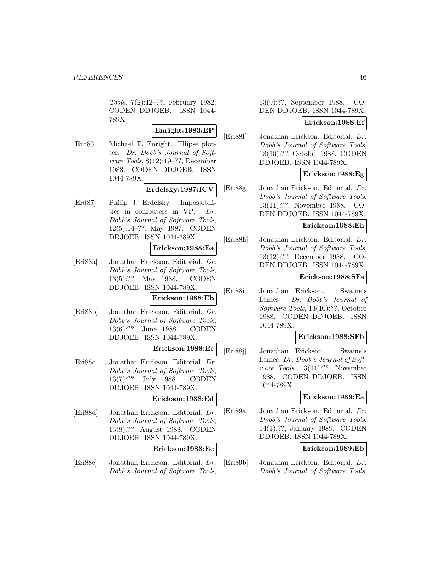Tools, 7(2):12–??, February 1982. CODEN DDJOEB. ISSN 1044- 789X.

# **Enright:1983:EP**

[Enr83] Michael T. Enright. Ellipse plotter. Dr. Dobb's Journal of Software Tools, 8(12):19–??, December 1983. CODEN DDJOEB. ISSN 1044-789X.

**Erdelsky:1987:ICV**

[Erd87] Philip J. Erdelsky. Impossibilities in computers in VP. Dr. Dobb's Journal of Software Tools, 12(5):14–??, May 1987. CODEN DDJOEB. ISSN 1044-789X.

# **Erickson:1988:Ea**

[Eri88a] Jonathan Erickson. Editorial. Dr. Dobb's Journal of Software Tools, 13(5):??, May 1988. CODEN DDJOEB. ISSN 1044-789X.

### **Erickson:1988:Eb**

[Eri88b] Jonathan Erickson. Editorial. Dr. Dobb's Journal of Software Tools, 13(6):??, June 1988. CODEN DDJOEB. ISSN 1044-789X.

### **Erickson:1988:Ec**

[Eri88c] Jonathan Erickson. Editorial. Dr. Dobb's Journal of Software Tools, 13(7):??, July 1988. CODEN DDJOEB. ISSN 1044-789X.

# **Erickson:1988:Ed**

[Eri88d] Jonathan Erickson. Editorial. Dr. Dobb's Journal of Software Tools, 13(8):??, August 1988. CODEN DDJOEB. ISSN 1044-789X.

### **Erickson:1988:Ee**

[Eri88e] Jonathan Erickson. Editorial. Dr. Dobb's Journal of Software Tools,

13(9):??, September 1988. CO-DEN DDJOEB. ISSN 1044-789X.

### **Erickson:1988:Ef**

[Eri88f] Jonathan Erickson. Editorial. Dr. Dobb's Journal of Software Tools, 13(10):??, October 1988. CODEN DDJOEB. ISSN 1044-789X.

# **Erickson:1988:Eg**

[Eri88g] Jonathan Erickson. Editorial. Dr. Dobb's Journal of Software Tools, 13(11):??, November 1988. CO-DEN DDJOEB. ISSN 1044-789X.

# **Erickson:1988:Eh**

[Eri88h] Jonathan Erickson. Editorial. Dr. Dobb's Journal of Software Tools, 13(12):??, December 1988. CO-DEN DDJOEB. ISSN 1044-789X.

## **Erickson:1988:SFa**

[Eri88i] Jonathan Erickson. Swaine's flames. Dr. Dobb's Journal of Software Tools, 13(10):??, October 1988. CODEN DDJOEB. ISSN 1044-789X.

### **Erickson:1988:SFb**

[Eri88j] Jonathan Erickson. Swaine's flames. Dr. Dobb's Journal of Software Tools, 13(11):??, November 1988. CODEN DDJOEB. ISSN 1044-789X.

### **Erickson:1989:Ea**

[Eri89a] Jonathan Erickson. Editorial. Dr. Dobb's Journal of Software Tools, 14(1):??, January 1989. CODEN DDJOEB. ISSN 1044-789X.

### **Erickson:1989:Eb**

[Eri89b] Jonathan Erickson. Editorial. Dr. Dobb's Journal of Software Tools,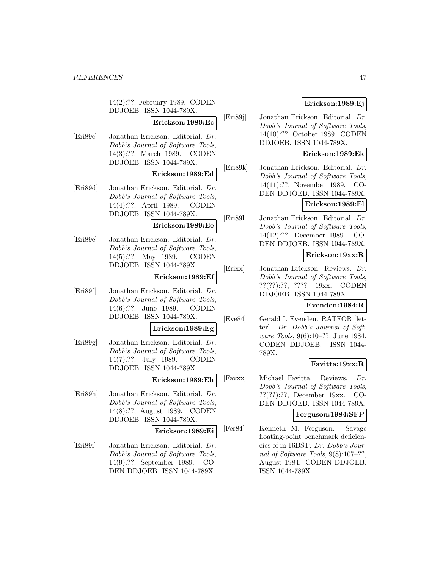14(2):??, February 1989. CODEN DDJOEB. ISSN 1044-789X.

**Erickson:1989:Ec**

[Eri89c] Jonathan Erickson. Editorial. Dr. Dobb's Journal of Software Tools, 14(3):??, March 1989. CODEN DDJOEB. ISSN 1044-789X.

### **Erickson:1989:Ed**

[Eri89d] Jonathan Erickson. Editorial. Dr. Dobb's Journal of Software Tools, 14(4):??, April 1989. CODEN DDJOEB. ISSN 1044-789X.

### **Erickson:1989:Ee**

[Eri89e] Jonathan Erickson. Editorial. Dr. Dobb's Journal of Software Tools, 14(5):??, May 1989. CODEN DDJOEB. ISSN 1044-789X.

# **Erickson:1989:Ef**

[Eri89f] Jonathan Erickson. Editorial. Dr. Dobb's Journal of Software Tools, 14(6):??, June 1989. CODEN DDJOEB. ISSN 1044-789X.

# **Erickson:1989:Eg**

[Eri89g] Jonathan Erickson. Editorial. Dr. Dobb's Journal of Software Tools, 14(7):??, July 1989. CODEN DDJOEB. ISSN 1044-789X.

### **Erickson:1989:Eh**

[Eri89h] Jonathan Erickson. Editorial. Dr. Dobb's Journal of Software Tools, 14(8):??, August 1989. CODEN DDJOEB. ISSN 1044-789X.

# **Erickson:1989:Ei**

[Eri89i] Jonathan Erickson. Editorial. Dr. Dobb's Journal of Software Tools, 14(9):??, September 1989. CO-DEN DDJOEB. ISSN 1044-789X.

# **Erickson:1989:Ej**

[Eri89j] Jonathan Erickson. Editorial. Dr. Dobb's Journal of Software Tools, 14(10):??, October 1989. CODEN DDJOEB. ISSN 1044-789X.

# **Erickson:1989:Ek**

[Eri89k] Jonathan Erickson. Editorial. Dr. Dobb's Journal of Software Tools, 14(11):??, November 1989. CO-DEN DDJOEB. ISSN 1044-789X.

# **Erickson:1989:El**

[Eri89l] Jonathan Erickson. Editorial. Dr. Dobb's Journal of Software Tools, 14(12):??, December 1989. CO-DEN DDJOEB. ISSN 1044-789X.

# **Erickson:19xx:R**

[Erixx] Jonathan Erickson. Reviews. Dr. Dobb's Journal of Software Tools, ??(??):??, ???? 19xx. CODEN DDJOEB. ISSN 1044-789X.

# **Evenden:1984:R**

[Eve84] Gerald I. Evenden. RATFOR [letter]. Dr. Dobb's Journal of Software Tools, 9(6):10–??, June 1984. CODEN DDJOEB. ISSN 1044- 789X.

### **Favitta:19xx:R**

[Favxx] Michael Favitta. Reviews. Dr. Dobb's Journal of Software Tools, ??(??):??, December 19xx. CO-DEN DDJOEB. ISSN 1044-789X.

# **Ferguson:1984:SFP**

[Fer84] Kenneth M. Ferguson. Savage floating-point benchmark deficiencies of in 16BST. Dr. Dobb's Journal of Software Tools, 9(8):107–??, August 1984. CODEN DDJOEB. ISSN 1044-789X.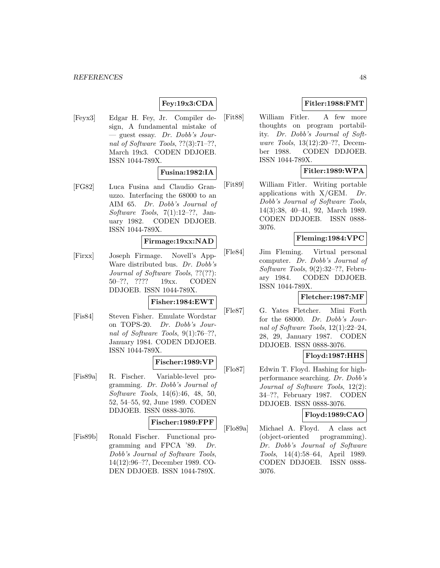# **Fey:19x3:CDA**

[Feyx3] Edgar H. Fey, Jr. Compiler design, A fundamental mistake of — guest essay. Dr. Dobb's Journal of Software Tools, ??(3):71–??, March 19x3. CODEN DDJOEB. ISSN 1044-789X.

### **Fusina:1982:IA**

[FG82] Luca Fusina and Claudio Granuzzo. Interfacing the 68000 to an AIM 65. Dr. Dobb's Journal of Software Tools,  $7(1):12-??$ , January 1982. CODEN DDJOEB. ISSN 1044-789X.

### **Firmage:19xx:NAD**

[Firxx] Joseph Firmage. Novell's App-Ware distributed bus. Dr. Dobb's Journal of Software Tools, ??(??): 50–??, ???? 19xx. CODEN DDJOEB. ISSN 1044-789X.

# **Fisher:1984:EWT**

[Fis84] Steven Fisher. Emulate Wordstar on TOPS-20. Dr. Dobb's Journal of Software Tools, 9(1):76–??, January 1984. CODEN DDJOEB. ISSN 1044-789X.

# **Fischer:1989:VP**

[Fis89a] R. Fischer. Variable-level programming. Dr. Dobb's Journal of Software Tools, 14(6):46, 48, 50, 52, 54–55, 92, June 1989. CODEN DDJOEB. ISSN 0888-3076.

# **Fischer:1989:FPF**

[Fis89b] Ronald Fischer. Functional programming and FPCA '89. Dr. Dobb's Journal of Software Tools, 14(12):96–??, December 1989. CO-DEN DDJOEB. ISSN 1044-789X.

# **Fitler:1988:FMT**

[Fit88] William Fitler. A few more thoughts on program portability. Dr. Dobb's Journal of Software Tools, 13(12):20–??, December 1988. CODEN DDJOEB. ISSN 1044-789X.

# **Fitler:1989:WPA**

[Fit89] William Fitler. Writing portable applications with  $X/GEM$ . Dr. Dobb's Journal of Software Tools, 14(3):38, 40–41, 92, March 1989. CODEN DDJOEB. ISSN 0888- 3076.

# **Fleming:1984:VPC**

[Fle84] Jim Fleming. Virtual personal computer. Dr. Dobb's Journal of Software Tools, 9(2):32–??, February 1984. CODEN DDJOEB. ISSN 1044-789X.

# **Fletcher:1987:MF**

[Fle87] G. Yates Fletcher. Mini Forth for the 68000. Dr. Dobb's Journal of Software Tools, 12(1):22–24, 28, 29, January 1987. CODEN DDJOEB. ISSN 0888-3076.

# **Floyd:1987:HHS**

[Flo87] Edwin T. Floyd. Hashing for highperformance searching. Dr. Dobb's Journal of Software Tools, 12(2): 34–??, February 1987. CODEN DDJOEB. ISSN 0888-3076.

# **Floyd:1989:CAO**

[Flo89a] Michael A. Floyd. A class act (object-oriented programming). Dr. Dobb's Journal of Software Tools, 14(4):58–64, April 1989. CODEN DDJOEB. ISSN 0888- 3076.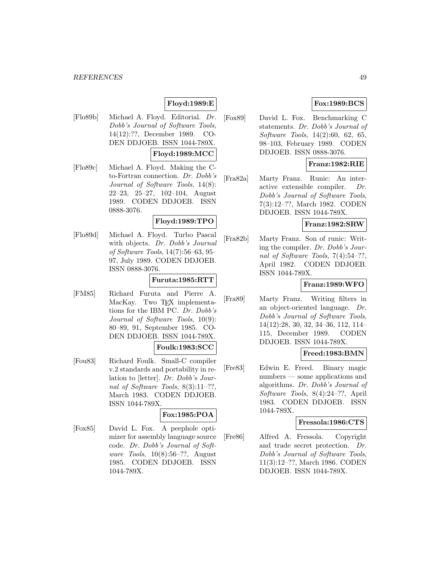# **Floyd:1989:E**

- [Flo89b] Michael A. Floyd. Editorial. Dr. Dobb's Journal of Software Tools, 14(12):??, December 1989. CO-DEN DDJOEB. ISSN 1044-789X. **Floyd:1989:MCC**
- [Flo89c] Michael A. Floyd. Making the Cto-Fortran connection. Dr. Dobb's Journal of Software Tools, 14(8): 22–23, 25–27, 102–104, August 1989. CODEN DDJOEB. ISSN 0888-3076.

# **Floyd:1989:TPO**

[Flo89d] Michael A. Floyd. Turbo Pascal with objects. Dr. Dobb's Journal of Software Tools, 14(7):56–63, 95– 97, July 1989. CODEN DDJOEB. ISSN 0888-3076.

# **Furuta:1985:RTT**

[FM85] Richard Furuta and Pierre A. MacKay. Two T<sub>E</sub>X implementations for the IBM PC. Dr. Dobb's Journal of Software Tools, 10(9): 80–89, 91, September 1985. CO-DEN DDJOEB. ISSN 1044-789X.

# **Foulk:1983:SCC**

[Fou83] Richard Foulk. Small-C compiler v.2 standards and portability in relation to [letter]. Dr. Dobb's Journal of Software Tools, 8(3):11–??, March 1983. CODEN DDJOEB. ISSN 1044-789X.

# **Fox:1985:POA**

[Fox85] David L. Fox. A peephole optimizer for assembly language source code. Dr. Dobb's Journal of Software Tools, 10(8):56–??, August 1985. CODEN DDJOEB. ISSN 1044-789X.

# **Fox:1989:BCS**

[Fox89] David L. Fox. Benchmarking C statements. Dr. Dobb's Journal of Software Tools, 14(2):60, 62, 65, 98–103, February 1989. CODEN DDJOEB. ISSN 0888-3076.

# **Franz:1982:RIE**

[Fra82a] Marty Franz. Runic: An interactive extensible compiler. Dr. Dobb's Journal of Software Tools, 7(3):12–??, March 1982. CODEN DDJOEB. ISSN 1044-789X.

# **Franz:1982:SRW**

[Fra82b] Marty Franz. Son of runic: Writing the compiler. Dr. Dobb's Journal of Software Tools, 7(4):54–??, April 1982. CODEN DDJOEB. ISSN 1044-789X.

# **Franz:1989:WFO**

[Fra89] Marty Franz. Writing filters in an object-oriented language. Dr. Dobb's Journal of Software Tools, 14(12):28, 30, 32, 34–36, 112, 114– 115, December 1989. CODEN DDJOEB. ISSN 1044-789X.

### **Freed:1983:BMN**

[Fre83] Edwin E. Freed. Binary magic numbers — some applications and algorithms. Dr. Dobb's Journal of Software Tools, 8(4):24–??, April 1983. CODEN DDJOEB. ISSN 1044-789X.

# **Fressola:1986:CTS**

[Fre86] Alfred A. Fressola. Copyright and trade secret protection. Dr. Dobb's Journal of Software Tools, 11(3):12–??, March 1986. CODEN DDJOEB. ISSN 1044-789X.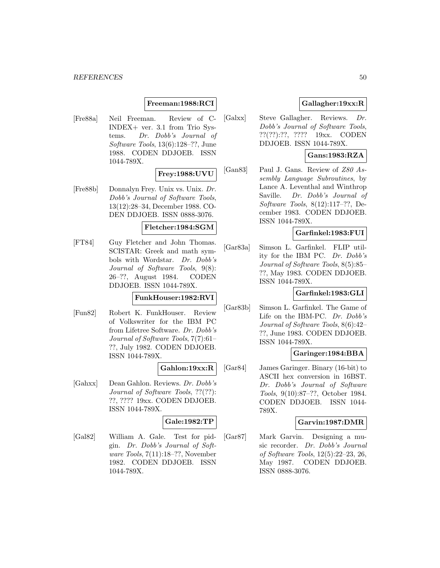# **Freeman:1988:RCI**

[Fre88a] Neil Freeman. Review of C-INDEX+ ver. 3.1 from Trio Systems. Dr. Dobb's Journal of Software Tools, 13(6):128–??, June 1988. CODEN DDJOEB. ISSN 1044-789X.

## **Frey:1988:UVU**

[Fre88b] Donnalyn Frey. Unix vs. Unix. Dr. Dobb's Journal of Software Tools, 13(12):28–34, December 1988. CO-DEN DDJOEB. ISSN 0888-3076.

### **Fletcher:1984:SGM**

[FT84] Guy Fletcher and John Thomas. SCISTAR: Greek and math symbols with Wordstar. Dr. Dobb's Journal of Software Tools, 9(8): 26–??, August 1984. CODEN DDJOEB. ISSN 1044-789X.

# **FunkHouser:1982:RVI**

[Fun82] Robert K. FunkHouser. Review of Volkswriter for the IBM PC from Lifetree Software. Dr. Dobb's Journal of Software Tools, 7(7):61– ??, July 1982. CODEN DDJOEB. ISSN 1044-789X.

### **Gahlon:19xx:R**

[Gahxx] Dean Gahlon. Reviews. Dr. Dobb's Journal of Software Tools, ??(??): ??, ???? 19xx. CODEN DDJOEB. ISSN 1044-789X.

### **Gale:1982:TP**

[Gal82] William A. Gale. Test for pidgin. Dr. Dobb's Journal of Software Tools, 7(11):18–??, November 1982. CODEN DDJOEB. ISSN 1044-789X.

# **Gallagher:19xx:R**

[Galxx] Steve Gallagher. Reviews. Dr. Dobb's Journal of Software Tools, ??(??):??, ???? 19xx. CODEN DDJOEB. ISSN 1044-789X.

# **Gans:1983:RZA**

[Gan83] Paul J. Gans. Review of Z80 Assembly Language Subroutines, by Lance A. Leventhal and Winthrop Saville. Dr. Dobb's Journal of Software Tools, 8(12):117–??, December 1983. CODEN DDJOEB. ISSN 1044-789X.

## **Garfinkel:1983:FUI**

[Gar83a] Simson L. Garfinkel. FLIP utility for the IBM PC. Dr. Dobb's Journal of Software Tools, 8(5):85– ??, May 1983. CODEN DDJOEB. ISSN 1044-789X.

### **Garfinkel:1983:GLI**

[Gar83b] Simson L. Garfinkel. The Game of Life on the IBM-PC. Dr. Dobb's Journal of Software Tools, 8(6):42– ??, June 1983. CODEN DDJOEB. ISSN 1044-789X.

# **Garinger:1984:BBA**

[Gar84] James Garinger. Binary (16-bit) to ASCII hex conversion in 16BST. Dr. Dobb's Journal of Software Tools, 9(10):87–??, October 1984. CODEN DDJOEB. ISSN 1044- 789X.

## **Garvin:1987:DMR**

[Gar87] Mark Garvin. Designing a music recorder. Dr. Dobb's Journal of Software Tools, 12(5):22–23, 26, May 1987. CODEN DDJOEB. ISSN 0888-3076.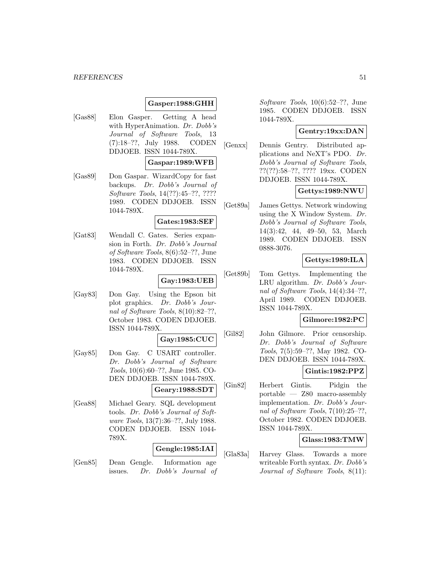## **Gasper:1988:GHH**

[Gas88] Elon Gasper. Getting A head with HyperAnimation. Dr. Dobb's Journal of Software Tools, 13 (7):18–??, July 1988. CODEN DDJOEB. ISSN 1044-789X.

# **Gaspar:1989:WFB**

[Gas89] Don Gaspar. WizardCopy for fast backups. Dr. Dobb's Journal of Software Tools, 14(??):45–??, ???? 1989. CODEN DDJOEB. ISSN 1044-789X.

#### **Gates:1983:SEF**

[Gat83] Wendall C. Gates. Series expansion in Forth. Dr. Dobb's Journal of Software Tools, 8(6):52–??, June 1983. CODEN DDJOEB. ISSN 1044-789X.

# **Gay:1983:UEB**

[Gay83] Don Gay. Using the Epson bit plot graphics. Dr. Dobb's Journal of Software Tools, 8(10):82–??, October 1983. CODEN DDJOEB. ISSN 1044-789X.

# **Gay:1985:CUC**

- [Gay85] Don Gay. C USART controller. Dr. Dobb's Journal of Software Tools, 10(6):60–??, June 1985. CO-DEN DDJOEB. ISSN 1044-789X. **Geary:1988:SDT**
- [Gea88] Michael Geary. SQL development tools. Dr. Dobb's Journal of Software Tools, 13(7):36–??, July 1988. CODEN DDJOEB. ISSN 1044- 789X.

### **Gengle:1985:IAI**

[Gen85] Dean Gengle. Information age issues. Dr. Dobb's Journal of Software Tools, 10(6):52–??, June 1985. CODEN DDJOEB. ISSN 1044-789X.

# **Gentry:19xx:DAN**

[Genxx] Dennis Gentry. Distributed applications and NeXT's PDO. Dr. Dobb's Journal of Software Tools, ??(??):58–??, ???? 19xx. CODEN DDJOEB. ISSN 1044-789X.

# **Gettys:1989:NWU**

[Get89a] James Gettys. Network windowing using the X Window System. Dr. Dobb's Journal of Software Tools, 14(3):42, 44, 49–50, 53, March 1989. CODEN DDJOEB. ISSN 0888-3076.

# **Gettys:1989:ILA**

[Get89b] Tom Gettys. Implementing the LRU algorithm. Dr. Dobb's Journal of Software Tools, 14(4):34–??, April 1989. CODEN DDJOEB. ISSN 1044-789X.

# **Gilmore:1982:PC**

[Gil82] John Gilmore. Prior censorship. Dr. Dobb's Journal of Software Tools, 7(5):59–??, May 1982. CO-DEN DDJOEB. ISSN 1044-789X.

### **Gintis:1982:PPZ**

[Gin82] Herbert Gintis. Pidgin the portable — Z80 macro-assembly implementation. Dr. Dobb's Journal of Software Tools, 7(10):25–??, October 1982. CODEN DDJOEB. ISSN 1044-789X.

### **Glass:1983:TMW**

[Gla83a] Harvey Glass. Towards a more writeable Forth syntax. Dr. Dobb's Journal of Software Tools, 8(11):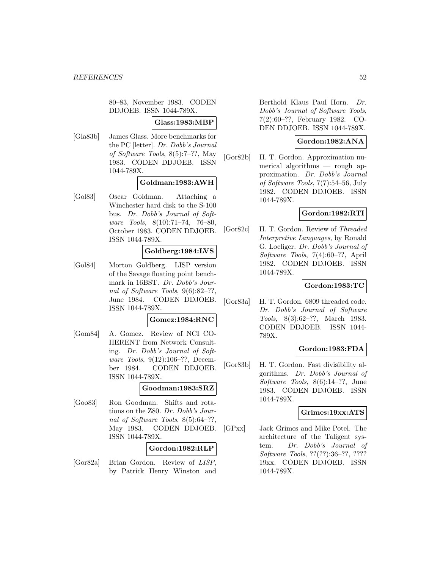80–83, November 1983. CODEN DDJOEB. ISSN 1044-789X.

# **Glass:1983:MBP**

[Gla83b] James Glass. More benchmarks for the PC [letter]. Dr. Dobb's Journal of Software Tools, 8(5):7–??, May 1983. CODEN DDJOEB. ISSN 1044-789X.

### **Goldman:1983:AWH**

[Gol83] Oscar Goldman. Attaching a Winchester hard disk to the S-100 bus. Dr. Dobb's Journal of Software Tools, 8(10):71–74, 76–80, October 1983. CODEN DDJOEB. ISSN 1044-789X.

# **Goldberg:1984:LVS**

[Gol84] Morton Goldberg. LISP version of the Savage floating point benchmark in 16BST. Dr. Dobb's Journal of Software Tools, 9(6):82–??, June 1984. CODEN DDJOEB. ISSN 1044-789X.

## **Gomez:1984:RNC**

[Gom84] A. Gomez. Review of NCI CO-HERENT from Network Consulting. Dr. Dobb's Journal of Software Tools, 9(12):106–??, December 1984. CODEN DDJOEB. ISSN 1044-789X.

### **Goodman:1983:SRZ**

[Goo83] Ron Goodman. Shifts and rotations on the Z80. Dr. Dobb's Journal of Software Tools, 8(5):64–??, May 1983. CODEN DDJOEB. ISSN 1044-789X.

### **Gordon:1982:RLP**

[Gor82a] Brian Gordon. Review of LISP, by Patrick Henry Winston and Berthold Klaus Paul Horn. Dr. Dobb's Journal of Software Tools, 7(2):60–??, February 1982. CO-DEN DDJOEB. ISSN 1044-789X.

# **Gordon:1982:ANA**

[Gor82b] H. T. Gordon. Approximation numerical algorithms — rough approximation. Dr. Dobb's Journal of Software Tools, 7(7):54–56, July 1982. CODEN DDJOEB. ISSN 1044-789X.

# **Gordon:1982:RTI**

[Gor82c] H. T. Gordon. Review of Threaded Interpretive Languages, by Ronald G. Loeliger. Dr. Dobb's Journal of Software Tools, 7(4):60–??, April 1982. CODEN DDJOEB. ISSN 1044-789X.

### **Gordon:1983:TC**

[Gor83a] H. T. Gordon. 6809 threaded code. Dr. Dobb's Journal of Software Tools, 8(3):62–??, March 1983. CODEN DDJOEB. ISSN 1044- 789X.

# **Gordon:1983:FDA**

[Gor83b] H. T. Gordon. Fast divisibility algorithms. Dr. Dobb's Journal of Software Tools, 8(6):14–??, June 1983. CODEN DDJOEB. ISSN 1044-789X.

# **Grimes:19xx:ATS**

[GPxx] Jack Grimes and Mike Potel. The architecture of the Taligent system. Dr. Dobb's Journal of Software Tools, ??(??):36–??, ???? 19xx. CODEN DDJOEB. ISSN 1044-789X.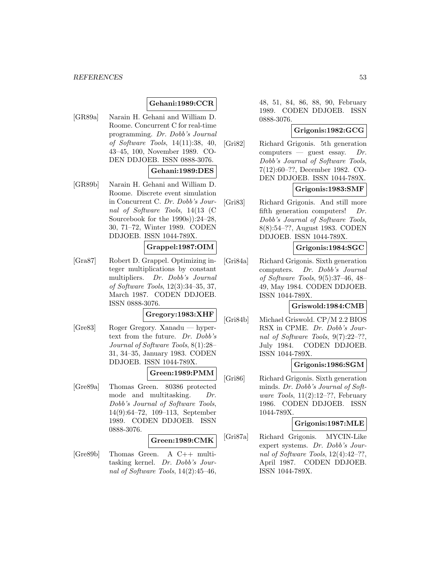# **Gehani:1989:CCR**

[GR89a] Narain H. Gehani and William D. Roome. Concurrent C for real-time programming. Dr. Dobb's Journal of Software Tools, 14(11):38, 40, 43–45, 100, November 1989. CO-DEN DDJOEB. ISSN 0888-3076.

## **Gehani:1989:DES**

[GR89b] Narain H. Gehani and William D. Roome. Discrete event simulation in Concurrent C. Dr. Dobb's Journal of Software Tools, 14(13 (C Sourcebook for the 1990s)):24–28, 30, 71–72, Winter 1989. CODEN DDJOEB. ISSN 1044-789X.

# **Grappel:1987:OIM**

[Gra87] Robert D. Grappel. Optimizing integer multiplications by constant multipliers. Dr. Dobb's Journal of Software Tools, 12(3):34–35, 37, March 1987. CODEN DDJOEB. ISSN 0888-3076.

### **Gregory:1983:XHF**

[Gre83] Roger Gregory. Xanadu — hypertext from the future. Dr. Dobb's Journal of Software Tools, 8(1):28– 31, 34–35, January 1983. CODEN DDJOEB. ISSN 1044-789X.

# **Green:1989:PMM**

[Gre89a] Thomas Green. 80386 protected mode and multitasking. Dr. Dobb's Journal of Software Tools, 14(9):64–72, 109–113, September 1989. CODEN DDJOEB. ISSN 0888-3076.

### **Green:1989:CMK**

[Gre89b] Thomas Green. A C++ multitasking kernel. Dr. Dobb's Journal of Software Tools, 14(2):45–46,

48, 51, 84, 86, 88, 90, February 1989. CODEN DDJOEB. ISSN 0888-3076.

# **Grigonis:1982:GCG**

[Gri82] Richard Grigonis. 5th generation  $computers$  — guest essay. Dr. Dobb's Journal of Software Tools, 7(12):60–??, December 1982. CO-DEN DDJOEB. ISSN 1044-789X.

# **Grigonis:1983:SMF**

[Gri83] Richard Grigonis. And still more fifth generation computers!  $Dr.$ Dobb's Journal of Software Tools, 8(8):54–??, August 1983. CODEN DDJOEB. ISSN 1044-789X.

# **Grigonis:1984:SGC**

[Gri84a] Richard Grigonis. Sixth generation computers. Dr. Dobb's Journal of Software Tools, 9(5):37–46, 48– 49, May 1984. CODEN DDJOEB. ISSN 1044-789X.

# **Griswold:1984:CMB**

[Gri84b] Michael Griswold. CP/M 2.2 BIOS RSX in CPME. Dr. Dobb's Journal of Software Tools, 9(7):22–??, July 1984. CODEN DDJOEB. ISSN 1044-789X.

### **Grigonis:1986:SGM**

[Gri86] Richard Grigonis. Sixth generation minds. Dr. Dobb's Journal of Soft*ware Tools*,  $11(2):12-??$ , February 1986. CODEN DDJOEB. ISSN 1044-789X.

### **Grigonis:1987:MLE**

[Gri87a] Richard Grigonis. MYCIN-Like expert systems. Dr. Dobb's Journal of Software Tools, 12(4):42–??, April 1987. CODEN DDJOEB. ISSN 1044-789X.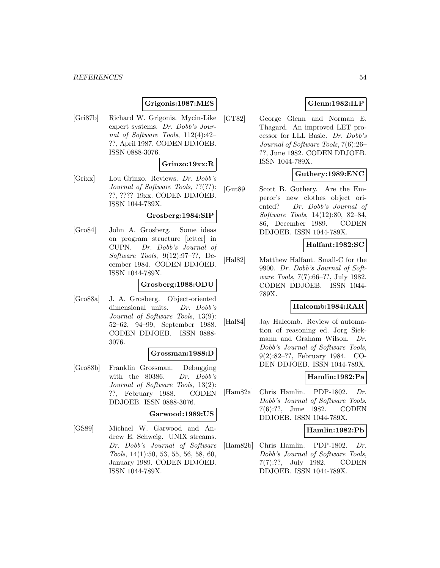# **Grigonis:1987:MES**

[Gri87b] Richard W. Grigonis. Mycin-Like expert systems. Dr. Dobb's Journal of Software Tools, 112(4):42– ??, April 1987. CODEN DDJOEB. ISSN 0888-3076.

### **Grinzo:19xx:R**

[Grixx] Lou Grinzo. Reviews. Dr. Dobb's Journal of Software Tools, ??(??): ??, ???? 19xx. CODEN DDJOEB. ISSN 1044-789X.

#### **Grosberg:1984:SIP**

[Gro84] John A. Grosberg. Some ideas on program structure [letter] in CUPN. Dr. Dobb's Journal of Software Tools, 9(12):97–??, December 1984. CODEN DDJOEB. ISSN 1044-789X.

### **Grosberg:1988:ODU**

[Gro88a] J. A. Grosberg. Object-oriented dimensional units. Dr. Dobb's Journal of Software Tools, 13(9): 52–62, 94–99, September 1988. CODEN DDJOEB. ISSN 0888- 3076.

### **Grossman:1988:D**

[Gro88b] Franklin Grossman. Debugging with the 80386. Dr. Dobb's Journal of Software Tools, 13(2): ??, February 1988. CODEN DDJOEB. ISSN 0888-3076.

## **Garwood:1989:US**

[GS89] Michael W. Garwood and Andrew E. Schweig. UNIX streams. Dr. Dobb's Journal of Software Tools, 14(1):50, 53, 55, 56, 58, 60, January 1989. CODEN DDJOEB. ISSN 1044-789X.

# **Glenn:1982:ILP**

[GT82] George Glenn and Norman E. Thagard. An improved LET processor for LLL Basic. Dr. Dobb's Journal of Software Tools, 7(6):26– ??, June 1982. CODEN DDJOEB. ISSN 1044-789X.

# **Guthery:1989:ENC**

[Gut89] Scott B. Guthery. Are the Emperor's new clothes object oriented? Dr. Dobb's Journal of Software Tools, 14(12):80, 82–84, 86, December 1989. CODEN DDJOEB. ISSN 1044-789X.

### **Halfant:1982:SC**

[Hal82] Matthew Halfant. Small-C for the 9900. Dr. Dobb's Journal of Software Tools, 7(7):66–??, July 1982. CODEN DDJOEB. ISSN 1044- 789X.

# **Halcomb:1984:RAR**

[Hal84] Jay Halcomb. Review of automation of reasoning ed. Jorg Siekmann and Graham Wilson. Dr. Dobb's Journal of Software Tools, 9(2):82–??, February 1984. CO-DEN DDJOEB. ISSN 1044-789X.

# **Hamlin:1982:Pa**

[Ham82a] Chris Hamlin. PDP-1802. Dr. Dobb's Journal of Software Tools, 7(6):??, June 1982. CODEN DDJOEB. ISSN 1044-789X.

### **Hamlin:1982:Pb**

[Ham82b] Chris Hamlin. PDP-1802. Dr. Dobb's Journal of Software Tools, 7(7):??, July 1982. CODEN DDJOEB. ISSN 1044-789X.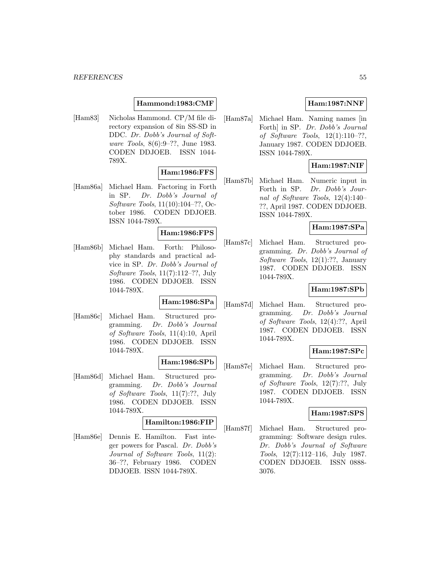# **Hammond:1983:CMF**

[Ham83] Nicholas Hammond. CP/M file directory expansion of 8in SS-SD in DDC. Dr. Dobb's Journal of Software Tools, 8(6):9–??, June 1983. CODEN DDJOEB. ISSN 1044- 789X.

# **Ham:1986:FFS**

[Ham86a] Michael Ham. Factoring in Forth in SP. Dr. Dobb's Journal of Software Tools, 11(10):104–??, October 1986. CODEN DDJOEB. ISSN 1044-789X.

### **Ham:1986:FPS**

[Ham86b] Michael Ham. Forth: Philosophy standards and practical advice in SP. Dr. Dobb's Journal of Software Tools,  $11(7):112-??$ , July 1986. CODEN DDJOEB. ISSN 1044-789X.

# **Ham:1986:SPa**

[Ham86c] Michael Ham. Structured programming. Dr. Dobb's Journal of Software Tools, 11(4):10, April 1986. CODEN DDJOEB. ISSN 1044-789X.

### **Ham:1986:SPb**

[Ham86d] Michael Ham. Structured programming. Dr. Dobb's Journal of Software Tools, 11(7):??, July 1986. CODEN DDJOEB. ISSN 1044-789X.

### **Hamilton:1986:FIP**

[Ham86e] Dennis E. Hamilton. Fast integer powers for Pascal. Dr. Dobb's Journal of Software Tools, 11(2): 36–??, February 1986. CODEN DDJOEB. ISSN 1044-789X.

# **Ham:1987:NNF**

[Ham87a] Michael Ham. Naming names [in Forth] in SP. Dr. Dobb's Journal of Software Tools,  $12(1):110-??$ . January 1987. CODEN DDJOEB. ISSN 1044-789X.

# **Ham:1987:NIF**

[Ham87b] Michael Ham. Numeric input in Forth in SP. Dr. Dobb's Journal of Software Tools, 12(4):140– ??, April 1987. CODEN DDJOEB. ISSN 1044-789X.

### **Ham:1987:SPa**

[Ham87c] Michael Ham. Structured programming. Dr. Dobb's Journal of Software Tools, 12(1):??, January 1987. CODEN DDJOEB. ISSN 1044-789X.

# **Ham:1987:SPb**

[Ham87d] Michael Ham. Structured programming. Dr. Dobb's Journal of Software Tools, 12(4):??, April 1987. CODEN DDJOEB. ISSN 1044-789X.

# **Ham:1987:SPc**

[Ham87e] Michael Ham. Structured programming. Dr. Dobb's Journal of Software Tools, 12(7):??, July 1987. CODEN DDJOEB. ISSN 1044-789X.

### **Ham:1987:SPS**

[Ham87f] Michael Ham. Structured programming: Software design rules. Dr. Dobb's Journal of Software Tools, 12(7):112–116, July 1987. CODEN DDJOEB. ISSN 0888- 3076.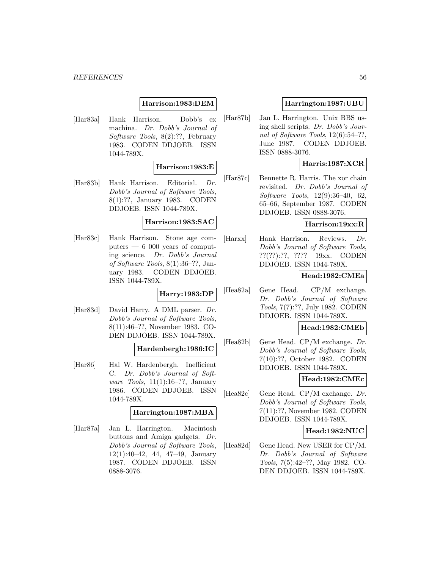## **Harrison:1983:DEM**

[Har83a] Hank Harrison. Dobb's ex machina. Dr. Dobb's Journal of Software Tools, 8(2):??, February 1983. CODEN DDJOEB. ISSN 1044-789X.

#### **Harrison:1983:E**

[Har83b] Hank Harrison. Editorial. Dr. Dobb's Journal of Software Tools, 8(1):??, January 1983. CODEN DDJOEB. ISSN 1044-789X.

### **Harrison:1983:SAC**

[Har83c] Hank Harrison. Stone age computers  $-6000$  years of computing science. Dr. Dobb's Journal of Software Tools, 8(1):36–??, January 1983. CODEN DDJOEB. ISSN 1044-789X.

# **Harry:1983:DP**

[Har83d] David Harry. A DML parser. Dr. Dobb's Journal of Software Tools, 8(11):46–??, November 1983. CO-DEN DDJOEB. ISSN 1044-789X.

### **Hardenbergh:1986:IC**

[Har86] Hal W. Hardenbergh. Inefficient C. Dr. Dobb's Journal of Software Tools,  $11(1):16-??$ , January 1986. CODEN DDJOEB. ISSN 1044-789X.

### **Harrington:1987:MBA**

[Har87a] Jan L. Harrington. Macintosh buttons and Amiga gadgets. Dr. Dobb's Journal of Software Tools, 12(1):40–42, 44, 47–49, January 1987. CODEN DDJOEB. ISSN 0888-3076.

## **Harrington:1987:UBU**

[Har87b] Jan L. Harrington. Unix BBS using shell scripts. Dr. Dobb's Journal of Software Tools, 12(6):54–??, June 1987. CODEN DDJOEB. ISSN 0888-3076.

# **Harris:1987:XCR**

[Har87c] Bennette R. Harris. The xor chain revisited. Dr. Dobb's Journal of Software Tools, 12(9):36–40, 62, 65–66, September 1987. CODEN DDJOEB. ISSN 0888-3076.

# **Harrison:19xx:R**

[Harxx] Hank Harrison. Reviews. Dr. Dobb's Journal of Software Tools, ??(??):??, ???? 19xx. CODEN DDJOEB. ISSN 1044-789X.

### **Head:1982:CMEa**

[Hea82a] Gene Head. CP/M exchange. Dr. Dobb's Journal of Software Tools, 7(7):??, July 1982. CODEN DDJOEB. ISSN 1044-789X.

### **Head:1982:CMEb**

[Hea82b] Gene Head. CP/M exchange. Dr. Dobb's Journal of Software Tools, 7(10):??, October 1982. CODEN DDJOEB. ISSN 1044-789X.

## **Head:1982:CMEc**

[Hea82c] Gene Head. CP/M exchange. Dr. Dobb's Journal of Software Tools, 7(11):??, November 1982. CODEN DDJOEB. ISSN 1044-789X.

### **Head:1982:NUC**

[Hea82d] Gene Head. New USER for CP/M. Dr. Dobb's Journal of Software Tools, 7(5):42–??, May 1982. CO-DEN DDJOEB. ISSN 1044-789X.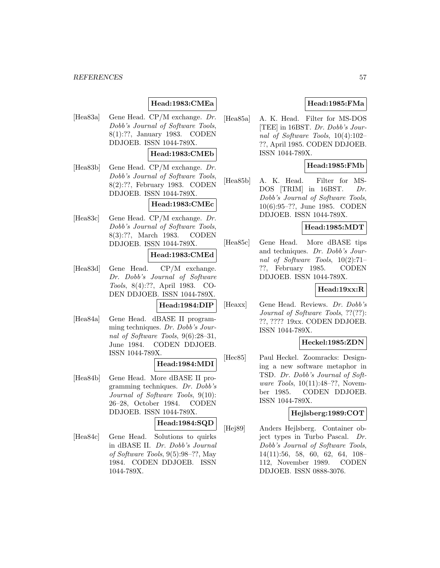# **Head:1983:CMEa**

[Hea83a] Gene Head. CP/M exchange. Dr. Dobb's Journal of Software Tools, 8(1):??, January 1983. CODEN DDJOEB. ISSN 1044-789X.

# **Head:1983:CMEb**

[Hea83b] Gene Head. CP/M exchange. Dr. Dobb's Journal of Software Tools, 8(2):??, February 1983. CODEN DDJOEB. ISSN 1044-789X.

# **Head:1983:CMEc**

[Hea83c] Gene Head. CP/M exchange. Dr. Dobb's Journal of Software Tools, 8(3):??, March 1983. CODEN DDJOEB. ISSN 1044-789X.

#### **Head:1983:CMEd**

[Hea83d] Gene Head. CP/M exchange. Dr. Dobb's Journal of Software Tools, 8(4):??, April 1983. CO-DEN DDJOEB. ISSN 1044-789X.

#### **Head:1984:DIP**

[Hea84a] Gene Head. dBASE II programming techniques. Dr. Dobb's Journal of Software Tools, 9(6):28–31, June 1984. CODEN DDJOEB. ISSN 1044-789X.

# **Head:1984:MDI**

[Hea84b] Gene Head. More dBASE II programming techniques. Dr. Dobb's Journal of Software Tools, 9(10): 26–28, October 1984. CODEN DDJOEB. ISSN 1044-789X.

### **Head:1984:SQD**

[Hea84c] Gene Head. Solutions to quirks in dBASE II. Dr. Dobb's Journal of Software Tools, 9(5):98–??, May 1984. CODEN DDJOEB. ISSN 1044-789X.

# **Head:1985:FMa**

[Hea85a] A. K. Head. Filter for MS-DOS [TEE] in 16BST. Dr. Dobb's Journal of Software Tools, 10(4):102– ??, April 1985. CODEN DDJOEB. ISSN 1044-789X.

# **Head:1985:FMb**

[Hea85b] A. K. Head. Filter for MS-DOS [TRIM] in 16BST. Dr. Dobb's Journal of Software Tools, 10(6):95–??, June 1985. CODEN DDJOEB. ISSN 1044-789X.

## **Head:1985:MDT**

[Hea85c] Gene Head. More dBASE tips and techniques. Dr. Dobb's Journal of Software Tools, 10(2):71– ??, February 1985. CODEN DDJOEB. ISSN 1044-789X.

### **Head:19xx:R**

[Heaxx] Gene Head. Reviews. Dr. Dobb's Journal of Software Tools, ??(??): ??, ???? 19xx. CODEN DDJOEB. ISSN 1044-789X.

# **Heckel:1985:ZDN**

[Hec85] Paul Heckel. Zoomracks: Designing a new software metaphor in TSD. Dr. Dobb's Journal of Software Tools, 10(11):48–??, November 1985. CODEN DDJOEB. ISSN 1044-789X.

### **Hejlsberg:1989:COT**

[Hej89] Anders Hejlsberg. Container object types in Turbo Pascal. Dr. Dobb's Journal of Software Tools, 14(11):56, 58, 60, 62, 64, 108– 112, November 1989. CODEN DDJOEB. ISSN 0888-3076.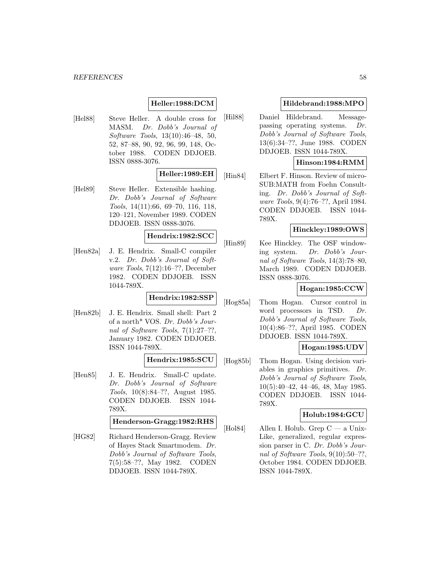# **Heller:1988:DCM**

[Hel88] Steve Heller. A double cross for MASM. Dr. Dobb's Journal of Software Tools, 13(10):46–48, 50, 52, 87–88, 90, 92, 96, 99, 148, October 1988. CODEN DDJOEB. ISSN 0888-3076.

## **Heller:1989:EH**

[Hel89] Steve Heller. Extensible hashing. Dr. Dobb's Journal of Software Tools, 14(11):66, 69–70, 116, 118, 120–121, November 1989. CODEN DDJOEB. ISSN 0888-3076.

**Hendrix:1982:SCC**

[Hen82a] J. E. Hendrix. Small-C compiler v.2. Dr. Dobb's Journal of Software Tools, 7(12):16–??, December 1982. CODEN DDJOEB. ISSN 1044-789X.

# **Hendrix:1982:SSP**

[Hen82b] J. E. Hendrix. Small shell: Part 2 of a north\* VOS. Dr. Dobb's Journal of Software Tools, 7(1):27–??, January 1982. CODEN DDJOEB. ISSN 1044-789X.

### **Hendrix:1985:SCU**

[Hen85] J. E. Hendrix. Small-C update. Dr. Dobb's Journal of Software Tools, 10(8):84–??, August 1985. CODEN DDJOEB. ISSN 1044- 789X.

# **Henderson-Gragg:1982:RHS**

[HG82] Richard Henderson-Gragg. Review of Hayes Stack Smartmodem. Dr. Dobb's Journal of Software Tools, 7(5):58–??, May 1982. CODEN DDJOEB. ISSN 1044-789X.

# **Hildebrand:1988:MPO**

[Hil88] Daniel Hildebrand. Messagepassing operating systems. Dr. Dobb's Journal of Software Tools, 13(6):34–??, June 1988. CODEN DDJOEB. ISSN 1044-789X.

# **Hinson:1984:RMM**

[Hin84] Elbert F. Hinson. Review of micro-SUB:MATH from Foehn Consulting. Dr. Dobb's Journal of Software Tools, 9(4):76–??, April 1984. CODEN DDJOEB. ISSN 1044- 789X.

### **Hinckley:1989:OWS**

[Hin89] Kee Hinckley. The OSF windowing system. Dr. Dobb's Journal of Software Tools, 14(3):78–80, March 1989. CODEN DDJOEB. ISSN 0888-3076.

# **Hogan:1985:CCW**

[Hog85a] Thom Hogan. Cursor control in word processors in TSD. Dr. Dobb's Journal of Software Tools, 10(4):86–??, April 1985. CODEN DDJOEB. ISSN 1044-789X.

# **Hogan:1985:UDV**

[Hog85b] Thom Hogan. Using decision variables in graphics primitives. Dr. Dobb's Journal of Software Tools, 10(5):40–42, 44–46, 48, May 1985. CODEN DDJOEB. ISSN 1044- 789X.

# **Holub:1984:GCU**

 $[Hol84]$  Allen I. Holub. Grep C — a Unix-Like, generalized, regular expression parser in C. Dr. Dobb's Journal of Software Tools, 9(10):50–??, October 1984. CODEN DDJOEB. ISSN 1044-789X.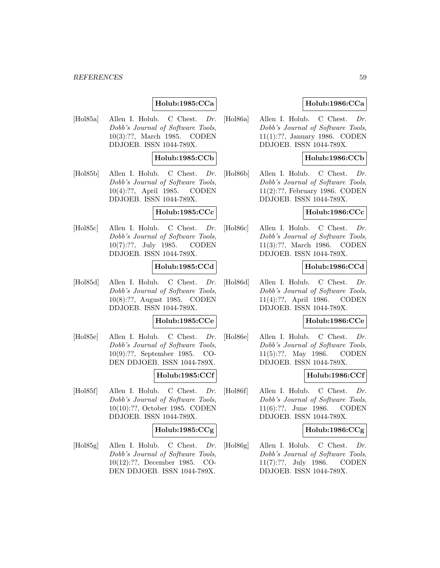# **Holub:1985:CCa**

[Hol85a] Allen I. Holub. C Chest. Dr. Dobb's Journal of Software Tools, 10(3):??, March 1985. CODEN DDJOEB. ISSN 1044-789X.

## **Holub:1985:CCb**

[Hol85b] Allen I. Holub. C Chest. Dr. Dobb's Journal of Software Tools, 10(4):??, April 1985. CODEN DDJOEB. ISSN 1044-789X.

# **Holub:1985:CCc**

[Hol85c] Allen I. Holub. C Chest. Dr. Dobb's Journal of Software Tools, 10(7):??, July 1985. CODEN DDJOEB. ISSN 1044-789X.

# **Holub:1985:CCd**

[Hol85d] Allen I. Holub. C Chest. Dr. Dobb's Journal of Software Tools, 10(8):??, August 1985. CODEN DDJOEB. ISSN 1044-789X.

# **Holub:1985:CCe**

[Hol85e] Allen I. Holub. C Chest. Dr. Dobb's Journal of Software Tools, 10(9):??, September 1985. CO-DEN DDJOEB. ISSN 1044-789X.

# **Holub:1985:CCf**

[Hol85f] Allen I. Holub. C Chest. Dr. Dobb's Journal of Software Tools, 10(10):??, October 1985. CODEN DDJOEB. ISSN 1044-789X.

# **Holub:1985:CCg**

[Hol85g] Allen I. Holub. C Chest. Dr. Dobb's Journal of Software Tools, 10(12):??, December 1985. CO-DEN DDJOEB. ISSN 1044-789X.

# **Holub:1986:CCa**

[Hol86a] Allen I. Holub. C Chest. Dr. Dobb's Journal of Software Tools, 11(1):??, January 1986. CODEN DDJOEB. ISSN 1044-789X.

# **Holub:1986:CCb**

[Hol86b] Allen I. Holub. C Chest. Dr. Dobb's Journal of Software Tools, 11(2):??, February 1986. CODEN DDJOEB. ISSN 1044-789X.

# **Holub:1986:CCc**

[Hol86c] Allen I. Holub. C Chest. Dr. Dobb's Journal of Software Tools, 11(3):??, March 1986. CODEN DDJOEB. ISSN 1044-789X.

### **Holub:1986:CCd**

[Hol86d] Allen I. Holub. C Chest. Dr. Dobb's Journal of Software Tools, 11(4):??, April 1986. CODEN DDJOEB. ISSN 1044-789X.

# **Holub:1986:CCe**

[Hol86e] Allen I. Holub. C Chest. Dr. Dobb's Journal of Software Tools, 11(5):??, May 1986. CODEN DDJOEB. ISSN 1044-789X.

# **Holub:1986:CCf**

[Hol86f] Allen I. Holub. C Chest. Dr. Dobb's Journal of Software Tools, 11(6):??, June 1986. CODEN DDJOEB. ISSN 1044-789X.

# **Holub:1986:CCg**

[Hol86g] Allen I. Holub. C Chest. Dr. Dobb's Journal of Software Tools, 11(7):??, July 1986. CODEN DDJOEB. ISSN 1044-789X.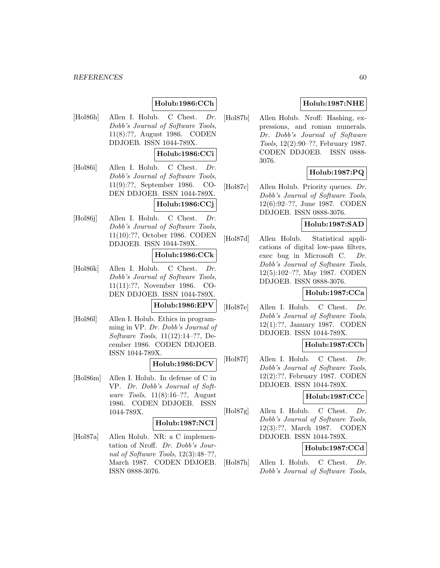# **Holub:1986:CCh**

[Hol86h] Allen I. Holub. C Chest. Dr. Dobb's Journal of Software Tools, 11(8):??, August 1986. CODEN DDJOEB. ISSN 1044-789X.

# **Holub:1986:CCi**

[Hol86i] Allen I. Holub. C Chest. Dr. Dobb's Journal of Software Tools, 11(9):??, September 1986. CO-DEN DDJOEB. ISSN 1044-789X.

# **Holub:1986:CCj**

[Hol86j] Allen I. Holub. C Chest. Dr. Dobb's Journal of Software Tools, 11(10):??, October 1986. CODEN DDJOEB. ISSN 1044-789X.

### **Holub:1986:CCk**

[Hol86k] Allen I. Holub. C Chest. Dr. Dobb's Journal of Software Tools, 11(11):??, November 1986. CO-DEN DDJOEB. ISSN 1044-789X.

### **Holub:1986:EPV**

[Hol86l] Allen I. Holub. Ethics in programming in VP. Dr. Dobb's Journal of Software Tools, 11(12):14–??, December 1986. CODEN DDJOEB. ISSN 1044-789X.

# **Holub:1986:DCV**

[Hol86m] Allen I. Holub. In defense of C in VP. Dr. Dobb's Journal of Software Tools, 11(8):16–??, August 1986. CODEN DDJOEB. ISSN 1044-789X.

#### **Holub:1987:NCI**

[Hol87a] Allen Holub. NR: a C implementation of Nroff. Dr. Dobb's Journal of Software Tools, 12(3):48–??, March 1987. CODEN DDJOEB. ISSN 0888-3076.

# **Holub:1987:NHE**

[Hol87b] Allen Holub. Nroff: Hashing, expressions, and roman numerals. Dr. Dobb's Journal of Software Tools, 12(2):90–??, February 1987. CODEN DDJOEB. ISSN 0888- 3076.

# **Holub:1987:PQ**

[Hol87c] Allen Holub. Priority queues. Dr. Dobb's Journal of Software Tools, 12(6):92–??, June 1987. CODEN DDJOEB. ISSN 0888-3076.

# **Holub:1987:SAD**

[Hol87d] Allen Holub. Statistical applications of digital low-pass filters, exec bug in Microsoft C. Dr. Dobb's Journal of Software Tools, 12(5):102–??, May 1987. CODEN DDJOEB. ISSN 0888-3076.

# **Holub:1987:CCa**

[Hol87e] Allen I. Holub. C Chest. Dr. Dobb's Journal of Software Tools, 12(1):??, January 1987. CODEN DDJOEB. ISSN 1044-789X.

## **Holub:1987:CCb**

[Hol87f] Allen I. Holub. C Chest. Dr. Dobb's Journal of Software Tools, 12(2):??, February 1987. CODEN DDJOEB. ISSN 1044-789X.

## **Holub:1987:CCc**

[Hol87g] Allen I. Holub. C Chest. Dr. Dobb's Journal of Software Tools, 12(3):??, March 1987. CODEN DDJOEB. ISSN 1044-789X.

### **Holub:1987:CCd**

[Hol87h] Allen I. Holub. C Chest. Dr. Dobb's Journal of Software Tools,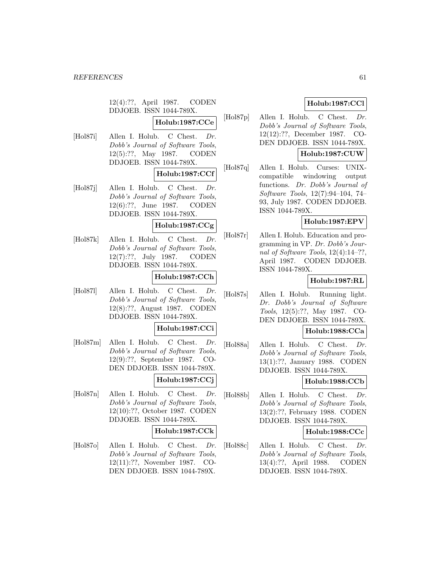12(4):??, April 1987. CODEN DDJOEB. ISSN 1044-789X.

**Holub:1987:CCe**

[Hol87i] Allen I. Holub. C Chest. Dr. Dobb's Journal of Software Tools, 12(5):??, May 1987. CODEN DDJOEB. ISSN 1044-789X.

### **Holub:1987:CCf**

[Hol87j] Allen I. Holub. C Chest. Dr. Dobb's Journal of Software Tools, 12(6):??, June 1987. CODEN DDJOEB. ISSN 1044-789X.

# **Holub:1987:CCg**

[Hol87k] Allen I. Holub. C Chest. Dr. Dobb's Journal of Software Tools, 12(7):??, July 1987. CODEN DDJOEB. ISSN 1044-789X.

# **Holub:1987:CCh**

[Hol87l] Allen I. Holub. C Chest. Dr. Dobb's Journal of Software Tools, 12(8):??, August 1987. CODEN DDJOEB. ISSN 1044-789X.

### **Holub:1987:CCi**

[Hol87m] Allen I. Holub. C Chest. Dr. Dobb's Journal of Software Tools, 12(9):??, September 1987. CO-DEN DDJOEB. ISSN 1044-789X.

### **Holub:1987:CCj**

[Hol87n] Allen I. Holub. C Chest. Dr. Dobb's Journal of Software Tools, 12(10):??, October 1987. CODEN DDJOEB. ISSN 1044-789X.

### **Holub:1987:CCk**

[Hol87o] Allen I. Holub. C Chest. Dr. Dobb's Journal of Software Tools, 12(11):??, November 1987. CO-DEN DDJOEB. ISSN 1044-789X.

# **Holub:1987:CCl**

[Hol87p] Allen I. Holub. C Chest. Dr. Dobb's Journal of Software Tools, 12(12):??, December 1987. CO-DEN DDJOEB. ISSN 1044-789X.

# **Holub:1987:CUW**

[Hol87q] Allen I. Holub. Curses: UNIXcompatible windowing output functions. Dr. Dobb's Journal of Software Tools, 12(7):94–104, 74– 93, July 1987. CODEN DDJOEB. ISSN 1044-789X.

# **Holub:1987:EPV**

[Hol87r] Allen I. Holub. Education and programming in VP. Dr. Dobb's Journal of Software Tools, 12(4):14–??, April 1987. CODEN DDJOEB. ISSN 1044-789X.

# **Holub:1987:RL**

[Hol87s] Allen I. Holub. Running light. Dr. Dobb's Journal of Software Tools, 12(5):??, May 1987. CO-DEN DDJOEB. ISSN 1044-789X.

# **Holub:1988:CCa**

[Hol88a] Allen I. Holub. C Chest. Dr. Dobb's Journal of Software Tools, 13(1):??, January 1988. CODEN DDJOEB. ISSN 1044-789X.

# **Holub:1988:CCb**

[Hol88b] Allen I. Holub. C Chest. Dr. Dobb's Journal of Software Tools, 13(2):??, February 1988. CODEN DDJOEB. ISSN 1044-789X.

## **Holub:1988:CCc**

[Hol88c] Allen I. Holub. C Chest. Dr. Dobb's Journal of Software Tools, 13(4):??, April 1988. CODEN DDJOEB. ISSN 1044-789X.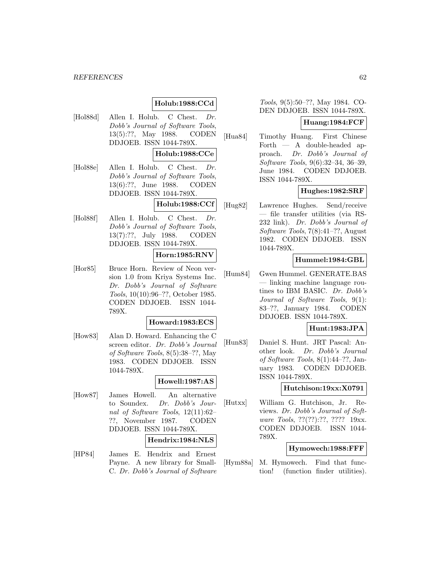# **Holub:1988:CCd**

[Hol88d] Allen I. Holub. C Chest. Dr. Dobb's Journal of Software Tools, 13(5):??, May 1988. CODEN DDJOEB. ISSN 1044-789X.

## **Holub:1988:CCe**

[Hol88e] Allen I. Holub. C Chest. Dr. Dobb's Journal of Software Tools, 13(6):??, June 1988. CODEN DDJOEB. ISSN 1044-789X.

# **Holub:1988:CCf**

[Hol88f] Allen I. Holub. C Chest. Dr. Dobb's Journal of Software Tools, 13(7):??, July 1988. CODEN DDJOEB. ISSN 1044-789X.

## **Horn:1985:RNV**

[Hor85] Bruce Horn. Review of Neon version 1.0 from Kriya Systems Inc. Dr. Dobb's Journal of Software Tools, 10(10):96–??, October 1985. CODEN DDJOEB. ISSN 1044- 789X.

# **Howard:1983:ECS**

[How83] Alan D. Howard. Enhancing the C screen editor. Dr. Dobb's Journal of Software Tools, 8(5):38–??, May 1983. CODEN DDJOEB. ISSN 1044-789X.

### **Howell:1987:AS**

[How87] James Howell. An alternative to Soundex. Dr. Dobb's Journal of Software Tools, 12(11):62– ??, November 1987. CODEN DDJOEB. ISSN 1044-789X.

### **Hendrix:1984:NLS**

[HP84] James E. Hendrix and Ernest Payne. A new library for Small-C. Dr. Dobb's Journal of Software

Tools, 9(5):50–??, May 1984. CO-DEN DDJOEB. ISSN 1044-789X.

## **Huang:1984:FCF**

[Hua84] Timothy Huang. First Chinese Forth — A double-headed approach. Dr. Dobb's Journal of Software Tools, 9(6):32–34, 36–39, June 1984. CODEN DDJOEB. ISSN 1044-789X.

# **Hughes:1982:SRF**

[Hug82] Lawrence Hughes. Send/receive — file transfer utilities (via RS-232 link). Dr. Dobb's Journal of Software Tools, 7(8):41–??, August 1982. CODEN DDJOEB. ISSN 1044-789X.

# **Hummel:1984:GBL**

[Hum84] Gwen Hummel. GENERATE.BAS — linking machine language routines to IBM BASIC. Dr. Dobb's Journal of Software Tools, 9(1): 83–??, January 1984. CODEN DDJOEB. ISSN 1044-789X.

# **Hunt:1983:JPA**

[Hun83] Daniel S. Hunt. JRT Pascal: Another look. Dr. Dobb's Journal of Software Tools, 8(1):44–??, January 1983. CODEN DDJOEB. ISSN 1044-789X.

**Hutchison:19xx:X0791**

[Hutxx] William G. Hutchison, Jr. Reviews. Dr. Dobb's Journal of Software Tools, ??(??):??, ???? 19xx. CODEN DDJOEB. ISSN 1044- 789X.

### **Hymowech:1988:FFF**

[Hym88a] M. Hymowech. Find that function! (function finder utilities).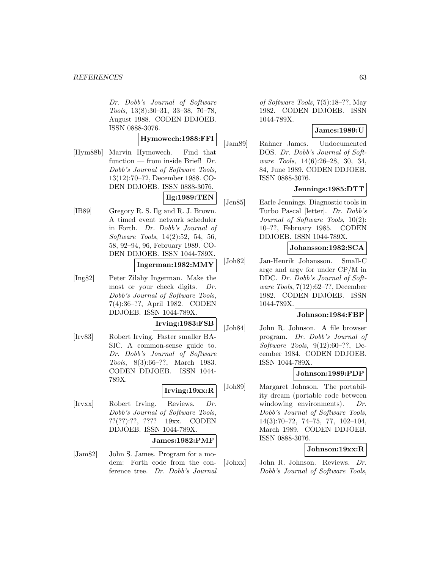Dr. Dobb's Journal of Software Tools, 13(8):30–31, 33–38, 70–78, August 1988. CODEN DDJOEB. ISSN 0888-3076.

### **Hymowech:1988:FFI**

[Hym88b] Marvin Hymowech. Find that function — from inside Brief!  $Dr$ . Dobb's Journal of Software Tools, 13(12):70–72, December 1988. CO-DEN DDJOEB. ISSN 0888-3076.

# **Ilg:1989:TEN**

[IB89] Gregory R. S. Ilg and R. J. Brown. A timed event network scheduler in Forth. Dr. Dobb's Journal of Software Tools, 14(2):52, 54, 56, 58, 92–94, 96, February 1989. CO-DEN DDJOEB. ISSN 1044-789X.

# **Ingerman:1982:MMY**

[Ing82] Peter Zilahy Ingerman. Make the most or your check digits. Dr. Dobb's Journal of Software Tools, 7(4):36–??, April 1982. CODEN DDJOEB. ISSN 1044-789X.

# **Irving:1983:FSB**

[Irv83] Robert Irving. Faster smaller BA-SIC. A common-sense guide to. Dr. Dobb's Journal of Software Tools, 8(3):66–??, March 1983. CODEN DDJOEB. ISSN 1044- 789X.

### **Irving:19xx:R**

[Irvxx] Robert Irving. Reviews. Dr. Dobb's Journal of Software Tools, ??(??):??, ???? 19xx. CODEN DDJOEB. ISSN 1044-789X.

## **James:1982:PMF**

[Jam82] John S. James. Program for a modem: Forth code from the conference tree. Dr. Dobb's Journal of Software Tools, 7(5):18–??, May 1982. CODEN DDJOEB. ISSN 1044-789X.

# **James:1989:U**

[Jam89] Rahner James. Undocumented DOS. Dr. Dobb's Journal of Software Tools, 14(6):26–28, 30, 34, 84, June 1989. CODEN DDJOEB. ISSN 0888-3076.

# **Jennings:1985:DTT**

[Jen85] Earle Jennings. Diagnostic tools in Turbo Pascal [letter]. Dr. Dobb's Journal of Software Tools, 10(2): 10–??, February 1985. CODEN DDJOEB. ISSN 1044-789X.

# **Johansson:1982:SCA**

[Joh82] Jan-Henrik Johansson. Small-C argc and argv for under CP/M in DDC. Dr. Dobb's Journal of Software Tools, 7(12):62–??, December 1982. CODEN DDJOEB. ISSN 1044-789X.

### **Johnson:1984:FBP**

[Joh84] John R. Johnson. A file browser program. Dr. Dobb's Journal of Software Tools, 9(12):60–??, December 1984. CODEN DDJOEB. ISSN 1044-789X.

### **Johnson:1989:PDP**

[Joh89] Margaret Johnson. The portability dream (portable code between windowing environments).  $Dr.$ Dobb's Journal of Software Tools, 14(3):70–72, 74–75, 77, 102–104, March 1989. CODEN DDJOEB. ISSN 0888-3076.

# **Johnson:19xx:R**

[Johxx] John R. Johnson. Reviews. Dr. Dobb's Journal of Software Tools,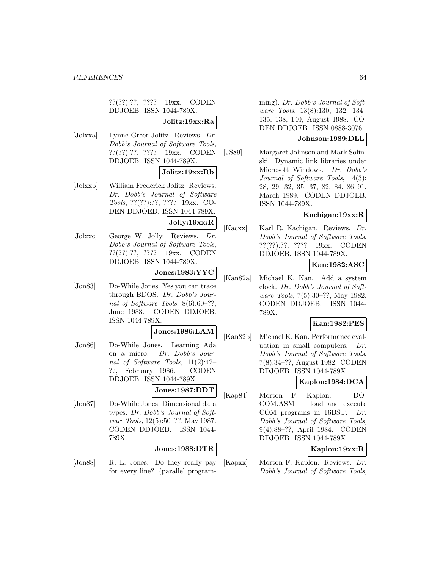??(??):??, ???? 19xx. CODEN DDJOEB. ISSN 1044-789X.

## **Jolitz:19xx:Ra**

[Jolxxa] Lynne Greer Jolitz. Reviews. Dr. Dobb's Journal of Software Tools, ??(??):??, ???? 19xx. CODEN DDJOEB. ISSN 1044-789X.

# **Jolitz:19xx:Rb**

[Jolxxb] William Frederick Jolitz. Reviews. Dr. Dobb's Journal of Software Tools, ??(??):??, ???? 19xx. CO-DEN DDJOEB. ISSN 1044-789X.

### **Jolly:19xx:R**

[Jolxxc] George W. Jolly. Reviews. Dr. Dobb's Journal of Software Tools, ??(??):??, ???? 19xx. CODEN DDJOEB. ISSN 1044-789X.

# **Jones:1983:YYC**

[Jon83] Do-While Jones. Yes you can trace through BDOS. Dr. Dobb's Journal of Software Tools, 8(6):60–??, June 1983. CODEN DDJOEB. ISSN 1044-789X.

### **Jones:1986:LAM**

[Jon86] Do-While Jones. Learning Ada on a micro. Dr. Dobb's Journal of Software Tools, 11(2):42– ??, February 1986. CODEN DDJOEB. ISSN 1044-789X.

# **Jones:1987:DDT**

[Jon87] Do-While Jones. Dimensional data types. Dr. Dobb's Journal of Software Tools, 12(5):50–??, May 1987. CODEN DDJOEB. ISSN 1044- 789X.

### **Jones:1988:DTR**

[Jon88] R. L. Jones. Do they really pay for every line? (parallel program-

ming). Dr. Dobb's Journal of Software Tools, 13(8):130, 132, 134– 135, 138, 140, August 1988. CO-DEN DDJOEB. ISSN 0888-3076.

### **Johnson:1989:DLL**

[JS89] Margaret Johnson and Mark Solinski. Dynamic link libraries under Microsoft Windows. Dr. Dobb's Journal of Software Tools, 14(3): 28, 29, 32, 35, 37, 82, 84, 86–91, March 1989. CODEN DDJOEB. ISSN 1044-789X.

### **Kachigan:19xx:R**

[Kacxx] Karl R. Kachigan. Reviews. Dr. Dobb's Journal of Software Tools, ??(??):??, ???? 19xx. CODEN DDJOEB. ISSN 1044-789X.

# **Kan:1982:ASC**

[Kan82a] Michael K. Kan. Add a system clock. Dr. Dobb's Journal of Software Tools, 7(5):30–??, May 1982. CODEN DDJOEB. ISSN 1044- 789X.

### **Kan:1982:PES**

[Kan82b] Michael K. Kan. Performance evaluation in small computers. Dr. Dobb's Journal of Software Tools, 7(8):34–??, August 1982. CODEN DDJOEB. ISSN 1044-789X.

# **Kaplon:1984:DCA**

[Kap84] Morton F. Kaplon. DO-COM.ASM — load and execute COM programs in 16BST. Dr. Dobb's Journal of Software Tools, 9(4):88–??, April 1984. CODEN DDJOEB. ISSN 1044-789X.

# **Kaplon:19xx:R**

[Kapxx] Morton F. Kaplon. Reviews. Dr. Dobb's Journal of Software Tools,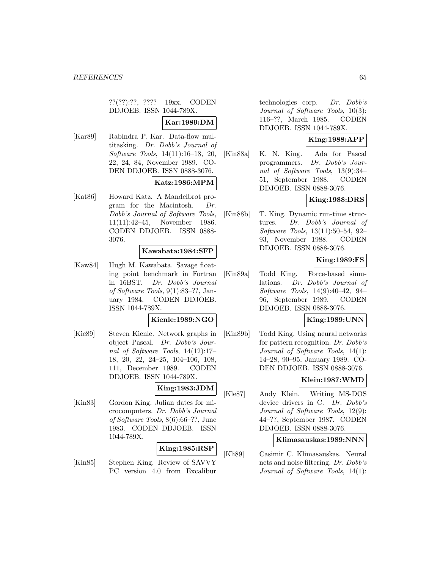??(??):??, ???? 19xx. CODEN DDJOEB. ISSN 1044-789X.

## **Kar:1989:DM**

[Kar89] Rabindra P. Kar. Data-flow multitasking. Dr. Dobb's Journal of Software Tools, 14(11):16–18, 20, 22, 24, 84, November 1989. CO-DEN DDJOEB. ISSN 0888-3076.

# **Katz:1986:MPM**

[Kat86] Howard Katz. A Mandelbrot program for the Macintosh. Dr. Dobb's Journal of Software Tools, 11(11):42–45, November 1986. CODEN DDJOEB. ISSN 0888- 3076.

### **Kawabata:1984:SFP**

[Kaw84] Hugh M. Kawabata. Savage floating point benchmark in Fortran in 16BST. Dr. Dobb's Journal of Software Tools, 9(1):83–??, January 1984. CODEN DDJOEB. ISSN 1044-789X.

# **Kienle:1989:NGO**

[Kie89] Steven Kienle. Network graphs in object Pascal. Dr. Dobb's Journal of Software Tools, 14(12):17– 18, 20, 22, 24–25, 104–106, 108, 111, December 1989. CODEN DDJOEB. ISSN 1044-789X.

**King:1983:JDM**

[Kin83] Gordon King. Julian dates for microcomputers. Dr. Dobb's Journal of Software Tools, 8(6):66–??, June 1983. CODEN DDJOEB. ISSN 1044-789X.

# **King:1985:RSP**

[Kin85] Stephen King. Review of SAVVY PC version 4.0 from Excalibur technologies corp. Dr. Dobb's Journal of Software Tools, 10(3): 116–??, March 1985. CODEN DDJOEB. ISSN 1044-789X.

# **King:1988:APP**

[Kin88a] K. N. King. Ada for Pascal programmers. Dr. Dobb's Journal of Software Tools, 13(9):34– 51, September 1988. CODEN DDJOEB. ISSN 0888-3076.

# **King:1988:DRS**

[Kin88b] T. King. Dynamic run-time structures. Dr. Dobb's Journal of Software Tools, 13(11):50–54, 92– 93, November 1988. CODEN DDJOEB. ISSN 0888-3076.

# **King:1989:FS**

[Kin89a] Todd King. Force-based simulations. Dr. Dobb's Journal of Software Tools, 14(9):40–42, 94– 96, September 1989. CODEN DDJOEB. ISSN 0888-3076.

# **King:1989:UNN**

[Kin89b] Todd King. Using neural networks for pattern recognition. Dr. Dobb's Journal of Software Tools, 14(1): 14–28, 90–95, January 1989. CO-DEN DDJOEB. ISSN 0888-3076.

# **Klein:1987:WMD**

[Kle87] Andy Klein. Writing MS-DOS device drivers in C. Dr. Dobb's Journal of Software Tools, 12(9): 44–??, September 1987. CODEN DDJOEB. ISSN 0888-3076.

# **Klimasauskas:1989:NNN**

[Kli89] Casimir C. Klimasauskas. Neural nets and noise filtering. Dr. Dobb's Journal of Software Tools, 14(1):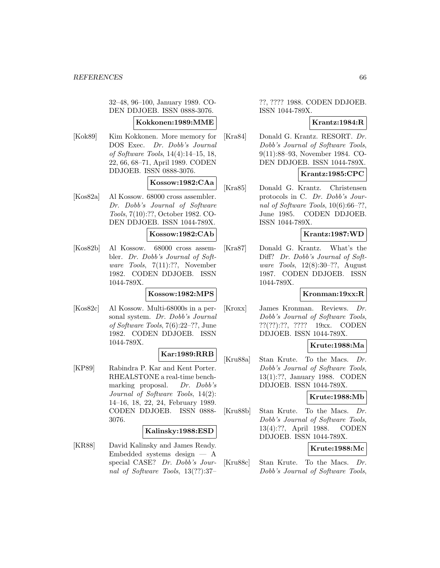32–48, 96–100, January 1989. CO-DEN DDJOEB. ISSN 0888-3076.

# **Kokkonen:1989:MME**

[Kok89] Kim Kokkonen. More memory for DOS Exec. Dr. Dobb's Journal of Software Tools, 14(4):14–15, 18, 22, 66, 68–71, April 1989. CODEN DDJOEB. ISSN 0888-3076.

# **Kossow:1982:CAa**

[Kos82a] Al Kossow. 68000 cross assembler. Dr. Dobb's Journal of Software Tools, 7(10):??, October 1982. CO-DEN DDJOEB. ISSN 1044-789X.

### **Kossow:1982:CAb**

[Kos82b] Al Kossow. 68000 cross assembler. Dr. Dobb's Journal of Software Tools, 7(11):??, November 1982. CODEN DDJOEB. ISSN 1044-789X.

### **Kossow:1982:MPS**

[Kos82c] Al Kossow. Multi-68000s in a personal system. Dr. Dobb's Journal of Software Tools, 7(6):22–??, June 1982. CODEN DDJOEB. ISSN 1044-789X.

# **Kar:1989:RRB**

[KP89] Rabindra P. Kar and Kent Porter. RHEALSTONE a real-time benchmarking proposal. Dr. Dobb's Journal of Software Tools, 14(2): 14–16, 18, 22, 24, February 1989. CODEN DDJOEB. ISSN 0888- 3076.

### **Kalinsky:1988:ESD**

[KR88] David Kalinsky and James Ready. Embedded systems design — A special CASE? Dr. Dobb's Journal of Software Tools, 13(??):37–

??, ???? 1988. CODEN DDJOEB. ISSN 1044-789X.

## **Krantz:1984:R**

[Kra84] Donald G. Krantz. RESORT. Dr. Dobb's Journal of Software Tools, 9(11):88–93, November 1984. CO-DEN DDJOEB. ISSN 1044-789X.

# **Krantz:1985:CPC**

[Kra85] Donald G. Krantz. Christensen protocols in C. Dr. Dobb's Journal of Software Tools, 10(6):66–??, June 1985. CODEN DDJOEB. ISSN 1044-789X.

### **Krantz:1987:WD**

[Kra87] Donald G. Krantz. What's the Diff? Dr. Dobb's Journal of Software Tools, 12(8):30–??, August 1987. CODEN DDJOEB. ISSN 1044-789X.

# **Kronman:19xx:R**

[Kroxx] James Kronman. Reviews. Dr. Dobb's Journal of Software Tools, ??(??):??, ???? 19xx. CODEN DDJOEB. ISSN 1044-789X.

# **Krute:1988:Ma**

[Kru88a] Stan Krute. To the Macs. Dr. Dobb's Journal of Software Tools, 13(1):??, January 1988. CODEN DDJOEB. ISSN 1044-789X.

### **Krute:1988:Mb**

[Kru88b] Stan Krute. To the Macs. Dr. Dobb's Journal of Software Tools, 13(4):??, April 1988. CODEN DDJOEB. ISSN 1044-789X.

# **Krute:1988:Mc**

[Kru88c] Stan Krute. To the Macs. Dr. Dobb's Journal of Software Tools,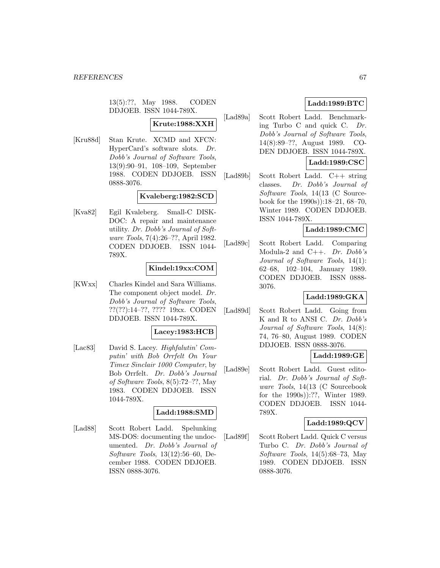13(5):??, May 1988. CODEN DDJOEB. ISSN 1044-789X.

# **Krute:1988:XXH**

[Kru88d] Stan Krute. XCMD and XFCN: HyperCard's software slots. Dr. Dobb's Journal of Software Tools, 13(9):90–91, 108–109, September 1988. CODEN DDJOEB. ISSN 0888-3076.

### **Kvaleberg:1982:SCD**

[Kva82] Egil Kvaleberg. Small-C DISK-DOC: A repair and maintenance utility. Dr. Dobb's Journal of Software Tools, 7(4):26–??, April 1982. CODEN DDJOEB. ISSN 1044- 789X.

### **Kindel:19xx:COM**

[KWxx] Charles Kindel and Sara Williams. The component object model. Dr. Dobb's Journal of Software Tools, ??(??):14–??, ???? 19xx. CODEN DDJOEB. ISSN 1044-789X.

# **Lacey:1983:HCB**

[Lac83] David S. Lacey. Highfalutin' Computin' with Bob Orrfelt On Your Timex Sinclair 1000 Computer, by Bob Orrfelt. Dr. Dobb's Journal of Software Tools, 8(5):72–??, May 1983. CODEN DDJOEB. ISSN 1044-789X.

# **Ladd:1988:SMD**

[Lad88] Scott Robert Ladd. Spelunking MS-DOS: documenting the undocumented. Dr. Dobb's Journal of Software Tools, 13(12):56–60, December 1988. CODEN DDJOEB. ISSN 0888-3076.

# **Ladd:1989:BTC**

[Lad89a] Scott Robert Ladd. Benchmarking Turbo C and quick C. Dr. Dobb's Journal of Software Tools, 14(8):89–??, August 1989. CO-DEN DDJOEB. ISSN 1044-789X.

# **Ladd:1989:CSC**

[Lad89b] Scott Robert Ladd. C++ string classes. Dr. Dobb's Journal of Software Tools, 14(13 (C Sourcebook for the 1990s)):18–21, 68–70, Winter 1989. CODEN DDJOEB. ISSN 1044-789X.

### **Ladd:1989:CMC**

[Lad89c] Scott Robert Ladd. Comparing Modula-2 and C++. Dr. Dobb's Journal of Software Tools, 14(1): 62–68, 102–104, January 1989. CODEN DDJOEB. ISSN 0888- 3076.

# **Ladd:1989:GKA**

[Lad89d] Scott Robert Ladd. Going from K and R to ANSI C. Dr. Dobb's Journal of Software Tools, 14(8): 74, 76–80, August 1989. CODEN DDJOEB. ISSN 0888-3076.

## **Ladd:1989:GE**

[Lad89e] Scott Robert Ladd. Guest editorial. Dr. Dobb's Journal of Software Tools, 14(13 (C Sourcebook for the 1990s)):??, Winter 1989. CODEN DDJOEB. ISSN 1044- 789X.

# **Ladd:1989:QCV**

[Lad89f] Scott Robert Ladd. Quick C versus Turbo C. Dr. Dobb's Journal of Software Tools, 14(5):68–73, May 1989. CODEN DDJOEB. ISSN 0888-3076.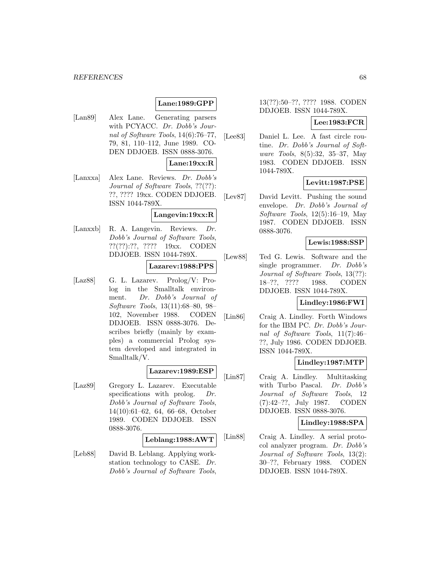# **Lane:1989:GPP**

[Lan89] Alex Lane. Generating parsers with PCYACC. Dr. Dobb's Journal of Software Tools, 14(6):76–77, 79, 81, 110–112, June 1989. CO-DEN DDJOEB. ISSN 0888-3076.

# **Lane:19xx:R**

[Lanxxa] Alex Lane. Reviews. Dr. Dobb's Journal of Software Tools, ??(??): ??, ???? 19xx. CODEN DDJOEB. ISSN 1044-789X.

#### **Langevin:19xx:R**

[Lanxxb] R. A. Langevin. Reviews. Dr. Dobb's Journal of Software Tools, ??(??):??, ???? 19xx. CODEN DDJOEB. ISSN 1044-789X.

# **Lazarev:1988:PPS**

[Laz88] G. L. Lazarev. Prolog/V: Prolog in the Smalltalk environment. Dr. Dobb's Journal of Software Tools, 13(11):68–80, 98– 102, November 1988. CODEN DDJOEB. ISSN 0888-3076. Describes briefly (mainly by examples) a commercial Prolog system developed and integrated in Smalltalk/V.

# **Lazarev:1989:ESP**

[Laz89] Gregory L. Lazarev. Executable specifications with prolog. Dr. Dobb's Journal of Software Tools, 14(10):61–62, 64, 66–68, October 1989. CODEN DDJOEB. ISSN 0888-3076.

### **Leblang:1988:AWT**

[Leb88] David B. Leblang. Applying workstation technology to CASE. Dr. Dobb's Journal of Software Tools, 13(??):50–??, ???? 1988. CODEN DDJOEB. ISSN 1044-789X.

### **Lee:1983:FCR**

[Lee83] Daniel L. Lee. A fast circle routine. Dr. Dobb's Journal of Software Tools, 8(5):32, 35–37, May 1983. CODEN DDJOEB. ISSN 1044-789X.

# **Levitt:1987:PSE**

[Lev87] David Levitt. Pushing the sound envelope. Dr. Dobb's Journal of Software Tools,  $12(5):16-19$ , May 1987. CODEN DDJOEB. ISSN 0888-3076.

### **Lewis:1988:SSP**

[Lew88] Ted G. Lewis. Software and the single programmer. Dr. Dobb's Journal of Software Tools, 13(??): 18–??, ???? 1988. CODEN DDJOEB. ISSN 1044-789X.

### **Lindley:1986:FWI**

[Lin86] Craig A. Lindley. Forth Windows for the IBM PC. Dr. Dobb's Journal of Software Tools, 11(7):46– ??, July 1986. CODEN DDJOEB. ISSN 1044-789X.

# **Lindley:1987:MTP**

[Lin87] Craig A. Lindley. Multitasking with Turbo Pascal. Dr. Dobb's Journal of Software Tools, 12 (7):42–??, July 1987. CODEN DDJOEB. ISSN 0888-3076.

### **Lindley:1988:SPA**

[Lin88] Craig A. Lindley. A serial protocol analyzer program. Dr. Dobb's Journal of Software Tools, 13(2): 30–??, February 1988. CODEN DDJOEB. ISSN 1044-789X.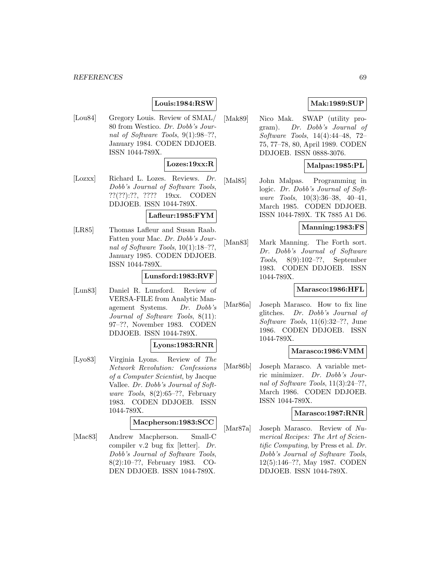# **Louis:1984:RSW**

[Lou84] Gregory Louis. Review of SMAL/ 80 from Westico. Dr. Dobb's Journal of Software Tools, 9(1):98–??, January 1984. CODEN DDJOEB. ISSN 1044-789X.

# **Lozes:19xx:R**

[Lozxx] Richard L. Lozes. Reviews. Dr. Dobb's Journal of Software Tools, ??(??):??, ???? 19xx. CODEN DDJOEB. ISSN 1044-789X.

### **Lafleur:1985:FYM**

[LR85] Thomas Lafleur and Susan Raab. Fatten your Mac. Dr. Dobb's Journal of Software Tools, 10(1):18–??, January 1985. CODEN DDJOEB. ISSN 1044-789X.

### **Lunsford:1983:RVF**

[Lun83] Daniel R. Lunsford. Review of VERSA-FILE from Analytic Management Systems. Dr. Dobb's Journal of Software Tools, 8(11): 97–??, November 1983. CODEN DDJOEB. ISSN 1044-789X.

# **Lyons:1983:RNR**

[Lyo83] Virginia Lyons. Review of The Network Revolution: Confessions of a Computer Scientist, by Jacque Vallee. Dr. Dobb's Journal of Soft*ware Tools*,  $8(2):65-??$ , February 1983. CODEN DDJOEB. ISSN 1044-789X.

# **Macpherson:1983:SCC**

[Mac83] Andrew Macpherson. Small-C compiler v.2 bug fix [letter]. Dr. Dobb's Journal of Software Tools, 8(2):10–??, February 1983. CO-DEN DDJOEB. ISSN 1044-789X.

# **Mak:1989:SUP**

[Mak89] Nico Mak. SWAP (utility program). Dr. Dobb's Journal of Software Tools, 14(4):44–48, 72– 75, 77–78, 80, April 1989. CODEN DDJOEB. ISSN 0888-3076.

# **Malpas:1985:PL**

[Mal85] John Malpas. Programming in logic. Dr. Dobb's Journal of Software Tools, 10(3):36–38, 40–41, March 1985. CODEN DDJOEB. ISSN 1044-789X. TK 7885 A1 D6.

### **Manning:1983:FS**

[Man83] Mark Manning. The Forth sort. Dr. Dobb's Journal of Software Tools, 8(9):102–??, September 1983. CODEN DDJOEB. ISSN 1044-789X.

# **Marasco:1986:HFL**

[Mar86a] Joseph Marasco. How to fix line glitches. Dr. Dobb's Journal of Software Tools, 11(6):32–??, June 1986. CODEN DDJOEB. ISSN 1044-789X.

# **Marasco:1986:VMM**

[Mar86b] Joseph Marasco. A variable metric minimizer. Dr. Dobb's Journal of Software Tools, 11(3):24–??, March 1986. CODEN DDJOEB. ISSN 1044-789X.

### **Marasco:1987:RNR**

[Mar87a] Joseph Marasco. Review of Numerical Recipes: The Art of Scientific Computing, by Press et al. Dr. Dobb's Journal of Software Tools, 12(5):146–??, May 1987. CODEN DDJOEB. ISSN 1044-789X.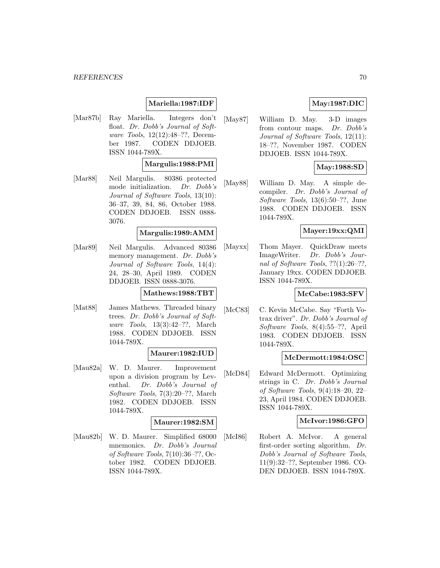# **Mariella:1987:IDF**

[Mar87b] Ray Mariella. Integers don't float. Dr. Dobb's Journal of Software Tools, 12(12):48–??, December 1987. CODEN DDJOEB. ISSN 1044-789X.

### **Margulis:1988:PMI**

[Mar88] Neil Margulis. 80386 protected mode initialization. Dr. Dobb's Journal of Software Tools, 13(10): 36–37, 39, 84, 86, October 1988. CODEN DDJOEB. ISSN 0888- 3076.

### **Margulis:1989:AMM**

[Mar89] Neil Margulis. Advanced 80386 memory management. Dr. Dobb's Journal of Software Tools, 14(4): 24, 28–30, April 1989. CODEN DDJOEB. ISSN 0888-3076.

### **Mathews:1988:TBT**

[Mat88] James Mathews. Threaded binary trees. Dr. Dobb's Journal of Software Tools, 13(3):42–??, March 1988. CODEN DDJOEB. ISSN 1044-789X.

### **Maurer:1982:IUD**

[Mau82a] W. D. Maurer. Improvement upon a division program by Leventhal. Dr. Dobb's Journal of Software Tools, 7(3):20–??, March 1982. CODEN DDJOEB. ISSN 1044-789X.

# **Maurer:1982:SM**

[Mau82b] W. D. Maurer. Simplified 68000 mnemonics. Dr. Dobb's Journal of Software Tools, 7(10):36–??, October 1982. CODEN DDJOEB. ISSN 1044-789X.

# **May:1987:DIC**

[May87] William D. May. 3-D images from contour maps. Dr. Dobb's Journal of Software Tools, 12(11): 18–??, November 1987. CODEN DDJOEB. ISSN 1044-789X.

# **May:1988:SD**

[May88] William D. May. A simple decompiler. Dr. Dobb's Journal of Software Tools, 13(6):50–??, June 1988. CODEN DDJOEB. ISSN 1044-789X.

### **Mayer:19xx:QMI**

[Mayxx] Thom Mayer. QuickDraw meets ImageWriter. Dr. Dobb's Journal of Software Tools, ??(1):26–??, January 19xx. CODEN DDJOEB. ISSN 1044-789X.

# **McCabe:1983:SFV**

[McC83] C. Kevin McCabe. Say "Forth Votrax driver". Dr. Dobb's Journal of Software Tools, 8(4):55–??, April 1983. CODEN DDJOEB. ISSN 1044-789X.

### **McDermott:1984:OSC**

[McD84] Edward McDermott. Optimizing strings in C. Dr. Dobb's Journal of Software Tools, 9(4):18–20, 22– 23, April 1984. CODEN DDJOEB. ISSN 1044-789X.

### **McIvor:1986:GFO**

[McI86] Robert A. McIvor. A general first-order sorting algorithm. Dr. Dobb's Journal of Software Tools, 11(9):32–??, September 1986. CO-DEN DDJOEB. ISSN 1044-789X.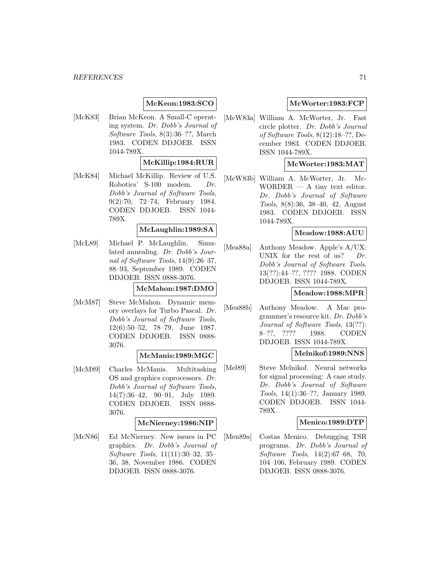# **McKeon:1983:SCO**

[McK83] Brian McKeon. A Small-C operating system. Dr. Dobb's Journal of Software Tools, 8(3):36–??, March 1983. CODEN DDJOEB. ISSN 1044-789X.

# **McKillip:1984:RUR**

[McK84] Michael McKillip. Review of U.S. Robotics' S-100 modem. Dr. Dobb's Journal of Software Tools, 9(2):70, 72–74, February 1984. CODEN DDJOEB. ISSN 1044- 789X.

### **McLaughlin:1989:SA**

[McL89] Michael P. McLaughlin. Simulated annealing. Dr. Dobb's Journal of Software Tools, 14(9):26–37, 88–93, September 1989. CODEN DDJOEB. ISSN 0888-3076.

### **McMahon:1987:DMO**

[McM87] Steve McMahon. Dynamic memory overlays for Turbo Pascal. Dr. Dobb's Journal of Software Tools, 12(6):50–52, 78–79, June 1987. CODEN DDJOEB. ISSN 0888- 3076.

### **McManis:1989:MGC**

[McM89] Charles McManis. Multitasking OS and graphics coprocessors. Dr. Dobb's Journal of Software Tools, 14(7):36–42, 90–91, July 1989. CODEN DDJOEB. ISSN 0888- 3076.

# **McNierney:1986:NIP**

[McN86] Ed McNierney. New issues in PC graphics. Dr. Dobb's Journal of Software Tools, 11(11):30–32, 35– 36, 38, November 1986. CODEN DDJOEB. ISSN 0888-3076.

# **McWorter:1983:FCP**

[McW83a] William A. McWorter, Jr. Fast circle plotter. Dr. Dobb's Journal of Software Tools, 8(12):18–??, December 1983. CODEN DDJOEB. ISSN 1044-789X.

# **McWorter:1983:MAT**

[McW83b] William A. McWorter, Jr. Mc- $WORDER - A$  tiny text editor. Dr. Dobb's Journal of Software Tools, 8(8):36, 38–40, 42, August 1983. CODEN DDJOEB. ISSN 1044-789X.

### **Meadow:1988:AUU**

[Mea88a] Anthony Meadow. Apple's A/UX: UNIX for the rest of us?  $Dr.$ Dobb's Journal of Software Tools, 13(??):44–??, ???? 1988. CODEN DDJOEB. ISSN 1044-789X.

# **Meadow:1988:MPR**

[Mea88b] Anthony Meadow. A Mac programmer's resource kit. Dr. Dobb's Journal of Software Tools, 13(??): 8–??, ???? 1988. CODEN DDJOEB. ISSN 1044-789X.

## **Melnikof:1989:NNS**

[Mel89] Steve Melnikof. Neural networks for signal processing: A case study. Dr. Dobb's Journal of Software Tools, 14(1):36–??, January 1989. CODEN DDJOEB. ISSN 1044- 789X.

# **Menico:1989:DTP**

[Men89a] Costas Menico. Debugging TSR programs. Dr. Dobb's Journal of Software Tools, 14(2):67–68, 70, 104–106, February 1989. CODEN DDJOEB. ISSN 0888-3076.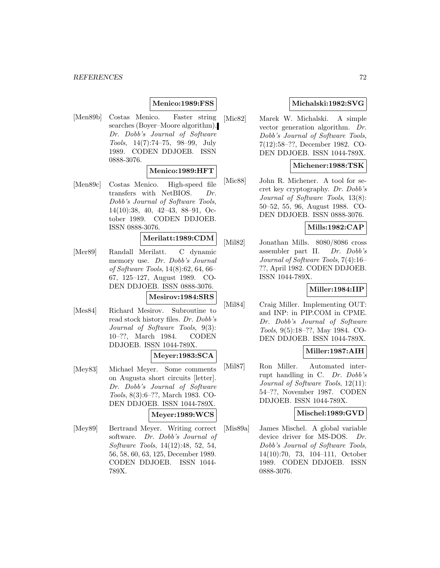# **Menico:1989:FSS**

[Men89b] Costas Menico. Faster string searches (Boyer–Moore algorithm). Dr. Dobb's Journal of Software Tools, 14(7):74–75, 98–99, July 1989. CODEN DDJOEB. ISSN 0888-3076.

### **Menico:1989:HFT**

[Men89c] Costas Menico. High-speed file transfers with NetBIOS. Dr. Dobb's Journal of Software Tools, 14(10):38, 40, 42–43, 88–91, October 1989. CODEN DDJOEB. ISSN 0888-3076.

## **Merilatt:1989:CDM**

[Mer89] Randall Merilatt. C dynamic memory use. Dr. Dobb's Journal of Software Tools, 14(8):62, 64, 66– 67, 125–127, August 1989. CO-DEN DDJOEB. ISSN 0888-3076.

### **Mesirov:1984:SRS**

[Mes84] Richard Mesirov. Subroutine to read stock history files. Dr. Dobb's Journal of Software Tools, 9(3): 10–??, March 1984. CODEN DDJOEB. ISSN 1044-789X.

# **Meyer:1983:SCA**

- [Mey83] Michael Meyer. Some comments on Augusta short circuits [letter]. Dr. Dobb's Journal of Software Tools, 8(3):6–??, March 1983. CO-DEN DDJOEB. ISSN 1044-789X. **Meyer:1989:WCS**
- [Mey89] Bertrand Meyer. Writing correct software. Dr. Dobb's Journal of Software Tools, 14(12):48, 52, 54, 56, 58, 60, 63, 125, December 1989. CODEN DDJOEB. ISSN 1044- 789X.

# **Michalski:1982:SVG**

[Mic82] Marek W. Michalski. A simple vector generation algorithm. Dr. Dobb's Journal of Software Tools, 7(12):58–??, December 1982. CO-DEN DDJOEB. ISSN 1044-789X.

# **Michener:1988:TSK**

[Mic88] John R. Michener. A tool for secret key cryptography. Dr. Dobb's Journal of Software Tools, 13(8): 50–52, 55, 96, August 1988. CO-DEN DDJOEB. ISSN 0888-3076.

# **Mills:1982:CAP**

[Mil82] Jonathan Mills. 8080/8086 cross assembler part II. Dr. Dobb's Journal of Software Tools, 7(4):16– ??, April 1982. CODEN DDJOEB. ISSN 1044-789X.

# **Miller:1984:IIP**

[Mil84] Craig Miller. Implementing OUT: and INP: in PIP.COM in CPME. Dr. Dobb's Journal of Software Tools, 9(5):18–??, May 1984. CO-DEN DDJOEB. ISSN 1044-789X.

# **Miller:1987:AIH**

[Mil87] Ron Miller. Automated interrupt handling in C. Dr. Dobb's Journal of Software Tools, 12(11): 54–??, November 1987. CODEN DDJOEB. ISSN 1044-789X.

### **Mischel:1989:GVD**

[Mis89a] James Mischel. A global variable device driver for MS-DOS. Dr. Dobb's Journal of Software Tools, 14(10):70, 73, 104–111, October 1989. CODEN DDJOEB. ISSN 0888-3076.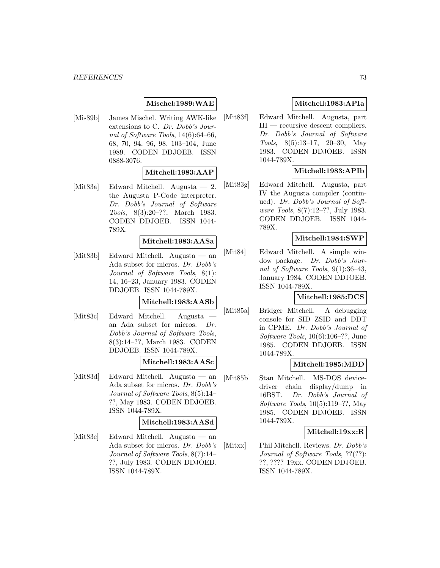# **Mischel:1989:WAE**

[Mis89b] James Mischel. Writing AWK-like extensions to C. Dr. Dobb's Journal of Software Tools, 14(6):64–66, 68, 70, 94, 96, 98, 103–104, June 1989. CODEN DDJOEB. ISSN 0888-3076.

## **Mitchell:1983:AAP**

[Mit83a] Edward Mitchell. Augusta — 2. the Augusta P-Code interpreter. Dr. Dobb's Journal of Software Tools, 8(3):20–??, March 1983. CODEN DDJOEB. ISSN 1044- 789X.

## **Mitchell:1983:AASa**

[Mit83b] Edward Mitchell. Augusta — an Ada subset for micros. Dr. Dobb's Journal of Software Tools, 8(1): 14, 16–23, January 1983. CODEN DDJOEB. ISSN 1044-789X.

## **Mitchell:1983:AASb**

[Mit83c] Edward Mitchell. Augusta an Ada subset for micros. Dr. Dobb's Journal of Software Tools, 8(3):14–??, March 1983. CODEN DDJOEB. ISSN 1044-789X.

## **Mitchell:1983:AASc**

[Mit83d] Edward Mitchell. Augusta — an Ada subset for micros. Dr. Dobb's Journal of Software Tools, 8(5):14– ??, May 1983. CODEN DDJOEB. ISSN 1044-789X.

## **Mitchell:1983:AASd**

[Mit83e] Edward Mitchell. Augusta — an Ada subset for micros. Dr. Dobb's Journal of Software Tools, 8(7):14– ??, July 1983. CODEN DDJOEB. ISSN 1044-789X.

# **Mitchell:1983:APIa**

[Mit83f] Edward Mitchell. Augusta, part III — recursive descent compilers. Dr. Dobb's Journal of Software Tools, 8(5):13–17, 20–30, May 1983. CODEN DDJOEB. ISSN 1044-789X.

# **Mitchell:1983:APIb**

[Mit83g] Edward Mitchell. Augusta, part IV the Augusta compiler (continued). Dr. Dobb's Journal of Software Tools, 8(7):12–??, July 1983. CODEN DDJOEB. ISSN 1044- 789X.

## **Mitchell:1984:SWP**

[Mit84] Edward Mitchell. A simple window package. Dr. Dobb's Journal of Software Tools, 9(1):36–43, January 1984. CODEN DDJOEB. ISSN 1044-789X.

## **Mitchell:1985:DCS**

[Mit85a] Bridger Mitchell. A debugging console for SID ZSID and DDT in CPME. Dr. Dobb's Journal of Software Tools, 10(6):106–??, June 1985. CODEN DDJOEB. ISSN 1044-789X.

## **Mitchell:1985:MDD**

[Mit85b] Stan Mitchell. MS-DOS devicedriver chain display/dump in 16BST. Dr. Dobb's Journal of Software Tools, 10(5):119–??, May 1985. CODEN DDJOEB. ISSN 1044-789X.

# **Mitchell:19xx:R**

[Mitxx] Phil Mitchell. Reviews. Dr. Dobb's Journal of Software Tools, ??(??): ??, ???? 19xx. CODEN DDJOEB. ISSN 1044-789X.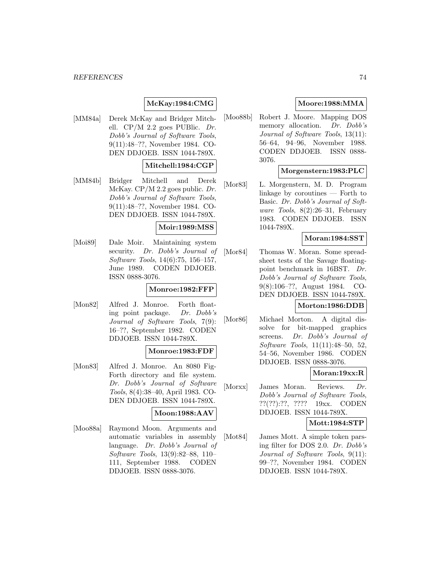# **McKay:1984:CMG**

[MM84a] Derek McKay and Bridger Mitchell. CP/M 2.2 goes PUBlic. Dr. Dobb's Journal of Software Tools, 9(11):48–??, November 1984. CO-DEN DDJOEB. ISSN 1044-789X.

# **Mitchell:1984:CGP**

[MM84b] Bridger Mitchell and Derek McKay. CP/M 2.2 goes public. Dr. Dobb's Journal of Software Tools, 9(11):48–??, November 1984. CO-DEN DDJOEB. ISSN 1044-789X.

## **Moir:1989:MSS**

[Moi89] Dale Moir. Maintaining system security. Dr. Dobb's Journal of Software Tools, 14(6):75, 156–157, June 1989. CODEN DDJOEB. ISSN 0888-3076.

### **Monroe:1982:FFP**

[Mon82] Alfred J. Monroe. Forth floating point package. Dr. Dobb's Journal of Software Tools, 7(9): 16–??, September 1982. CODEN DDJOEB. ISSN 1044-789X.

## **Monroe:1983:FDF**

[Mon83] Alfred J. Monroe. An 8080 Fig-Forth directory and file system. Dr. Dobb's Journal of Software Tools, 8(4):38–40, April 1983. CO-DEN DDJOEB. ISSN 1044-789X.

# **Moon:1988:AAV**

[Moo88a] Raymond Moon. Arguments and automatic variables in assembly language. Dr. Dobb's Journal of Software Tools, 13(9):82–88, 110– 111, September 1988. CODEN DDJOEB. ISSN 0888-3076.

# **Moore:1988:MMA**

[Moo88b] Robert J. Moore. Mapping DOS memory allocation. Dr. Dobb's Journal of Software Tools, 13(11): 56–64, 94–96, November 1988. CODEN DDJOEB. ISSN 0888- 3076.

# **Morgenstern:1983:PLC**

[Mor83] L. Morgenstern, M. D. Program linkage by coroutines — Forth to Basic. Dr. Dobb's Journal of Software Tools, 8(2):26–31, February 1983. CODEN DDJOEB. ISSN 1044-789X.

### **Moran:1984:SST**

[Mor84] Thomas W. Moran. Some spreadsheet tests of the Savage floatingpoint benchmark in 16BST. Dr. Dobb's Journal of Software Tools, 9(8):106–??, August 1984. CO-DEN DDJOEB. ISSN 1044-789X.

## **Morton:1986:DDB**

[Mor86] Michael Morton. A digital dissolve for bit-mapped graphics screens. Dr. Dobb's Journal of Software Tools, 11(11):48–50, 52, 54–56, November 1986. CODEN DDJOEB. ISSN 0888-3076.

### **Moran:19xx:R**

[Morxx] James Moran. Reviews. Dr. Dobb's Journal of Software Tools, ??(??):??, ???? 19xx. CODEN DDJOEB. ISSN 1044-789X.

**Mott:1984:STP**

[Mot84] James Mott. A simple token parsing filter for DOS 2.0. Dr. Dobb's Journal of Software Tools, 9(11): 99–??, November 1984. CODEN DDJOEB. ISSN 1044-789X.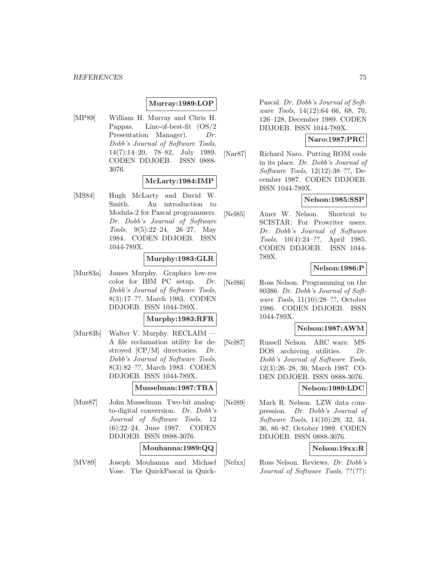### **Murray:1989:LOP**

[MP89] William H. Murray and Chris H. Pappas. Line-of-best-fit (OS/2 Presentation Manager). Dr. Dobb's Journal of Software Tools, 14(7):14–20, 78–82, July 1989. CODEN DDJOEB. ISSN 0888- 3076.

## **McLarty:1984:IMP**

[MS84] Hugh McLarty and David W. Smith. An introduction to Modula-2 for Pascal programmers. Dr. Dobb's Journal of Software Tools, 9(5):22–24, 26–27, May 1984. CODEN DDJOEB. ISSN 1044-789X.

## **Murphy:1983:GLR**

[Mur83a] James Murphy. Graphics low-res color for IBM PC setup. Dr. Dobb's Journal of Software Tools, 8(3):17–??, March 1983. CODEN DDJOEB. ISSN 1044-789X.

# **Murphy:1983:RFR**

[Mur83b] Walter V. Murphy. RECLAIM A file reclamation utility for destroyed [CP/M] directories. Dr. Dobb's Journal of Software Tools, 8(3):82–??, March 1983. CODEN DDJOEB. ISSN 1044-789X.

## **Musselman:1987:TBA**

[Mus87] John Musselman. Two-bit analogto-digital conversion. Dr. Dobb's Journal of Software Tools, 12 (6):22–24, June 1987. CODEN DDJOEB. ISSN 0888-3076.

### **Mouhanna:1989:QQ**

[MV89] Joseph Mouhanna and Michael Vose. The QuickPascal in QuickPascal. Dr. Dobb's Journal of Software Tools, 14(12):64–66, 68, 70, 126–128, December 1989. CODEN DDJOEB. ISSN 1044-789X.

## **Naro:1987:PRC**

[Nar87] Richard Naro. Putting ROM code in its place. Dr. Dobb's Journal of Software Tools, 12(12):38–??, December 1987. CODEN DDJOEB. ISSN 1044-789X.

### **Nelson:1985:SSP**

[Nel85] Amer W. Nelson. Shortcut to SCISTAR: For Prowriter users. Dr. Dobb's Journal of Software Tools, 10(4):24–??, April 1985. CODEN DDJOEB. ISSN 1044- 789X.

### **Nelson:1986:P**

[Nel86] Ross Nelson. Programming on the 80386. Dr. Dobb's Journal of Software Tools, 11(10):28–??, October 1986. CODEN DDJOEB. ISSN 1044-789X.

## **Nelson:1987:AWM**

[Nel87] Russell Nelson. ARC wars: MS-DOS archiving utilities. Dr. Dobb's Journal of Software Tools, 12(3):26–28, 30, March 1987. CO-DEN DDJOEB. ISSN 0888-3076.

# **Nelson:1989:LDC**

[Nel89] Mark R. Nelson. LZW data compression. Dr. Dobb's Journal of Software Tools, 14(10):29, 32, 34, 36, 86–87, October 1989. CODEN DDJOEB. ISSN 0888-3076.

## **Nelson:19xx:R**

[Nelxx] Ross Nelson. Reviews. Dr. Dobb's Journal of Software Tools, ??(??):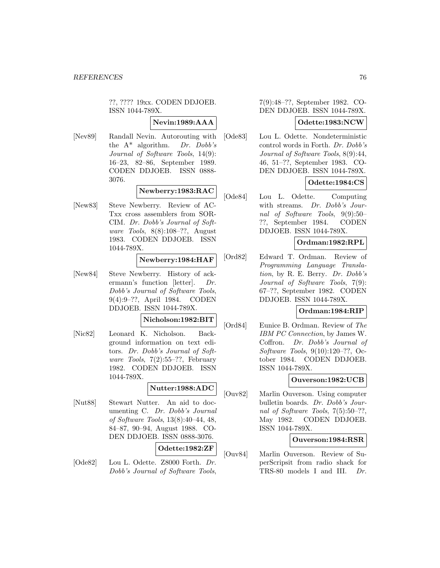??, ???? 19xx. CODEN DDJOEB. ISSN 1044-789X.

## **Nevin:1989:AAA**

[Nev89] Randall Nevin. Autorouting with the  $A^*$  algorithm. Dr. Dobb's Journal of Software Tools, 14(9): 16–23, 82–86, September 1989. CODEN DDJOEB. ISSN 0888- 3076.

# **Newberry:1983:RAC**

[New83] Steve Newberry. Review of AC-Txx cross assemblers from SOR-CIM. Dr. Dobb's Journal of Software Tools, 8(8):108–??, August 1983. CODEN DDJOEB. ISSN 1044-789X.

## **Newberry:1984:HAF**

[New84] Steve Newberry. History of ackermann's function [letter]. Dr. Dobb's Journal of Software Tools, 9(4):9–??, April 1984. CODEN DDJOEB. ISSN 1044-789X.

## **Nicholson:1982:BIT**

[Nic82] Leonard K. Nicholson. Background information on text editors. Dr. Dobb's Journal of Soft*ware Tools*,  $7(2):55-??$ , February 1982. CODEN DDJOEB. ISSN 1044-789X.

# **Nutter:1988:ADC**

[Nut88] Stewart Nutter. An aid to documenting C. Dr. Dobb's Journal of Software Tools, 13(8):40–44, 48, 84–87, 90–94, August 1988. CO-DEN DDJOEB. ISSN 0888-3076.

### **Odette:1982:ZF**

[Ode82] Lou L. Odette. Z8000 Forth. Dr. Dobb's Journal of Software Tools,

7(9):48–??, September 1982. CO-DEN DDJOEB. ISSN 1044-789X.

## **Odette:1983:NCW**

[Ode83] Lou L. Odette. Nondeterministic control words in Forth. Dr. Dobb's Journal of Software Tools, 8(9):44, 46, 51–??, September 1983. CO-DEN DDJOEB. ISSN 1044-789X.

## **Odette:1984:CS**

[Ode84] Lou L. Odette. Computing with streams. Dr. Dobb's Journal of Software Tools, 9(9):50– ??, September 1984. CODEN DDJOEB. ISSN 1044-789X.

## **Ordman:1982:RPL**

[Ord82] Edward T. Ordman. Review of Programming Language Translation, by R. E. Berry. Dr. Dobb's Journal of Software Tools, 7(9): 67–??, September 1982. CODEN DDJOEB. ISSN 1044-789X.

# **Ordman:1984:RIP**

[Ord84] Eunice B. Ordman. Review of The IBM PC Connection, by James W. Coffron. Dr. Dobb's Journal of Software Tools, 9(10):120–??, October 1984. CODEN DDJOEB. ISSN 1044-789X.

# **Ouverson:1982:UCB**

[Ouv82] Marlin Ouverson. Using computer bulletin boards. Dr. Dobb's Journal of Software Tools, 7(5):50–??, May 1982. CODEN DDJOEB. ISSN 1044-789X.

## **Ouverson:1984:RSR**

[Ouv84] Marlin Ouverson. Review of SuperScripsit from radio shack for TRS-80 models I and III. Dr.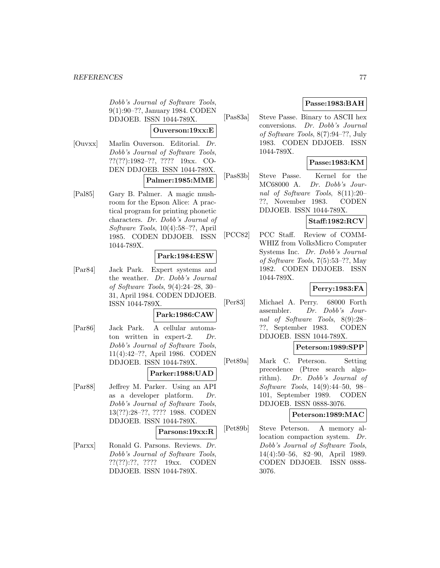Dobb's Journal of Software Tools, 9(1):90–??, January 1984. CODEN DDJOEB. ISSN 1044-789X.

## **Ouverson:19xx:E**

- [Ouvxx] Marlin Ouverson. Editorial. Dr. Dobb's Journal of Software Tools, ??(??):1982–??, ???? 19xx. CO-DEN DDJOEB. ISSN 1044-789X. **Palmer:1985:MME**
- [Pal85] Gary B. Palmer. A magic mushroom for the Epson Alice: A practical program for printing phonetic characters. Dr. Dobb's Journal of Software Tools, 10(4):58–??, April 1985. CODEN DDJOEB. ISSN 1044-789X.

### **Park:1984:ESW**

[Par84] Jack Park. Expert systems and the weather. Dr. Dobb's Journal of Software Tools, 9(4):24–28, 30– 31, April 1984. CODEN DDJOEB. ISSN 1044-789X.

### **Park:1986:CAW**

[Par86] Jack Park. A cellular automaton written in expert-2.  $Dr.$ Dobb's Journal of Software Tools, 11(4):42–??, April 1986. CODEN DDJOEB. ISSN 1044-789X.

# **Parker:1988:UAD**

[Par88] Jeffrey M. Parker. Using an API as a developer platform. Dr. Dobb's Journal of Software Tools, 13(??):28–??, ???? 1988. CODEN DDJOEB. ISSN 1044-789X.

### **Parsons:19xx:R**

[Parxx] Ronald G. Parsons. Reviews. Dr. Dobb's Journal of Software Tools, ??(??):??, ???? 19xx. CODEN DDJOEB. ISSN 1044-789X.

# **Passe:1983:BAH**

[Pas83a] Steve Passe. Binary to ASCII hex conversions. Dr. Dobb's Journal of Software Tools, 8(7):94–??, July 1983. CODEN DDJOEB. ISSN 1044-789X.

## **Passe:1983:KM**

[Pas83b] Steve Passe. Kernel for the MC68000 A. Dr. Dobb's Journal of Software Tools, 8(11):20– ??, November 1983. CODEN DDJOEB. ISSN 1044-789X.

# **Staff:1982:RCV**

[PCC82] PCC Staff. Review of COMM-WHIZ from VolksMicro Computer Systems Inc. Dr. Dobb's Journal of Software Tools, 7(5):53–??, May 1982. CODEN DDJOEB. ISSN 1044-789X.

# **Perry:1983:FA**

[Per83] Michael A. Perry. 68000 Forth assembler. Dr. Dobb's Journal of Software Tools, 8(9):28– ??, September 1983. CODEN DDJOEB. ISSN 1044-789X.

### **Peterson:1989:SPP**

[Pet89a] Mark C. Peterson. Setting precedence (Ptree search algorithm). Dr. Dobb's Journal of Software Tools, 14(9):44–50, 98– 101, September 1989. CODEN DDJOEB. ISSN 0888-3076.

## **Peterson:1989:MAC**

[Pet89b] Steve Peterson. A memory allocation compaction system. Dr. Dobb's Journal of Software Tools, 14(4):50–56, 82–90, April 1989. CODEN DDJOEB. ISSN 0888- 3076.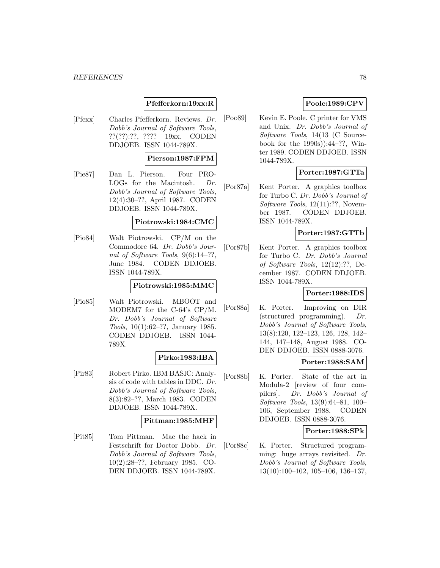# **Pfefferkorn:19xx:R**

[Pfexx] Charles Pfefferkorn. Reviews. Dr. Dobb's Journal of Software Tools, ??(??):??, ???? 19xx. CODEN DDJOEB. ISSN 1044-789X.

### **Pierson:1987:FPM**

[Pie87] Dan L. Pierson. Four PRO-LOGs for the Macintosh. Dr. Dobb's Journal of Software Tools, 12(4):30–??, April 1987. CODEN DDJOEB. ISSN 1044-789X.

#### **Piotrowski:1984:CMC**

[Pio84] Walt Piotrowski. CP/M on the Commodore 64. Dr. Dobb's Journal of Software Tools, 9(6):14–??, June 1984. CODEN DDJOEB. ISSN 1044-789X.

### **Piotrowski:1985:MMC**

[Pio85] Walt Piotrowski. MBOOT and MODEM7 for the C-64's CP/M. Dr. Dobb's Journal of Software Tools, 10(1):62–??, January 1985. CODEN DDJOEB. ISSN 1044- 789X.

### **Pirko:1983:IBA**

[Pir83] Robert Pirko. IBM BASIC: Analysis of code with tables in DDC. Dr. Dobb's Journal of Software Tools, 8(3):82–??, March 1983. CODEN DDJOEB. ISSN 1044-789X.

### **Pittman:1985:MHF**

[Pit85] Tom Pittman. Mac the hack in Festschrift for Doctor Dobb. Dr. Dobb's Journal of Software Tools, 10(2):28–??, February 1985. CO-DEN DDJOEB. ISSN 1044-789X.

# **Poole:1989:CPV**

[Poo89] Kevin E. Poole. C printer for VMS and Unix. Dr. Dobb's Journal of Software Tools, 14(13 (C Sourcebook for the 1990s)):44–??, Winter 1989. CODEN DDJOEB. ISSN 1044-789X.

# **Porter:1987:GTTa**

[Por87a] Kent Porter. A graphics toolbox for Turbo C. Dr. Dobb's Journal of Software Tools, 12(11):??, November 1987. CODEN DDJOEB. ISSN 1044-789X.

## **Porter:1987:GTTb**

[Por87b] Kent Porter. A graphics toolbox for Turbo C. Dr. Dobb's Journal of Software Tools, 12(12):??, December 1987. CODEN DDJOEB. ISSN 1044-789X.

## **Porter:1988:IDS**

[Por88a] K. Porter. Improving on DIR (structured programming). Dr. Dobb's Journal of Software Tools, 13(8):120, 122–123, 126, 128, 142– 144, 147–148, August 1988. CO-DEN DDJOEB. ISSN 0888-3076.

## **Porter:1988:SAM**

[Por88b] K. Porter. State of the art in Modula-2 [review of four compilers]. Dr. Dobb's Journal of Software Tools, 13(9):64–81, 100– 106, September 1988. CODEN DDJOEB. ISSN 0888-3076.

### **Porter:1988:SPk**

[Por88c] K. Porter. Structured programming: huge arrays revisited. Dr. Dobb's Journal of Software Tools, 13(10):100–102, 105–106, 136–137,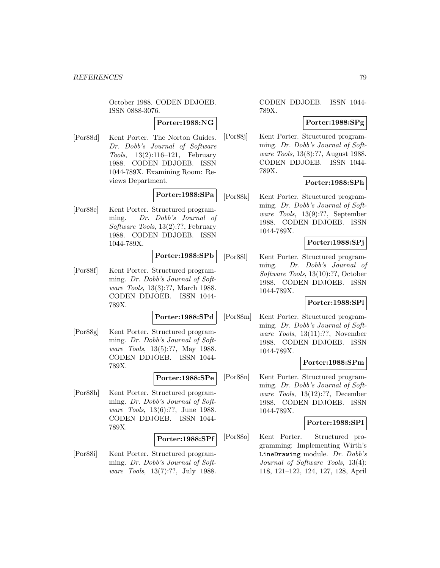October 1988. CODEN DDJOEB. ISSN 0888-3076.

## **Porter:1988:NG**

[Por88d] Kent Porter. The Norton Guides. Dr. Dobb's Journal of Software Tools, 13(2):116–121, February 1988. CODEN DDJOEB. ISSN 1044-789X. Examining Room: Reviews Department.

## **Porter:1988:SPa**

[Por88e] Kent Porter. Structured programming. Dr. Dobb's Journal of Software Tools, 13(2):??, February 1988. CODEN DDJOEB. ISSN 1044-789X.

## **Porter:1988:SPb**

[Por88f] Kent Porter. Structured programming. Dr. Dobb's Journal of Software Tools, 13(3):??, March 1988. CODEN DDJOEB. ISSN 1044- 789X.

### **Porter:1988:SPd**

[Por88g] Kent Porter. Structured programming. Dr. Dobb's Journal of Software Tools, 13(5):??, May 1988. CODEN DDJOEB. ISSN 1044- 789X.

### **Porter:1988:SPe**

[Por88h] Kent Porter. Structured programming. Dr. Dobb's Journal of Software Tools, 13(6):??, June 1988. CODEN DDJOEB. ISSN 1044- 789X.

#### **Porter:1988:SPf**

[Por88i] Kent Porter. Structured programming. Dr. Dobb's Journal of Software Tools, 13(7):??, July 1988.

CODEN DDJOEB. ISSN 1044- 789X.

## **Porter:1988:SPg**

[Por88j] Kent Porter. Structured programming. Dr. Dobb's Journal of Software Tools, 13(8):??, August 1988. CODEN DDJOEB. ISSN 1044- 789X.

## **Porter:1988:SPh**

[Por88k] Kent Porter. Structured programming. Dr. Dobb's Journal of Software Tools, 13(9):??, September 1988. CODEN DDJOEB. ISSN 1044-789X.

# **Porter:1988:SPj**

[Por88l] Kent Porter. Structured programming. Dr. Dobb's Journal of Software Tools, 13(10):??, October 1988. CODEN DDJOEB. ISSN 1044-789X.

## **Porter:1988:SPl**

[Por88m] Kent Porter. Structured programming. Dr. Dobb's Journal of Software Tools, 13(11):??, November 1988. CODEN DDJOEB. ISSN 1044-789X.

### **Porter:1988:SPm**

[Por88n] Kent Porter. Structured programming. Dr. Dobb's Journal of Software Tools, 13(12):??, December 1988. CODEN DDJOEB. ISSN 1044-789X.

### **Porter:1988:SPI**

[Por88o] Kent Porter. Structured programming: Implementing Wirth's LineDrawing module. Dr. Dobb's Journal of Software Tools, 13(4): 118, 121–122, 124, 127, 128, April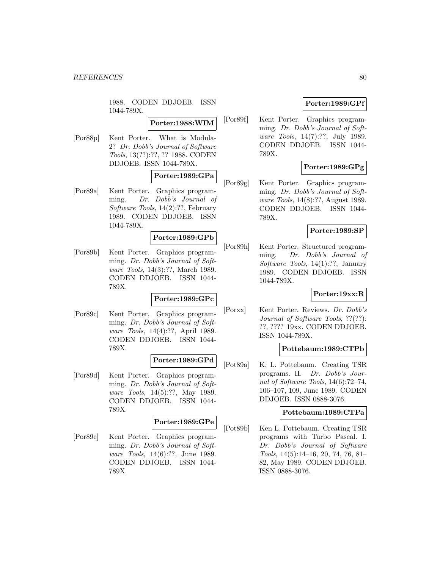1988. CODEN DDJOEB. ISSN 1044-789X.

# **Porter:1988:WIM**

[Por88p] Kent Porter. What is Modula-2? Dr. Dobb's Journal of Software Tools, 13(??):??, ?? 1988. CODEN DDJOEB. ISSN 1044-789X.

# **Porter:1989:GPa**

[Por89a] Kent Porter. Graphics programming. Dr. Dobb's Journal of Software Tools, 14(2):??, February 1989. CODEN DDJOEB. ISSN 1044-789X.

### **Porter:1989:GPb**

[Por89b] Kent Porter. Graphics programming. Dr. Dobb's Journal of Software Tools, 14(3):??, March 1989. CODEN DDJOEB. ISSN 1044- 789X.

## **Porter:1989:GPc**

[Por89c] Kent Porter. Graphics programming. Dr. Dobb's Journal of Software Tools, 14(4):??, April 1989. CODEN DDJOEB. ISSN 1044- 789X.

### **Porter:1989:GPd**

[Por89d] Kent Porter. Graphics programming. Dr. Dobb's Journal of Software Tools, 14(5):??, May 1989. CODEN DDJOEB. ISSN 1044- 789X.

## **Porter:1989:GPe**

[Por89e] Kent Porter. Graphics programming. Dr. Dobb's Journal of Software Tools, 14(6):??, June 1989. CODEN DDJOEB. ISSN 1044- 789X.

# **Porter:1989:GPf**

[Por89f] Kent Porter. Graphics programming. Dr. Dobb's Journal of Software Tools, 14(7):??, July 1989. CODEN DDJOEB. ISSN 1044- 789X.

# **Porter:1989:GPg**

[Por89g] Kent Porter. Graphics programming. Dr. Dobb's Journal of Software Tools, 14(8):??, August 1989. CODEN DDJOEB. ISSN 1044- 789X.

## **Porter:1989:SP**

[Por89h] Kent Porter. Structured programming. Dr. Dobb's Journal of Software Tools, 14(1):??, January 1989. CODEN DDJOEB. ISSN 1044-789X.

### **Porter:19xx:R**

[Porxx] Kent Porter. Reviews. Dr. Dobb's Journal of Software Tools, ??(??): ??, ???? 19xx. CODEN DDJOEB. ISSN 1044-789X.

## **Pottebaum:1989:CTPb**

[Pot89a] K. L. Pottebaum. Creating TSR programs. II. Dr. Dobb's Journal of Software Tools, 14(6):72–74, 106–107, 109, June 1989. CODEN DDJOEB. ISSN 0888-3076.

### **Pottebaum:1989:CTPa**

[Pot89b] Ken L. Pottebaum. Creating TSR programs with Turbo Pascal. I. Dr. Dobb's Journal of Software Tools, 14(5):14–16, 20, 74, 76, 81– 82, May 1989. CODEN DDJOEB. ISSN 0888-3076.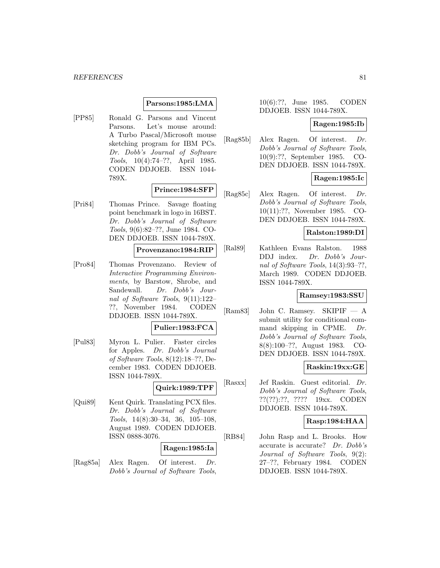## **Parsons:1985:LMA**

[PP85] Ronald G. Parsons and Vincent Parsons. Let's mouse around: A Turbo Pascal/Microsoft mouse sketching program for IBM PCs. Dr. Dobb's Journal of Software Tools, 10(4):74–??, April 1985. CODEN DDJOEB. ISSN 1044- 789X.

**Prince:1984:SFP**

[Pri84] Thomas Prince. Savage floating point benchmark in logo in 16BST. Dr. Dobb's Journal of Software Tools, 9(6):82–??, June 1984. CO-DEN DDJOEB. ISSN 1044-789X.

## **Provenzano:1984:RIP**

[Pro84] Thomas Provenzano. Review of Interactive Programming Environments, by Barstow, Shrobe, and Sandewall. Dr. Dobb's Journal of Software Tools, 9(11):122– ??, November 1984. CODEN DDJOEB. ISSN 1044-789X.

## **Pulier:1983:FCA**

[Pul83] Myron L. Pulier. Faster circles for Apples. Dr. Dobb's Journal of Software Tools, 8(12):18–??, December 1983. CODEN DDJOEB. ISSN 1044-789X.

### **Quirk:1989:TPF**

[Qui89] Kent Quirk. Translating PCX files. Dr. Dobb's Journal of Software Tools, 14(8):30–34, 36, 105–108, August 1989. CODEN DDJOEB. ISSN 0888-3076.

### **Ragen:1985:Ia**

[Rag85a] Alex Ragen. Of interest. Dr. Dobb's Journal of Software Tools, 10(6):??, June 1985. CODEN DDJOEB. ISSN 1044-789X.

### **Ragen:1985:Ib**

[Rag85b] Alex Ragen. Of interest. Dr. Dobb's Journal of Software Tools, 10(9):??, September 1985. CO-DEN DDJOEB. ISSN 1044-789X.

# **Ragen:1985:Ic**

[Rag85c] Alex Ragen. Of interest. Dr. Dobb's Journal of Software Tools, 10(11):??, November 1985. CO-DEN DDJOEB. ISSN 1044-789X.

## **Ralston:1989:DI**

[Ral89] Kathleen Evans Ralston. 1988 DDJ index. Dr. Dobb's Journal of Software Tools, 14(3):93–??, March 1989. CODEN DDJOEB. ISSN 1044-789X.

# **Ramsey:1983:SSU**

[Ram83] John C. Ramsey. SKIPIF — A submit utility for conditional command skipping in CPME. Dr. Dobb's Journal of Software Tools, 8(8):100–??, August 1983. CO-DEN DDJOEB. ISSN 1044-789X.

## **Raskin:19xx:GE**

[Rasxx] Jef Raskin. Guest editorial. Dr. Dobb's Journal of Software Tools, ??(??):??, ???? 19xx. CODEN DDJOEB. ISSN 1044-789X.

## **Rasp:1984:HAA**

[RB84] John Rasp and L. Brooks. How accurate is accurate? Dr. Dobb's Journal of Software Tools, 9(2): 27–??, February 1984. CODEN DDJOEB. ISSN 1044-789X.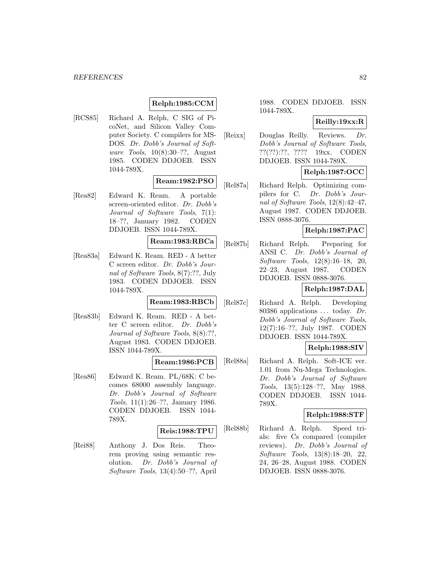# **Relph:1985:CCM**

[RCS85] Richard A. Relph, C SIG of PicoNet, and Silicon Valley Computer Society. C compilers for MS-DOS. Dr. Dobb's Journal of Software Tools, 10(8):30–??, August 1985. CODEN DDJOEB. ISSN 1044-789X.

# **Ream:1982:PSO**

[Rea82] Edward K. Ream. A portable screen-oriented editor. Dr. Dobb's Journal of Software Tools, 7(1): 18–??, January 1982. CODEN DDJOEB. ISSN 1044-789X.

### **Ream:1983:RBCa**

[Rea83a] Edward K. Ream. RED - A better C screen editor. Dr. Dobb's Journal of Software Tools, 8(7):??, July 1983. CODEN DDJOEB. ISSN 1044-789X.

# **Ream:1983:RBCb**

[Rea83b] Edward K. Ream. RED - A better C screen editor. Dr. Dobb's Journal of Software Tools, 8(8):??, August 1983. CODEN DDJOEB. ISSN 1044-789X.

# **Ream:1986:PCB**

[Rea86] Edward K. Ream. PL/68K: C becomes 68000 assembly language. Dr. Dobb's Journal of Software Tools, 11(1):26–??, January 1986. CODEN DDJOEB. ISSN 1044- 789X.

## **Reis:1988:TPU**

[Rei88] Anthony J. Dos Reis. Theorem proving using semantic resolution. Dr. Dobb's Journal of Software Tools, 13(4):50–??, April

1988. CODEN DDJOEB. ISSN 1044-789X.

# **Reilly:19xx:R**

[Reixx] Douglas Reilly. Reviews. Dr. Dobb's Journal of Software Tools, ??(??):??, ???? 19xx. CODEN DDJOEB. ISSN 1044-789X.

# **Relph:1987:OCC**

[Rel87a] Richard Relph. Optimizing compilers for C. Dr. Dobb's Journal of Software Tools, 12(8):42–47, August 1987. CODEN DDJOEB. ISSN 0888-3076.

## **Relph:1987:PAC**

[Rel87b] Richard Relph. Preparing for ANSI C. Dr. Dobb's Journal of Software Tools, 12(8):16–18, 20, 22–23, August 1987. CODEN DDJOEB. ISSN 0888-3076.

## **Relph:1987:DAL**

[Rel87c] Richard A. Relph. Developing 80386 applications ... today. Dr. Dobb's Journal of Software Tools, 12(7):16–??, July 1987. CODEN DDJOEB. ISSN 1044-789X.

### **Relph:1988:SIV**

[Rel88a] Richard A. Relph. Soft-ICE ver. 1.01 from Nu-Mega Technologies. Dr. Dobb's Journal of Software Tools, 13(5):128–??, May 1988. CODEN DDJOEB. ISSN 1044- 789X.

# **Relph:1988:STF**

[Rel88b] Richard A. Relph. Speed trials: five Cs compared (compiler reviews). Dr. Dobb's Journal of Software Tools, 13(8):18–20, 22, 24, 26–28, August 1988. CODEN DDJOEB. ISSN 0888-3076.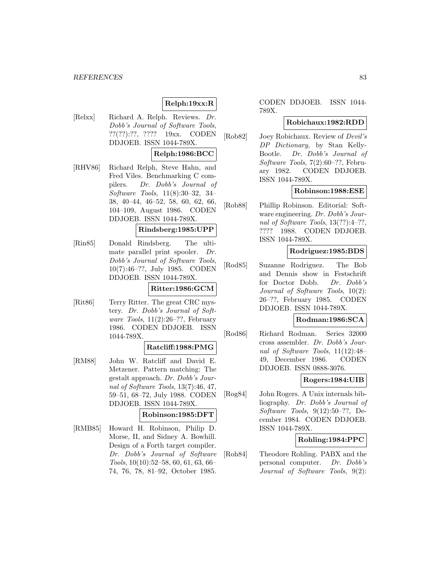# **Relph:19xx:R**

[Relxx] Richard A. Relph. Reviews. Dr. Dobb's Journal of Software Tools, ??(??):??, ???? 19xx. CODEN DDJOEB. ISSN 1044-789X.

# **Relph:1986:BCC**

[RHV86] Richard Relph, Steve Hahn, and Fred Viles. Benchmarking C compilers. Dr. Dobb's Journal of Software Tools, 11(8):30–32, 34– 38, 40–44, 46–52, 58, 60, 62, 66, 104–109, August 1986. CODEN DDJOEB. ISSN 1044-789X.

### **Rindsberg:1985:UPP**

[Rin85] Donald Rindsberg. The ultimate parallel print spooler. Dr. Dobb's Journal of Software Tools, 10(7):46–??, July 1985. CODEN DDJOEB. ISSN 1044-789X.

## **Ritter:1986:GCM**

[Rit86] Terry Ritter. The great CRC mystery. Dr. Dobb's Journal of Software Tools,  $11(2):26-??$ , February 1986. CODEN DDJOEB. ISSN 1044-789X.

#### **Ratcliff:1988:PMG**

[RM88] John W. Ratcliff and David E. Metzener. Pattern matching: The gestalt approach. Dr. Dobb's Journal of Software Tools, 13(7):46, 47, 59–51, 68–72, July 1988. CODEN DDJOEB. ISSN 1044-789X.

### **Robinson:1985:DFT**

[RMB85] Howard H. Robinson, Philip D. Morse, II, and Sidney A. Bowhill. Design of a Forth target compiler. Dr. Dobb's Journal of Software Tools, 10(10):52–58, 60, 61, 63, 66– 74, 76, 78, 81–92, October 1985.

CODEN DDJOEB. ISSN 1044- 789X.

## **Robichaux:1982:RDD**

[Rob82] Joey Robichaux. Review of Devil's DP Dictionary, by Stan Kelly-Bootle. Dr. Dobb's Journal of Software Tools, 7(2):60–??, February 1982. CODEN DDJOEB. ISSN 1044-789X.

# **Robinson:1988:ESE**

[Rob88] Phillip Robinson. Editorial: Software engineering. Dr. Dobb's Journal of Software Tools, 13(??):4–??, ???? 1988. CODEN DDJOEB. ISSN 1044-789X.

### **Rodriguez:1985:BDS**

[Rod85] Suzanne Rodriguez. The Bob and Dennis show in Festschrift for Doctor Dobb. Dr. Dobb's Journal of Software Tools, 10(2): 26–??, February 1985. CODEN DDJOEB. ISSN 1044-789X.

# **Rodman:1986:SCA**

[Rod86] Richard Rodman. Series 32000 cross assembler. Dr. Dobb's Journal of Software Tools, 11(12):48– 49, December 1986. CODEN DDJOEB. ISSN 0888-3076.

# **Rogers:1984:UIB**

[Rog84] John Rogers. A Unix internals bibliography. Dr. Dobb's Journal of Software Tools, 9(12):50–??, December 1984. CODEN DDJOEB. ISSN 1044-789X.

# **Rohling:1984:PPC**

[Roh84] Theodore Rohling. PABX and the personal computer. Dr. Dobb's Journal of Software Tools, 9(2):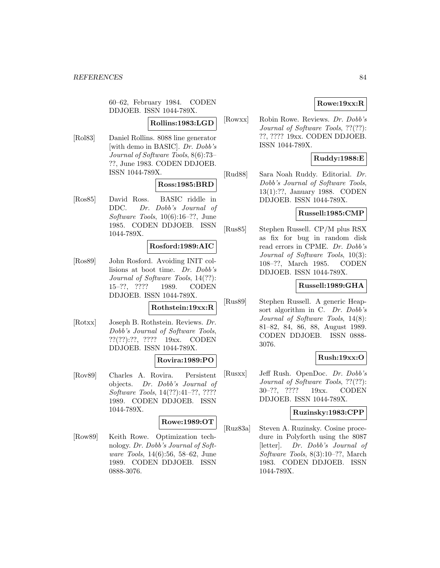60–62, February 1984. CODEN DDJOEB. ISSN 1044-789X.

**Rollins:1983:LGD**

[Rol83] Daniel Rollins. 8088 line generator [with demo in BASIC]. Dr. Dobb's Journal of Software Tools, 8(6):73– ??, June 1983. CODEN DDJOEB. ISSN 1044-789X.

# **Ross:1985:BRD**

[Ros85] David Ross. BASIC riddle in DDC. Dr. Dobb's Journal of Software Tools, 10(6):16–??, June 1985. CODEN DDJOEB. ISSN 1044-789X.

## **Rosford:1989:AIC**

[Ros89] John Rosford. Avoiding INIT collisions at boot time. Dr. Dobb's Journal of Software Tools, 14(??): 15–??, ???? 1989. CODEN DDJOEB. ISSN 1044-789X.

## **Rothstein:19xx:R**

[Rotxx] Joseph B. Rothstein. Reviews. Dr. Dobb's Journal of Software Tools, ??(??):??, ???? 19xx. CODEN DDJOEB. ISSN 1044-789X.

### **Rovira:1989:PO**

[Rov89] Charles A. Rovira. Persistent objects. Dr. Dobb's Journal of Software Tools, 14(??):41–??, ???? 1989. CODEN DDJOEB. ISSN 1044-789X.

## **Rowe:1989:OT**

[Row89] Keith Rowe. Optimization technology. Dr. Dobb's Journal of Software Tools, 14(6):56, 58–62, June 1989. CODEN DDJOEB. ISSN 0888-3076.

# **Rowe:19xx:R**

[Rowxx] Robin Rowe. Reviews. Dr. Dobb's Journal of Software Tools, ??(??): ??, ???? 19xx. CODEN DDJOEB. ISSN 1044-789X.

## **Ruddy:1988:E**

[Rud88] Sara Noah Ruddy. Editorial. Dr. Dobb's Journal of Software Tools, 13(1):??, January 1988. CODEN DDJOEB. ISSN 1044-789X.

# **Russell:1985:CMP**

[Rus85] Stephen Russell. CP/M plus RSX as fix for bug in random disk read errors in CPME. Dr. Dobb's Journal of Software Tools, 10(3): 108–??, March 1985. CODEN DDJOEB. ISSN 1044-789X.

## **Russell:1989:GHA**

[Rus89] Stephen Russell. A generic Heapsort algorithm in C. Dr. Dobb's Journal of Software Tools, 14(8): 81–82, 84, 86, 88, August 1989. CODEN DDJOEB. ISSN 0888- 3076.

## **Rush:19xx:O**

[Rusxx] Jeff Rush. OpenDoc. Dr. Dobb's Journal of Software Tools, ??(??): 30–??, ???? 19xx. CODEN DDJOEB. ISSN 1044-789X.

### **Ruzinsky:1983:CPP**

[Ruz83a] Steven A. Ruzinsky. Cosine procedure in Polyforth using the 8087 [letter]. Dr. Dobb's Journal of Software Tools, 8(3):10–??, March 1983. CODEN DDJOEB. ISSN 1044-789X.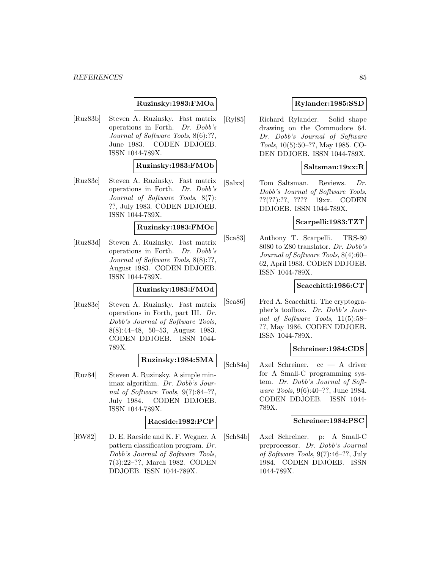## **Ruzinsky:1983:FMOa**

[Ruz83b] Steven A. Ruzinsky. Fast matrix operations in Forth. Dr. Dobb's Journal of Software Tools, 8(6):??, June 1983. CODEN DDJOEB. ISSN 1044-789X.

## **Ruzinsky:1983:FMOb**

[Ruz83c] Steven A. Ruzinsky. Fast matrix operations in Forth. Dr. Dobb's Journal of Software Tools, 8(7): ??, July 1983. CODEN DDJOEB. ISSN 1044-789X.

# **Ruzinsky:1983:FMOc**

[Ruz83d] Steven A. Ruzinsky. Fast matrix operations in Forth. Dr. Dobb's Journal of Software Tools, 8(8):??, August 1983. CODEN DDJOEB. ISSN 1044-789X.

### **Ruzinsky:1983:FMOd**

[Ruz83e] Steven A. Ruzinsky. Fast matrix operations in Forth, part III. Dr. Dobb's Journal of Software Tools, 8(8):44–48, 50–53, August 1983. CODEN DDJOEB. ISSN 1044- 789X.

## **Ruzinsky:1984:SMA**

[Ruz84] Steven A. Ruzinsky. A simple minimax algorithm. Dr. Dobb's Journal of Software Tools, 9(7):84–??, July 1984. CODEN DDJOEB. ISSN 1044-789X.

## **Raeside:1982:PCP**

[RW82] D. E. Raeside and K. F. Wegner. A pattern classification program. Dr. Dobb's Journal of Software Tools, 7(3):22–??, March 1982. CODEN DDJOEB. ISSN 1044-789X.

# **Rylander:1985:SSD**

[Ryl85] Richard Rylander. Solid shape drawing on the Commodore 64. Dr. Dobb's Journal of Software Tools, 10(5):50–??, May 1985. CO-DEN DDJOEB. ISSN 1044-789X.

# **Saltsman:19xx:R**

[Salxx] Tom Saltsman. Reviews. Dr. Dobb's Journal of Software Tools, ??(??):??, ???? 19xx. CODEN DDJOEB. ISSN 1044-789X.

## **Scarpelli:1983:TZT**

[Sca83] Anthony T. Scarpelli. TRS-80 8080 to Z80 translator. Dr. Dobb's Journal of Software Tools, 8(4):60– 62, April 1983. CODEN DDJOEB. ISSN 1044-789X.

## **Scacchitti:1986:CT**

[Sca86] Fred A. Scacchitti. The cryptographer's toolbox. Dr. Dobb's Journal of Software Tools, 11(5):58– ??, May 1986. CODEN DDJOEB. ISSN 1044-789X.

## **Schreiner:1984:CDS**

[Sch84a] Axel Schreiner. cc — A driver for A Small-C programming system. Dr. Dobb's Journal of Software Tools, 9(6):40–??, June 1984. CODEN DDJOEB. ISSN 1044- 789X.

### **Schreiner:1984:PSC**

[Sch84b] Axel Schreiner. p: A Small-C preprocessor. Dr. Dobb's Journal of Software Tools, 9(7):46–??, July 1984. CODEN DDJOEB. ISSN 1044-789X.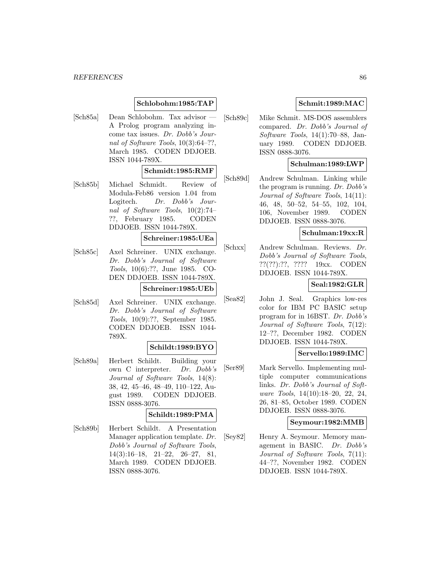# **Schlobohm:1985:TAP**

[Sch85a] Dean Schlobohm. Tax advisor — A Prolog program analyzing income tax issues. Dr. Dobb's Journal of Software Tools, 10(3):64–??, March 1985. CODEN DDJOEB. ISSN 1044-789X.

## **Schmidt:1985:RMF**

[Sch85b] Michael Schmidt. Review of Modula-Feb86 version 1.04 from Logitech. Dr. Dobb's Journal of Software Tools, 10(2):74– ??, February 1985. CODEN DDJOEB. ISSN 1044-789X.

#### **Schreiner:1985:UEa**

[Sch85c] Axel Schreiner. UNIX exchange. Dr. Dobb's Journal of Software Tools, 10(6):??, June 1985. CO-DEN DDJOEB. ISSN 1044-789X.

## **Schreiner:1985:UEb**

[Sch85d] Axel Schreiner. UNIX exchange. Dr. Dobb's Journal of Software Tools, 10(9):??, September 1985. CODEN DDJOEB. ISSN 1044- 789X.

## **Schildt:1989:BYO**

[Sch89a] Herbert Schildt. Building your own C interpreter. Dr. Dobb's Journal of Software Tools, 14(8): 38, 42, 45–46, 48–49, 110–122, August 1989. CODEN DDJOEB. ISSN 0888-3076.

# **Schildt:1989:PMA**

[Sch89b] Herbert Schildt. A Presentation Manager application template. Dr. Dobb's Journal of Software Tools, 14(3):16–18, 21–22, 26–27, 81, March 1989. CODEN DDJOEB. ISSN 0888-3076.

# **Schmit:1989:MAC**

[Sch89c] Mike Schmit. MS-DOS assemblers compared. Dr. Dobb's Journal of Software Tools, 14(1):70–88, January 1989. CODEN DDJOEB. ISSN 0888-3076.

## **Schulman:1989:LWP**

[Sch89d] Andrew Schulman. Linking while the program is running. Dr. Dobb's Journal of Software Tools, 14(11): 46, 48, 50–52, 54–55, 102, 104, 106, November 1989. CODEN DDJOEB. ISSN 0888-3076.

## **Schulman:19xx:R**

[Schxx] Andrew Schulman. Reviews. Dr. Dobb's Journal of Software Tools, ??(??):??, ???? 19xx. CODEN DDJOEB. ISSN 1044-789X.

# **Seal:1982:GLR**

[Sea82] John J. Seal. Graphics low-res color for IBM PC BASIC setup program for in 16BST. Dr. Dobb's Journal of Software Tools, 7(12): 12–??, December 1982. CODEN DDJOEB. ISSN 1044-789X.

## **Servello:1989:IMC**

[Ser89] Mark Servello. Implementing multiple computer communications links. Dr. Dobb's Journal of Software Tools, 14(10):18–20, 22, 24, 26, 81–85, October 1989. CODEN DDJOEB. ISSN 0888-3076.

### **Seymour:1982:MMB**

[Sey82] Henry A. Seymour. Memory management in BASIC. Dr. Dobb's Journal of Software Tools, 7(11): 44–??, November 1982. CODEN DDJOEB. ISSN 1044-789X.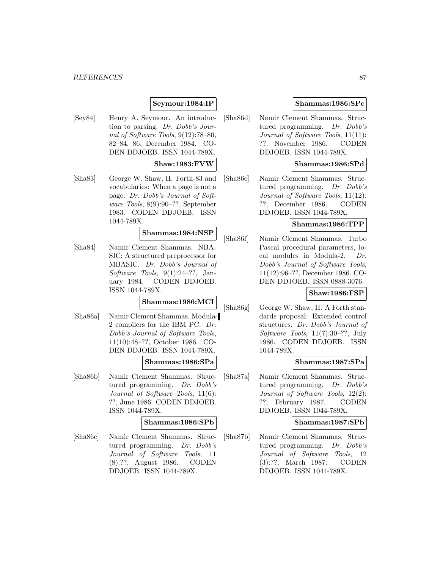# **Seymour:1984:IP**

[Sey84] Henry A. Seymour. An introduction to parsing. Dr. Dobb's Journal of Software Tools, 9(12):78–80, 82–84, 86, December 1984. CO-DEN DDJOEB. ISSN 1044-789X.

## **Shaw:1983:FVW**

[Sha83] George W. Shaw, II. Forth-83 and vocabularies: When a page is not a page. Dr. Dobb's Journal of Software Tools, 8(9):90–??, September 1983. CODEN DDJOEB. ISSN 1044-789X.

## **Shammas:1984:NSP**

[Sha84] Namir Clement Shammas. NBA-SIC: A structured preprocessor for MBASIC. Dr. Dobb's Journal of Software Tools, 9(1):24–??, January 1984. CODEN DDJOEB. ISSN 1044-789X.

### **Shammas:1986:MCI**

[Sha86a] Namir Clement Shammas. Modula-2 compilers for the IBM PC. Dr. Dobb's Journal of Software Tools, 11(10):48–??, October 1986. CO-DEN DDJOEB. ISSN 1044-789X.

## **Shammas:1986:SPa**

[Sha86b] Namir Clement Shammas. Structured programming. Dr. Dobb's Journal of Software Tools, 11(6): ??, June 1986. CODEN DDJOEB. ISSN 1044-789X.

## **Shammas:1986:SPb**

[Sha86c] Namir Clement Shammas. Structured programming. Dr. Dobb's Journal of Software Tools, 11 (8):??, August 1986. CODEN DDJOEB. ISSN 1044-789X.

## **Shammas:1986:SPc**

[Sha86d] Namir Clement Shammas. Structured programming. Dr. Dobb's Journal of Software Tools, 11(11): ??, November 1986. CODEN DDJOEB. ISSN 1044-789X.

## **Shammas:1986:SPd**

[Sha86e] Namir Clement Shammas. Structured programming. Dr. Dobb's Journal of Software Tools, 11(12): ??, December 1986. CODEN DDJOEB. ISSN 1044-789X.

# **Shammas:1986:TPP**

[Sha86f] Namir Clement Shammas. Turbo Pascal procedural parameters, local modules in Modula-2. Dr. Dobb's Journal of Software Tools, 11(12):96–??, December 1986. CO-DEN DDJOEB. ISSN 0888-3076.

## **Shaw:1986:FSP**

[Sha86g] George W. Shaw, II. A Forth standards proposal: Extended control structures. Dr. Dobb's Journal of Software Tools, 11(7):30–??, July 1986. CODEN DDJOEB. ISSN 1044-789X.

### **Shammas:1987:SPa**

[Sha87a] Namir Clement Shammas. Structured programming. Dr. Dobb's Journal of Software Tools, 12(2): ??, February 1987. CODEN DDJOEB. ISSN 1044-789X.

### **Shammas:1987:SPb**

[Sha87b] Namir Clement Shammas. Structured programming. Dr. Dobb's Journal of Software Tools, 12 (3):??, March 1987. CODEN DDJOEB. ISSN 1044-789X.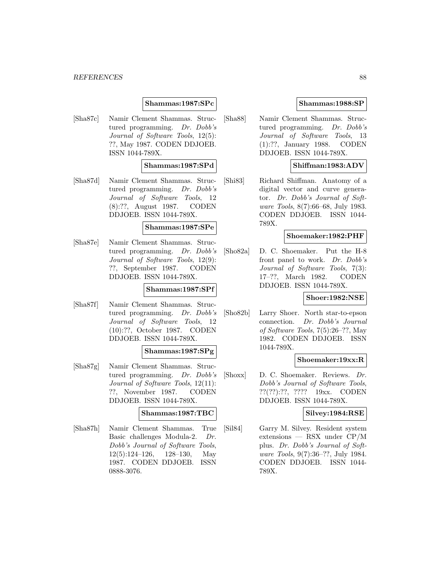## **Shammas:1987:SPc**

[Sha87c] Namir Clement Shammas. Structured programming. Dr. Dobb's Journal of Software Tools, 12(5): ??, May 1987. CODEN DDJOEB. ISSN 1044-789X.

## **Shammas:1987:SPd**

[Sha87d] Namir Clement Shammas. Structured programming. Dr. Dobb's Journal of Software Tools, 12 (8):??, August 1987. CODEN DDJOEB. ISSN 1044-789X.

### **Shammas:1987:SPe**

[Sha87e] Namir Clement Shammas. Structured programming. Dr. Dobb's Journal of Software Tools, 12(9): ??, September 1987. CODEN DDJOEB. ISSN 1044-789X.

### **Shammas:1987:SPf**

[Sha87f] Namir Clement Shammas. Structured programming. Dr. Dobb's Journal of Software Tools, 12 (10):??, October 1987. CODEN DDJOEB. ISSN 1044-789X.

### **Shammas:1987:SPg**

[Sha87g] Namir Clement Shammas. Structured programming. Dr. Dobb's Journal of Software Tools, 12(11): ??, November 1987. CODEN DDJOEB. ISSN 1044-789X.

## **Shammas:1987:TBC**

[Sha87h] Namir Clement Shammas. True Basic challenges Modula-2. Dr. Dobb's Journal of Software Tools, 12(5):124–126, 128–130, May 1987. CODEN DDJOEB. ISSN 0888-3076.

## **Shammas:1988:SP**

[Sha88] Namir Clement Shammas. Structured programming. Dr. Dobb's Journal of Software Tools, 13 (1):??, January 1988. CODEN DDJOEB. ISSN 1044-789X.

# **Shiffman:1983:ADV**

[Shi83] Richard Shiffman. Anatomy of a digital vector and curve generator. Dr. Dobb's Journal of Software Tools, 8(7):66–68, July 1983. CODEN DDJOEB. ISSN 1044- 789X.

# **Shoemaker:1982:PHF**

[Sho82a] D. C. Shoemaker. Put the H-8 front panel to work. Dr. Dobb's Journal of Software Tools, 7(3): 17–??, March 1982. CODEN DDJOEB. ISSN 1044-789X.

# **Shoer:1982:NSE**

[Sho82b] Larry Shoer. North star-to-epson connection. Dr. Dobb's Journal of Software Tools, 7(5):26–??, May 1982. CODEN DDJOEB. ISSN 1044-789X.

## **Shoemaker:19xx:R**

[Shoxx] D. C. Shoemaker. Reviews. Dr. Dobb's Journal of Software Tools, ??(??):??, ???? 19xx. CODEN DDJOEB. ISSN 1044-789X.

### **Silvey:1984:RSE**

[Sil84] Garry M. Silvey. Resident system extensions — RSX under CP/M plus. Dr. Dobb's Journal of Software Tools, 9(7):36–??, July 1984. CODEN DDJOEB. ISSN 1044- 789X.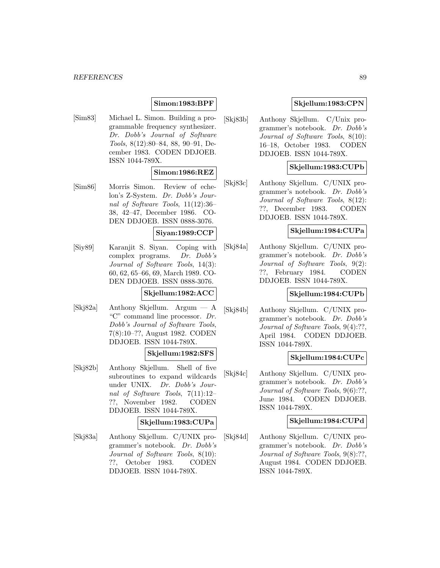# **Simon:1983:BPF**

[Sim83] Michael L. Simon. Building a programmable frequency synthesizer. Dr. Dobb's Journal of Software Tools, 8(12):80–84, 88, 90–91, December 1983. CODEN DDJOEB. ISSN 1044-789X.

## **Simon:1986:REZ**

[Sim86] Morris Simon. Review of echelon's Z-System. Dr. Dobb's Journal of Software Tools, 11(12):36– 38, 42–47, December 1986. CO-DEN DDJOEB. ISSN 0888-3076.

## **Siyan:1989:CCP**

[Siy89] Karanjit S. Siyan. Coping with complex programs. Dr. Dobb's Journal of Software Tools, 14(3): 60, 62, 65–66, 69, March 1989. CO-DEN DDJOEB. ISSN 0888-3076.

# **Skjellum:1982:ACC**

[Skj82a] Anthony Skjellum. Argum — A "C" command line processor. Dr. Dobb's Journal of Software Tools, 7(8):10–??, August 1982. CODEN DDJOEB. ISSN 1044-789X.

### **Skjellum:1982:SFS**

[Skj82b] Anthony Skjellum. Shell of five subroutines to expand wildcards under UNIX. Dr. Dobb's Journal of Software Tools, 7(11):12– ??, November 1982. CODEN DDJOEB. ISSN 1044-789X.

## **Skjellum:1983:CUPa**

[Skj83a] Anthony Skjellum. C/UNIX programmer's notebook. Dr. Dobb's Journal of Software Tools, 8(10): ??, October 1983. CODEN DDJOEB. ISSN 1044-789X.

# **Skjellum:1983:CPN**

[Skj83b] Anthony Skjellum. C/Unix programmer's notebook. Dr. Dobb's Journal of Software Tools, 8(10): 16–18, October 1983. CODEN DDJOEB. ISSN 1044-789X.

# **Skjellum:1983:CUPb**

[Skj83c] Anthony Skjellum. C/UNIX programmer's notebook. Dr. Dobb's Journal of Software Tools, 8(12): ??, December 1983. CODEN DDJOEB. ISSN 1044-789X.

## **Skjellum:1984:CUPa**

[Skj84a] Anthony Skjellum. C/UNIX programmer's notebook. Dr. Dobb's Journal of Software Tools, 9(2): ??, February 1984. CODEN DDJOEB. ISSN 1044-789X.

# **Skjellum:1984:CUPb**

[Skj84b] Anthony Skjellum. C/UNIX programmer's notebook. Dr. Dobb's Journal of Software Tools, 9(4):??, April 1984. CODEN DDJOEB. ISSN 1044-789X.

# **Skjellum:1984:CUPc**

[Skj84c] Anthony Skjellum. C/UNIX programmer's notebook. Dr. Dobb's Journal of Software Tools, 9(6):??, June 1984. CODEN DDJOEB. ISSN 1044-789X.

### **Skjellum:1984:CUPd**

[Skj84d] Anthony Skjellum. C/UNIX programmer's notebook. Dr. Dobb's Journal of Software Tools, 9(8):??, August 1984. CODEN DDJOEB. ISSN 1044-789X.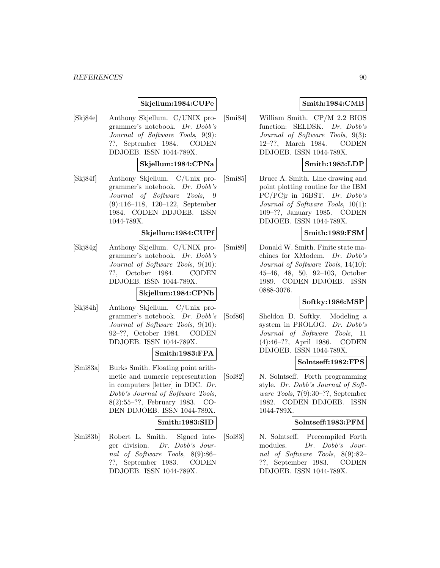## **Skjellum:1984:CUPe**

[Skj84e] Anthony Skjellum. C/UNIX programmer's notebook. Dr. Dobb's Journal of Software Tools, 9(9): ??, September 1984. CODEN DDJOEB. ISSN 1044-789X.

## **Skjellum:1984:CPNa**

[Skj84f] Anthony Skjellum. C/Unix programmer's notebook. Dr. Dobb's Journal of Software Tools, 9 (9):116–118, 120–122, September 1984. CODEN DDJOEB. ISSN 1044-789X.

## **Skjellum:1984:CUPf**

[Skj84g] Anthony Skjellum. C/UNIX programmer's notebook. Dr. Dobb's Journal of Software Tools, 9(10): ??, October 1984. CODEN DDJOEB. ISSN 1044-789X.

# **Skjellum:1984:CPNb**

[Skj84h] Anthony Skjellum. C/Unix programmer's notebook. Dr. Dobb's Journal of Software Tools, 9(10): 92–??, October 1984. CODEN DDJOEB. ISSN 1044-789X.

### **Smith:1983:FPA**

[Smi83a] Burks Smith. Floating point arithmetic and numeric representation in computers [letter] in DDC. Dr. Dobb's Journal of Software Tools, 8(2):55–??, February 1983. CO-DEN DDJOEB. ISSN 1044-789X.

### **Smith:1983:SID**

[Smi83b] Robert L. Smith. Signed integer division. Dr. Dobb's Journal of Software Tools, 8(9):86– ??, September 1983. CODEN DDJOEB. ISSN 1044-789X.

## **Smith:1984:CMB**

[Smi84] William Smith. CP/M 2.2 BIOS function: SELDSK. Dr. Dobb's Journal of Software Tools, 9(3): 12–??, March 1984. CODEN DDJOEB. ISSN 1044-789X.

## **Smith:1985:LDP**

[Smi85] Bruce A. Smith. Line drawing and point plotting routine for the IBM PC/PCjr in 16BST. Dr. Dobb's Journal of Software Tools, 10(1): 109–??, January 1985. CODEN DDJOEB. ISSN 1044-789X.

### **Smith:1989:FSM**

[Smi89] Donald W. Smith. Finite state machines for XModem. Dr. Dobb's Journal of Software Tools, 14(10): 45–46, 48, 50, 92–103, October 1989. CODEN DDJOEB. ISSN 0888-3076.

## **Softky:1986:MSP**

[Sof86] Sheldon D. Softky. Modeling a system in PROLOG. Dr. Dobb's Journal of Software Tools, 11 (4):46–??, April 1986. CODEN DDJOEB. ISSN 1044-789X.

### **Solntseff:1982:FPS**

[Sol82] N. Solntseff. Forth programming style. Dr. Dobb's Journal of Software Tools, 7(9):30–??, September 1982. CODEN DDJOEB. ISSN 1044-789X.

### **Solntseff:1983:PFM**

[Sol83] N. Solntseff. Precompiled Forth modules. Dr. Dobb's Journal of Software Tools, 8(9):82– ??, September 1983. CODEN DDJOEB. ISSN 1044-789X.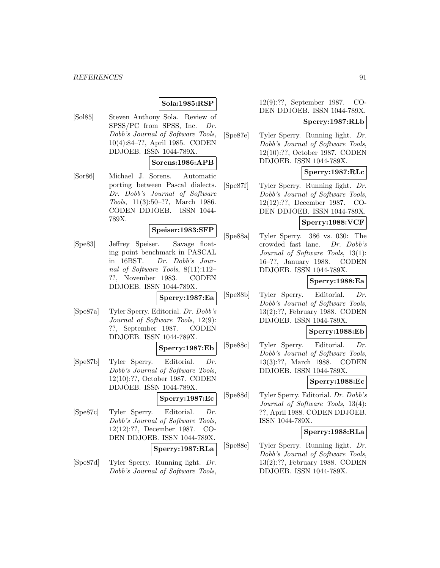# **Sola:1985:RSP**

[Sol85] Steven Anthony Sola. Review of SPSS/PC from SPSS, Inc. Dr. Dobb's Journal of Software Tools, 10(4):84–??, April 1985. CODEN DDJOEB. ISSN 1044-789X.

## **Sorens:1986:APB**

[Sor86] Michael J. Sorens. Automatic porting between Pascal dialects. Dr. Dobb's Journal of Software Tools, 11(3):50–??, March 1986. CODEN DDJOEB. ISSN 1044- 789X.

# **Speiser:1983:SFP**

[Spe83] Jeffrey Speiser. Savage floating point benchmark in PASCAL in 16BST. Dr. Dobb's Journal of Software Tools, 8(11):112– ??, November 1983. CODEN DDJOEB. ISSN 1044-789X.

**Sperry:1987:Ea**

[Spe87a] Tyler Sperry. Editorial. Dr. Dobb's Journal of Software Tools, 12(9): ??, September 1987. CODEN DDJOEB. ISSN 1044-789X.

# **Sperry:1987:Eb**

[Spe87b] Tyler Sperry. Editorial. Dr. Dobb's Journal of Software Tools, 12(10):??, October 1987. CODEN DDJOEB. ISSN 1044-789X.

**Sperry:1987:Ec**

[Spe87c] Tyler Sperry. Editorial. Dr. Dobb's Journal of Software Tools, 12(12):??, December 1987. CO-DEN DDJOEB. ISSN 1044-789X.

#### **Sperry:1987:RLa**

[Spe87d] Tyler Sperry. Running light. Dr. Dobb's Journal of Software Tools, 12(9):??, September 1987. CO-DEN DDJOEB. ISSN 1044-789X.

# **Sperry:1987:RLb**

[Spe87e] Tyler Sperry. Running light. Dr. Dobb's Journal of Software Tools, 12(10):??, October 1987. CODEN DDJOEB. ISSN 1044-789X.

## **Sperry:1987:RLc**

[Spe87f] Tyler Sperry. Running light. Dr. Dobb's Journal of Software Tools, 12(12):??, December 1987. CO-DEN DDJOEB. ISSN 1044-789X.

## **Sperry:1988:VCF**

[Spe88a] Tyler Sperry. 386 vs. 030: The crowded fast lane. Dr. Dobb's Journal of Software Tools, 13(1): 16–??, January 1988. CODEN DDJOEB. ISSN 1044-789X.

## **Sperry:1988:Ea**

[Spe88b] Tyler Sperry. Editorial. Dr. Dobb's Journal of Software Tools, 13(2):??, February 1988. CODEN DDJOEB. ISSN 1044-789X.

# **Sperry:1988:Eb**

[Spe88c] Tyler Sperry. Editorial. Dr. Dobb's Journal of Software Tools, 13(3):??, March 1988. CODEN DDJOEB. ISSN 1044-789X.

### **Sperry:1988:Ec**

[Spe88d] Tyler Sperry. Editorial. Dr. Dobb's Journal of Software Tools, 13(4): ??, April 1988. CODEN DDJOEB. ISSN 1044-789X.

## **Sperry:1988:RLa**

[Spe88e] Tyler Sperry. Running light. Dr. Dobb's Journal of Software Tools, 13(2):??, February 1988. CODEN DDJOEB. ISSN 1044-789X.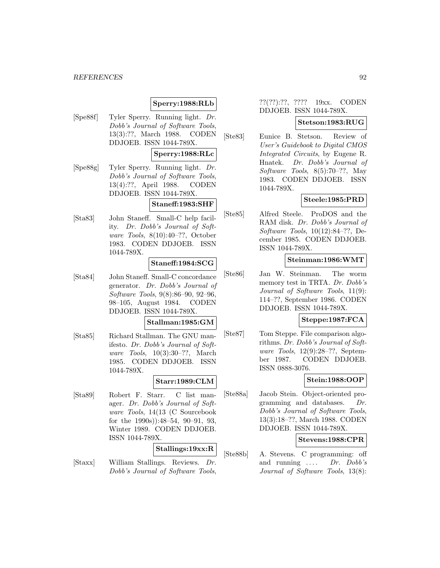# **Sperry:1988:RLb**

[Spe88f] Tyler Sperry. Running light. Dr. Dobb's Journal of Software Tools, 13(3):??, March 1988. CODEN DDJOEB. ISSN 1044-789X.

## **Sperry:1988:RLc**

[Spe88g] Tyler Sperry. Running light. Dr. Dobb's Journal of Software Tools, 13(4):??, April 1988. CODEN DDJOEB. ISSN 1044-789X.

# **Staneff:1983:SHF**

[Sta83] John Staneff. Small-C help facility. Dr. Dobb's Journal of Software Tools, 8(10):40–??, October 1983. CODEN DDJOEB. ISSN 1044-789X.

## **Staneff:1984:SCG**

[Sta84] John Staneff. Small-C concordance generator. Dr. Dobb's Journal of Software Tools, 9(8):86–90, 92–96, 98–105, August 1984. CODEN DDJOEB. ISSN 1044-789X.

### **Stallman:1985:GM**

[Sta85] Richard Stallman. The GNU manifesto. Dr. Dobb's Journal of Software Tools, 10(3):30–??, March 1985. CODEN DDJOEB. ISSN 1044-789X.

### **Starr:1989:CLM**

[Sta89] Robert F. Starr. C list manager. Dr. Dobb's Journal of Software Tools, 14(13 (C Sourcebook for the 1990s)):48–54, 90–91, 93, Winter 1989. CODEN DDJOEB. ISSN 1044-789X.

## **Stallings:19xx:R**

[Staxx] William Stallings. Reviews. Dr. Dobb's Journal of Software Tools,

# ??(??):??, ???? 19xx. CODEN DDJOEB. ISSN 1044-789X.

## **Stetson:1983:RUG**

[Ste83] Eunice B. Stetson. Review of User's Guidebook to Digital CMOS Integrated Circuits, by Eugene R. Hnatek. Dr. Dobb's Journal of Software Tools, 8(5):70–??, May 1983. CODEN DDJOEB. ISSN 1044-789X.

## **Steele:1985:PRD**

[Ste85] Alfred Steele. ProDOS and the RAM disk. Dr. Dobb's Journal of Software Tools, 10(12):84–??, December 1985. CODEN DDJOEB. ISSN 1044-789X.

## **Steinman:1986:WMT**

[Ste86] Jan W. Steinman. The worm memory test in TRTA. Dr. Dobb's Journal of Software Tools, 11(9): 114–??, September 1986. CODEN DDJOEB. ISSN 1044-789X.

# **Steppe:1987:FCA**

[Ste87] Tom Steppe. File comparison algorithms. Dr. Dobb's Journal of Software Tools, 12(9):28–??, September 1987. CODEN DDJOEB. ISSN 0888-3076.

# **Stein:1988:OOP**

[Ste88a] Jacob Stein. Object-oriented programming and databases. Dr. Dobb's Journal of Software Tools, 13(3):18–??, March 1988. CODEN DDJOEB. ISSN 1044-789X.

## **Stevens:1988:CPR**

[Ste88b] A. Stevens. C programming: off and running  $\ldots$  Dr. Dobb's Journal of Software Tools, 13(8):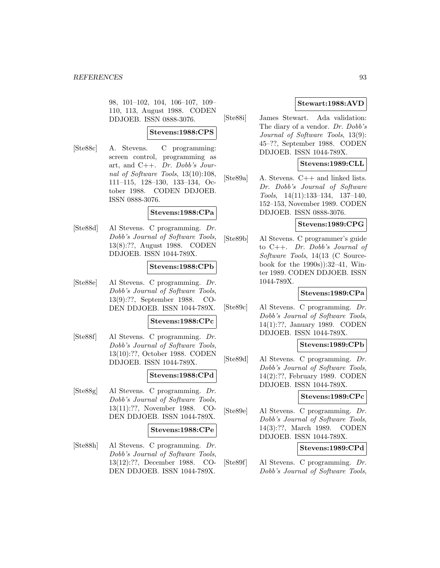98, 101–102, 104, 106–107, 109– 110, 113, August 1988. CODEN DDJOEB. ISSN 0888-3076.

# **Stevens:1988:CPS**

[Ste88c] A. Stevens. C programming: screen control, programming as art, and C++. Dr. Dobb's Journal of Software Tools, 13(10):108, 111–115, 128–130, 133–134, October 1988. CODEN DDJOEB. ISSN 0888-3076.

## **Stevens:1988:CPa**

[Ste88d] Al Stevens. C programming. Dr. Dobb's Journal of Software Tools, 13(8):??, August 1988. CODEN DDJOEB. ISSN 1044-789X.

## **Stevens:1988:CPb**

[Ste88e] Al Stevens. C programming. Dr. Dobb's Journal of Software Tools, 13(9):??, September 1988. CO-DEN DDJOEB. ISSN 1044-789X.

### **Stevens:1988:CPc**

[Ste88f] Al Stevens. C programming. Dr. Dobb's Journal of Software Tools, 13(10):??, October 1988. CODEN DDJOEB. ISSN 1044-789X.

# **Stevens:1988:CPd**

[Ste88g] Al Stevens. C programming. Dr. Dobb's Journal of Software Tools, 13(11):??, November 1988. CO-DEN DDJOEB. ISSN 1044-789X.

### **Stevens:1988:CPe**

[Ste88h] Al Stevens. C programming. Dr. Dobb's Journal of Software Tools, 13(12):??, December 1988. CO-DEN DDJOEB. ISSN 1044-789X.

# **Stewart:1988:AVD**

[Ste88i] James Stewart. Ada validation: The diary of a vendor. Dr. Dobb's Journal of Software Tools, 13(9): 45–??, September 1988. CODEN DDJOEB. ISSN 1044-789X.

# **Stevens:1989:CLL**

[Ste89a] A. Stevens. C++ and linked lists. Dr. Dobb's Journal of Software Tools, 14(11):133–134, 137–140, 152–153, November 1989. CODEN DDJOEB. ISSN 0888-3076.

# **Stevens:1989:CPG**

[Ste89b] Al Stevens. C programmer's guide to C++. Dr. Dobb's Journal of Software Tools, 14(13 (C Sourcebook for the 1990s)):32–41, Winter 1989. CODEN DDJOEB. ISSN 1044-789X.

## **Stevens:1989:CPa**

[Ste89c] Al Stevens. C programming. Dr. Dobb's Journal of Software Tools, 14(1):??, January 1989. CODEN DDJOEB. ISSN 1044-789X.

### **Stevens:1989:CPb**

[Ste89d] Al Stevens. C programming. Dr. Dobb's Journal of Software Tools, 14(2):??, February 1989. CODEN DDJOEB. ISSN 1044-789X.

## **Stevens:1989:CPc**

[Ste89e] Al Stevens. C programming. Dr. Dobb's Journal of Software Tools, 14(3):??, March 1989. CODEN DDJOEB. ISSN 1044-789X.

## **Stevens:1989:CPd**

[Ste89f] Al Stevens. C programming. Dr. Dobb's Journal of Software Tools,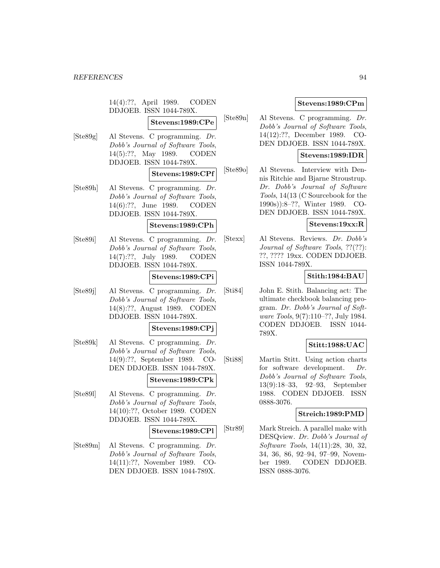14(4):??, April 1989. CODEN DDJOEB. ISSN 1044-789X.

**Stevens:1989:CPe**

[Ste89g] Al Stevens. C programming. Dr. Dobb's Journal of Software Tools, 14(5):??, May 1989. CODEN DDJOEB. ISSN 1044-789X.

## **Stevens:1989:CPf**

[Ste89h] Al Stevens. C programming. Dr. Dobb's Journal of Software Tools, 14(6):??, June 1989. CODEN DDJOEB. ISSN 1044-789X.

# **Stevens:1989:CPh**

[Ste89i] Al Stevens. C programming. Dr. Dobb's Journal of Software Tools, 14(7):??, July 1989. CODEN DDJOEB. ISSN 1044-789X.

## **Stevens:1989:CPi**

[Ste89j] Al Stevens. C programming. Dr. Dobb's Journal of Software Tools, 14(8):??, August 1989. CODEN DDJOEB. ISSN 1044-789X.

### **Stevens:1989:CPj**

[Ste89k] Al Stevens. C programming. Dr. Dobb's Journal of Software Tools, 14(9):??, September 1989. CO-DEN DDJOEB. ISSN 1044-789X.

## **Stevens:1989:CPk**

[Ste89l] Al Stevens. C programming. Dr. Dobb's Journal of Software Tools, 14(10):??, October 1989. CODEN DDJOEB. ISSN 1044-789X.

## **Stevens:1989:CPl**

[Ste89m] Al Stevens. C programming. Dr. Dobb's Journal of Software Tools, 14(11):??, November 1989. CO-DEN DDJOEB. ISSN 1044-789X.

# **Stevens:1989:CPm**

[Ste89n] Al Stevens. C programming. Dr. Dobb's Journal of Software Tools, 14(12):??, December 1989. CO-DEN DDJOEB. ISSN 1044-789X.

# **Stevens:1989:IDR**

[Ste89o] Al Stevens. Interview with Dennis Ritchie and Bjarne Stroustrup. Dr. Dobb's Journal of Software Tools, 14(13 (C Sourcebook for the 1990s)):8–??, Winter 1989. CO-DEN DDJOEB. ISSN 1044-789X.

# **Stevens:19xx:R**

[Stexx] Al Stevens. Reviews. Dr. Dobb's Journal of Software Tools, ??(??): ??, ???? 19xx. CODEN DDJOEB. ISSN 1044-789X.

# **Stith:1984:BAU**

[Sti84] John E. Stith. Balancing act: The ultimate checkbook balancing program. Dr. Dobb's Journal of Software Tools, 9(7):110–??, July 1984. CODEN DDJOEB. ISSN 1044- 789X.

# **Stitt:1988:UAC**

[Sti88] Martin Stitt. Using action charts for software development. Dr. Dobb's Journal of Software Tools, 13(9):18–33, 92–93, September 1988. CODEN DDJOEB. ISSN 0888-3076.

## **Streich:1989:PMD**

[Str89] Mark Streich. A parallel make with DESQview. Dr. Dobb's Journal of Software Tools, 14(11):28, 30, 32, 34, 36, 86, 92–94, 97–99, November 1989. CODEN DDJOEB. ISSN 0888-3076.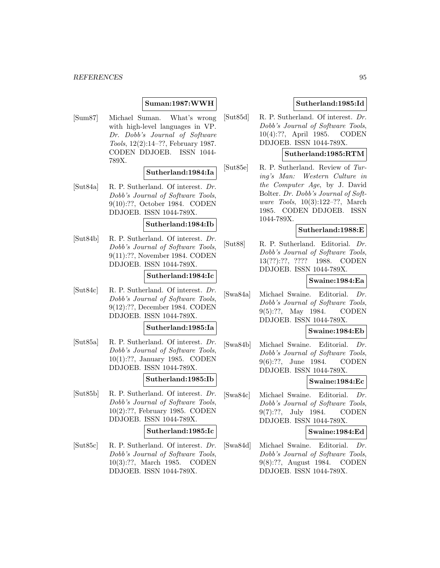## **Suman:1987:WWH**

[Sum87] Michael Suman. What's wrong with high-level languages in VP. Dr. Dobb's Journal of Software Tools, 12(2):14–??, February 1987. CODEN DDJOEB. ISSN 1044- 789X.

### **Sutherland:1984:Ia**

[Sut84a] R. P. Sutherland. Of interest. Dr. Dobb's Journal of Software Tools, 9(10):??, October 1984. CODEN DDJOEB. ISSN 1044-789X.

## **Sutherland:1984:Ib**

[Sut84b] R. P. Sutherland. Of interest. Dr. Dobb's Journal of Software Tools, 9(11):??, November 1984. CODEN DDJOEB. ISSN 1044-789X.

#### **Sutherland:1984:Ic**

[Sut84c] R. P. Sutherland. Of interest. Dr. Dobb's Journal of Software Tools, 9(12):??, December 1984. CODEN DDJOEB. ISSN 1044-789X.

#### **Sutherland:1985:Ia**

[Sut85a] R. P. Sutherland. Of interest. Dr. Dobb's Journal of Software Tools, 10(1):??, January 1985. CODEN DDJOEB. ISSN 1044-789X.

### **Sutherland:1985:Ib**

[Sut85b] R. P. Sutherland. Of interest. Dr. Dobb's Journal of Software Tools, 10(2):??, February 1985. CODEN DDJOEB. ISSN 1044-789X.

#### **Sutherland:1985:Ic**

[Sut85c] R. P. Sutherland. Of interest. Dr. Dobb's Journal of Software Tools, 10(3):??, March 1985. CODEN DDJOEB. ISSN 1044-789X.

## **Sutherland:1985:Id**

[Sut85d] R. P. Sutherland. Of interest. Dr. Dobb's Journal of Software Tools, 10(4):??, April 1985. CODEN DDJOEB. ISSN 1044-789X.

# **Sutherland:1985:RTM**

[Sut85e] R. P. Sutherland. Review of Turing's Man: Western Culture in the Computer Age, by J. David Bolter. Dr. Dobb's Journal of Software Tools, 10(3):122–??, March 1985. CODEN DDJOEB. ISSN 1044-789X.

## **Sutherland:1988:E**

[Sut88] R. P. Sutherland. Editorial. Dr. Dobb's Journal of Software Tools, 13(??):??, ???? 1988. CODEN DDJOEB. ISSN 1044-789X.

### **Swaine:1984:Ea**

[Swa84a] Michael Swaine. Editorial. Dr. Dobb's Journal of Software Tools, 9(5):??, May 1984. CODEN DDJOEB. ISSN 1044-789X.

# **Swaine:1984:Eb**

[Swa84b] Michael Swaine. Editorial. Dr. Dobb's Journal of Software Tools, 9(6):??, June 1984. CODEN DDJOEB. ISSN 1044-789X.

### **Swaine:1984:Ec**

[Swa84c] Michael Swaine. Editorial. Dr. Dobb's Journal of Software Tools, 9(7):??, July 1984. CODEN DDJOEB. ISSN 1044-789X.

#### **Swaine:1984:Ed**

[Swa84d] Michael Swaine. Editorial. Dr. Dobb's Journal of Software Tools, 9(8):??, August 1984. CODEN DDJOEB. ISSN 1044-789X.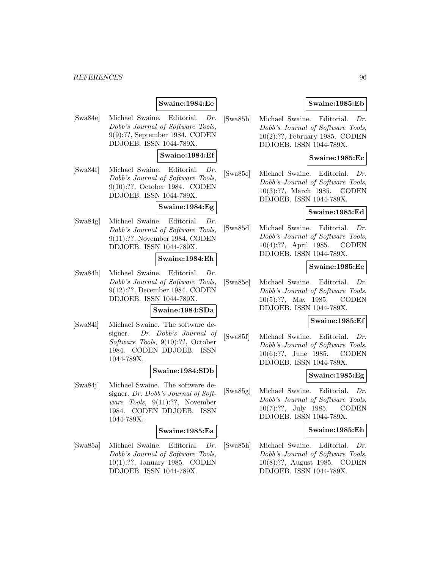# **Swaine:1984:Ee**

[Swa84e] Michael Swaine. Editorial. Dr. Dobb's Journal of Software Tools, 9(9):??, September 1984. CODEN DDJOEB. ISSN 1044-789X.

## **Swaine:1984:Ef**

[Swa84f] Michael Swaine. Editorial. Dr. Dobb's Journal of Software Tools, 9(10):??, October 1984. CODEN DDJOEB. ISSN 1044-789X.

# **Swaine:1984:Eg**

[Swa84g] Michael Swaine. Editorial. Dr. Dobb's Journal of Software Tools, 9(11):??, November 1984. CODEN DDJOEB. ISSN 1044-789X.

#### **Swaine:1984:Eh**

[Swa84h] Michael Swaine. Editorial. Dr. Dobb's Journal of Software Tools, 9(12):??, December 1984. CODEN DDJOEB. ISSN 1044-789X.

#### **Swaine:1984:SDa**

[Swa84i] Michael Swaine. The software designer. Dr. Dobb's Journal of Software Tools, 9(10):??, October 1984. CODEN DDJOEB. ISSN 1044-789X.

### **Swaine:1984:SDb**

[Swa84j] Michael Swaine. The software designer. Dr. Dobb's Journal of Software Tools, 9(11):??, November 1984. CODEN DDJOEB. ISSN 1044-789X.

#### **Swaine:1985:Ea**

[Swa85a] Michael Swaine. Editorial. Dr. Dobb's Journal of Software Tools, 10(1):??, January 1985. CODEN DDJOEB. ISSN 1044-789X.

## **Swaine:1985:Eb**

[Swa85b] Michael Swaine. Editorial. Dr. Dobb's Journal of Software Tools, 10(2):??, February 1985. CODEN DDJOEB. ISSN 1044-789X.

# **Swaine:1985:Ec**

[Swa85c] Michael Swaine. Editorial. Dr. Dobb's Journal of Software Tools, 10(3):??, March 1985. CODEN DDJOEB. ISSN 1044-789X.

## **Swaine:1985:Ed**

[Swa85d] Michael Swaine. Editorial. Dr. Dobb's Journal of Software Tools, 10(4):??, April 1985. CODEN DDJOEB. ISSN 1044-789X.

## **Swaine:1985:Ee**

[Swa85e] Michael Swaine. Editorial. Dr. Dobb's Journal of Software Tools, 10(5):??, May 1985. CODEN DDJOEB. ISSN 1044-789X.

## **Swaine:1985:Ef**

[Swa85f] Michael Swaine. Editorial. Dr. Dobb's Journal of Software Tools, 10(6):??, June 1985. CODEN DDJOEB. ISSN 1044-789X.

## **Swaine:1985:Eg**

[Swa85g] Michael Swaine. Editorial. Dr. Dobb's Journal of Software Tools, 10(7):??, July 1985. CODEN DDJOEB. ISSN 1044-789X.

## **Swaine:1985:Eh**

[Swa85h] Michael Swaine. Editorial. Dr. Dobb's Journal of Software Tools, 10(8):??, August 1985. CODEN DDJOEB. ISSN 1044-789X.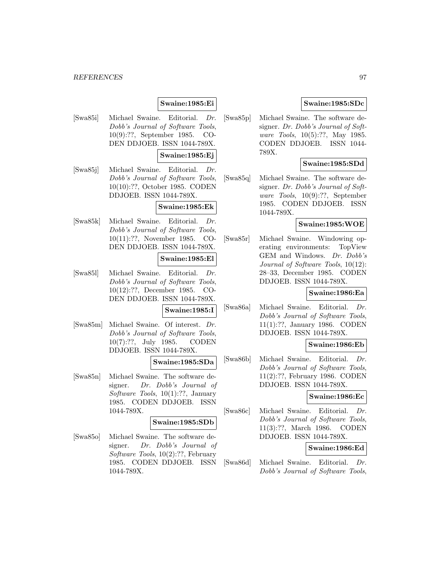# **Swaine:1985:Ei**

[Swa85i] Michael Swaine. Editorial. Dr. Dobb's Journal of Software Tools, 10(9):??, September 1985. CO-DEN DDJOEB. ISSN 1044-789X.

# **Swaine:1985:Ej**

[Swa85j] Michael Swaine. Editorial. Dr. Dobb's Journal of Software Tools, 10(10):??, October 1985. CODEN DDJOEB. ISSN 1044-789X.

# **Swaine:1985:Ek**

[Swa85k] Michael Swaine. Editorial. Dr. Dobb's Journal of Software Tools, 10(11):??, November 1985. CO-DEN DDJOEB. ISSN 1044-789X.

### **Swaine:1985:El**

[Swa85l] Michael Swaine. Editorial. Dr. Dobb's Journal of Software Tools, 10(12):??, December 1985. CO-DEN DDJOEB. ISSN 1044-789X.

### **Swaine:1985:I**

[Swa85m] Michael Swaine. Of interest. Dr. Dobb's Journal of Software Tools, 10(7):??, July 1985. CODEN DDJOEB. ISSN 1044-789X.

## **Swaine:1985:SDa**

[Swa85n] Michael Swaine. The software designer. Dr. Dobb's Journal of Software Tools, 10(1):??, January 1985. CODEN DDJOEB. ISSN 1044-789X.

## **Swaine:1985:SDb**

[Swa85o] Michael Swaine. The software designer. Dr. Dobb's Journal of Software Tools, 10(2):??, February 1985. CODEN DDJOEB. ISSN 1044-789X.

## **Swaine:1985:SDc**

[Swa85p] Michael Swaine. The software designer. Dr. Dobb's Journal of Software Tools, 10(5):??, May 1985. CODEN DDJOEB. ISSN 1044- 789X.

## **Swaine:1985:SDd**

[Swa85q] Michael Swaine. The software designer. Dr. Dobb's Journal of Software Tools, 10(9):??, September 1985. CODEN DDJOEB. ISSN 1044-789X.

# **Swaine:1985:WOE**

[Swa85r] Michael Swaine. Windowing operating environments: TopView GEM and Windows. Dr. Dobb's Journal of Software Tools, 10(12): 28–33, December 1985. CODEN DDJOEB. ISSN 1044-789X.

### **Swaine:1986:Ea**

[Swa86a] Michael Swaine. Editorial. Dr. Dobb's Journal of Software Tools, 11(1):??, January 1986. CODEN DDJOEB. ISSN 1044-789X.

## **Swaine:1986:Eb**

[Swa86b] Michael Swaine. Editorial. Dr. Dobb's Journal of Software Tools, 11(2):??, February 1986. CODEN DDJOEB. ISSN 1044-789X.

## **Swaine:1986:Ec**

[Swa86c] Michael Swaine. Editorial. Dr. Dobb's Journal of Software Tools, 11(3):??, March 1986. CODEN DDJOEB. ISSN 1044-789X.

## **Swaine:1986:Ed**

[Swa86d] Michael Swaine. Editorial. Dr. Dobb's Journal of Software Tools,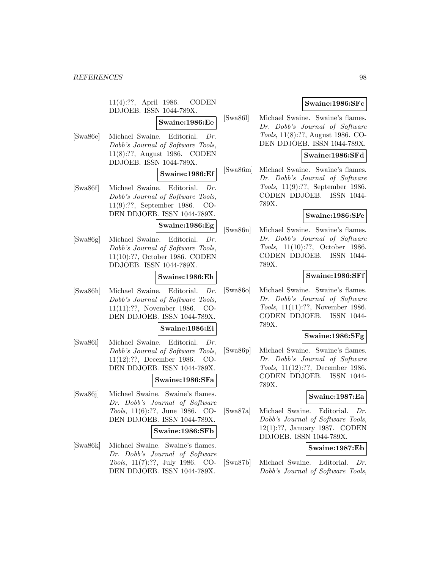11(4):??, April 1986. CODEN DDJOEB. ISSN 1044-789X.

**Swaine:1986:Ee**

[Swa86e] Michael Swaine. Editorial. Dr. Dobb's Journal of Software Tools, 11(8):??, August 1986. CODEN DDJOEB. ISSN 1044-789X.

## **Swaine:1986:Ef**

[Swa86f] Michael Swaine. Editorial. Dr. Dobb's Journal of Software Tools, 11(9):??, September 1986. CO-DEN DDJOEB. ISSN 1044-789X.

# **Swaine:1986:Eg**

[Swa86g] Michael Swaine. Editorial. Dr. Dobb's Journal of Software Tools, 11(10):??, October 1986. CODEN DDJOEB. ISSN 1044-789X.

## **Swaine:1986:Eh**

[Swa86h] Michael Swaine. Editorial. Dr. Dobb's Journal of Software Tools, 11(11):??, November 1986. CO-DEN DDJOEB. ISSN 1044-789X.

# **Swaine:1986:Ei**

[Swa86i] Michael Swaine. Editorial. Dr. Dobb's Journal of Software Tools, 11(12):??, December 1986. CO-DEN DDJOEB. ISSN 1044-789X.

### **Swaine:1986:SFa**

- [Swa86j] Michael Swaine. Swaine's flames. Dr. Dobb's Journal of Software Tools, 11(6):??, June 1986. CO-DEN DDJOEB. ISSN 1044-789X. **Swaine:1986:SFb**
- [Swa86k] Michael Swaine. Swaine's flames. Dr. Dobb's Journal of Software Tools, 11(7):??, July 1986. CO-DEN DDJOEB. ISSN 1044-789X.

## **Swaine:1986:SFc**

[Swa86l] Michael Swaine. Swaine's flames. Dr. Dobb's Journal of Software Tools, 11(8):??, August 1986. CO-DEN DDJOEB. ISSN 1044-789X.

## **Swaine:1986:SFd**

[Swa86m] Michael Swaine. Swaine's flames. Dr. Dobb's Journal of Software Tools, 11(9):??, September 1986. CODEN DDJOEB. ISSN 1044- 789X.

## **Swaine:1986:SFe**

[Swa86n] Michael Swaine. Swaine's flames. Dr. Dobb's Journal of Software Tools, 11(10):??, October 1986. CODEN DDJOEB. ISSN 1044- 789X.

## **Swaine:1986:SFf**

[Swa86o] Michael Swaine. Swaine's flames. Dr. Dobb's Journal of Software Tools, 11(11):??, November 1986. CODEN DDJOEB. ISSN 1044- 789X.

### **Swaine:1986:SFg**

[Swa86p] Michael Swaine. Swaine's flames. Dr. Dobb's Journal of Software Tools, 11(12):??, December 1986. CODEN DDJOEB. ISSN 1044- 789X.

## **Swaine:1987:Ea**

[Swa87a] Michael Swaine. Editorial. Dr. Dobb's Journal of Software Tools, 12(1):??, January 1987. CODEN DDJOEB. ISSN 1044-789X.

### **Swaine:1987:Eb**

[Swa87b] Michael Swaine. Editorial. Dr. Dobb's Journal of Software Tools,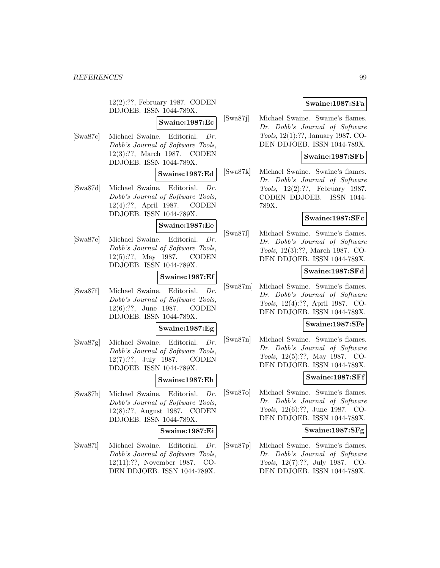12(2):??, February 1987. CODEN DDJOEB. ISSN 1044-789X.

**Swaine:1987:Ec**

[Swa87c] Michael Swaine. Editorial. Dr. Dobb's Journal of Software Tools, 12(3):??, March 1987. CODEN DDJOEB. ISSN 1044-789X.

### **Swaine:1987:Ed**

[Swa87d] Michael Swaine. Editorial. Dr. Dobb's Journal of Software Tools, 12(4):??, April 1987. CODEN DDJOEB. ISSN 1044-789X.

# **Swaine:1987:Ee**

[Swa87e] Michael Swaine. Editorial. Dr. Dobb's Journal of Software Tools, 12(5):??, May 1987. CODEN DDJOEB. ISSN 1044-789X.

## **Swaine:1987:Ef**

[Swa87f] Michael Swaine. Editorial. Dr. Dobb's Journal of Software Tools, 12(6):??, June 1987. CODEN DDJOEB. ISSN 1044-789X.

### **Swaine:1987:Eg**

[Swa87g] Michael Swaine. Editorial. Dr. Dobb's Journal of Software Tools, 12(7):??, July 1987. CODEN DDJOEB. ISSN 1044-789X.

### **Swaine:1987:Eh**

[Swa87h] Michael Swaine. Editorial. Dr. Dobb's Journal of Software Tools, 12(8):??, August 1987. CODEN DDJOEB. ISSN 1044-789X.

#### **Swaine:1987:Ei**

[Swa87i] Michael Swaine. Editorial. Dr. Dobb's Journal of Software Tools, 12(11):??, November 1987. CO-DEN DDJOEB. ISSN 1044-789X.

# **Swaine:1987:SFa**

[Swa87j] Michael Swaine. Swaine's flames. Dr. Dobb's Journal of Software Tools, 12(1):??, January 1987. CO-DEN DDJOEB. ISSN 1044-789X.

## **Swaine:1987:SFb**

[Swa87k] Michael Swaine. Swaine's flames. Dr. Dobb's Journal of Software Tools, 12(2):??, February 1987. CODEN DDJOEB. ISSN 1044- 789X.

### **Swaine:1987:SFc**

[Swa87l] Michael Swaine. Swaine's flames. Dr. Dobb's Journal of Software Tools, 12(3):??, March 1987. CO-DEN DDJOEB. ISSN 1044-789X.

# **Swaine:1987:SFd**

[Swa87m] Michael Swaine. Swaine's flames. Dr. Dobb's Journal of Software Tools, 12(4):??, April 1987. CO-DEN DDJOEB. ISSN 1044-789X.

### **Swaine:1987:SFe**

[Swa87n] Michael Swaine. Swaine's flames. Dr. Dobb's Journal of Software Tools, 12(5):??, May 1987. CO-DEN DDJOEB. ISSN 1044-789X.

# **Swaine:1987:SFf**

[Swa87o] Michael Swaine. Swaine's flames. Dr. Dobb's Journal of Software Tools, 12(6):??, June 1987. CO-DEN DDJOEB. ISSN 1044-789X.

## **Swaine:1987:SFg**

[Swa87p] Michael Swaine. Swaine's flames. Dr. Dobb's Journal of Software Tools, 12(7):??, July 1987. CO-DEN DDJOEB. ISSN 1044-789X.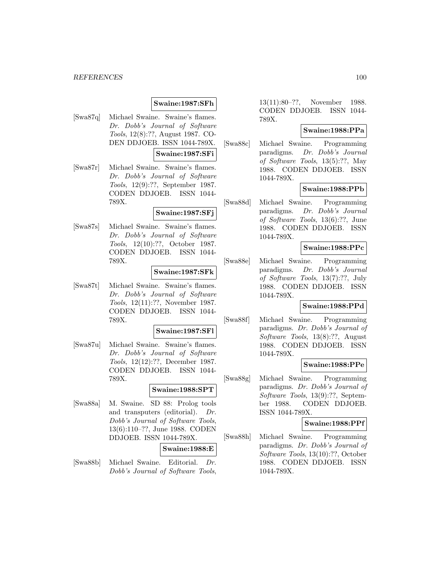# **Swaine:1987:SFh**

[Swa87q] Michael Swaine. Swaine's flames. Dr. Dobb's Journal of Software Tools, 12(8):??, August 1987. CO-DEN DDJOEB. ISSN 1044-789X.

# **Swaine:1987:SFi**

[Swa87r] Michael Swaine. Swaine's flames. Dr. Dobb's Journal of Software Tools, 12(9):??, September 1987. CODEN DDJOEB. ISSN 1044- 789X.

## **Swaine:1987:SFj**

[Swa87s] Michael Swaine. Swaine's flames. Dr. Dobb's Journal of Software Tools, 12(10):??, October 1987. CODEN DDJOEB. ISSN 1044- 789X.

## **Swaine:1987:SFk**

[Swa87t] Michael Swaine. Swaine's flames. Dr. Dobb's Journal of Software Tools, 12(11):??, November 1987. CODEN DDJOEB. ISSN 1044- 789X.

### **Swaine:1987:SFl**

[Swa87u] Michael Swaine. Swaine's flames. Dr. Dobb's Journal of Software Tools, 12(12):??, December 1987. CODEN DDJOEB. ISSN 1044- 789X.

### **Swaine:1988:SPT**

[Swa88a] M. Swaine. SD 88: Prolog tools and transputers (editorial). Dr. Dobb's Journal of Software Tools, 13(6):110–??, June 1988. CODEN DDJOEB. ISSN 1044-789X.

## **Swaine:1988:E**

[Swa88b] Michael Swaine. Editorial. Dr. Dobb's Journal of Software Tools, 13(11):80–??, November 1988. CODEN DDJOEB. ISSN 1044- 789X.

# **Swaine:1988:PPa**

[Swa88c] Michael Swaine. Programming paradigms. Dr. Dobb's Journal of Software Tools, 13(5):??, May 1988. CODEN DDJOEB. ISSN 1044-789X.

# **Swaine:1988:PPb**

[Swa88d] Michael Swaine. Programming paradigms. Dr. Dobb's Journal of Software Tools, 13(6):??, June 1988. CODEN DDJOEB. ISSN 1044-789X.

## **Swaine:1988:PPc**

[Swa88e] Michael Swaine. Programming paradigms. Dr. Dobb's Journal of Software Tools, 13(7):??, July 1988. CODEN DDJOEB. ISSN 1044-789X.

## **Swaine:1988:PPd**

[Swa88f] Michael Swaine. Programming paradigms. Dr. Dobb's Journal of Software Tools, 13(8):??, August 1988. CODEN DDJOEB. ISSN 1044-789X.

### **Swaine:1988:PPe**

[Swa88g] Michael Swaine. Programming paradigms. Dr. Dobb's Journal of Software Tools, 13(9):??, September 1988. CODEN DDJOEB. ISSN 1044-789X.

#### **Swaine:1988:PPf**

[Swa88h] Michael Swaine. Programming paradigms. Dr. Dobb's Journal of Software Tools, 13(10):??, October 1988. CODEN DDJOEB. ISSN 1044-789X.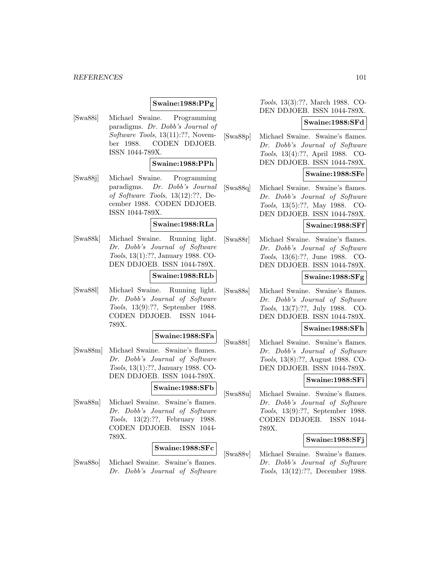# **Swaine:1988:PPg**

[Swa88i] Michael Swaine. Programming paradigms. Dr. Dobb's Journal of Software Tools, 13(11):??, November 1988. CODEN DDJOEB. ISSN 1044-789X.

## **Swaine:1988:PPh**

[Swa88j] Michael Swaine. Programming paradigms. Dr. Dobb's Journal of Software Tools, 13(12):??, December 1988. CODEN DDJOEB. ISSN 1044-789X.

# **Swaine:1988:RLa**

[Swa88k] Michael Swaine. Running light. Dr. Dobb's Journal of Software Tools, 13(1):??, January 1988. CO-DEN DDJOEB. ISSN 1044-789X.

## **Swaine:1988:RLb**

[Swa88l] Michael Swaine. Running light. Dr. Dobb's Journal of Software Tools, 13(9):??, September 1988. CODEN DDJOEB. ISSN 1044- 789X.

#### **Swaine:1988:SFa**

[Swa88m] Michael Swaine. Swaine's flames. Dr. Dobb's Journal of Software Tools, 13(1):??, January 1988. CO-DEN DDJOEB. ISSN 1044-789X.

# **Swaine:1988:SFb**

[Swa88n] Michael Swaine. Swaine's flames. Dr. Dobb's Journal of Software Tools, 13(2):??, February 1988. CODEN DDJOEB. ISSN 1044- 789X.

### **Swaine:1988:SFc**

[Swa88o] Michael Swaine. Swaine's flames. Dr. Dobb's Journal of Software

Tools, 13(3):??, March 1988. CO-DEN DDJOEB. ISSN 1044-789X.

### **Swaine:1988:SFd**

[Swa88p] Michael Swaine. Swaine's flames. Dr. Dobb's Journal of Software Tools, 13(4):??, April 1988. CO-DEN DDJOEB. ISSN 1044-789X.

# **Swaine:1988:SFe**

[Swa88q] Michael Swaine. Swaine's flames. Dr. Dobb's Journal of Software Tools, 13(5):??, May 1988. CO-DEN DDJOEB. ISSN 1044-789X.

# **Swaine:1988:SFf**

[Swa88r] Michael Swaine. Swaine's flames. Dr. Dobb's Journal of Software Tools, 13(6):??, June 1988. CO-DEN DDJOEB. ISSN 1044-789X.

## **Swaine:1988:SFg**

[Swa88s] Michael Swaine. Swaine's flames. Dr. Dobb's Journal of Software Tools, 13(7):??, July 1988. CO-DEN DDJOEB. ISSN 1044-789X.

### **Swaine:1988:SFh**

[Swa88t] Michael Swaine. Swaine's flames. Dr. Dobb's Journal of Software Tools, 13(8):??, August 1988. CO-DEN DDJOEB. ISSN 1044-789X.

# **Swaine:1988:SFi**

[Swa88u] Michael Swaine. Swaine's flames. Dr. Dobb's Journal of Software Tools, 13(9):??, September 1988. CODEN DDJOEB. ISSN 1044- 789X.

## **Swaine:1988:SFj**

[Swa88v] Michael Swaine. Swaine's flames. Dr. Dobb's Journal of Software Tools, 13(12):??, December 1988.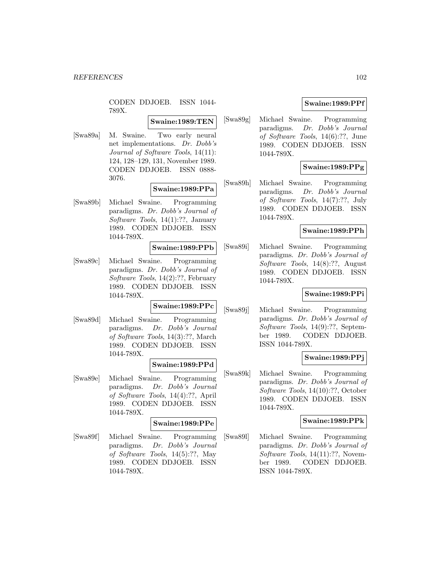CODEN DDJOEB. ISSN 1044- 789X.

## **Swaine:1989:TEN**

[Swa89a] M. Swaine. Two early neural net implementations. Dr. Dobb's Journal of Software Tools, 14(11): 124, 128–129, 131, November 1989. CODEN DDJOEB. ISSN 0888- 3076.

### **Swaine:1989:PPa**

[Swa89b] Michael Swaine. Programming paradigms. Dr. Dobb's Journal of Software Tools, 14(1):??, January 1989. CODEN DDJOEB. ISSN 1044-789X.

## **Swaine:1989:PPb**

[Swa89c] Michael Swaine. Programming paradigms. Dr. Dobb's Journal of Software Tools, 14(2):??, February 1989. CODEN DDJOEB. ISSN 1044-789X.

## **Swaine:1989:PPc**

[Swa89d] Michael Swaine. Programming paradigms. Dr. Dobb's Journal of Software Tools, 14(3):??, March 1989. CODEN DDJOEB. ISSN 1044-789X.

### **Swaine:1989:PPd**

[Swa89e] Michael Swaine. Programming paradigms. Dr. Dobb's Journal of Software Tools, 14(4):??, April 1989. CODEN DDJOEB. ISSN 1044-789X.

### **Swaine:1989:PPe**

[Swa89f] Michael Swaine. Programming paradigms. Dr. Dobb's Journal of Software Tools, 14(5):??, May 1989. CODEN DDJOEB. ISSN 1044-789X.

## **Swaine:1989:PPf**

[Swa89g] Michael Swaine. Programming paradigms. Dr. Dobb's Journal of Software Tools, 14(6):??, June 1989. CODEN DDJOEB. ISSN 1044-789X.

# **Swaine:1989:PPg**

[Swa89h] Michael Swaine. Programming paradigms. Dr. Dobb's Journal of Software Tools, 14(7):??, July 1989. CODEN DDJOEB. ISSN 1044-789X.

#### **Swaine:1989:PPh**

[Swa89i] Michael Swaine. Programming paradigms. Dr. Dobb's Journal of Software Tools, 14(8):??, August 1989. CODEN DDJOEB. ISSN 1044-789X.

## **Swaine:1989:PPi**

[Swa89j] Michael Swaine. Programming paradigms. Dr. Dobb's Journal of Software Tools, 14(9):??, September 1989. CODEN DDJOEB. ISSN 1044-789X.

### **Swaine:1989:PPj**

[Swa89k] Michael Swaine. Programming paradigms. Dr. Dobb's Journal of Software Tools, 14(10):??, October 1989. CODEN DDJOEB. ISSN 1044-789X.

### **Swaine:1989:PPk**

[Swa89l] Michael Swaine. Programming paradigms. Dr. Dobb's Journal of Software Tools, 14(11):??, November 1989. CODEN DDJOEB. ISSN 1044-789X.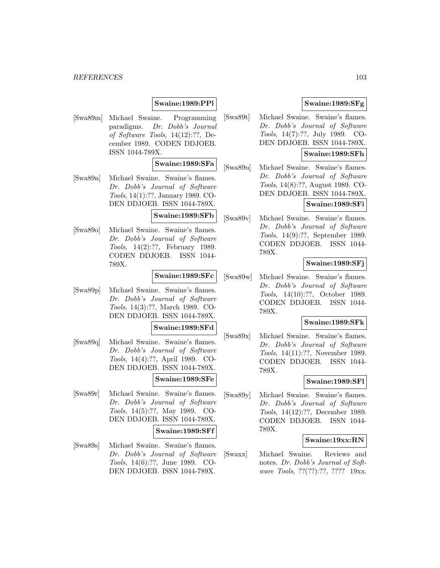# **Swaine:1989:PPl**

[Swa89m] Michael Swaine. Programming paradigms. Dr. Dobb's Journal of Software Tools, 14(12):??, December 1989. CODEN DDJOEB. ISSN 1044-789X.

## **Swaine:1989:SFa**

[Swa89n] Michael Swaine. Swaine's flames. Dr. Dobb's Journal of Software Tools, 14(1):??, January 1989. CO-DEN DDJOEB. ISSN 1044-789X.

## **Swaine:1989:SFb**

[Swa89o] Michael Swaine. Swaine's flames. Dr. Dobb's Journal of Software Tools, 14(2):??, February 1989. CODEN DDJOEB. ISSN 1044- 789X.

# **Swaine:1989:SFc**

[Swa89p] Michael Swaine. Swaine's flames. Dr. Dobb's Journal of Software Tools, 14(3):??, March 1989. CO-DEN DDJOEB. ISSN 1044-789X.

#### **Swaine:1989:SFd**

[Swa89q] Michael Swaine. Swaine's flames. Dr. Dobb's Journal of Software Tools, 14(4):??, April 1989. CO-DEN DDJOEB. ISSN 1044-789X.

### **Swaine:1989:SFe**

[Swa89r] Michael Swaine. Swaine's flames. Dr. Dobb's Journal of Software Tools, 14(5):??, May 1989. CO-DEN DDJOEB. ISSN 1044-789X.

#### **Swaine:1989:SFf**

[Swa89s] Michael Swaine. Swaine's flames. Dr. Dobb's Journal of Software Tools, 14(6):??, June 1989. CO-DEN DDJOEB. ISSN 1044-789X.

# **Swaine:1989:SFg**

[Swa89t] Michael Swaine. Swaine's flames. Dr. Dobb's Journal of Software Tools, 14(7):??, July 1989. CO-DEN DDJOEB. ISSN 1044-789X.

# **Swaine:1989:SFh**

[Swa89u] Michael Swaine. Swaine's flames. Dr. Dobb's Journal of Software Tools, 14(8):??, August 1989. CO-DEN DDJOEB. ISSN 1044-789X.

# **Swaine:1989:SFi**

[Swa89v] Michael Swaine. Swaine's flames. Dr. Dobb's Journal of Software Tools, 14(9):??, September 1989. CODEN DDJOEB. ISSN 1044- 789X.

# **Swaine:1989:SFj**

[Swa89w] Michael Swaine. Swaine's flames. Dr. Dobb's Journal of Software Tools, 14(10):??, October 1989. CODEN DDJOEB. ISSN 1044- 789X.

## **Swaine:1989:SFk**

[Swa89x] Michael Swaine. Swaine's flames. Dr. Dobb's Journal of Software Tools, 14(11):??, November 1989. CODEN DDJOEB. ISSN 1044- 789X.

### **Swaine:1989:SFl**

[Swa89y] Michael Swaine. Swaine's flames. Dr. Dobb's Journal of Software Tools, 14(12):??, December 1989. CODEN DDJOEB. ISSN 1044- 789X.

### **Swaine:19xx:RN**

[Swaxx] Michael Swaine. Reviews and notes. Dr. Dobb's Journal of Software Tools, ??(??):??, ???? 19xx.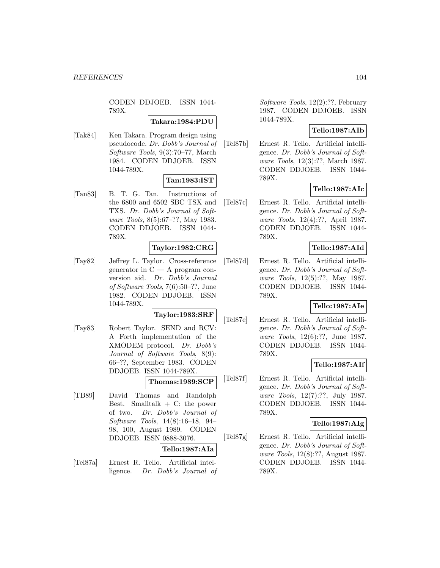CODEN DDJOEB. ISSN 1044- 789X.

## **Takara:1984:PDU**

[Tak84] Ken Takara. Program design using pseudocode. Dr. Dobb's Journal of Software Tools, 9(3):70–77, March 1984. CODEN DDJOEB. ISSN 1044-789X.

## **Tan:1983:IST**

[Tan83] B. T. G. Tan. Instructions of the 6800 and 6502 SBC TSX and TXS. Dr. Dobb's Journal of Software Tools, 8(5):67–??, May 1983. CODEN DDJOEB. ISSN 1044- 789X.

# **Taylor:1982:CRG**

[Tay82] Jeffrey L. Taylor. Cross-reference generator in C — A program conversion aid. Dr. Dobb's Journal of Software Tools, 7(6):50–??, June 1982. CODEN DDJOEB. ISSN 1044-789X.

# **Taylor:1983:SRF**

[Tay83] Robert Taylor. SEND and RCV: A Forth implementation of the XMODEM protocol. Dr. Dobb's Journal of Software Tools, 8(9): 66–??, September 1983. CODEN DDJOEB. ISSN 1044-789X.

# **Thomas:1989:SCP**

[TB89] David Thomas and Randolph Best. Smalltalk  $+$  C: the power of two. Dr. Dobb's Journal of Software Tools, 14(8):16–18, 94– 98, 100, August 1989. CODEN DDJOEB. ISSN 0888-3076.

# **Tello:1987:AIa**

[Tel87a] Ernest R. Tello. Artificial intelligence. Dr. Dobb's Journal of Software Tools, 12(2):??, February 1987. CODEN DDJOEB. ISSN 1044-789X.

# **Tello:1987:AIb**

[Tel87b] Ernest R. Tello. Artificial intelligence. Dr. Dobb's Journal of Software Tools, 12(3):??, March 1987. CODEN DDJOEB. ISSN 1044- 789X.

# **Tello:1987:AIc**

[Tel87c] Ernest R. Tello. Artificial intelligence. Dr. Dobb's Journal of Software Tools, 12(4):??, April 1987. CODEN DDJOEB. ISSN 1044- 789X.

# **Tello:1987:AId**

[Tel87d] Ernest R. Tello. Artificial intelligence. Dr. Dobb's Journal of Software Tools, 12(5):??, May 1987. CODEN DDJOEB. ISSN 1044- 789X.

## **Tello:1987:AIe**

[Tel87e] Ernest R. Tello. Artificial intelligence. Dr. Dobb's Journal of Software Tools, 12(6):??, June 1987. CODEN DDJOEB. ISSN 1044- 789X.

## **Tello:1987:AIf**

[Tel87f] Ernest R. Tello. Artificial intelligence. Dr. Dobb's Journal of Software Tools, 12(7):??, July 1987. CODEN DDJOEB. ISSN 1044- 789X.

### **Tello:1987:AIg**

[Tel87g] Ernest R. Tello. Artificial intelligence. Dr. Dobb's Journal of Software Tools, 12(8):??, August 1987. CODEN DDJOEB. ISSN 1044- 789X.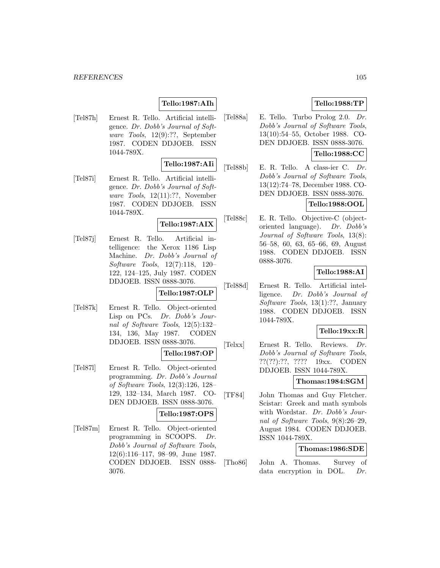# **Tello:1987:AIh**

[Tel87h] Ernest R. Tello. Artificial intelligence. Dr. Dobb's Journal of Software Tools, 12(9):??, September 1987. CODEN DDJOEB. ISSN 1044-789X.

# **Tello:1987:AIi**

[Tel87i] Ernest R. Tello. Artificial intelligence. Dr. Dobb's Journal of Software Tools, 12(11):??, November 1987. CODEN DDJOEB. ISSN 1044-789X.

# **Tello:1987:AIX**

[Tel87j] Ernest R. Tello. Artificial intelligence: the Xerox 1186 Lisp Machine. Dr. Dobb's Journal of Software Tools, 12(7):118, 120– 122, 124–125, July 1987. CODEN DDJOEB. ISSN 0888-3076.

#### **Tello:1987:OLP**

[Tel87k] Ernest R. Tello. Object-oriented Lisp on PCs. Dr. Dobb's Journal of Software Tools, 12(5):132– 134, 136, May 1987. CODEN DDJOEB. ISSN 0888-3076.

### **Tello:1987:OP**

[Tel87l] Ernest R. Tello. Object-oriented programming. Dr. Dobb's Journal of Software Tools, 12(3):126, 128– 129, 132–134, March 1987. CO-DEN DDJOEB. ISSN 0888-3076.

## **Tello:1987:OPS**

[Tel87m] Ernest R. Tello. Object-oriented programming in SCOOPS. Dr. Dobb's Journal of Software Tools, 12(6):116–117, 98–99, June 1987. CODEN DDJOEB. ISSN 0888- 3076.

# **Tello:1988:TP**

[Tel88a] E. Tello. Turbo Prolog 2.0. Dr. Dobb's Journal of Software Tools, 13(10):54–55, October 1988. CO-DEN DDJOEB. ISSN 0888-3076.

# **Tello:1988:CC**

[Tel88b] E. R. Tello. A class-ier C. Dr. Dobb's Journal of Software Tools, 13(12):74–78, December 1988. CO-DEN DDJOEB. ISSN 0888-3076.

# **Tello:1988:OOL**

[Tel88c] E. R. Tello. Objective-C (objectoriented language). Dr. Dobb's Journal of Software Tools, 13(8): 56–58, 60, 63, 65–66, 69, August 1988. CODEN DDJOEB. ISSN 0888-3076.

# **Tello:1988:AI**

[Tel88d] Ernest R. Tello. Artificial intelligence. Dr. Dobb's Journal of Software Tools, 13(1):??, January 1988. CODEN DDJOEB. ISSN 1044-789X.

## **Tello:19xx:R**

[Telxx] Ernest R. Tello. Reviews. Dr. Dobb's Journal of Software Tools, ??(??):??, ???? 19xx. CODEN DDJOEB. ISSN 1044-789X.

## **Thomas:1984:SGM**

[TF84] John Thomas and Guy Fletcher. Scistar: Greek and math symbols with Wordstar. Dr. Dobb's Journal of Software Tools, 9(8):26–29, August 1984. CODEN DDJOEB. ISSN 1044-789X.

## **Thomas:1986:SDE**

[Tho86] John A. Thomas. Survey of data encryption in DOL. Dr.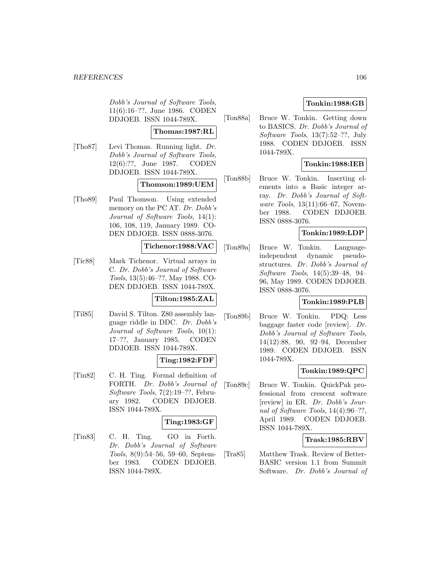Dobb's Journal of Software Tools, 11(6):16–??, June 1986. CODEN DDJOEB. ISSN 1044-789X.

# **Thomas:1987:RL**

[Tho87] Levi Thomas. Running light. Dr. Dobb's Journal of Software Tools, 12(6):??, June 1987. CODEN DDJOEB. ISSN 1044-789X.

# **Thomson:1989:UEM**

[Tho89] Paul Thomson. Using extended memory on the PC AT. Dr. Dobb's Journal of Software Tools, 14(1): 106, 108, 119, January 1989. CO-DEN DDJOEB. ISSN 0888-3076.

## **Tichenor:1988:VAC**

[Tic88] Mark Tichenor. Virtual arrays in C. Dr. Dobb's Journal of Software Tools, 13(5):46–??, May 1988. CO-DEN DDJOEB. ISSN 1044-789X.

## **Tilton:1985:ZAL**

[Til85] David S. Tilton. Z80 assembly language riddle in DDC. Dr. Dobb's Journal of Software Tools, 10(1): 17–??, January 1985. CODEN DDJOEB. ISSN 1044-789X.

# **Ting:1982:FDF**

[Tin82] C. H. Ting. Formal definition of FORTH. Dr. Dobb's Journal of Software Tools, 7(2):19–??, February 1982. CODEN DDJOEB. ISSN 1044-789X.

# **Ting:1983:GF**

[Tin83] C. H. Ting. GO in Forth. Dr. Dobb's Journal of Software Tools, 8(9):54–56, 59–60, September 1983. CODEN DDJOEB. ISSN 1044-789X.

# **Tonkin:1988:GB**

[Ton88a] Bruce W. Tonkin. Getting down to BASICS. Dr. Dobb's Journal of Software Tools, 13(7):52–??, July 1988. CODEN DDJOEB. ISSN 1044-789X.

# **Tonkin:1988:IEB**

[Ton88b] Bruce W. Tonkin. Inserting elements into a Basic integer array. Dr. Dobb's Journal of Software Tools, 13(11):66–67, November 1988. CODEN DDJOEB. ISSN 0888-3076.

# **Tonkin:1989:LDP**

[Ton89a] Bruce W. Tonkin. Languageindependent dynamic pseudostructures. Dr. Dobb's Journal of Software Tools, 14(5):39–48, 94– 96, May 1989. CODEN DDJOEB. ISSN 0888-3076.

## **Tonkin:1989:PLB**

[Ton89b] Bruce W. Tonkin. PDQ: Less baggage faster code [review]. Dr. Dobb's Journal of Software Tools, 14(12):88, 90, 92–94, December 1989. CODEN DDJOEB. ISSN 1044-789X.

## **Tonkin:1989:QPC**

[Ton89c] Bruce W. Tonkin. QuickPak professional from crescent software [review] in ER. Dr. Dobb's Journal of Software Tools, 14(4):96–??, April 1989. CODEN DDJOEB. ISSN 1044-789X.

## **Trask:1985:RBV**

[Tra85] Matthew Trask. Review of Better-BASIC version 1.1 from Summit Software. Dr. Dobb's Journal of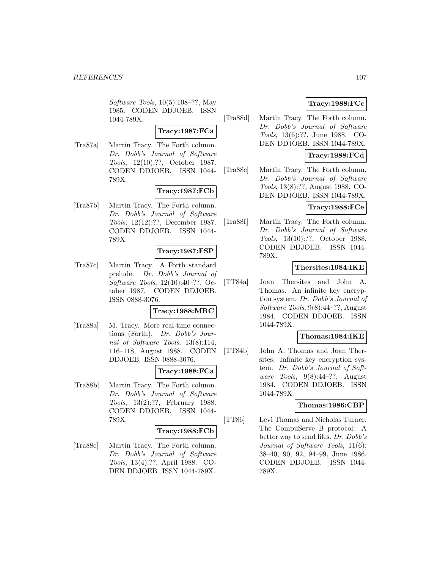Software Tools, 10(5):108–??, May 1985. CODEN DDJOEB. ISSN 1044-789X.

## **Tracy:1987:FCa**

[Tra87a] Martin Tracy. The Forth column. Dr. Dobb's Journal of Software Tools, 12(10):??, October 1987. CODEN DDJOEB. ISSN 1044- 789X.

# **Tracy:1987:FCb**

[Tra87b] Martin Tracy. The Forth column. Dr. Dobb's Journal of Software Tools, 12(12):??, December 1987. CODEN DDJOEB. ISSN 1044- 789X.

## **Tracy:1987:FSP**

[Tra87c] Martin Tracy. A Forth standard prelude. Dr. Dobb's Journal of Software Tools, 12(10):40–??, October 1987. CODEN DDJOEB. ISSN 0888-3076.

## **Tracy:1988:MRC**

[Tra88a] M. Tracy. More real-time connections (Forth). Dr. Dobb's Journal of Software Tools, 13(8):114, 116–118, August 1988. CODEN DDJOEB. ISSN 0888-3076.

## **Tracy:1988:FCa**

[Tra88b] Martin Tracy. The Forth column. Dr. Dobb's Journal of Software Tools, 13(2):??, February 1988. CODEN DDJOEB. ISSN 1044- 789X.

#### **Tracy:1988:FCb**

[Tra88c] Martin Tracy. The Forth column. Dr. Dobb's Journal of Software Tools, 13(4):??, April 1988. CO-DEN DDJOEB. ISSN 1044-789X.

# **Tracy:1988:FCc**

[Tra88d] Martin Tracy. The Forth column. Dr. Dobb's Journal of Software Tools, 13(6):??, June 1988. CO-DEN DDJOEB. ISSN 1044-789X.

# **Tracy:1988:FCd**

[Tra88e] Martin Tracy. The Forth column. Dr. Dobb's Journal of Software Tools, 13(8):??, August 1988. CO-DEN DDJOEB. ISSN 1044-789X.

## **Tracy:1988:FCe**

[Tra88f] Martin Tracy. The Forth column. Dr. Dobb's Journal of Software Tools, 13(10):??, October 1988. CODEN DDJOEB. ISSN 1044- 789X.

# **Thersites:1984:IKE**

[TT84a] Joan Thersites and John A. Thomas. An infinite key encryption system. Dr. Dobb's Journal of Software Tools, 9(8):44–??, August 1984. CODEN DDJOEB. ISSN 1044-789X.

## **Thomas:1984:IKE**

[TT84b] John A. Thomas and Joan Thersites. Infinite key encryption system. Dr. Dobb's Journal of Soft*ware Tools*,  $9(8):44-??$ , August 1984. CODEN DDJOEB. ISSN 1044-789X.

### **Thomas:1986:CBP**

[TT86] Levi Thomas and Nicholas Turner. The CompuServe B protocol: A better way to send files. Dr. Dobb's Journal of Software Tools, 11(6): 38–40, 90, 92, 94–99, June 1986. CODEN DDJOEB. ISSN 1044- 789X.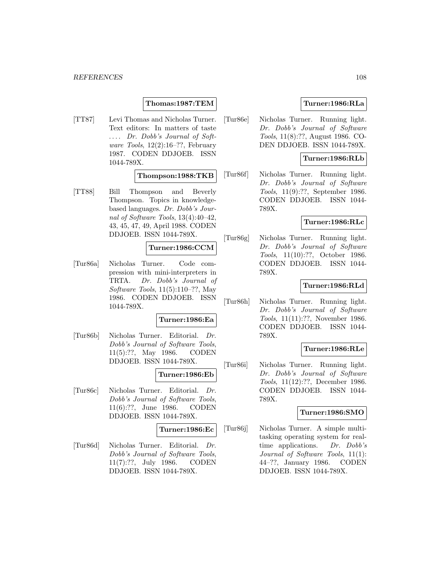## **Thomas:1987:TEM**

[TT87] Levi Thomas and Nicholas Turner. Text editors: In matters of taste .... Dr. Dobb's Journal of Software Tools, 12(2):16–??, February 1987. CODEN DDJOEB. ISSN 1044-789X.

## **Thompson:1988:TKB**

[TT88] Bill Thompson and Beverly Thompson. Topics in knowledgebased languages. Dr. Dobb's Journal of Software Tools, 13(4):40–42, 43, 45, 47, 49, April 1988. CODEN DDJOEB. ISSN 1044-789X.

## **Turner:1986:CCM**

[Tur86a] Nicholas Turner. Code compression with mini-interpreters in TRTA. Dr. Dobb's Journal of Software Tools, 11(5):110–??, May 1986. CODEN DDJOEB. ISSN 1044-789X.

# **Turner:1986:Ea**

[Tur86b] Nicholas Turner. Editorial. Dr. Dobb's Journal of Software Tools, 11(5):??, May 1986. CODEN DDJOEB. ISSN 1044-789X.

# **Turner:1986:Eb**

[Tur86c] Nicholas Turner. Editorial. Dr. Dobb's Journal of Software Tools, 11(6):??, June 1986. CODEN DDJOEB. ISSN 1044-789X.

### **Turner:1986:Ec**

[Tur86d] Nicholas Turner. Editorial. Dr. Dobb's Journal of Software Tools, 11(7):??, July 1986. CODEN DDJOEB. ISSN 1044-789X.

# **Turner:1986:RLa**

[Tur86e] Nicholas Turner. Running light. Dr. Dobb's Journal of Software Tools, 11(8):??, August 1986. CO-DEN DDJOEB. ISSN 1044-789X.

# **Turner:1986:RLb**

[Tur86f] Nicholas Turner. Running light. Dr. Dobb's Journal of Software Tools, 11(9):??, September 1986. CODEN DDJOEB. ISSN 1044- 789X.

## **Turner:1986:RLc**

[Tur86g] Nicholas Turner. Running light. Dr. Dobb's Journal of Software Tools, 11(10):??, October 1986. CODEN DDJOEB. ISSN 1044- 789X.

## **Turner:1986:RLd**

[Tur86h] Nicholas Turner. Running light. Dr. Dobb's Journal of Software Tools, 11(11):??, November 1986. CODEN DDJOEB. ISSN 1044- 789X.

## **Turner:1986:RLe**

[Tur86i] Nicholas Turner. Running light. Dr. Dobb's Journal of Software Tools, 11(12):??, December 1986. CODEN DDJOEB. ISSN 1044- 789X.

### **Turner:1986:SMO**

[Tur86j] Nicholas Turner. A simple multitasking operating system for realtime applications. Dr. Dobb's Journal of Software Tools, 11(1): 44–??, January 1986. CODEN DDJOEB. ISSN 1044-789X.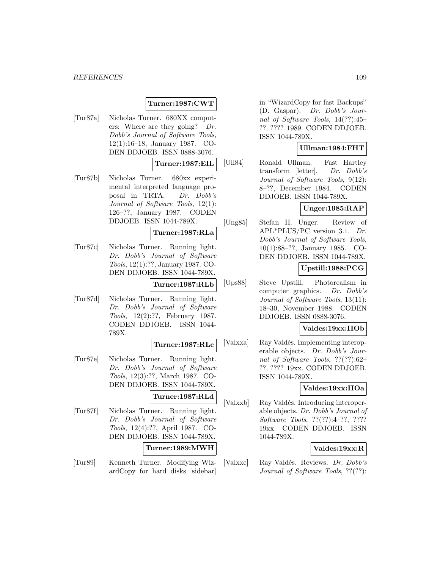### **Turner:1987:CWT**

[Tur87a] Nicholas Turner. 680XX computers: Where are they going? Dr. Dobb's Journal of Software Tools, 12(1):16–18, January 1987. CO-DEN DDJOEB. ISSN 0888-3076.

#### **Turner:1987:EIL**

[Tur87b] Nicholas Turner. 680xx experimental interpreted language proposal in TRTA. Dr. Dobb's Journal of Software Tools, 12(1): 126–??, January 1987. CODEN DDJOEB. ISSN 1044-789X.

### **Turner:1987:RLa**

[Tur87c] Nicholas Turner. Running light. Dr. Dobb's Journal of Software Tools, 12(1):??, January 1987. CO-DEN DDJOEB. ISSN 1044-789X.

**Turner:1987:RLb**

[Tur87d] Nicholas Turner. Running light. Dr. Dobb's Journal of Software Tools, 12(2):??, February 1987. CODEN DDJOEB. ISSN 1044- 789X.

#### **Turner:1987:RLc**

[Tur87e] Nicholas Turner. Running light. Dr. Dobb's Journal of Software Tools, 12(3):??, March 1987. CO-DEN DDJOEB. ISSN 1044-789X.

### **Turner:1987:RLd**

[Tur87f] Nicholas Turner. Running light. Dr. Dobb's Journal of Software Tools, 12(4):??, April 1987. CO-DEN DDJOEB. ISSN 1044-789X.

#### **Turner:1989:MWH**

[Tur89] Kenneth Turner. Modifying WizardCopy for hard disks [sidebar]

in "WizardCopy for fast Backups" (D. Gaspar). Dr. Dobb's Journal of Software Tools, 14(??):45– ??, ???? 1989. CODEN DDJOEB. ISSN 1044-789X.

## **Ullman:1984:FHT**

[Ull84] Ronald Ullman. Fast Hartley transform [letter]. Dr. Dobb's Journal of Software Tools, 9(12): 8–??, December 1984. CODEN DDJOEB. ISSN 1044-789X.

### **Unger:1985:RAP**

[Ung85] Stefan H. Unger. Review of APL\*PLUS/PC version 3.1. Dr. Dobb's Journal of Software Tools, 10(1):88–??, January 1985. CO-DEN DDJOEB. ISSN 1044-789X.

## **Upstill:1988:PCG**

[Ups88] Steve Upstill. Photorealism in computer graphics. Dr. Dobb's Journal of Software Tools, 13(11): 18–30, November 1988. CODEN DDJOEB. ISSN 0888-3076.

**Valdes:19xx:IIOb**

[Valxxa] Ray Valdés. Implementing interoperable objects. Dr. Dobb's Journal of Software Tools, ??(??):62– ??, ???? 19xx. CODEN DDJOEB. ISSN 1044-789X.

## **Valdes:19xx:IIOa**

[Valxxb] Ray Valdés. Introducing interoperable objects. Dr. Dobb's Journal of Software Tools, ??(??):4–??, ???? 19xx. CODEN DDJOEB. ISSN 1044-789X.

#### **Valdes:19xx:R**

[Valxxc] Ray Valdés. Reviews. Dr. Dobb's Journal of Software Tools, ??(??):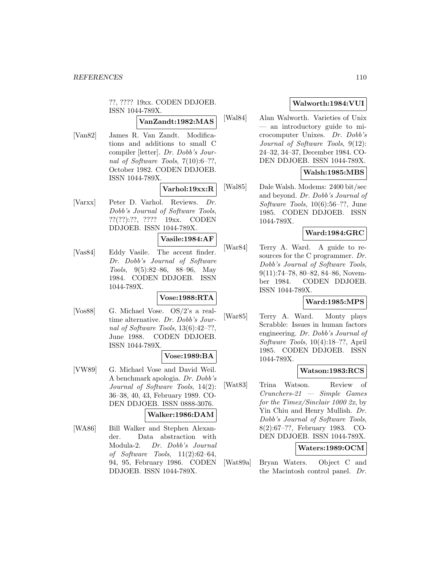??, ???? 19xx. CODEN DDJOEB. ISSN 1044-789X.

## **VanZandt:1982:MAS**

[Van82] James R. Van Zandt. Modifications and additions to small C compiler [letter]. Dr. Dobb's Journal of Software Tools, 7(10):6–??, October 1982. CODEN DDJOEB. ISSN 1044-789X.

**Varhol:19xx:R**

[Varxx] Peter D. Varhol. Reviews. Dr. Dobb's Journal of Software Tools, ??(??):??, ???? 19xx. CODEN DDJOEB. ISSN 1044-789X.

## **Vasile:1984:AF**

[Vas84] Eddy Vasile. The accent finder. Dr. Dobb's Journal of Software Tools, 9(5):82–86, 88–96, May 1984. CODEN DDJOEB. ISSN 1044-789X.

## **Vose:1988:RTA**

[Vos88] G. Michael Vose. OS/2's a realtime alternative. Dr. Dobb's Journal of Software Tools, 13(6):42–??, June 1988. CODEN DDJOEB. ISSN 1044-789X.

#### **Vose:1989:BA**

[VW89] G. Michael Vose and David Weil. A benchmark apologia. Dr. Dobb's Journal of Software Tools, 14(2): 36–38, 40, 43, February 1989. CO-DEN DDJOEB. ISSN 0888-3076.

#### **Walker:1986:DAM**

[WA86] Bill Walker and Stephen Alexander. Data abstraction with Modula-2. Dr. Dobb's Journal of Software Tools, 11(2):62–64, 94, 95, February 1986. CODEN DDJOEB. ISSN 1044-789X.

## **Walworth:1984:VUI**

[Wal84] Alan Walworth. Varieties of Unix — an introductory guide to microcomputer Unixes. Dr. Dobb's Journal of Software Tools, 9(12): 24–32, 34–37, December 1984. CO-DEN DDJOEB. ISSN 1044-789X.

## **Walsh:1985:MBS**

[Wal85] Dale Walsh. Modems: 2400 bit/sec and beyond. Dr. Dobb's Journal of Software Tools, 10(6):56–??, June 1985. CODEN DDJOEB. ISSN 1044-789X.

## **Ward:1984:GRC**

[War84] Terry A. Ward. A guide to resources for the C programmer. Dr. Dobb's Journal of Software Tools, 9(11):74–78, 80–82, 84–86, November 1984. CODEN DDJOEB. ISSN 1044-789X.

### **Ward:1985:MPS**

[War85] Terry A. Ward. Monty plays Scrabble: Issues in human factors engineering. Dr. Dobb's Journal of Software Tools, 10(4):18–??, April 1985. CODEN DDJOEB. ISSN 1044-789X.

## **Watson:1983:RCS**

[Wat83] Trina Watson. Review of Crunchers-21 — Simple Games for the Timex/Sinclair 1000 2x, by Yin Chiu and Henry Mullish. Dr. Dobb's Journal of Software Tools, 8(2):67–??, February 1983. CO-DEN DDJOEB. ISSN 1044-789X.

## **Waters:1989:OCM**

[Wat89a] Bryan Waters. Object C and the Macintosh control panel. Dr.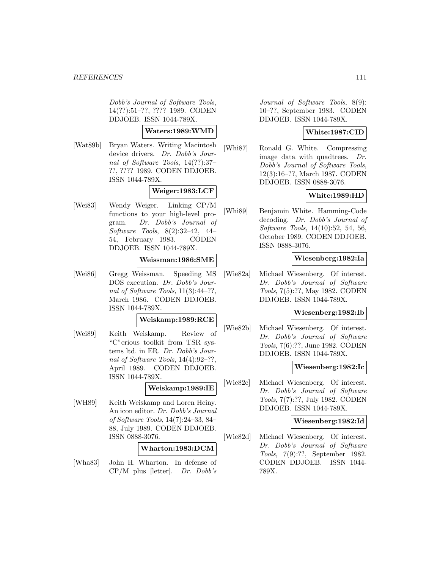Dobb's Journal of Software Tools, 14(??):51–??, ???? 1989. CODEN DDJOEB. ISSN 1044-789X.

**Waters:1989:WMD**

[Wat89b] Bryan Waters. Writing Macintosh device drivers. Dr. Dobb's Journal of Software Tools, 14(??):37– ??, ???? 1989. CODEN DDJOEB. ISSN 1044-789X.

## **Weiger:1983:LCF**

[Wei83] Wendy Weiger. Linking CP/M functions to your high-level program. Dr. Dobb's Journal of Software Tools, 8(2):32–42, 44– 54, February 1983. CODEN DDJOEB. ISSN 1044-789X.

## **Weissman:1986:SME**

[Wei86] Gregg Weissman. Speeding MS DOS execution. Dr. Dobb's Journal of Software Tools, 11(3):44–??, March 1986. CODEN DDJOEB. ISSN 1044-789X.

## **Weiskamp:1989:RCE**

[Wei89] Keith Weiskamp. Review of "C"erious toolkit from TSR systems ltd. in ER. Dr. Dobb's Journal of Software Tools, 14(4):92–??, April 1989. CODEN DDJOEB. ISSN 1044-789X.

#### **Weiskamp:1989:IE**

[WH89] Keith Weiskamp and Loren Heiny. An icon editor. Dr. Dobb's Journal of Software Tools, 14(7):24–33, 84– 88, July 1989. CODEN DDJOEB. ISSN 0888-3076.

#### **Wharton:1983:DCM**

[Wha83] John H. Wharton. In defense of  $CP/M$  plus [letter]. Dr. Dobb's Journal of Software Tools, 8(9): 10–??, September 1983. CODEN DDJOEB. ISSN 1044-789X.

# **White:1987:CID**

[Whi87] Ronald G. White. Compressing image data with quadtrees. Dr. Dobb's Journal of Software Tools, 12(3):16–??, March 1987. CODEN DDJOEB. ISSN 0888-3076.

## **White:1989:HD**

[Whi89] Benjamin White. Hamming-Code decoding. Dr. Dobb's Journal of Software Tools, 14(10):52, 54, 56, October 1989. CODEN DDJOEB. ISSN 0888-3076.

### **Wiesenberg:1982:Ia**

[Wie82a] Michael Wiesenberg. Of interest. Dr. Dobb's Journal of Software Tools, 7(5):??, May 1982. CODEN DDJOEB. ISSN 1044-789X.

#### **Wiesenberg:1982:Ib**

[Wie82b] Michael Wiesenberg. Of interest. Dr. Dobb's Journal of Software Tools, 7(6):??, June 1982. CODEN DDJOEB. ISSN 1044-789X.

### **Wiesenberg:1982:Ic**

[Wie82c] Michael Wiesenberg. Of interest. Dr. Dobb's Journal of Software Tools, 7(7):??, July 1982. CODEN DDJOEB. ISSN 1044-789X.

### **Wiesenberg:1982:Id**

[Wie82d] Michael Wiesenberg. Of interest. Dr. Dobb's Journal of Software Tools, 7(9):??, September 1982. CODEN DDJOEB. ISSN 1044- 789X.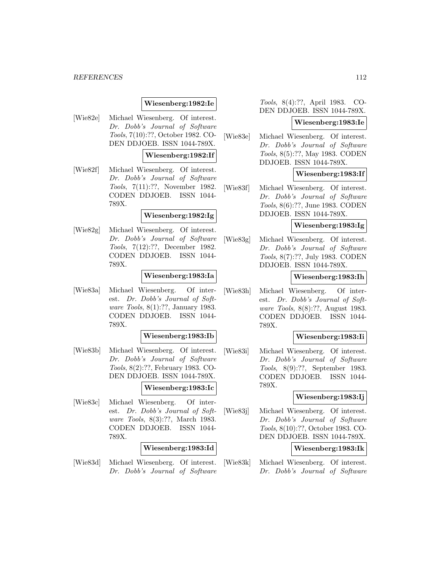### **Wiesenberg:1982:Ie**

[Wie82e] Michael Wiesenberg. Of interest. Dr. Dobb's Journal of Software Tools, 7(10):??, October 1982. CO-DEN DDJOEB. ISSN 1044-789X.

### **Wiesenberg:1982:If**

[Wie82f] Michael Wiesenberg. Of interest. Dr. Dobb's Journal of Software Tools, 7(11):??, November 1982. CODEN DDJOEB. ISSN 1044- 789X.

#### **Wiesenberg:1982:Ig**

[Wie82g] Michael Wiesenberg. Of interest. Dr. Dobb's Journal of Software Tools, 7(12):??, December 1982. CODEN DDJOEB. ISSN 1044- 789X.

#### **Wiesenberg:1983:Ia**

[Wie83a] Michael Wiesenberg. Of interest. Dr. Dobb's Journal of Software Tools, 8(1):??, January 1983. CODEN DDJOEB. ISSN 1044- 789X.

#### **Wiesenberg:1983:Ib**

[Wie83b] Michael Wiesenberg. Of interest. Dr. Dobb's Journal of Software Tools, 8(2):??, February 1983. CO-DEN DDJOEB. ISSN 1044-789X.

## **Wiesenberg:1983:Ic**

[Wie83c] Michael Wiesenberg. Of interest. Dr. Dobb's Journal of Software Tools, 8(3):??, March 1983. CODEN DDJOEB. ISSN 1044- 789X.

#### **Wiesenberg:1983:Id**

[Wie83d] Michael Wiesenberg. Of interest. Dr. Dobb's Journal of Software

Tools, 8(4):??, April 1983. CO-DEN DDJOEB. ISSN 1044-789X.

#### **Wiesenberg:1983:Ie**

[Wie83e] Michael Wiesenberg. Of interest. Dr. Dobb's Journal of Software Tools, 8(5):??, May 1983. CODEN DDJOEB. ISSN 1044-789X.

### **Wiesenberg:1983:If**

[Wie83f] Michael Wiesenberg. Of interest. Dr. Dobb's Journal of Software Tools, 8(6):??, June 1983. CODEN DDJOEB. ISSN 1044-789X.

## **Wiesenberg:1983:Ig**

[Wie83g] Michael Wiesenberg. Of interest. Dr. Dobb's Journal of Software Tools, 8(7):??, July 1983. CODEN DDJOEB. ISSN 1044-789X.

### **Wiesenberg:1983:Ih**

[Wie83h] Michael Wiesenberg. Of interest. Dr. Dobb's Journal of Software Tools, 8(8):??, August 1983. CODEN DDJOEB. ISSN 1044- 789X.

### **Wiesenberg:1983:Ii**

[Wie83i] Michael Wiesenberg. Of interest. Dr. Dobb's Journal of Software Tools, 8(9):??, September 1983. CODEN DDJOEB. ISSN 1044- 789X.

## **Wiesenberg:1983:Ij**

[Wie83j] Michael Wiesenberg. Of interest. Dr. Dobb's Journal of Software Tools, 8(10):??, October 1983. CO-DEN DDJOEB. ISSN 1044-789X.

#### **Wiesenberg:1983:Ik**

[Wie83k] Michael Wiesenberg. Of interest. Dr. Dobb's Journal of Software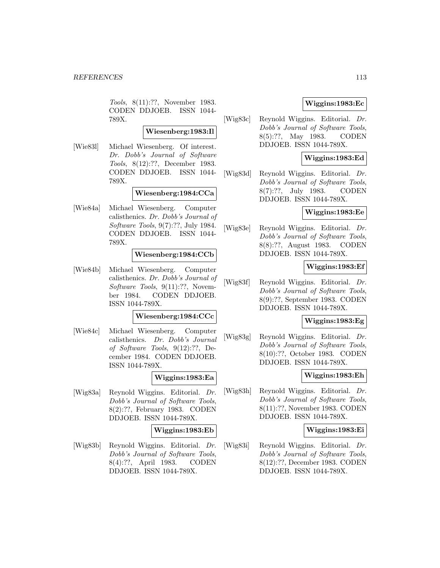Tools, 8(11):??, November 1983. CODEN DDJOEB. ISSN 1044- 789X.

### **Wiesenberg:1983:Il**

[Wie83l] Michael Wiesenberg. Of interest. Dr. Dobb's Journal of Software Tools, 8(12):??, December 1983. CODEN DDJOEB. ISSN 1044- 789X.

## **Wiesenberg:1984:CCa**

[Wie84a] Michael Wiesenberg. Computer calisthenics. Dr. Dobb's Journal of Software Tools, 9(7):??, July 1984. CODEN DDJOEB. ISSN 1044- 789X.

## **Wiesenberg:1984:CCb**

[Wie84b] Michael Wiesenberg. Computer calisthenics. Dr. Dobb's Journal of Software Tools, 9(11):??, November 1984. CODEN DDJOEB. ISSN 1044-789X.

#### **Wiesenberg:1984:CCc**

[Wie84c] Michael Wiesenberg. Computer calisthenics. Dr. Dobb's Journal of Software Tools, 9(12):??, December 1984. CODEN DDJOEB. ISSN 1044-789X.

### **Wiggins:1983:Ea**

[Wig83a] Reynold Wiggins. Editorial. Dr. Dobb's Journal of Software Tools, 8(2):??, February 1983. CODEN DDJOEB. ISSN 1044-789X.

#### **Wiggins:1983:Eb**

[Wig83b] Reynold Wiggins. Editorial. Dr. Dobb's Journal of Software Tools, 8(4):??, April 1983. CODEN DDJOEB. ISSN 1044-789X.

## **Wiggins:1983:Ec**

[Wig83c] Reynold Wiggins. Editorial. Dr. Dobb's Journal of Software Tools, 8(5):??, May 1983. CODEN DDJOEB. ISSN 1044-789X.

## **Wiggins:1983:Ed**

[Wig83d] Reynold Wiggins. Editorial. Dr. Dobb's Journal of Software Tools, 8(7):??, July 1983. CODEN DDJOEB. ISSN 1044-789X.

## **Wiggins:1983:Ee**

[Wig83e] Reynold Wiggins. Editorial. Dr. Dobb's Journal of Software Tools, 8(8):??, August 1983. CODEN DDJOEB. ISSN 1044-789X.

### **Wiggins:1983:Ef**

[Wig83f] Reynold Wiggins. Editorial. Dr. Dobb's Journal of Software Tools, 8(9):??, September 1983. CODEN DDJOEB. ISSN 1044-789X.

## **Wiggins:1983:Eg**

[Wig83g] Reynold Wiggins. Editorial. Dr. Dobb's Journal of Software Tools, 8(10):??, October 1983. CODEN DDJOEB. ISSN 1044-789X.

### **Wiggins:1983:Eh**

[Wig83h] Reynold Wiggins. Editorial. Dr. Dobb's Journal of Software Tools, 8(11):??, November 1983. CODEN DDJOEB. ISSN 1044-789X.

## **Wiggins:1983:Ei**

[Wig83i] Reynold Wiggins. Editorial. Dr. Dobb's Journal of Software Tools, 8(12):??, December 1983. CODEN DDJOEB. ISSN 1044-789X.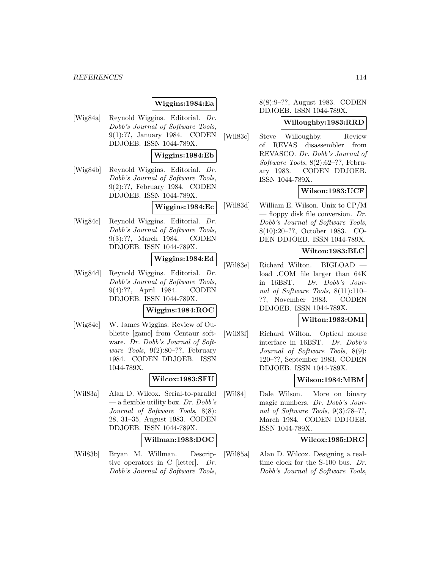## **Wiggins:1984:Ea**

[Wig84a] Reynold Wiggins. Editorial. Dr. Dobb's Journal of Software Tools, 9(1):??, January 1984. CODEN DDJOEB. ISSN 1044-789X.

### **Wiggins:1984:Eb**

[Wig84b] Reynold Wiggins. Editorial. Dr. Dobb's Journal of Software Tools, 9(2):??, February 1984. CODEN DDJOEB. ISSN 1044-789X.

#### **Wiggins:1984:Ec**

[Wig84c] Reynold Wiggins. Editorial. Dr. Dobb's Journal of Software Tools, 9(3):??, March 1984. CODEN DDJOEB. ISSN 1044-789X.

### **Wiggins:1984:Ed**

[Wig84d] Reynold Wiggins. Editorial. Dr. Dobb's Journal of Software Tools, 9(4):??, April 1984. CODEN DDJOEB. ISSN 1044-789X.

### **Wiggins:1984:ROC**

[Wig84e] W. James Wiggins. Review of Oubliette [game] from Centaur software. Dr. Dobb's Journal of Soft*ware Tools*,  $9(2):80-??$ , February 1984. CODEN DDJOEB. ISSN 1044-789X.

#### **Wilcox:1983:SFU**

[Wil83a] Alan D. Wilcox. Serial-to-parallel — a flexible utility box. Dr. Dobb's Journal of Software Tools, 8(8): 28, 31–35, August 1983. CODEN DDJOEB. ISSN 1044-789X.

### **Willman:1983:DOC**

[Wil83b] Bryan M. Willman. Descriptive operators in C [letter]. Dr. Dobb's Journal of Software Tools,

8(8):9–??, August 1983. CODEN DDJOEB. ISSN 1044-789X.

#### **Willoughby:1983:RRD**

[Wil83c] Steve Willoughby. Review of REVAS disassembler from REVASCO. Dr. Dobb's Journal of Software Tools, 8(2):62–??, February 1983. CODEN DDJOEB. ISSN 1044-789X.

## **Wilson:1983:UCF**

[Wil83d] William E. Wilson. Unix to CP/M — floppy disk file conversion.  $Dr.$ Dobb's Journal of Software Tools, 8(10):20–??, October 1983. CO-DEN DDJOEB. ISSN 1044-789X.

## **Wilton:1983:BLC**

[Wil83e] Richard Wilton. BIGLOAD load .COM file larger than 64K in 16BST. Dr. Dobb's Journal of Software Tools, 8(11):110– ??, November 1983. CODEN DDJOEB. ISSN 1044-789X.

### **Wilton:1983:OMI**

[Wil83f] Richard Wilton. Optical mouse interface in 16BST. Dr. Dobb's Journal of Software Tools, 8(9): 120–??, September 1983. CODEN DDJOEB. ISSN 1044-789X.

## **Wilson:1984:MBM**

[Wil84] Dale Wilson. More on binary magic numbers. Dr. Dobb's Journal of Software Tools, 9(3):78–??, March 1984. CODEN DDJOEB. ISSN 1044-789X.

## **Wilcox:1985:DRC**

[Wil85a] Alan D. Wilcox. Designing a realtime clock for the S-100 bus. Dr. Dobb's Journal of Software Tools,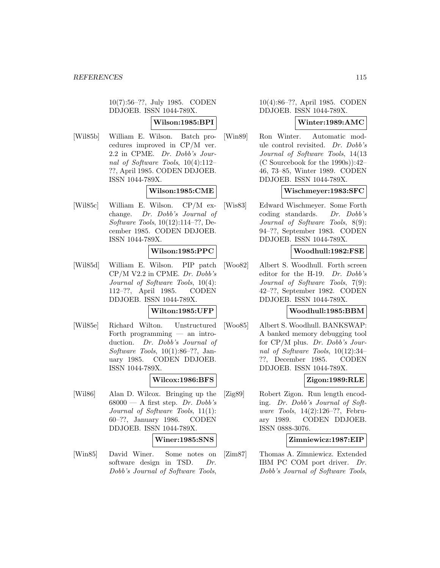10(7):56–??, July 1985. CODEN DDJOEB. ISSN 1044-789X.

**Wilson:1985:BPI**

[Wil85b] William E. Wilson. Batch procedures improved in CP/M ver. 2.2 in CPME. Dr. Dobb's Journal of Software Tools, 10(4):112– ??, April 1985. CODEN DDJOEB. ISSN 1044-789X.

#### **Wilson:1985:CME**

[Wil85c] William E. Wilson. CP/M exchange. Dr. Dobb's Journal of Software Tools, 10(12):114–??, December 1985. CODEN DDJOEB. ISSN 1044-789X.

### **Wilson:1985:PPC**

[Wil85d] William E. Wilson. PIP patch CP/M V2.2 in CPME. Dr. Dobb's Journal of Software Tools, 10(4): 112–??, April 1985. CODEN DDJOEB. ISSN 1044-789X.

# **Wilton:1985:UFP**

[Wil85e] Richard Wilton. Unstructured Forth programming — an introduction. Dr. Dobb's Journal of Software Tools, 10(1):86–??, January 1985. CODEN DDJOEB. ISSN 1044-789X.

#### **Wilcox:1986:BFS**

[Wil86] Alan D. Wilcox. Bringing up the  $68000 - A$  first step. Dr. Dobb's Journal of Software Tools, 11(1): 60–??, January 1986. CODEN DDJOEB. ISSN 1044-789X.

#### **Winer:1985:SNS**

[Win85] David Winer. Some notes on software design in TSD. Dr. Dobb's Journal of Software Tools,

10(4):86–??, April 1985. CODEN DDJOEB. ISSN 1044-789X.

### **Winter:1989:AMC**

[Win89] Ron Winter. Automatic module control revisited. Dr. Dobb's Journal of Software Tools, 14(13 (C Sourcebook for the 1990s)):42– 46, 73–85, Winter 1989. CODEN DDJOEB. ISSN 1044-789X.

## **Wischmeyer:1983:SFC**

[Wis83] Edward Wischmeyer. Some Forth coding standards. Dr. Dobb's Journal of Software Tools, 8(9): 94–??, September 1983. CODEN DDJOEB. ISSN 1044-789X.

### **Woodhull:1982:FSE**

[Woo82] Albert S. Woodhull. Forth screen editor for the H-19. Dr. Dobb's Journal of Software Tools, 7(9): 42–??, September 1982. CODEN DDJOEB. ISSN 1044-789X.

## **Woodhull:1985:BBM**

[Woo85] Albert S. Woodhull. BANKSWAP: A banked memory debugging tool for CP/M plus. Dr. Dobb's Journal of Software Tools, 10(12):34– ??, December 1985. CODEN DDJOEB. ISSN 1044-789X.

## **Zigon:1989:RLE**

[Zig89] Robert Zigon. Run length encoding. Dr. Dobb's Journal of Software Tools, 14(2):126–??, February 1989. CODEN DDJOEB. ISSN 0888-3076.

## **Zimniewicz:1987:EIP**

[Zim87] Thomas A. Zimniewicz. Extended IBM PC COM port driver. Dr. Dobb's Journal of Software Tools,